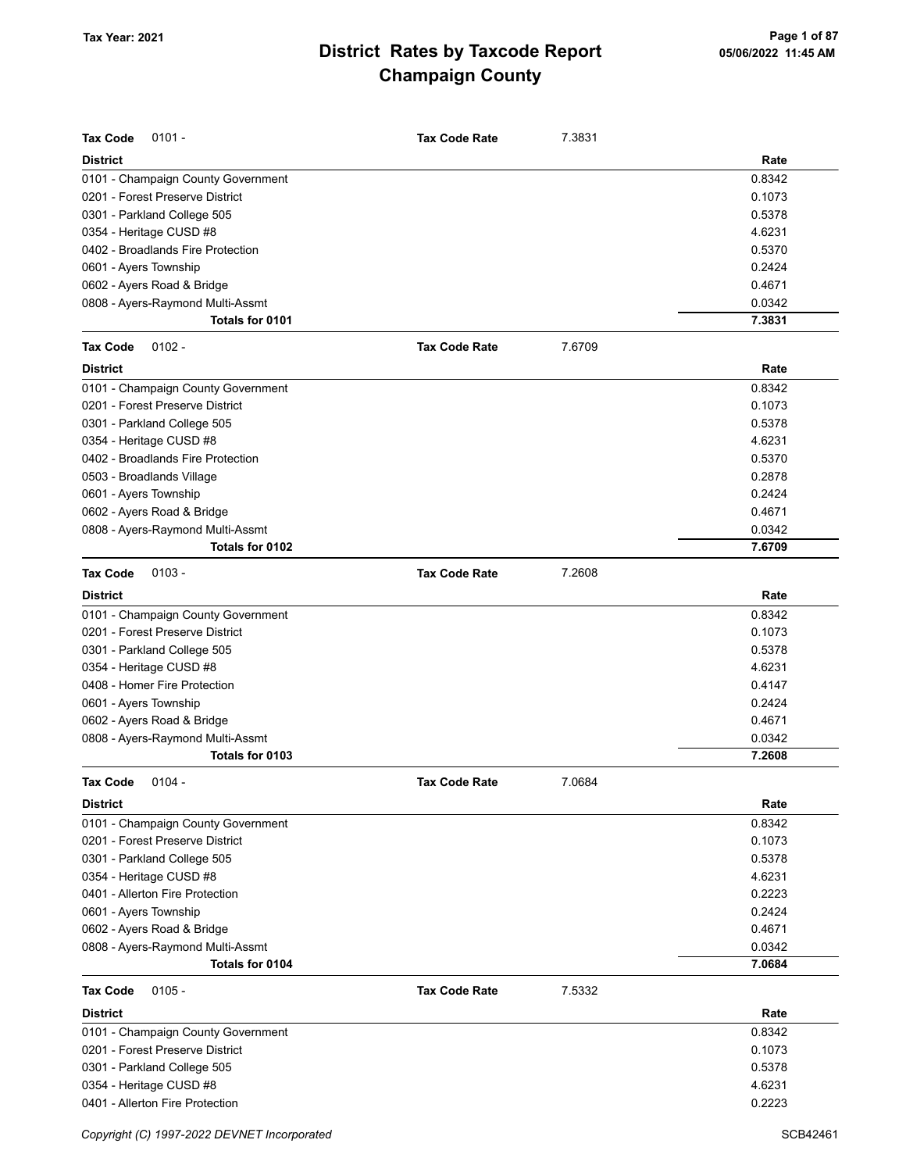| <b>Tax Code</b><br>$0101 -$        | <b>Tax Code Rate</b> | 7.3831 |        |
|------------------------------------|----------------------|--------|--------|
| <b>District</b>                    |                      |        | Rate   |
| 0101 - Champaign County Government |                      |        | 0.8342 |
| 0201 - Forest Preserve District    |                      |        | 0.1073 |
| 0301 - Parkland College 505        |                      |        | 0.5378 |
| 0354 - Heritage CUSD #8            |                      |        | 4.6231 |
| 0402 - Broadlands Fire Protection  |                      |        | 0.5370 |
| 0601 - Ayers Township              |                      |        | 0.2424 |
| 0602 - Ayers Road & Bridge         |                      |        | 0.4671 |
| 0808 - Ayers-Raymond Multi-Assmt   |                      |        | 0.0342 |
| Totals for 0101                    |                      |        | 7.3831 |
| <b>Tax Code</b><br>$0102 -$        | <b>Tax Code Rate</b> | 7.6709 |        |
| <b>District</b>                    |                      |        | Rate   |
| 0101 - Champaign County Government |                      |        | 0.8342 |
| 0201 - Forest Preserve District    |                      |        | 0.1073 |
| 0301 - Parkland College 505        |                      |        | 0.5378 |
| 0354 - Heritage CUSD #8            |                      |        | 4.6231 |
| 0402 - Broadlands Fire Protection  |                      |        | 0.5370 |
| 0503 - Broadlands Village          |                      |        | 0.2878 |
| 0601 - Ayers Township              |                      |        | 0.2424 |
| 0602 - Ayers Road & Bridge         |                      |        | 0.4671 |
| 0808 - Ayers-Raymond Multi-Assmt   |                      |        | 0.0342 |
| Totals for 0102                    |                      |        | 7.6709 |
| <b>Tax Code</b><br>$0103 -$        | <b>Tax Code Rate</b> | 7.2608 |        |
| <b>District</b>                    |                      |        | Rate   |
| 0101 - Champaign County Government |                      |        | 0.8342 |
| 0201 - Forest Preserve District    |                      |        | 0.1073 |
| 0301 - Parkland College 505        |                      |        | 0.5378 |
| 0354 - Heritage CUSD #8            |                      |        | 4.6231 |
| 0408 - Homer Fire Protection       |                      |        | 0.4147 |
| 0601 - Ayers Township              |                      |        | 0.2424 |
| 0602 - Ayers Road & Bridge         |                      |        | 0.4671 |
| 0808 - Ayers-Raymond Multi-Assmt   |                      |        | 0.0342 |
| Totals for 0103                    |                      |        | 7.2608 |
| Tax Code<br>$0104 -$               | <b>Tax Code Rate</b> | 7.0684 |        |
| <b>District</b>                    |                      |        | Rate   |
| 0101 - Champaign County Government |                      |        | 0.8342 |
| 0201 - Forest Preserve District    |                      |        | 0.1073 |
| 0301 - Parkland College 505        |                      |        | 0.5378 |
| 0354 - Heritage CUSD #8            |                      |        | 4.6231 |
| 0401 - Allerton Fire Protection    |                      |        | 0.2223 |
| 0601 - Ayers Township              |                      |        | 0.2424 |
| 0602 - Ayers Road & Bridge         |                      |        | 0.4671 |
| 0808 - Ayers-Raymond Multi-Assmt   |                      |        | 0.0342 |
| Totals for 0104                    |                      |        | 7.0684 |
| <b>Tax Code</b><br>$0105 -$        | <b>Tax Code Rate</b> | 7.5332 |        |
| <b>District</b>                    |                      |        | Rate   |
| 0101 - Champaign County Government |                      |        | 0.8342 |
| 0201 - Forest Preserve District    |                      |        | 0.1073 |
| 0301 - Parkland College 505        |                      |        | 0.5378 |
| 0354 - Heritage CUSD #8            |                      |        | 4.6231 |
| 0401 - Allerton Fire Protection    |                      |        | 0.2223 |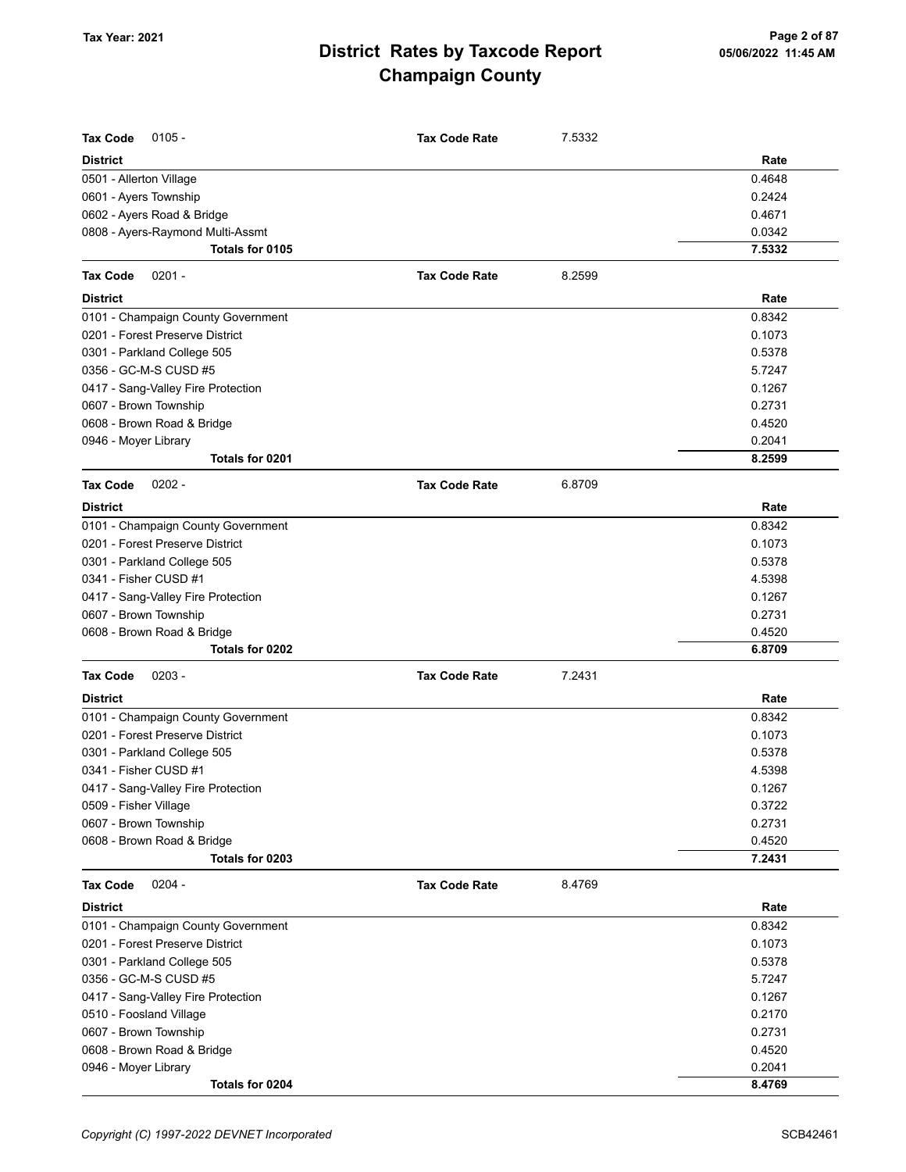| <b>Tax Code</b><br>$0105 -$        | <b>Tax Code Rate</b> | 7.5332 |        |
|------------------------------------|----------------------|--------|--------|
| <b>District</b>                    |                      |        | Rate   |
| 0501 - Allerton Village            |                      |        | 0.4648 |
| 0601 - Ayers Township              |                      |        | 0.2424 |
| 0602 - Ayers Road & Bridge         |                      |        | 0.4671 |
| 0808 - Ayers-Raymond Multi-Assmt   |                      |        | 0.0342 |
| Totals for 0105                    |                      |        | 7.5332 |
| <b>Tax Code</b><br>$0201 -$        | <b>Tax Code Rate</b> | 8.2599 |        |
| <b>District</b>                    |                      |        | Rate   |
| 0101 - Champaign County Government |                      |        | 0.8342 |
| 0201 - Forest Preserve District    |                      |        | 0.1073 |
| 0301 - Parkland College 505        |                      |        | 0.5378 |
| 0356 - GC-M-S CUSD #5              |                      |        | 5.7247 |
| 0417 - Sang-Valley Fire Protection |                      |        | 0.1267 |
| 0607 - Brown Township              |                      |        | 0.2731 |
| 0608 - Brown Road & Bridge         |                      |        | 0.4520 |
| 0946 - Moyer Library               |                      |        | 0.2041 |
| Totals for 0201                    |                      |        | 8.2599 |
| $0202 -$<br><b>Tax Code</b>        | <b>Tax Code Rate</b> | 6.8709 |        |
| <b>District</b>                    |                      |        | Rate   |
| 0101 - Champaign County Government |                      |        | 0.8342 |
| 0201 - Forest Preserve District    |                      |        | 0.1073 |
| 0301 - Parkland College 505        |                      |        | 0.5378 |
| 0341 - Fisher CUSD #1              |                      |        | 4.5398 |
| 0417 - Sang-Valley Fire Protection |                      |        | 0.1267 |
| 0607 - Brown Township              |                      |        | 0.2731 |
| 0608 - Brown Road & Bridge         |                      |        | 0.4520 |
| Totals for 0202                    |                      |        | 6.8709 |
| <b>Tax Code</b><br>$0203 -$        | <b>Tax Code Rate</b> | 7.2431 |        |
| <b>District</b>                    |                      |        | Rate   |
| 0101 - Champaign County Government |                      |        | 0.8342 |
| 0201 - Forest Preserve District    |                      |        | 0.1073 |
| 0301 - Parkland College 505        |                      |        | 0.5378 |
| 0341 - Fisher CUSD #1              |                      |        | 4.5398 |
| 0417 - Sang-Valley Fire Protection |                      |        | 0.1267 |
| 0509 - Fisher Village              |                      |        | 0.3722 |
| 0607 - Brown Township              |                      |        | 0.2731 |
| 0608 - Brown Road & Bridge         |                      |        | 0.4520 |
| Totals for 0203                    |                      |        | 7.2431 |
| <b>Tax Code</b><br>$0204 -$        | <b>Tax Code Rate</b> | 8.4769 |        |
| <b>District</b>                    |                      |        | Rate   |
| 0101 - Champaign County Government |                      |        | 0.8342 |
| 0201 - Forest Preserve District    |                      |        | 0.1073 |
| 0301 - Parkland College 505        |                      |        | 0.5378 |
| 0356 - GC-M-S CUSD #5              |                      |        | 5.7247 |
| 0417 - Sang-Valley Fire Protection |                      |        | 0.1267 |
| 0510 - Foosland Village            |                      |        | 0.2170 |
| 0607 - Brown Township              |                      |        | 0.2731 |
| 0608 - Brown Road & Bridge         |                      |        | 0.4520 |
| 0946 - Moyer Library               |                      |        | 0.2041 |
| Totals for 0204                    |                      |        | 8.4769 |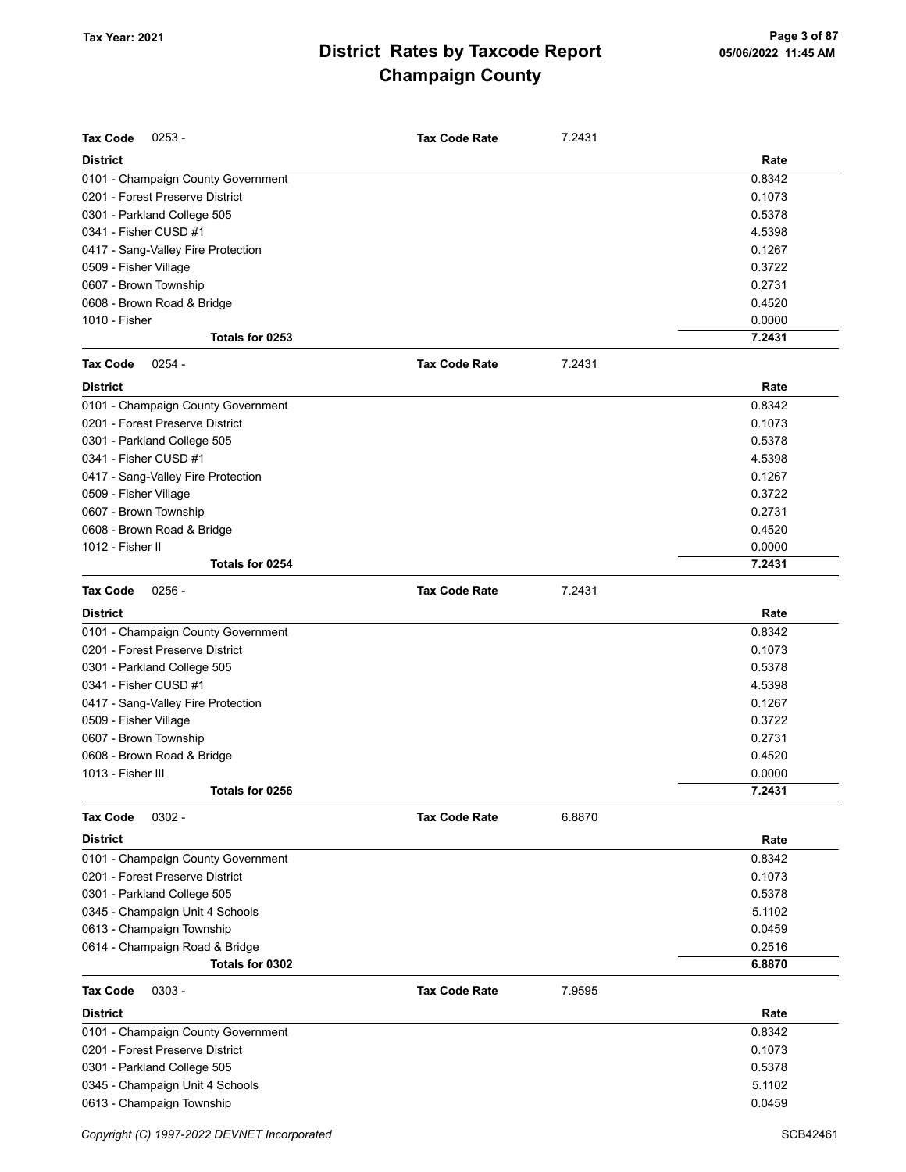| <b>Tax Code</b><br>$0253 -$        | <b>Tax Code Rate</b> | 7.2431 |        |
|------------------------------------|----------------------|--------|--------|
| <b>District</b>                    |                      |        | Rate   |
| 0101 - Champaign County Government |                      |        | 0.8342 |
| 0201 - Forest Preserve District    |                      |        | 0.1073 |
| 0301 - Parkland College 505        |                      |        | 0.5378 |
| 0341 - Fisher CUSD #1              |                      |        | 4.5398 |
| 0417 - Sang-Valley Fire Protection |                      |        | 0.1267 |
| 0509 - Fisher Village              |                      |        | 0.3722 |
| 0607 - Brown Township              |                      |        | 0.2731 |
| 0608 - Brown Road & Bridge         |                      |        | 0.4520 |
| 1010 - Fisher                      |                      |        | 0.0000 |
| Totals for 0253                    |                      |        | 7.2431 |
| <b>Tax Code</b><br>$0254 -$        | <b>Tax Code Rate</b> | 7.2431 |        |
| <b>District</b>                    |                      |        | Rate   |
| 0101 - Champaign County Government |                      |        | 0.8342 |
| 0201 - Forest Preserve District    |                      |        | 0.1073 |
| 0301 - Parkland College 505        |                      |        | 0.5378 |
| 0341 - Fisher CUSD #1              |                      |        | 4.5398 |
| 0417 - Sang-Valley Fire Protection |                      |        | 0.1267 |
| 0509 - Fisher Village              |                      |        | 0.3722 |
| 0607 - Brown Township              |                      |        | 0.2731 |
| 0608 - Brown Road & Bridge         |                      |        | 0.4520 |
| 1012 - Fisher II                   |                      |        | 0.0000 |
| Totals for 0254                    |                      |        | 7.2431 |
| <b>Tax Code</b><br>$0256 -$        | <b>Tax Code Rate</b> | 7.2431 |        |
| <b>District</b>                    |                      |        | Rate   |
| 0101 - Champaign County Government |                      |        | 0.8342 |
| 0201 - Forest Preserve District    |                      |        | 0.1073 |
| 0301 - Parkland College 505        |                      |        | 0.5378 |
| 0341 - Fisher CUSD #1              |                      |        | 4.5398 |
| 0417 - Sang-Valley Fire Protection |                      |        | 0.1267 |
| 0509 - Fisher Village              |                      |        | 0.3722 |
| 0607 - Brown Township              |                      |        | 0.2731 |
| 0608 - Brown Road & Bridge         |                      |        | 0.4520 |
| 1013 - Fisher III                  |                      |        | 0.0000 |
| Totals for 0256                    |                      |        | 7.2431 |
| $0302 -$<br><b>Tax Code</b>        | <b>Tax Code Rate</b> | 6.8870 |        |
| <b>District</b>                    |                      |        | Rate   |
| 0101 - Champaign County Government |                      |        | 0.8342 |
| 0201 - Forest Preserve District    |                      |        | 0.1073 |
| 0301 - Parkland College 505        |                      |        | 0.5378 |
| 0345 - Champaign Unit 4 Schools    |                      |        | 5.1102 |
| 0613 - Champaign Township          |                      |        | 0.0459 |
| 0614 - Champaign Road & Bridge     |                      |        | 0.2516 |
| Totals for 0302                    |                      |        | 6.8870 |
| <b>Tax Code</b><br>$0303 -$        | <b>Tax Code Rate</b> | 7.9595 |        |
| <b>District</b>                    |                      |        | Rate   |
| 0101 - Champaign County Government |                      |        | 0.8342 |
| 0201 - Forest Preserve District    |                      |        | 0.1073 |
| 0301 - Parkland College 505        |                      |        | 0.5378 |
| 0345 - Champaign Unit 4 Schools    |                      |        | 5.1102 |
| 0613 - Champaign Township          |                      |        | 0.0459 |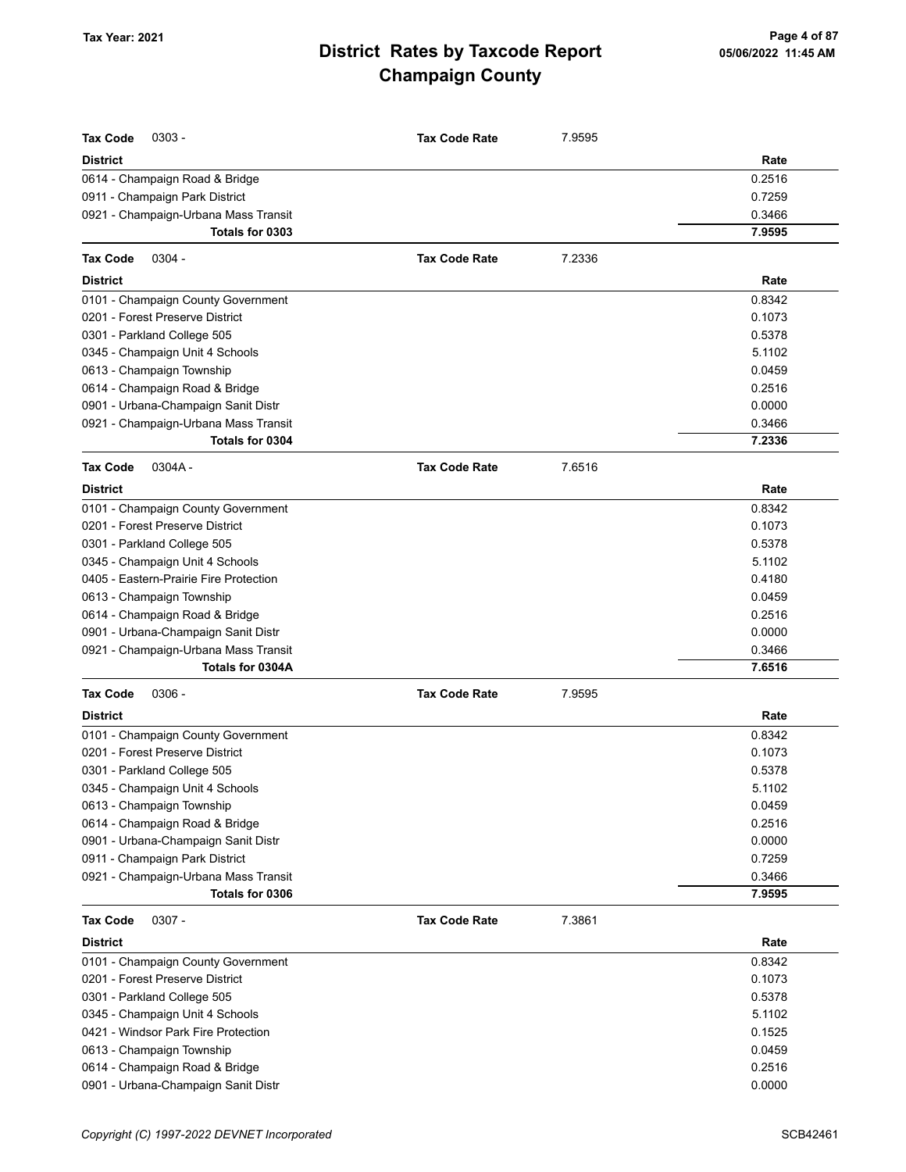| <b>Tax Code</b><br>$0303 -$            | <b>Tax Code Rate</b> | 7.9595 |        |
|----------------------------------------|----------------------|--------|--------|
| <b>District</b>                        |                      |        | Rate   |
| 0614 - Champaign Road & Bridge         |                      |        | 0.2516 |
| 0911 - Champaign Park District         |                      |        | 0.7259 |
| 0921 - Champaign-Urbana Mass Transit   |                      |        | 0.3466 |
| Totals for 0303                        |                      |        | 7.9595 |
| <b>Tax Code</b><br>$0304 -$            | <b>Tax Code Rate</b> | 7.2336 |        |
| <b>District</b>                        |                      |        | Rate   |
| 0101 - Champaign County Government     |                      |        | 0.8342 |
| 0201 - Forest Preserve District        |                      |        | 0.1073 |
| 0301 - Parkland College 505            |                      |        | 0.5378 |
| 0345 - Champaign Unit 4 Schools        |                      |        | 5.1102 |
| 0613 - Champaign Township              |                      |        | 0.0459 |
| 0614 - Champaign Road & Bridge         |                      |        | 0.2516 |
| 0901 - Urbana-Champaign Sanit Distr    |                      |        | 0.0000 |
| 0921 - Champaign-Urbana Mass Transit   |                      |        | 0.3466 |
| Totals for 0304                        |                      |        | 7.2336 |
| $0304A -$<br><b>Tax Code</b>           | <b>Tax Code Rate</b> | 7.6516 |        |
| <b>District</b>                        |                      |        | Rate   |
| 0101 - Champaign County Government     |                      |        | 0.8342 |
| 0201 - Forest Preserve District        |                      |        | 0.1073 |
| 0301 - Parkland College 505            |                      |        | 0.5378 |
| 0345 - Champaign Unit 4 Schools        |                      |        | 5.1102 |
| 0405 - Eastern-Prairie Fire Protection |                      |        | 0.4180 |
| 0613 - Champaign Township              |                      |        | 0.0459 |
| 0614 - Champaign Road & Bridge         |                      |        | 0.2516 |
| 0901 - Urbana-Champaign Sanit Distr    |                      |        | 0.0000 |
| 0921 - Champaign-Urbana Mass Transit   |                      |        | 0.3466 |
| Totals for 0304A                       |                      |        | 7.6516 |
| <b>Tax Code</b><br>$0306 -$            | <b>Tax Code Rate</b> | 7.9595 |        |
| <b>District</b>                        |                      |        | Rate   |
| 0101 - Champaign County Government     |                      |        | 0.8342 |
| 0201 - Forest Preserve District        |                      |        | 0.1073 |
| 0301 - Parkland College 505            |                      |        | 0.5378 |
| 0345 - Champaign Unit 4 Schools        |                      |        | 5.1102 |
| 0613 - Champaign Township              |                      |        | 0.0459 |
| 0614 - Champaign Road & Bridge         |                      |        | 0.2516 |
| 0901 - Urbana-Champaign Sanit Distr    |                      |        | 0.0000 |
| 0911 - Champaign Park District         |                      |        | 0.7259 |
| 0921 - Champaign-Urbana Mass Transit   |                      |        | 0.3466 |
| Totals for 0306                        |                      |        | 7.9595 |
| <b>Tax Code</b><br>$0307 -$            | <b>Tax Code Rate</b> | 7.3861 |        |
| <b>District</b>                        |                      |        | Rate   |
| 0101 - Champaign County Government     |                      |        | 0.8342 |
| 0201 - Forest Preserve District        |                      |        | 0.1073 |
| 0301 - Parkland College 505            |                      |        | 0.5378 |
| 0345 - Champaign Unit 4 Schools        |                      |        | 5.1102 |
| 0421 - Windsor Park Fire Protection    |                      |        | 0.1525 |
| 0613 - Champaign Township              |                      |        | 0.0459 |
| 0614 - Champaign Road & Bridge         |                      |        | 0.2516 |

0901 - Urbana-Champaign Sanit Distr 0.0000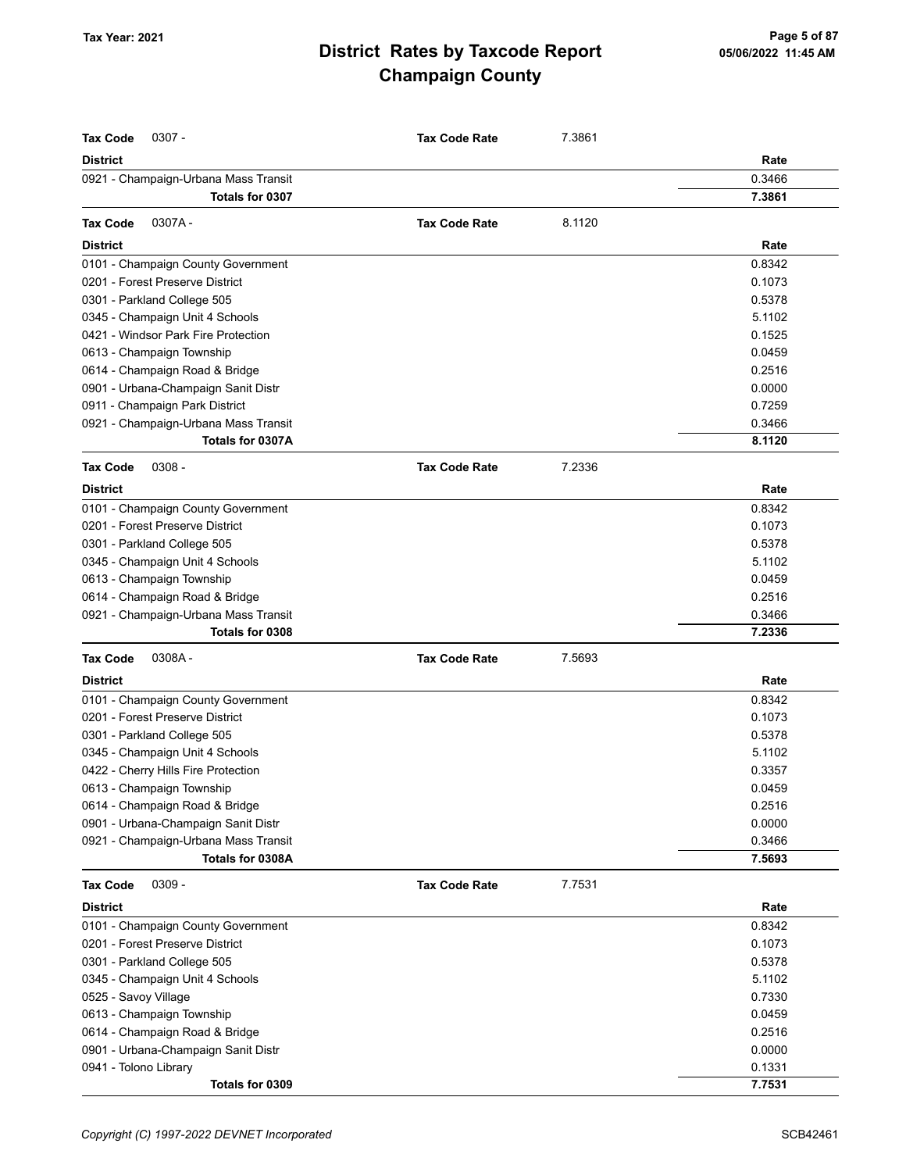| <b>District</b><br>Rate<br>0.3466<br>0921 - Champaign-Urbana Mass Transit<br>7.3861<br>Totals for 0307<br>0307A-<br>8.1120<br><b>Tax Code</b><br><b>Tax Code Rate</b><br><b>District</b><br>Rate<br>0.8342<br>0101 - Champaign County Government<br>0201 - Forest Preserve District<br>0.1073<br>0301 - Parkland College 505<br>0.5378<br>5.1102<br>0345 - Champaign Unit 4 Schools<br>0421 - Windsor Park Fire Protection<br>0.1525<br>0.0459<br>0613 - Champaign Township<br>0.2516<br>0614 - Champaign Road & Bridge<br>0901 - Urbana-Champaign Sanit Distr<br>0.0000<br>0911 - Champaign Park District<br>0.7259<br>0921 - Champaign-Urbana Mass Transit<br>0.3466<br>8.1120<br>Totals for 0307A<br>$0308 -$<br>7.2336<br><b>Tax Code</b><br><b>Tax Code Rate</b><br><b>District</b><br>Rate<br>0.8342<br>0101 - Champaign County Government<br>0201 - Forest Preserve District<br>0.1073<br>0301 - Parkland College 505<br>0.5378<br>0345 - Champaign Unit 4 Schools<br>5.1102<br>0613 - Champaign Township<br>0.0459<br>0614 - Champaign Road & Bridge<br>0.2516<br>0921 - Champaign-Urbana Mass Transit<br>0.3466<br>Totals for 0308<br>7.2336<br><b>Tax Code</b><br>0308A-<br><b>Tax Code Rate</b><br>7.5693<br>Rate<br><b>District</b><br>0101 - Champaign County Government<br>0.8342<br>0201 - Forest Preserve District<br>0.1073<br>0.5378<br>0301 - Parkland College 505<br>5.1102<br>0345 - Champaign Unit 4 Schools<br>0422 - Cherry Hills Fire Protection<br>0.3357<br>0.0459<br>0613 - Champaign Township<br>0614 - Champaign Road & Bridge<br>0.2516<br>0901 - Urbana-Champaign Sanit Distr<br>0.0000<br>0921 - Champaign-Urbana Mass Transit<br>0.3466<br>Totals for 0308A<br>7.5693<br><b>Tax Code</b><br>$0309 -$<br><b>Tax Code Rate</b><br>7.7531<br><b>District</b><br>Rate<br>0.8342<br>0101 - Champaign County Government<br>0201 - Forest Preserve District<br>0.1073<br>0301 - Parkland College 505<br>0.5378<br>5.1102<br>0345 - Champaign Unit 4 Schools<br>0525 - Savoy Village<br>0.7330<br>0613 - Champaign Township<br>0.0459<br>0614 - Champaign Road & Bridge<br>0.2516<br>0.0000<br>0901 - Urbana-Champaign Sanit Distr<br>0941 - Tolono Library<br>0.1331<br>7.7531<br>Totals for 0309 | <b>Tax Code</b><br>$0307 -$ | <b>Tax Code Rate</b> | 7.3861 |  |
|------------------------------------------------------------------------------------------------------------------------------------------------------------------------------------------------------------------------------------------------------------------------------------------------------------------------------------------------------------------------------------------------------------------------------------------------------------------------------------------------------------------------------------------------------------------------------------------------------------------------------------------------------------------------------------------------------------------------------------------------------------------------------------------------------------------------------------------------------------------------------------------------------------------------------------------------------------------------------------------------------------------------------------------------------------------------------------------------------------------------------------------------------------------------------------------------------------------------------------------------------------------------------------------------------------------------------------------------------------------------------------------------------------------------------------------------------------------------------------------------------------------------------------------------------------------------------------------------------------------------------------------------------------------------------------------------------------------------------------------------------------------------------------------------------------------------------------------------------------------------------------------------------------------------------------------------------------------------------------------------------------------------------------------------------------------------------------------------------------------------------------------------------------------------------------------------------------------------------|-----------------------------|----------------------|--------|--|
|                                                                                                                                                                                                                                                                                                                                                                                                                                                                                                                                                                                                                                                                                                                                                                                                                                                                                                                                                                                                                                                                                                                                                                                                                                                                                                                                                                                                                                                                                                                                                                                                                                                                                                                                                                                                                                                                                                                                                                                                                                                                                                                                                                                                                              |                             |                      |        |  |
|                                                                                                                                                                                                                                                                                                                                                                                                                                                                                                                                                                                                                                                                                                                                                                                                                                                                                                                                                                                                                                                                                                                                                                                                                                                                                                                                                                                                                                                                                                                                                                                                                                                                                                                                                                                                                                                                                                                                                                                                                                                                                                                                                                                                                              |                             |                      |        |  |
|                                                                                                                                                                                                                                                                                                                                                                                                                                                                                                                                                                                                                                                                                                                                                                                                                                                                                                                                                                                                                                                                                                                                                                                                                                                                                                                                                                                                                                                                                                                                                                                                                                                                                                                                                                                                                                                                                                                                                                                                                                                                                                                                                                                                                              |                             |                      |        |  |
|                                                                                                                                                                                                                                                                                                                                                                                                                                                                                                                                                                                                                                                                                                                                                                                                                                                                                                                                                                                                                                                                                                                                                                                                                                                                                                                                                                                                                                                                                                                                                                                                                                                                                                                                                                                                                                                                                                                                                                                                                                                                                                                                                                                                                              |                             |                      |        |  |
|                                                                                                                                                                                                                                                                                                                                                                                                                                                                                                                                                                                                                                                                                                                                                                                                                                                                                                                                                                                                                                                                                                                                                                                                                                                                                                                                                                                                                                                                                                                                                                                                                                                                                                                                                                                                                                                                                                                                                                                                                                                                                                                                                                                                                              |                             |                      |        |  |
|                                                                                                                                                                                                                                                                                                                                                                                                                                                                                                                                                                                                                                                                                                                                                                                                                                                                                                                                                                                                                                                                                                                                                                                                                                                                                                                                                                                                                                                                                                                                                                                                                                                                                                                                                                                                                                                                                                                                                                                                                                                                                                                                                                                                                              |                             |                      |        |  |
|                                                                                                                                                                                                                                                                                                                                                                                                                                                                                                                                                                                                                                                                                                                                                                                                                                                                                                                                                                                                                                                                                                                                                                                                                                                                                                                                                                                                                                                                                                                                                                                                                                                                                                                                                                                                                                                                                                                                                                                                                                                                                                                                                                                                                              |                             |                      |        |  |
|                                                                                                                                                                                                                                                                                                                                                                                                                                                                                                                                                                                                                                                                                                                                                                                                                                                                                                                                                                                                                                                                                                                                                                                                                                                                                                                                                                                                                                                                                                                                                                                                                                                                                                                                                                                                                                                                                                                                                                                                                                                                                                                                                                                                                              |                             |                      |        |  |
|                                                                                                                                                                                                                                                                                                                                                                                                                                                                                                                                                                                                                                                                                                                                                                                                                                                                                                                                                                                                                                                                                                                                                                                                                                                                                                                                                                                                                                                                                                                                                                                                                                                                                                                                                                                                                                                                                                                                                                                                                                                                                                                                                                                                                              |                             |                      |        |  |
|                                                                                                                                                                                                                                                                                                                                                                                                                                                                                                                                                                                                                                                                                                                                                                                                                                                                                                                                                                                                                                                                                                                                                                                                                                                                                                                                                                                                                                                                                                                                                                                                                                                                                                                                                                                                                                                                                                                                                                                                                                                                                                                                                                                                                              |                             |                      |        |  |
|                                                                                                                                                                                                                                                                                                                                                                                                                                                                                                                                                                                                                                                                                                                                                                                                                                                                                                                                                                                                                                                                                                                                                                                                                                                                                                                                                                                                                                                                                                                                                                                                                                                                                                                                                                                                                                                                                                                                                                                                                                                                                                                                                                                                                              |                             |                      |        |  |
|                                                                                                                                                                                                                                                                                                                                                                                                                                                                                                                                                                                                                                                                                                                                                                                                                                                                                                                                                                                                                                                                                                                                                                                                                                                                                                                                                                                                                                                                                                                                                                                                                                                                                                                                                                                                                                                                                                                                                                                                                                                                                                                                                                                                                              |                             |                      |        |  |
|                                                                                                                                                                                                                                                                                                                                                                                                                                                                                                                                                                                                                                                                                                                                                                                                                                                                                                                                                                                                                                                                                                                                                                                                                                                                                                                                                                                                                                                                                                                                                                                                                                                                                                                                                                                                                                                                                                                                                                                                                                                                                                                                                                                                                              |                             |                      |        |  |
|                                                                                                                                                                                                                                                                                                                                                                                                                                                                                                                                                                                                                                                                                                                                                                                                                                                                                                                                                                                                                                                                                                                                                                                                                                                                                                                                                                                                                                                                                                                                                                                                                                                                                                                                                                                                                                                                                                                                                                                                                                                                                                                                                                                                                              |                             |                      |        |  |
|                                                                                                                                                                                                                                                                                                                                                                                                                                                                                                                                                                                                                                                                                                                                                                                                                                                                                                                                                                                                                                                                                                                                                                                                                                                                                                                                                                                                                                                                                                                                                                                                                                                                                                                                                                                                                                                                                                                                                                                                                                                                                                                                                                                                                              |                             |                      |        |  |
|                                                                                                                                                                                                                                                                                                                                                                                                                                                                                                                                                                                                                                                                                                                                                                                                                                                                                                                                                                                                                                                                                                                                                                                                                                                                                                                                                                                                                                                                                                                                                                                                                                                                                                                                                                                                                                                                                                                                                                                                                                                                                                                                                                                                                              |                             |                      |        |  |
|                                                                                                                                                                                                                                                                                                                                                                                                                                                                                                                                                                                                                                                                                                                                                                                                                                                                                                                                                                                                                                                                                                                                                                                                                                                                                                                                                                                                                                                                                                                                                                                                                                                                                                                                                                                                                                                                                                                                                                                                                                                                                                                                                                                                                              |                             |                      |        |  |
|                                                                                                                                                                                                                                                                                                                                                                                                                                                                                                                                                                                                                                                                                                                                                                                                                                                                                                                                                                                                                                                                                                                                                                                                                                                                                                                                                                                                                                                                                                                                                                                                                                                                                                                                                                                                                                                                                                                                                                                                                                                                                                                                                                                                                              |                             |                      |        |  |
|                                                                                                                                                                                                                                                                                                                                                                                                                                                                                                                                                                                                                                                                                                                                                                                                                                                                                                                                                                                                                                                                                                                                                                                                                                                                                                                                                                                                                                                                                                                                                                                                                                                                                                                                                                                                                                                                                                                                                                                                                                                                                                                                                                                                                              |                             |                      |        |  |
|                                                                                                                                                                                                                                                                                                                                                                                                                                                                                                                                                                                                                                                                                                                                                                                                                                                                                                                                                                                                                                                                                                                                                                                                                                                                                                                                                                                                                                                                                                                                                                                                                                                                                                                                                                                                                                                                                                                                                                                                                                                                                                                                                                                                                              |                             |                      |        |  |
|                                                                                                                                                                                                                                                                                                                                                                                                                                                                                                                                                                                                                                                                                                                                                                                                                                                                                                                                                                                                                                                                                                                                                                                                                                                                                                                                                                                                                                                                                                                                                                                                                                                                                                                                                                                                                                                                                                                                                                                                                                                                                                                                                                                                                              |                             |                      |        |  |
|                                                                                                                                                                                                                                                                                                                                                                                                                                                                                                                                                                                                                                                                                                                                                                                                                                                                                                                                                                                                                                                                                                                                                                                                                                                                                                                                                                                                                                                                                                                                                                                                                                                                                                                                                                                                                                                                                                                                                                                                                                                                                                                                                                                                                              |                             |                      |        |  |
|                                                                                                                                                                                                                                                                                                                                                                                                                                                                                                                                                                                                                                                                                                                                                                                                                                                                                                                                                                                                                                                                                                                                                                                                                                                                                                                                                                                                                                                                                                                                                                                                                                                                                                                                                                                                                                                                                                                                                                                                                                                                                                                                                                                                                              |                             |                      |        |  |
|                                                                                                                                                                                                                                                                                                                                                                                                                                                                                                                                                                                                                                                                                                                                                                                                                                                                                                                                                                                                                                                                                                                                                                                                                                                                                                                                                                                                                                                                                                                                                                                                                                                                                                                                                                                                                                                                                                                                                                                                                                                                                                                                                                                                                              |                             |                      |        |  |
|                                                                                                                                                                                                                                                                                                                                                                                                                                                                                                                                                                                                                                                                                                                                                                                                                                                                                                                                                                                                                                                                                                                                                                                                                                                                                                                                                                                                                                                                                                                                                                                                                                                                                                                                                                                                                                                                                                                                                                                                                                                                                                                                                                                                                              |                             |                      |        |  |
|                                                                                                                                                                                                                                                                                                                                                                                                                                                                                                                                                                                                                                                                                                                                                                                                                                                                                                                                                                                                                                                                                                                                                                                                                                                                                                                                                                                                                                                                                                                                                                                                                                                                                                                                                                                                                                                                                                                                                                                                                                                                                                                                                                                                                              |                             |                      |        |  |
|                                                                                                                                                                                                                                                                                                                                                                                                                                                                                                                                                                                                                                                                                                                                                                                                                                                                                                                                                                                                                                                                                                                                                                                                                                                                                                                                                                                                                                                                                                                                                                                                                                                                                                                                                                                                                                                                                                                                                                                                                                                                                                                                                                                                                              |                             |                      |        |  |
|                                                                                                                                                                                                                                                                                                                                                                                                                                                                                                                                                                                                                                                                                                                                                                                                                                                                                                                                                                                                                                                                                                                                                                                                                                                                                                                                                                                                                                                                                                                                                                                                                                                                                                                                                                                                                                                                                                                                                                                                                                                                                                                                                                                                                              |                             |                      |        |  |
|                                                                                                                                                                                                                                                                                                                                                                                                                                                                                                                                                                                                                                                                                                                                                                                                                                                                                                                                                                                                                                                                                                                                                                                                                                                                                                                                                                                                                                                                                                                                                                                                                                                                                                                                                                                                                                                                                                                                                                                                                                                                                                                                                                                                                              |                             |                      |        |  |
|                                                                                                                                                                                                                                                                                                                                                                                                                                                                                                                                                                                                                                                                                                                                                                                                                                                                                                                                                                                                                                                                                                                                                                                                                                                                                                                                                                                                                                                                                                                                                                                                                                                                                                                                                                                                                                                                                                                                                                                                                                                                                                                                                                                                                              |                             |                      |        |  |
|                                                                                                                                                                                                                                                                                                                                                                                                                                                                                                                                                                                                                                                                                                                                                                                                                                                                                                                                                                                                                                                                                                                                                                                                                                                                                                                                                                                                                                                                                                                                                                                                                                                                                                                                                                                                                                                                                                                                                                                                                                                                                                                                                                                                                              |                             |                      |        |  |
|                                                                                                                                                                                                                                                                                                                                                                                                                                                                                                                                                                                                                                                                                                                                                                                                                                                                                                                                                                                                                                                                                                                                                                                                                                                                                                                                                                                                                                                                                                                                                                                                                                                                                                                                                                                                                                                                                                                                                                                                                                                                                                                                                                                                                              |                             |                      |        |  |
|                                                                                                                                                                                                                                                                                                                                                                                                                                                                                                                                                                                                                                                                                                                                                                                                                                                                                                                                                                                                                                                                                                                                                                                                                                                                                                                                                                                                                                                                                                                                                                                                                                                                                                                                                                                                                                                                                                                                                                                                                                                                                                                                                                                                                              |                             |                      |        |  |
|                                                                                                                                                                                                                                                                                                                                                                                                                                                                                                                                                                                                                                                                                                                                                                                                                                                                                                                                                                                                                                                                                                                                                                                                                                                                                                                                                                                                                                                                                                                                                                                                                                                                                                                                                                                                                                                                                                                                                                                                                                                                                                                                                                                                                              |                             |                      |        |  |
|                                                                                                                                                                                                                                                                                                                                                                                                                                                                                                                                                                                                                                                                                                                                                                                                                                                                                                                                                                                                                                                                                                                                                                                                                                                                                                                                                                                                                                                                                                                                                                                                                                                                                                                                                                                                                                                                                                                                                                                                                                                                                                                                                                                                                              |                             |                      |        |  |
|                                                                                                                                                                                                                                                                                                                                                                                                                                                                                                                                                                                                                                                                                                                                                                                                                                                                                                                                                                                                                                                                                                                                                                                                                                                                                                                                                                                                                                                                                                                                                                                                                                                                                                                                                                                                                                                                                                                                                                                                                                                                                                                                                                                                                              |                             |                      |        |  |
|                                                                                                                                                                                                                                                                                                                                                                                                                                                                                                                                                                                                                                                                                                                                                                                                                                                                                                                                                                                                                                                                                                                                                                                                                                                                                                                                                                                                                                                                                                                                                                                                                                                                                                                                                                                                                                                                                                                                                                                                                                                                                                                                                                                                                              |                             |                      |        |  |
|                                                                                                                                                                                                                                                                                                                                                                                                                                                                                                                                                                                                                                                                                                                                                                                                                                                                                                                                                                                                                                                                                                                                                                                                                                                                                                                                                                                                                                                                                                                                                                                                                                                                                                                                                                                                                                                                                                                                                                                                                                                                                                                                                                                                                              |                             |                      |        |  |
|                                                                                                                                                                                                                                                                                                                                                                                                                                                                                                                                                                                                                                                                                                                                                                                                                                                                                                                                                                                                                                                                                                                                                                                                                                                                                                                                                                                                                                                                                                                                                                                                                                                                                                                                                                                                                                                                                                                                                                                                                                                                                                                                                                                                                              |                             |                      |        |  |
|                                                                                                                                                                                                                                                                                                                                                                                                                                                                                                                                                                                                                                                                                                                                                                                                                                                                                                                                                                                                                                                                                                                                                                                                                                                                                                                                                                                                                                                                                                                                                                                                                                                                                                                                                                                                                                                                                                                                                                                                                                                                                                                                                                                                                              |                             |                      |        |  |
|                                                                                                                                                                                                                                                                                                                                                                                                                                                                                                                                                                                                                                                                                                                                                                                                                                                                                                                                                                                                                                                                                                                                                                                                                                                                                                                                                                                                                                                                                                                                                                                                                                                                                                                                                                                                                                                                                                                                                                                                                                                                                                                                                                                                                              |                             |                      |        |  |
|                                                                                                                                                                                                                                                                                                                                                                                                                                                                                                                                                                                                                                                                                                                                                                                                                                                                                                                                                                                                                                                                                                                                                                                                                                                                                                                                                                                                                                                                                                                                                                                                                                                                                                                                                                                                                                                                                                                                                                                                                                                                                                                                                                                                                              |                             |                      |        |  |
|                                                                                                                                                                                                                                                                                                                                                                                                                                                                                                                                                                                                                                                                                                                                                                                                                                                                                                                                                                                                                                                                                                                                                                                                                                                                                                                                                                                                                                                                                                                                                                                                                                                                                                                                                                                                                                                                                                                                                                                                                                                                                                                                                                                                                              |                             |                      |        |  |
|                                                                                                                                                                                                                                                                                                                                                                                                                                                                                                                                                                                                                                                                                                                                                                                                                                                                                                                                                                                                                                                                                                                                                                                                                                                                                                                                                                                                                                                                                                                                                                                                                                                                                                                                                                                                                                                                                                                                                                                                                                                                                                                                                                                                                              |                             |                      |        |  |
|                                                                                                                                                                                                                                                                                                                                                                                                                                                                                                                                                                                                                                                                                                                                                                                                                                                                                                                                                                                                                                                                                                                                                                                                                                                                                                                                                                                                                                                                                                                                                                                                                                                                                                                                                                                                                                                                                                                                                                                                                                                                                                                                                                                                                              |                             |                      |        |  |
|                                                                                                                                                                                                                                                                                                                                                                                                                                                                                                                                                                                                                                                                                                                                                                                                                                                                                                                                                                                                                                                                                                                                                                                                                                                                                                                                                                                                                                                                                                                                                                                                                                                                                                                                                                                                                                                                                                                                                                                                                                                                                                                                                                                                                              |                             |                      |        |  |
|                                                                                                                                                                                                                                                                                                                                                                                                                                                                                                                                                                                                                                                                                                                                                                                                                                                                                                                                                                                                                                                                                                                                                                                                                                                                                                                                                                                                                                                                                                                                                                                                                                                                                                                                                                                                                                                                                                                                                                                                                                                                                                                                                                                                                              |                             |                      |        |  |
|                                                                                                                                                                                                                                                                                                                                                                                                                                                                                                                                                                                                                                                                                                                                                                                                                                                                                                                                                                                                                                                                                                                                                                                                                                                                                                                                                                                                                                                                                                                                                                                                                                                                                                                                                                                                                                                                                                                                                                                                                                                                                                                                                                                                                              |                             |                      |        |  |
|                                                                                                                                                                                                                                                                                                                                                                                                                                                                                                                                                                                                                                                                                                                                                                                                                                                                                                                                                                                                                                                                                                                                                                                                                                                                                                                                                                                                                                                                                                                                                                                                                                                                                                                                                                                                                                                                                                                                                                                                                                                                                                                                                                                                                              |                             |                      |        |  |
|                                                                                                                                                                                                                                                                                                                                                                                                                                                                                                                                                                                                                                                                                                                                                                                                                                                                                                                                                                                                                                                                                                                                                                                                                                                                                                                                                                                                                                                                                                                                                                                                                                                                                                                                                                                                                                                                                                                                                                                                                                                                                                                                                                                                                              |                             |                      |        |  |
|                                                                                                                                                                                                                                                                                                                                                                                                                                                                                                                                                                                                                                                                                                                                                                                                                                                                                                                                                                                                                                                                                                                                                                                                                                                                                                                                                                                                                                                                                                                                                                                                                                                                                                                                                                                                                                                                                                                                                                                                                                                                                                                                                                                                                              |                             |                      |        |  |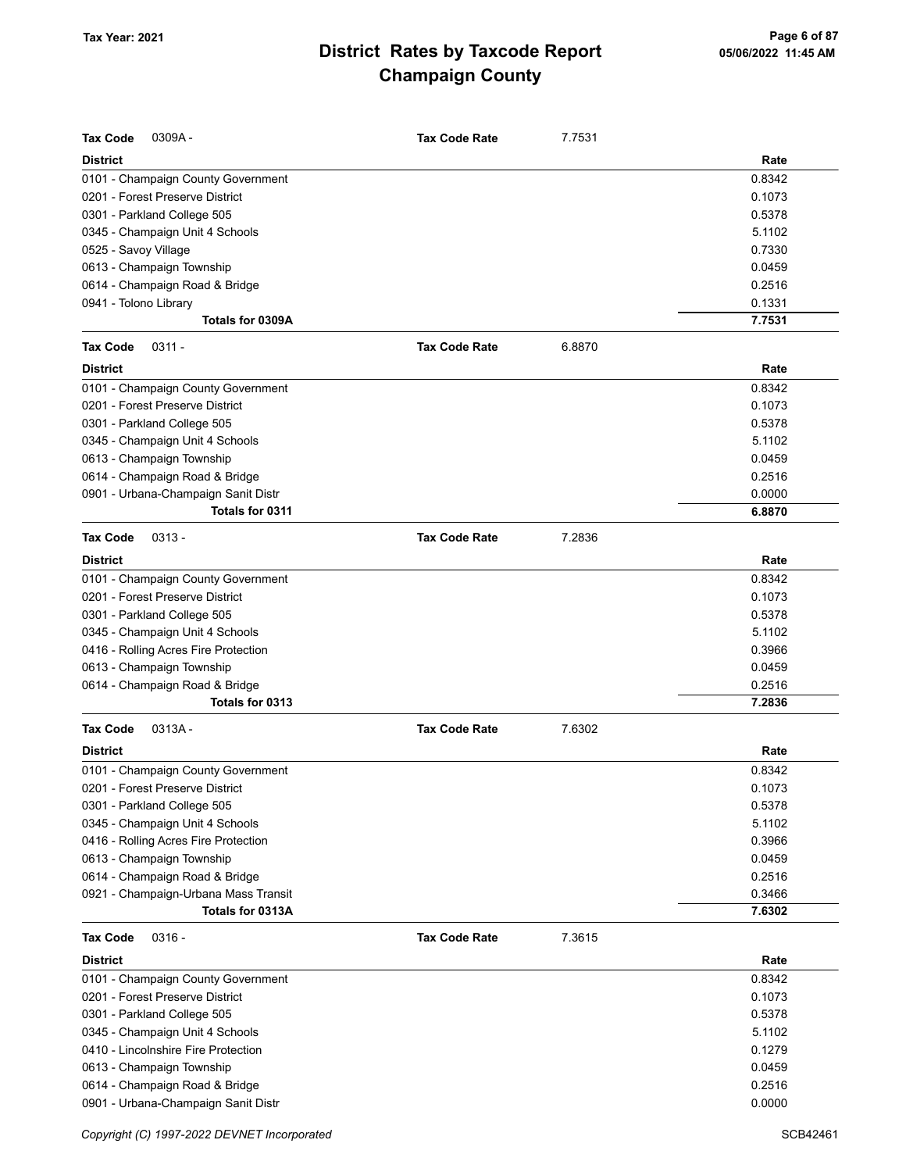| <b>Tax Code</b><br>0309A-                                             | <b>Tax Code Rate</b> | 7.7531 |                  |
|-----------------------------------------------------------------------|----------------------|--------|------------------|
| <b>District</b>                                                       |                      |        | Rate             |
| 0101 - Champaign County Government                                    |                      |        | 0.8342           |
| 0201 - Forest Preserve District                                       |                      |        | 0.1073           |
| 0301 - Parkland College 505                                           |                      |        | 0.5378           |
| 0345 - Champaign Unit 4 Schools                                       |                      |        | 5.1102           |
| 0525 - Savoy Village                                                  |                      |        | 0.7330           |
| 0613 - Champaign Township                                             |                      |        | 0.0459           |
| 0614 - Champaign Road & Bridge                                        |                      |        | 0.2516           |
| 0941 - Tolono Library                                                 |                      |        | 0.1331           |
| Totals for 0309A                                                      |                      |        | 7.7531           |
| $0311 -$<br><b>Tax Code</b>                                           | <b>Tax Code Rate</b> | 6.8870 |                  |
| <b>District</b>                                                       |                      |        | Rate             |
| 0101 - Champaign County Government                                    |                      |        | 0.8342           |
| 0201 - Forest Preserve District                                       |                      |        | 0.1073           |
| 0301 - Parkland College 505                                           |                      |        | 0.5378           |
| 0345 - Champaign Unit 4 Schools                                       |                      |        | 5.1102           |
| 0613 - Champaign Township                                             |                      |        | 0.0459           |
| 0614 - Champaign Road & Bridge                                        |                      |        | 0.2516           |
| 0901 - Urbana-Champaign Sanit Distr                                   |                      |        | 0.0000           |
| Totals for 0311                                                       |                      |        | 6.8870           |
| <b>Tax Code</b><br>$0313 -$                                           | <b>Tax Code Rate</b> | 7.2836 |                  |
| <b>District</b>                                                       |                      |        | Rate             |
|                                                                       |                      |        |                  |
| 0101 - Champaign County Government<br>0201 - Forest Preserve District |                      |        | 0.8342           |
|                                                                       |                      |        | 0.1073<br>0.5378 |
| 0301 - Parkland College 505                                           |                      |        |                  |
| 0345 - Champaign Unit 4 Schools                                       |                      |        | 5.1102           |
| 0416 - Rolling Acres Fire Protection                                  |                      |        | 0.3966           |
| 0613 - Champaign Township                                             |                      |        | 0.0459           |
| 0614 - Champaign Road & Bridge<br>Totals for 0313                     |                      |        | 0.2516<br>7.2836 |
|                                                                       |                      |        |                  |
| <b>Tax Code</b><br>0313A-                                             | <b>Tax Code Rate</b> | 7.6302 |                  |
| <b>District</b>                                                       |                      |        | Rate             |
| 0101 - Champaign County Government                                    |                      |        | 0.8342           |
| 0201 - Forest Preserve District                                       |                      |        | 0.1073           |
| 0301 - Parkland College 505                                           |                      |        | 0.5378           |
| 0345 - Champaign Unit 4 Schools                                       |                      |        | 5.1102           |
| 0416 - Rolling Acres Fire Protection                                  |                      |        | 0.3966           |
| 0613 - Champaign Township                                             |                      |        | 0.0459           |
| 0614 - Champaign Road & Bridge                                        |                      |        | 0.2516           |
| 0921 - Champaign-Urbana Mass Transit                                  |                      |        | 0.3466           |
| Totals for 0313A                                                      |                      |        | 7.6302           |
| <b>Tax Code</b><br>$0316 -$                                           | <b>Tax Code Rate</b> | 7.3615 |                  |
| <b>District</b>                                                       |                      |        | Rate             |
| 0101 - Champaign County Government                                    |                      |        | 0.8342           |
| 0201 - Forest Preserve District                                       |                      |        | 0.1073           |
| 0301 - Parkland College 505                                           |                      |        | 0.5378           |
| 0345 - Champaign Unit 4 Schools                                       |                      |        | 5.1102           |
| 0410 - Lincolnshire Fire Protection                                   |                      |        | 0.1279           |
| 0613 - Champaign Township                                             |                      |        | 0.0459           |
| 0614 - Champaign Road & Bridge                                        |                      |        | 0.2516           |
| 0901 - Urbana-Champaign Sanit Distr                                   |                      |        | 0.0000           |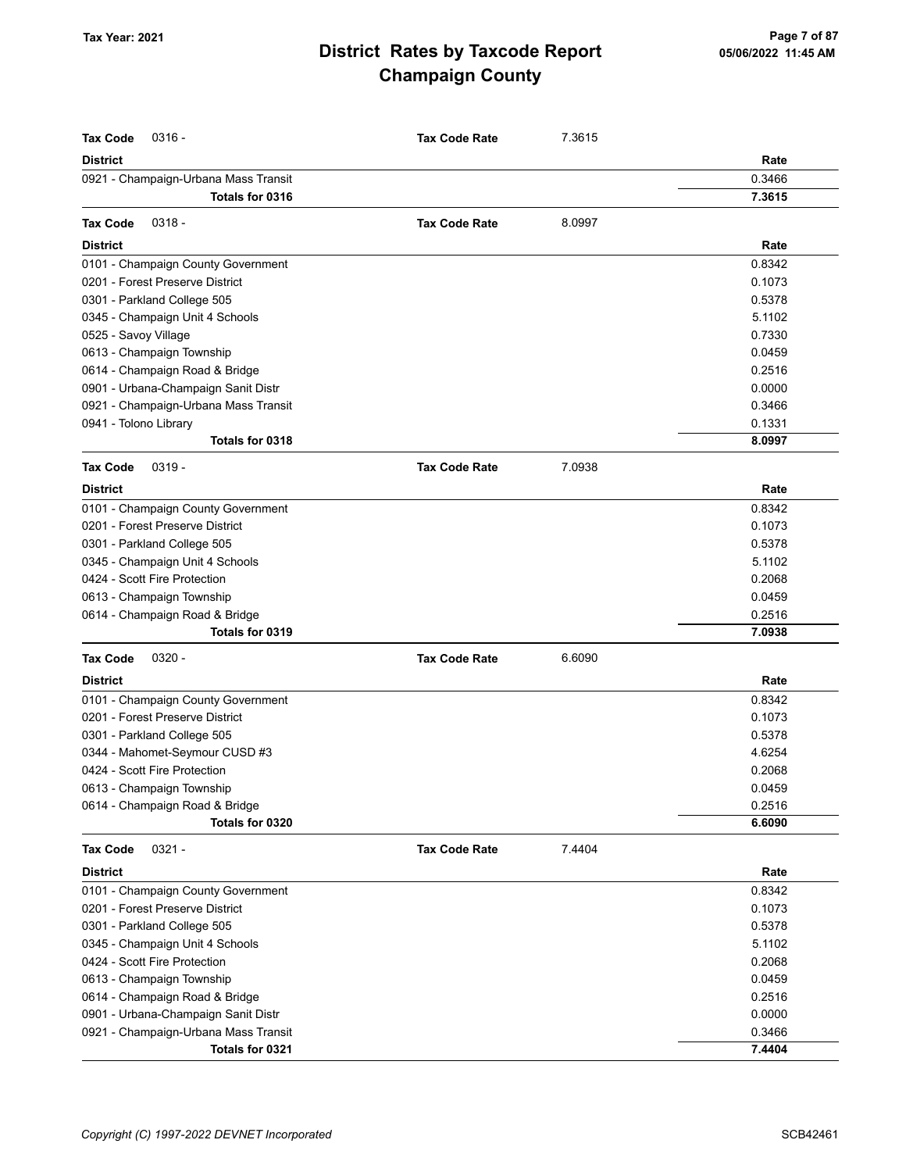| <b>Tax Code</b><br>$0316 -$          | <b>Tax Code Rate</b> | 7.3615 |        |
|--------------------------------------|----------------------|--------|--------|
| <b>District</b>                      |                      |        | Rate   |
| 0921 - Champaign-Urbana Mass Transit |                      |        | 0.3466 |
| Totals for 0316                      |                      |        | 7.3615 |
| $0318 -$<br><b>Tax Code</b>          | <b>Tax Code Rate</b> | 8.0997 |        |
| <b>District</b>                      |                      |        | Rate   |
| 0101 - Champaign County Government   |                      |        | 0.8342 |
| 0201 - Forest Preserve District      |                      |        | 0.1073 |
| 0301 - Parkland College 505          |                      |        | 0.5378 |
| 0345 - Champaign Unit 4 Schools      |                      |        | 5.1102 |
| 0525 - Savoy Village                 |                      |        | 0.7330 |
| 0613 - Champaign Township            |                      |        | 0.0459 |
| 0614 - Champaign Road & Bridge       |                      |        | 0.2516 |
| 0901 - Urbana-Champaign Sanit Distr  |                      |        | 0.0000 |
| 0921 - Champaign-Urbana Mass Transit |                      |        | 0.3466 |
| 0941 - Tolono Library                |                      |        | 0.1331 |
| Totals for 0318                      |                      |        | 8.0997 |
| $0319 -$<br><b>Tax Code</b>          | <b>Tax Code Rate</b> | 7.0938 |        |
| <b>District</b>                      |                      |        | Rate   |
| 0101 - Champaign County Government   |                      |        | 0.8342 |
| 0201 - Forest Preserve District      |                      |        | 0.1073 |
| 0301 - Parkland College 505          |                      |        | 0.5378 |
| 0345 - Champaign Unit 4 Schools      |                      |        | 5.1102 |
| 0424 - Scott Fire Protection         |                      |        | 0.2068 |
| 0613 - Champaign Township            |                      |        | 0.0459 |
| 0614 - Champaign Road & Bridge       |                      |        | 0.2516 |
| Totals for 0319                      |                      |        | 7.0938 |
| <b>Tax Code</b><br>$0320 -$          | <b>Tax Code Rate</b> | 6.6090 |        |
| <b>District</b>                      |                      |        | Rate   |
| 0101 - Champaign County Government   |                      |        | 0.8342 |
| 0201 - Forest Preserve District      |                      |        | 0.1073 |
| 0301 - Parkland College 505          |                      |        | 0.5378 |
| 0344 - Mahomet-Seymour CUSD #3       |                      |        | 4.6254 |
| 0424 - Scott Fire Protection         |                      |        | 0.2068 |
| 0613 - Champaign Township            |                      |        | 0.0459 |
| 0614 - Champaign Road & Bridge       |                      |        | 0.2516 |
| Totals for 0320                      |                      |        | 6.6090 |
| $0321 -$<br><b>Tax Code</b>          | <b>Tax Code Rate</b> | 7.4404 |        |
| <b>District</b>                      |                      |        | Rate   |
| 0101 - Champaign County Government   |                      |        | 0.8342 |
| 0201 - Forest Preserve District      |                      |        | 0.1073 |
| 0301 - Parkland College 505          |                      |        | 0.5378 |
| 0345 - Champaign Unit 4 Schools      |                      |        | 5.1102 |
| 0424 - Scott Fire Protection         |                      |        | 0.2068 |
| 0613 - Champaign Township            |                      |        | 0.0459 |
| 0614 - Champaign Road & Bridge       |                      |        | 0.2516 |
| 0901 - Urbana-Champaign Sanit Distr  |                      |        | 0.0000 |
| 0921 - Champaign-Urbana Mass Transit |                      |        | 0.3466 |
| Totals for 0321                      |                      |        | 7.4404 |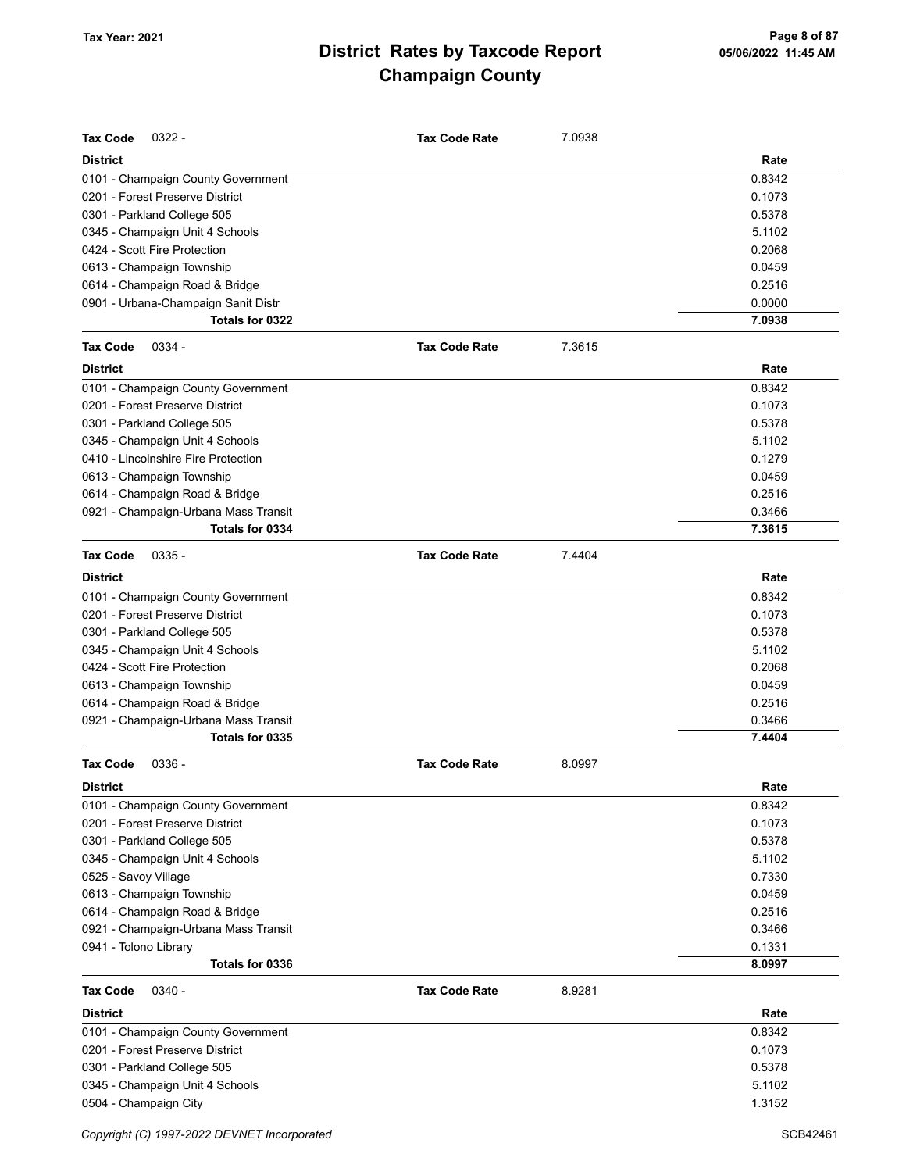| <b>Tax Code</b><br>$0322 -$          | <b>Tax Code Rate</b> | 7.0938 |        |
|--------------------------------------|----------------------|--------|--------|
| <b>District</b>                      |                      |        | Rate   |
| 0101 - Champaign County Government   |                      |        | 0.8342 |
| 0201 - Forest Preserve District      |                      |        | 0.1073 |
| 0301 - Parkland College 505          |                      |        | 0.5378 |
| 0345 - Champaign Unit 4 Schools      |                      |        | 5.1102 |
| 0424 - Scott Fire Protection         |                      |        | 0.2068 |
| 0613 - Champaign Township            |                      |        | 0.0459 |
| 0614 - Champaign Road & Bridge       |                      |        | 0.2516 |
| 0901 - Urbana-Champaign Sanit Distr  |                      |        | 0.0000 |
| Totals for 0322                      |                      |        | 7.0938 |
| <b>Tax Code</b><br>$0334 -$          | <b>Tax Code Rate</b> | 7.3615 |        |
| <b>District</b>                      |                      |        | Rate   |
| 0101 - Champaign County Government   |                      |        | 0.8342 |
| 0201 - Forest Preserve District      |                      |        | 0.1073 |
| 0301 - Parkland College 505          |                      |        | 0.5378 |
| 0345 - Champaign Unit 4 Schools      |                      |        | 5.1102 |
| 0410 - Lincolnshire Fire Protection  |                      |        | 0.1279 |
| 0613 - Champaign Township            |                      |        | 0.0459 |
| 0614 - Champaign Road & Bridge       |                      |        | 0.2516 |
| 0921 - Champaign-Urbana Mass Transit |                      |        | 0.3466 |
| Totals for 0334                      |                      |        | 7.3615 |
| <b>Tax Code</b><br>$0335 -$          | <b>Tax Code Rate</b> | 7.4404 |        |
| <b>District</b>                      |                      |        | Rate   |
| 0101 - Champaign County Government   |                      |        | 0.8342 |
| 0201 - Forest Preserve District      |                      |        | 0.1073 |
| 0301 - Parkland College 505          |                      |        | 0.5378 |
| 0345 - Champaign Unit 4 Schools      |                      |        | 5.1102 |
| 0424 - Scott Fire Protection         |                      |        | 0.2068 |
| 0613 - Champaign Township            |                      |        | 0.0459 |
| 0614 - Champaign Road & Bridge       |                      |        | 0.2516 |
| 0921 - Champaign-Urbana Mass Transit |                      |        | 0.3466 |
| Totals for 0335                      |                      |        | 7.4404 |
| <b>Tax Code</b><br>$0336 -$          | <b>Tax Code Rate</b> | 8.0997 |        |
| <b>District</b>                      |                      |        | Rate   |
| 0101 - Champaign County Government   |                      |        | 0.8342 |
| 0201 - Forest Preserve District      |                      |        | 0.1073 |
| 0301 - Parkland College 505          |                      |        | 0.5378 |
| 0345 - Champaign Unit 4 Schools      |                      |        | 5.1102 |
| 0525 - Savoy Village                 |                      |        | 0.7330 |
| 0613 - Champaign Township            |                      |        | 0.0459 |
| 0614 - Champaign Road & Bridge       |                      |        | 0.2516 |
| 0921 - Champaign-Urbana Mass Transit |                      |        | 0.3466 |
| 0941 - Tolono Library                |                      |        | 0.1331 |
| Totals for 0336                      |                      |        | 8.0997 |
| <b>Tax Code</b><br>$0340 -$          | <b>Tax Code Rate</b> | 8.9281 |        |
| <b>District</b>                      |                      |        | Rate   |
| 0101 - Champaign County Government   |                      |        | 0.8342 |
| 0201 - Forest Preserve District      |                      |        | 0.1073 |
| 0301 - Parkland College 505          |                      |        | 0.5378 |
| 0345 - Champaign Unit 4 Schools      |                      |        | 5.1102 |
| 0504 - Champaign City                |                      |        | 1.3152 |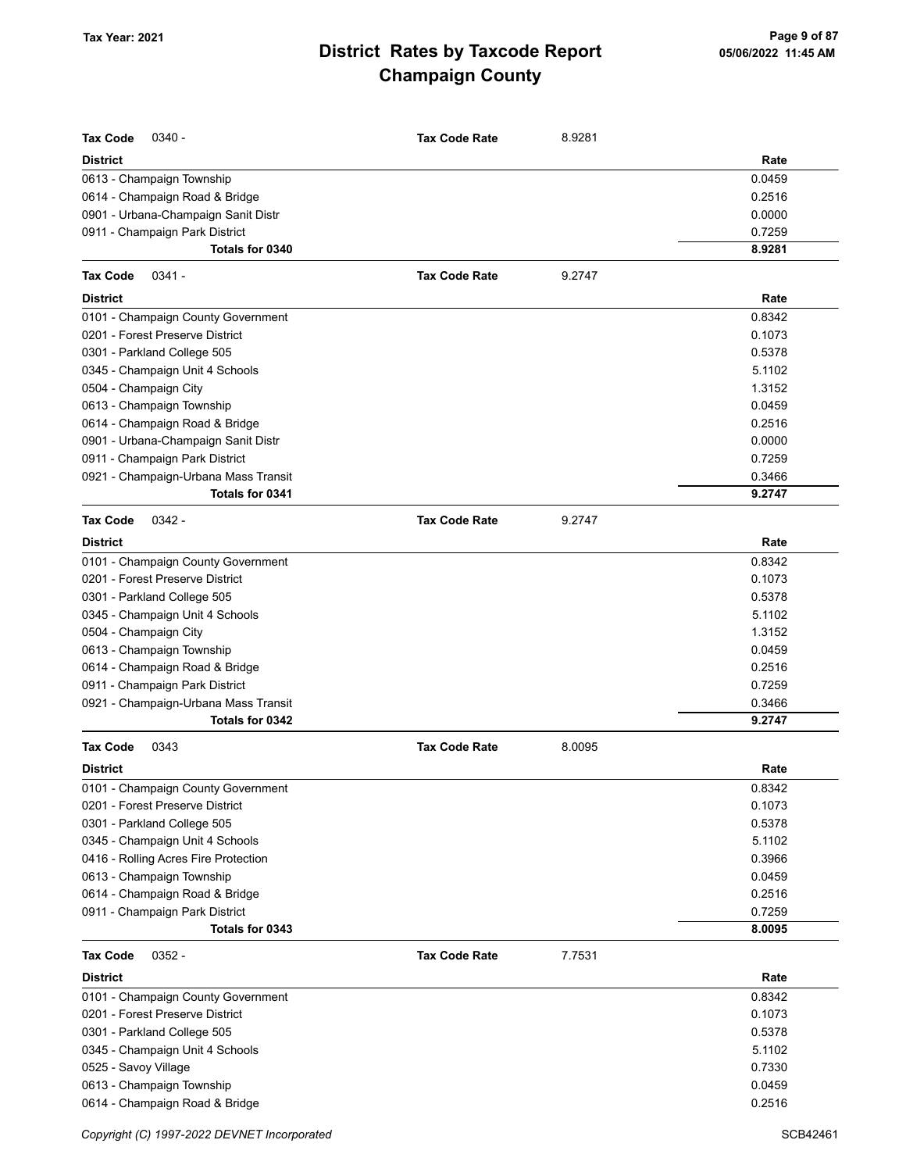| <b>Tax Code</b><br>$0340 -$          | <b>Tax Code Rate</b> | 8.9281 |        |
|--------------------------------------|----------------------|--------|--------|
| <b>District</b>                      |                      |        | Rate   |
| 0613 - Champaign Township            |                      |        | 0.0459 |
| 0614 - Champaign Road & Bridge       |                      |        | 0.2516 |
| 0901 - Urbana-Champaign Sanit Distr  |                      |        | 0.0000 |
| 0911 - Champaign Park District       |                      |        | 0.7259 |
| Totals for 0340                      |                      |        | 8.9281 |
|                                      | <b>Tax Code Rate</b> |        |        |
| <b>Tax Code</b><br>$0341 -$          |                      | 9.2747 |        |
| <b>District</b>                      |                      |        | Rate   |
| 0101 - Champaign County Government   |                      |        | 0.8342 |
| 0201 - Forest Preserve District      |                      |        | 0.1073 |
| 0301 - Parkland College 505          |                      |        | 0.5378 |
| 0345 - Champaign Unit 4 Schools      |                      |        | 5.1102 |
| 0504 - Champaign City                |                      |        | 1.3152 |
| 0613 - Champaign Township            |                      |        | 0.0459 |
| 0614 - Champaign Road & Bridge       |                      |        | 0.2516 |
| 0901 - Urbana-Champaign Sanit Distr  |                      |        | 0.0000 |
| 0911 - Champaign Park District       |                      |        | 0.7259 |
| 0921 - Champaign-Urbana Mass Transit |                      |        | 0.3466 |
| Totals for 0341                      |                      |        | 9.2747 |
| <b>Tax Code</b><br>$0342 -$          | <b>Tax Code Rate</b> | 9.2747 |        |
| <b>District</b>                      |                      |        | Rate   |
| 0101 - Champaign County Government   |                      |        | 0.8342 |
| 0201 - Forest Preserve District      |                      |        | 0.1073 |
| 0301 - Parkland College 505          |                      |        | 0.5378 |
| 0345 - Champaign Unit 4 Schools      |                      |        | 5.1102 |
| 0504 - Champaign City                |                      |        | 1.3152 |
| 0613 - Champaign Township            |                      |        | 0.0459 |
| 0614 - Champaign Road & Bridge       |                      |        | 0.2516 |
| 0911 - Champaign Park District       |                      |        | 0.7259 |
| 0921 - Champaign-Urbana Mass Transit |                      |        | 0.3466 |
| Totals for 0342                      |                      |        | 9.2747 |
| <b>Tax Code</b><br>0343              | <b>Tax Code Rate</b> | 8.0095 |        |
| <b>District</b>                      |                      |        | Rate   |
| 0101 - Champaign County Government   |                      |        | 0.8342 |
| 0201 - Forest Preserve District      |                      |        | 0.1073 |
| 0301 - Parkland College 505          |                      |        | 0.5378 |
| 0345 - Champaign Unit 4 Schools      |                      |        | 5.1102 |
| 0416 - Rolling Acres Fire Protection |                      |        | 0.3966 |
| 0613 - Champaign Township            |                      |        | 0.0459 |
| 0614 - Champaign Road & Bridge       |                      |        | 0.2516 |
| 0911 - Champaign Park District       |                      |        | 0.7259 |
| Totals for 0343                      |                      |        | 8.0095 |
| $0352 -$<br><b>Tax Code</b>          | <b>Tax Code Rate</b> | 7.7531 |        |
| <b>District</b>                      |                      |        | Rate   |
| 0101 - Champaign County Government   |                      |        | 0.8342 |
| 0201 - Forest Preserve District      |                      |        | 0.1073 |
| 0301 - Parkland College 505          |                      |        | 0.5378 |
| 0345 - Champaign Unit 4 Schools      |                      |        | 5.1102 |
| 0525 - Savoy Village                 |                      |        | 0.7330 |
| 0613 - Champaign Township            |                      |        | 0.0459 |
| 0614 - Champaign Road & Bridge       |                      |        | 0.2516 |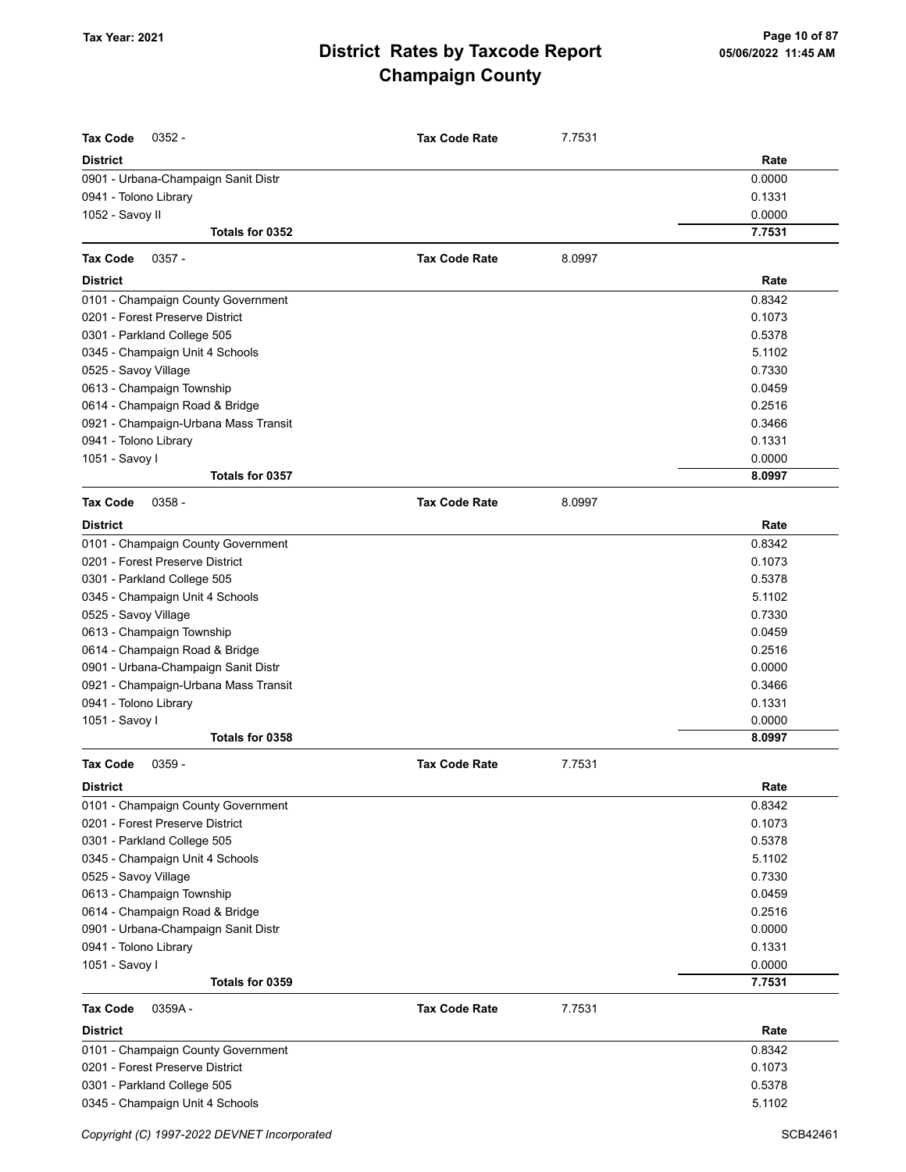| <b>Tax Code</b><br>$0352 -$          | <b>Tax Code Rate</b> | 7.7531 |                  |
|--------------------------------------|----------------------|--------|------------------|
| <b>District</b>                      |                      |        | Rate             |
| 0901 - Urbana-Champaign Sanit Distr  |                      |        | 0.0000           |
| 0941 - Tolono Library                |                      |        | 0.1331<br>0.0000 |
| 1052 - Savoy II<br>Totals for 0352   |                      |        | 7.7531           |
|                                      |                      |        |                  |
| <b>Tax Code</b><br>$0357 -$          | <b>Tax Code Rate</b> | 8.0997 |                  |
| <b>District</b>                      |                      |        | Rate             |
| 0101 - Champaign County Government   |                      |        | 0.8342           |
| 0201 - Forest Preserve District      |                      |        | 0.1073           |
| 0301 - Parkland College 505          |                      |        | 0.5378           |
| 0345 - Champaign Unit 4 Schools      |                      |        | 5.1102           |
| 0525 - Savoy Village                 |                      |        | 0.7330           |
| 0613 - Champaign Township            |                      |        | 0.0459           |
| 0614 - Champaign Road & Bridge       |                      |        | 0.2516           |
| 0921 - Champaign-Urbana Mass Transit |                      |        | 0.3466           |
| 0941 - Tolono Library                |                      |        | 0.1331           |
| 1051 - Savoy I                       |                      |        | 0.0000           |
| Totals for 0357                      |                      |        | 8.0997           |
| <b>Tax Code</b><br>$0358 -$          | <b>Tax Code Rate</b> | 8.0997 |                  |
| <b>District</b>                      |                      |        | Rate             |
| 0101 - Champaign County Government   |                      |        | 0.8342           |
| 0201 - Forest Preserve District      |                      |        | 0.1073           |
| 0301 - Parkland College 505          |                      |        | 0.5378           |
| 0345 - Champaign Unit 4 Schools      |                      |        | 5.1102           |
| 0525 - Savoy Village                 |                      |        | 0.7330           |
| 0613 - Champaign Township            |                      |        | 0.0459           |
| 0614 - Champaign Road & Bridge       |                      |        | 0.2516           |
| 0901 - Urbana-Champaign Sanit Distr  |                      |        | 0.0000           |
| 0921 - Champaign-Urbana Mass Transit |                      |        | 0.3466           |
| 0941 - Tolono Library                |                      |        | 0.1331           |
| 1051 - Savoy I                       |                      |        | 0.0000           |
| Totals for 0358                      |                      |        | 8.0997           |
| <b>Tax Code</b><br>0359 -            | <b>Tax Code Rate</b> | 7.7531 |                  |
| <b>District</b>                      |                      |        | Rate             |
| 0101 - Champaign County Government   |                      |        | 0.8342           |
| 0201 - Forest Preserve District      |                      |        | 0.1073           |
| 0301 - Parkland College 505          |                      |        | 0.5378           |
| 0345 - Champaign Unit 4 Schools      |                      |        | 5.1102           |
| 0525 - Savoy Village                 |                      |        | 0.7330           |
| 0613 - Champaign Township            |                      |        | 0.0459           |
| 0614 - Champaign Road & Bridge       |                      |        | 0.2516           |
| 0901 - Urbana-Champaign Sanit Distr  |                      |        | 0.0000           |
| 0941 - Tolono Library                |                      |        | 0.1331           |
| 1051 - Savoy I                       |                      |        | 0.0000           |
| Totals for 0359                      |                      |        | 7.7531           |
| <b>Tax Code</b><br>0359A-            | <b>Tax Code Rate</b> | 7.7531 |                  |
| <b>District</b>                      |                      |        | Rate             |
| 0101 - Champaign County Government   |                      |        | 0.8342           |
| 0201 - Forest Preserve District      |                      |        | 0.1073           |
| 0301 - Parkland College 505          |                      |        | 0.5378           |
| 0345 - Champaign Unit 4 Schools      |                      |        | 5.1102           |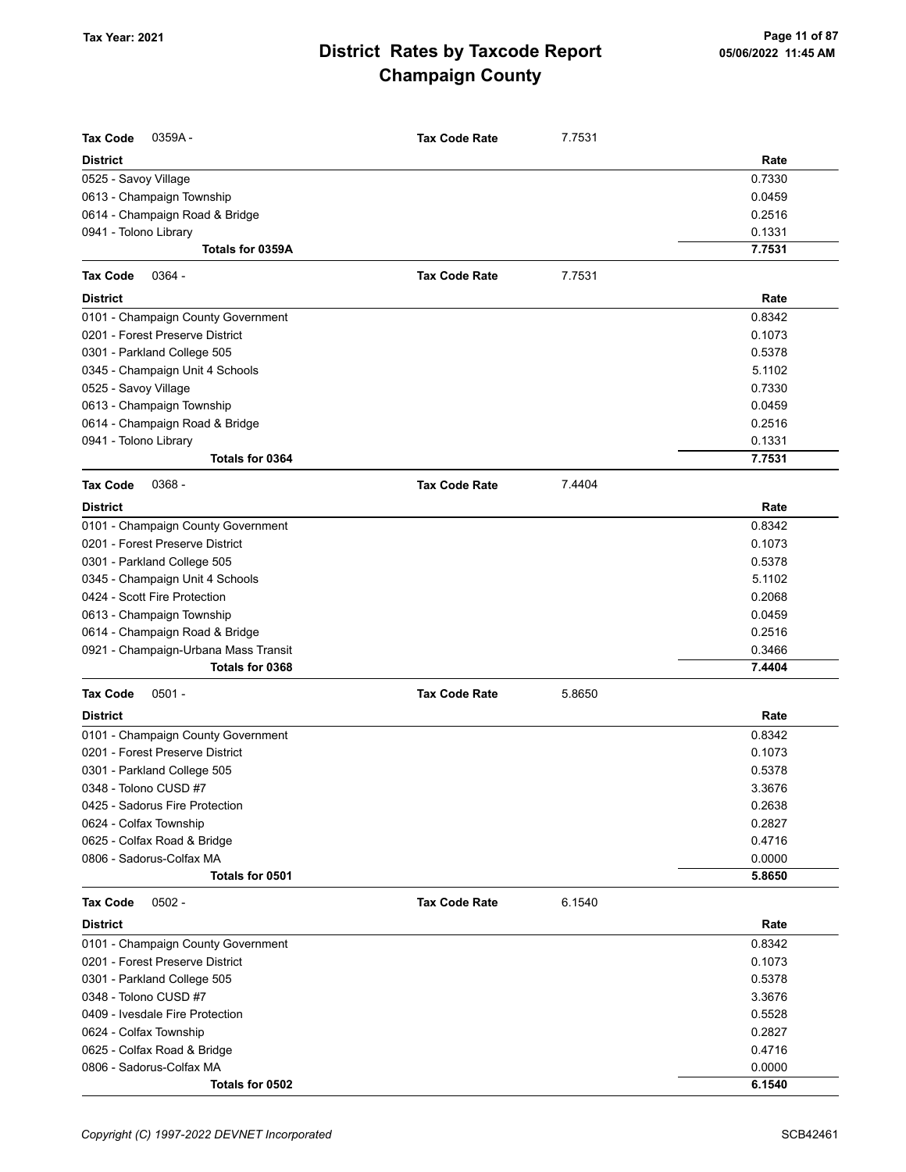| <b>Tax Code</b><br>0359A-            | <b>Tax Code Rate</b> | 7.7531 |        |
|--------------------------------------|----------------------|--------|--------|
| <b>District</b>                      |                      |        | Rate   |
| 0525 - Savoy Village                 |                      |        | 0.7330 |
| 0613 - Champaign Township            |                      |        | 0.0459 |
| 0614 - Champaign Road & Bridge       |                      |        | 0.2516 |
| 0941 - Tolono Library                |                      |        | 0.1331 |
| Totals for 0359A                     |                      |        | 7.7531 |
| <b>Tax Code</b><br>$0364 -$          | <b>Tax Code Rate</b> | 7.7531 |        |
| <b>District</b>                      |                      |        | Rate   |
| 0101 - Champaign County Government   |                      |        | 0.8342 |
| 0201 - Forest Preserve District      |                      |        | 0.1073 |
| 0301 - Parkland College 505          |                      |        | 0.5378 |
| 0345 - Champaign Unit 4 Schools      |                      |        | 5.1102 |
| 0525 - Savoy Village                 |                      |        | 0.7330 |
| 0613 - Champaign Township            |                      |        | 0.0459 |
| 0614 - Champaign Road & Bridge       |                      |        | 0.2516 |
| 0941 - Tolono Library                |                      |        | 0.1331 |
| Totals for 0364                      |                      |        | 7.7531 |
| $0368 -$<br><b>Tax Code</b>          | <b>Tax Code Rate</b> | 7.4404 |        |
| <b>District</b>                      |                      |        | Rate   |
| 0101 - Champaign County Government   |                      |        | 0.8342 |
| 0201 - Forest Preserve District      |                      |        | 0.1073 |
| 0301 - Parkland College 505          |                      |        | 0.5378 |
| 0345 - Champaign Unit 4 Schools      |                      |        | 5.1102 |
| 0424 - Scott Fire Protection         |                      |        | 0.2068 |
| 0613 - Champaign Township            |                      |        | 0.0459 |
| 0614 - Champaign Road & Bridge       |                      |        | 0.2516 |
| 0921 - Champaign-Urbana Mass Transit |                      |        | 0.3466 |
| Totals for 0368                      |                      |        | 7.4404 |
| <b>Tax Code</b><br>$0501 -$          | <b>Tax Code Rate</b> | 5.8650 |        |
| <b>District</b>                      |                      |        | Rate   |
| 0101 - Champaign County Government   |                      |        | 0.8342 |
| 0201 - Forest Preserve District      |                      |        | 0.1073 |
| 0301 - Parkland College 505          |                      |        | 0.5378 |
| 0348 - Tolono CUSD #7                |                      |        | 3.3676 |
| 0425 - Sadorus Fire Protection       |                      |        | 0.2638 |
| 0624 - Colfax Township               |                      |        | 0.2827 |
| 0625 - Colfax Road & Bridge          |                      |        | 0.4716 |
| 0806 - Sadorus-Colfax MA             |                      |        | 0.0000 |
| Totals for 0501                      |                      |        | 5.8650 |
| <b>Tax Code</b><br>$0502 -$          | <b>Tax Code Rate</b> | 6.1540 |        |
| <b>District</b>                      |                      |        | Rate   |
| 0101 - Champaign County Government   |                      |        | 0.8342 |
| 0201 - Forest Preserve District      |                      |        | 0.1073 |
| 0301 - Parkland College 505          |                      |        | 0.5378 |
| 0348 - Tolono CUSD #7                |                      |        | 3.3676 |
| 0409 - Ivesdale Fire Protection      |                      |        | 0.5528 |
| 0624 - Colfax Township               |                      |        | 0.2827 |
| 0625 - Colfax Road & Bridge          |                      |        | 0.4716 |
| 0806 - Sadorus-Colfax MA             |                      |        | 0.0000 |
| Totals for 0502                      |                      |        | 6.1540 |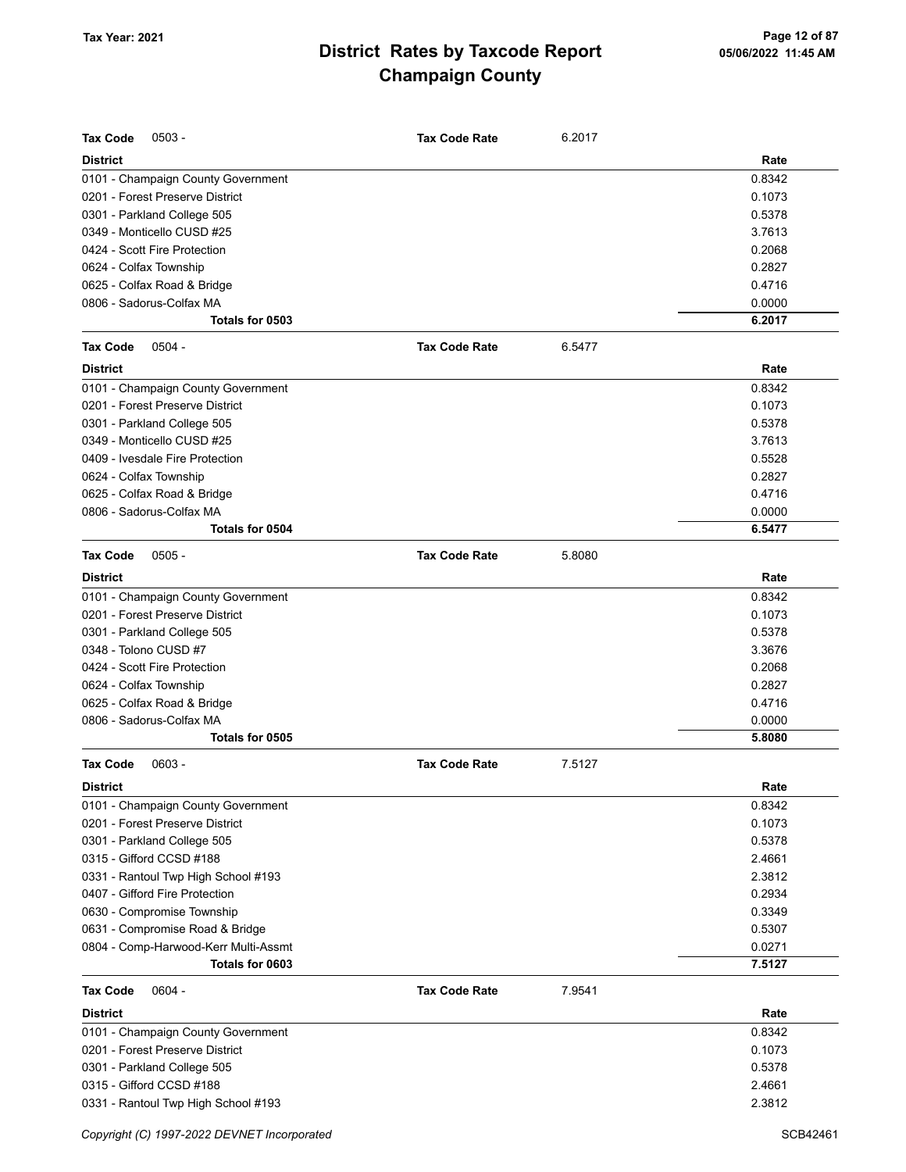| <b>Tax Code</b><br>$0503 -$          | <b>Tax Code Rate</b> | 6.2017 |        |
|--------------------------------------|----------------------|--------|--------|
| <b>District</b>                      |                      |        | Rate   |
| 0101 - Champaign County Government   |                      |        | 0.8342 |
| 0201 - Forest Preserve District      |                      |        | 0.1073 |
| 0301 - Parkland College 505          |                      |        | 0.5378 |
| 0349 - Monticello CUSD #25           |                      |        | 3.7613 |
| 0424 - Scott Fire Protection         |                      |        | 0.2068 |
| 0624 - Colfax Township               |                      |        | 0.2827 |
| 0625 - Colfax Road & Bridge          |                      |        | 0.4716 |
| 0806 - Sadorus-Colfax MA             |                      |        | 0.0000 |
| Totals for 0503                      |                      |        | 6.2017 |
| <b>Tax Code</b><br>$0504 -$          | <b>Tax Code Rate</b> | 6.5477 |        |
| <b>District</b>                      |                      |        | Rate   |
| 0101 - Champaign County Government   |                      |        | 0.8342 |
| 0201 - Forest Preserve District      |                      |        | 0.1073 |
| 0301 - Parkland College 505          |                      |        | 0.5378 |
| 0349 - Monticello CUSD #25           |                      |        | 3.7613 |
| 0409 - Ivesdale Fire Protection      |                      |        | 0.5528 |
| 0624 - Colfax Township               |                      |        | 0.2827 |
| 0625 - Colfax Road & Bridge          |                      |        | 0.4716 |
| 0806 - Sadorus-Colfax MA             |                      |        | 0.0000 |
| Totals for 0504                      |                      |        | 6.5477 |
| <b>Tax Code</b><br>$0505 -$          | <b>Tax Code Rate</b> | 5.8080 |        |
| <b>District</b>                      |                      |        | Rate   |
| 0101 - Champaign County Government   |                      |        | 0.8342 |
| 0201 - Forest Preserve District      |                      |        | 0.1073 |
| 0301 - Parkland College 505          |                      |        | 0.5378 |
| 0348 - Tolono CUSD #7                |                      |        | 3.3676 |
| 0424 - Scott Fire Protection         |                      |        | 0.2068 |
| 0624 - Colfax Township               |                      |        | 0.2827 |
| 0625 - Colfax Road & Bridge          |                      |        | 0.4716 |
| 0806 - Sadorus-Colfax MA             |                      |        | 0.0000 |
| Totals for 0505                      |                      |        | 5.8080 |
| <b>Tax Code</b><br>$0603 -$          | <b>Tax Code Rate</b> | 7.5127 |        |
| <b>District</b>                      |                      |        | Rate   |
| 0101 - Champaign County Government   |                      |        | 0.8342 |
| 0201 - Forest Preserve District      |                      |        | 0.1073 |
| 0301 - Parkland College 505          |                      |        | 0.5378 |
| 0315 - Gifford CCSD #188             |                      |        | 2.4661 |
| 0331 - Rantoul Twp High School #193  |                      |        | 2.3812 |
| 0407 - Gifford Fire Protection       |                      |        | 0.2934 |
| 0630 - Compromise Township           |                      |        | 0.3349 |
| 0631 - Compromise Road & Bridge      |                      |        | 0.5307 |
| 0804 - Comp-Harwood-Kerr Multi-Assmt |                      |        | 0.0271 |
| Totals for 0603                      |                      |        | 7.5127 |
| <b>Tax Code</b><br>$0604 -$          | <b>Tax Code Rate</b> | 7.9541 |        |
| <b>District</b>                      |                      |        | Rate   |
| 0101 - Champaign County Government   |                      |        | 0.8342 |
| 0201 - Forest Preserve District      |                      |        | 0.1073 |
| 0301 - Parkland College 505          |                      |        | 0.5378 |
| 0315 - Gifford CCSD #188             |                      |        | 2.4661 |
| 0331 - Rantoul Twp High School #193  |                      |        | 2.3812 |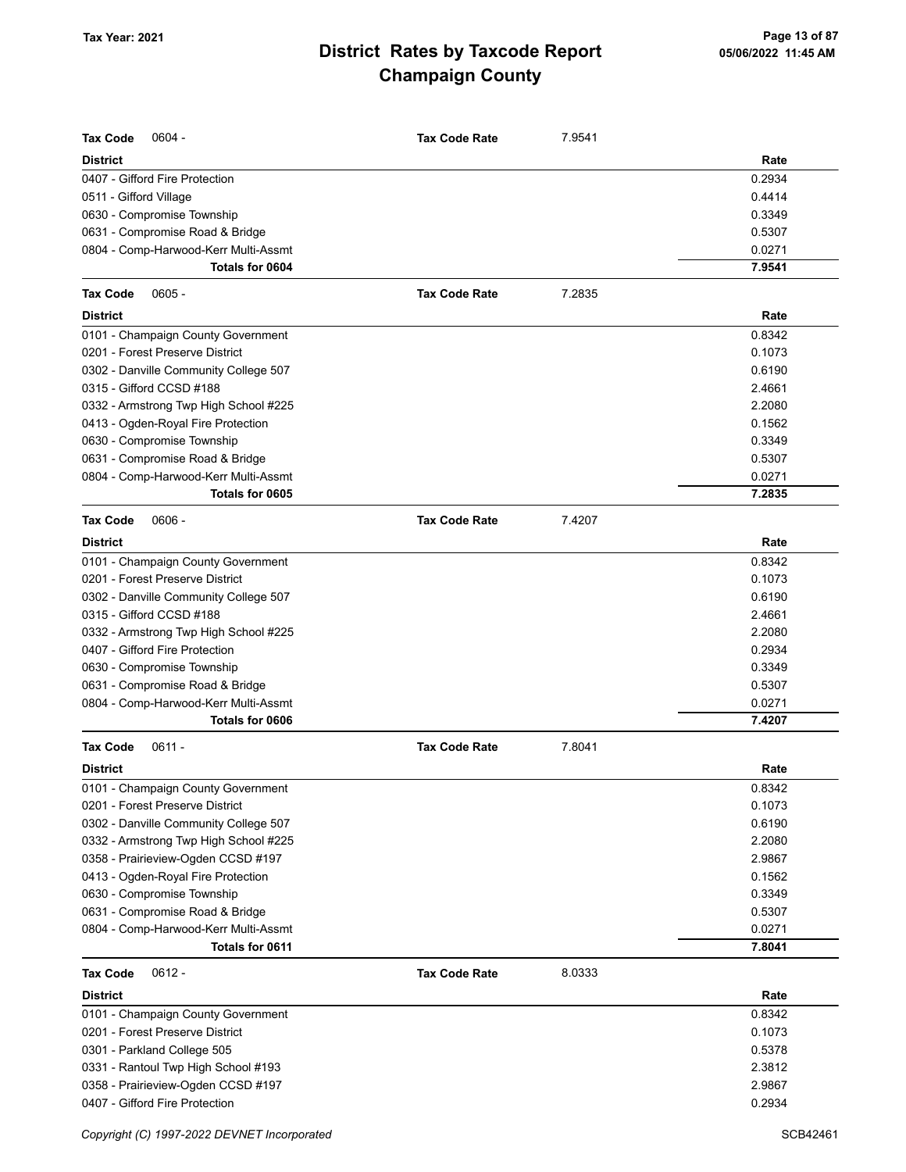| <b>Tax Code</b><br>$0604 -$           | <b>Tax Code Rate</b> | 7.9541 |        |
|---------------------------------------|----------------------|--------|--------|
| <b>District</b>                       |                      |        | Rate   |
| 0407 - Gifford Fire Protection        |                      |        | 0.2934 |
| 0511 - Gifford Village                |                      |        | 0.4414 |
| 0630 - Compromise Township            |                      |        | 0.3349 |
| 0631 - Compromise Road & Bridge       |                      |        | 0.5307 |
| 0804 - Comp-Harwood-Kerr Multi-Assmt  |                      |        | 0.0271 |
| Totals for 0604                       |                      |        | 7.9541 |
| <b>Tax Code</b><br>$0605 -$           | <b>Tax Code Rate</b> | 7.2835 |        |
| <b>District</b>                       |                      |        | Rate   |
| 0101 - Champaign County Government    |                      |        | 0.8342 |
| 0201 - Forest Preserve District       |                      |        | 0.1073 |
| 0302 - Danville Community College 507 |                      |        | 0.6190 |
| 0315 - Gifford CCSD #188              |                      |        | 2.4661 |
| 0332 - Armstrong Twp High School #225 |                      |        | 2.2080 |
| 0413 - Ogden-Royal Fire Protection    |                      |        | 0.1562 |
| 0630 - Compromise Township            |                      |        | 0.3349 |
| 0631 - Compromise Road & Bridge       |                      |        | 0.5307 |
| 0804 - Comp-Harwood-Kerr Multi-Assmt  |                      |        | 0.0271 |
| Totals for 0605                       |                      |        | 7.2835 |
| <b>Tax Code</b><br>$0606 -$           | <b>Tax Code Rate</b> | 7.4207 |        |
| <b>District</b>                       |                      |        | Rate   |
| 0101 - Champaign County Government    |                      |        | 0.8342 |
| 0201 - Forest Preserve District       |                      |        | 0.1073 |
| 0302 - Danville Community College 507 |                      |        | 0.6190 |
| 0315 - Gifford CCSD #188              |                      |        | 2.4661 |
| 0332 - Armstrong Twp High School #225 |                      |        | 2.2080 |
| 0407 - Gifford Fire Protection        |                      |        | 0.2934 |
| 0630 - Compromise Township            |                      |        | 0.3349 |
| 0631 - Compromise Road & Bridge       |                      |        | 0.5307 |
| 0804 - Comp-Harwood-Kerr Multi-Assmt  |                      |        | 0.0271 |
| <b>Totals for 0606</b>                |                      |        | 7.4207 |
| <b>Tax Code</b><br>$0611 -$           | <b>Tax Code Rate</b> | 7.8041 |        |
| <b>District</b>                       |                      |        | Rate   |
| 0101 - Champaign County Government    |                      |        | 0.8342 |
| 0201 - Forest Preserve District       |                      |        | 0.1073 |
| 0302 - Danville Community College 507 |                      |        | 0.6190 |
| 0332 - Armstrong Twp High School #225 |                      |        | 2.2080 |
| 0358 - Prairieview-Ogden CCSD #197    |                      |        | 2.9867 |
| 0413 - Ogden-Royal Fire Protection    |                      |        | 0.1562 |
| 0630 - Compromise Township            |                      |        | 0.3349 |
| 0631 - Compromise Road & Bridge       |                      |        | 0.5307 |
| 0804 - Comp-Harwood-Kerr Multi-Assmt  |                      |        | 0.0271 |
| Totals for 0611                       |                      |        | 7.8041 |
| $0612 -$<br><b>Tax Code</b>           | <b>Tax Code Rate</b> | 8.0333 |        |
| <b>District</b>                       |                      |        | Rate   |
| 0101 - Champaign County Government    |                      |        | 0.8342 |
| 0201 - Forest Preserve District       |                      |        | 0.1073 |
| 0301 - Parkland College 505           |                      |        | 0.5378 |
| 0331 - Rantoul Twp High School #193   |                      |        | 2.3812 |
| 0358 - Prairieview-Ogden CCSD #197    |                      |        | 2.9867 |
| 0407 - Gifford Fire Protection        |                      |        | 0.2934 |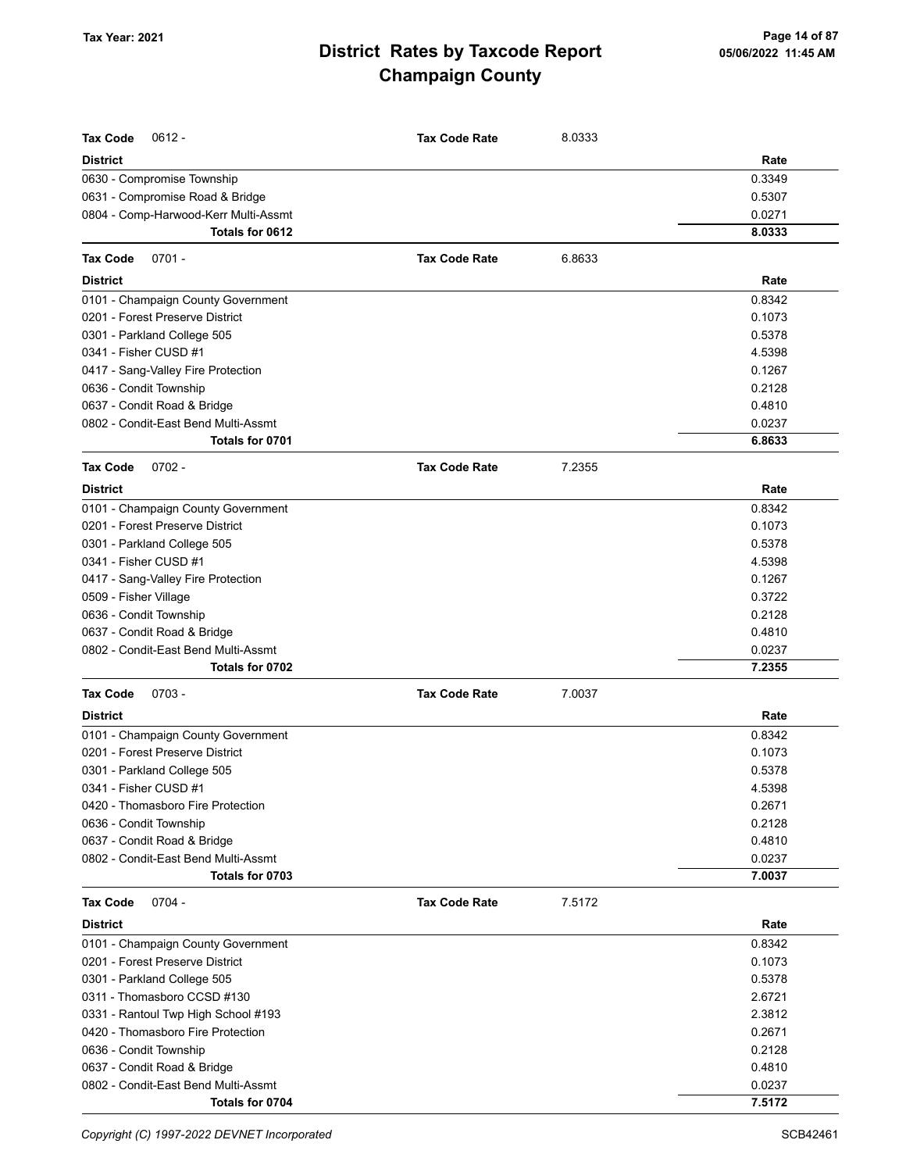| <b>Tax Code</b><br>$0612 -$          | <b>Tax Code Rate</b> | 8.0333 |        |
|--------------------------------------|----------------------|--------|--------|
| <b>District</b>                      |                      |        | Rate   |
| 0630 - Compromise Township           |                      |        | 0.3349 |
| 0631 - Compromise Road & Bridge      |                      |        | 0.5307 |
| 0804 - Comp-Harwood-Kerr Multi-Assmt |                      |        | 0.0271 |
| Totals for 0612                      |                      |        | 8.0333 |
| $0701 -$<br><b>Tax Code</b>          | <b>Tax Code Rate</b> | 6.8633 |        |
| <b>District</b>                      |                      |        | Rate   |
| 0101 - Champaign County Government   |                      |        | 0.8342 |
| 0201 - Forest Preserve District      |                      |        | 0.1073 |
| 0301 - Parkland College 505          |                      |        | 0.5378 |
| 0341 - Fisher CUSD #1                |                      |        | 4.5398 |
| 0417 - Sang-Valley Fire Protection   |                      |        | 0.1267 |
| 0636 - Condit Township               |                      |        | 0.2128 |
| 0637 - Condit Road & Bridge          |                      |        | 0.4810 |
| 0802 - Condit-East Bend Multi-Assmt  |                      |        | 0.0237 |
| Totals for 0701                      |                      |        | 6.8633 |
| $0702 -$<br><b>Tax Code</b>          | <b>Tax Code Rate</b> | 7.2355 |        |
| <b>District</b>                      |                      |        | Rate   |
| 0101 - Champaign County Government   |                      |        | 0.8342 |
| 0201 - Forest Preserve District      |                      |        | 0.1073 |
| 0301 - Parkland College 505          |                      |        | 0.5378 |
| 0341 - Fisher CUSD #1                |                      |        | 4.5398 |
| 0417 - Sang-Valley Fire Protection   |                      |        | 0.1267 |
| 0509 - Fisher Village                |                      |        | 0.3722 |
| 0636 - Condit Township               |                      |        | 0.2128 |
| 0637 - Condit Road & Bridge          |                      |        | 0.4810 |
| 0802 - Condit-East Bend Multi-Assmt  |                      |        | 0.0237 |
| Totals for 0702                      |                      |        | 7.2355 |
| <b>Tax Code</b><br>$0703 -$          | <b>Tax Code Rate</b> | 7.0037 |        |
| <b>District</b>                      |                      |        | Rate   |
| 0101 - Champaign County Government   |                      |        | 0.8342 |
| 0201 - Forest Preserve District      |                      |        | 0.1073 |
| 0301 - Parkland College 505          |                      |        | 0.5378 |
| 0341 - Fisher CUSD #1                |                      |        | 4.5398 |
| 0420 - Thomasboro Fire Protection    |                      |        | 0.2671 |
| 0636 - Condit Township               |                      |        | 0.2128 |
| 0637 - Condit Road & Bridge          |                      |        | 0.4810 |
| 0802 - Condit-East Bend Multi-Assmt  |                      |        | 0.0237 |
| Totals for 0703                      |                      |        | 7.0037 |
| <b>Tax Code</b><br>$0704 -$          | <b>Tax Code Rate</b> | 7.5172 |        |
| <b>District</b>                      |                      |        | Rate   |
| 0101 - Champaign County Government   |                      |        | 0.8342 |
| 0201 - Forest Preserve District      |                      |        | 0.1073 |
| 0301 - Parkland College 505          |                      |        | 0.5378 |
| 0311 - Thomasboro CCSD #130          |                      |        | 2.6721 |
| 0331 - Rantoul Twp High School #193  |                      |        | 2.3812 |
| 0420 - Thomasboro Fire Protection    |                      |        | 0.2671 |
| 0636 - Condit Township               |                      |        | 0.2128 |
| 0637 - Condit Road & Bridge          |                      |        | 0.4810 |
| 0802 - Condit-East Bend Multi-Assmt  |                      |        | 0.0237 |
| Totals for 0704                      |                      |        | 7.5172 |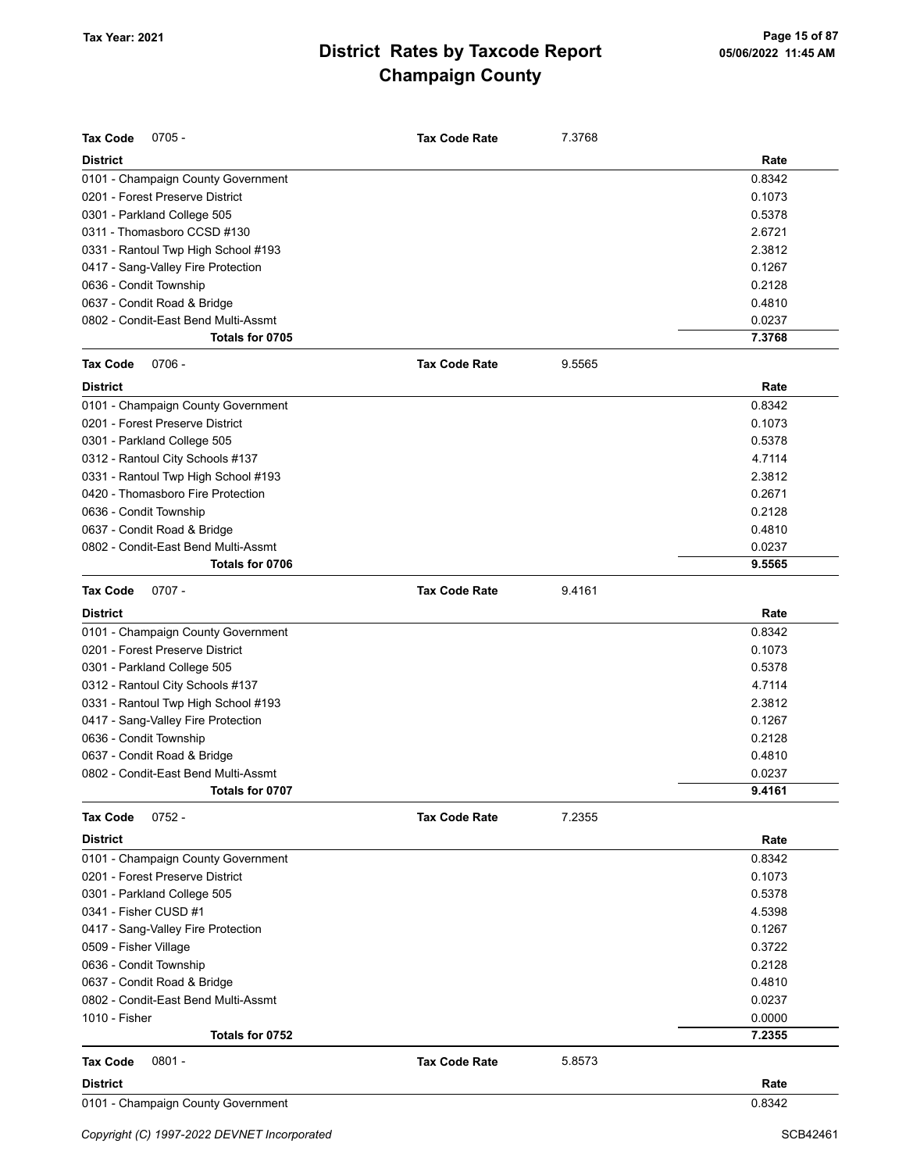| <b>Tax Code</b><br>$0705 -$         | <b>Tax Code Rate</b> | 7.3768 |        |
|-------------------------------------|----------------------|--------|--------|
| <b>District</b>                     |                      |        | Rate   |
| 0101 - Champaign County Government  |                      |        | 0.8342 |
| 0201 - Forest Preserve District     |                      |        | 0.1073 |
| 0301 - Parkland College 505         |                      |        | 0.5378 |
| 0311 - Thomasboro CCSD #130         |                      |        | 2.6721 |
| 0331 - Rantoul Twp High School #193 |                      |        | 2.3812 |
| 0417 - Sang-Valley Fire Protection  |                      |        | 0.1267 |
| 0636 - Condit Township              |                      |        | 0.2128 |
| 0637 - Condit Road & Bridge         |                      |        | 0.4810 |
| 0802 - Condit-East Bend Multi-Assmt |                      |        | 0.0237 |
| Totals for 0705                     |                      |        | 7.3768 |
| <b>Tax Code</b><br>$0706 -$         | <b>Tax Code Rate</b> | 9.5565 |        |
| <b>District</b>                     |                      |        | Rate   |
| 0101 - Champaign County Government  |                      |        | 0.8342 |
| 0201 - Forest Preserve District     |                      |        | 0.1073 |
| 0301 - Parkland College 505         |                      |        | 0.5378 |
| 0312 - Rantoul City Schools #137    |                      |        | 4.7114 |
| 0331 - Rantoul Twp High School #193 |                      |        | 2.3812 |
| 0420 - Thomasboro Fire Protection   |                      |        | 0.2671 |
| 0636 - Condit Township              |                      |        | 0.2128 |
| 0637 - Condit Road & Bridge         |                      |        | 0.4810 |
| 0802 - Condit-East Bend Multi-Assmt |                      |        | 0.0237 |
| Totals for 0706                     |                      |        | 9.5565 |
| $0707 -$<br><b>Tax Code</b>         | <b>Tax Code Rate</b> | 9.4161 |        |
| <b>District</b>                     |                      |        | Rate   |
| 0101 - Champaign County Government  |                      |        | 0.8342 |
| 0201 - Forest Preserve District     |                      |        | 0.1073 |
| 0301 - Parkland College 505         |                      |        | 0.5378 |
| 0312 - Rantoul City Schools #137    |                      |        | 4.7114 |
| 0331 - Rantoul Twp High School #193 |                      |        | 2.3812 |
| 0417 - Sang-Valley Fire Protection  |                      |        | 0.1267 |
| 0636 - Condit Township              |                      |        | 0.2128 |
| 0637 - Condit Road & Bridge         |                      |        | 0.4810 |
| 0802 - Condit-East Bend Multi-Assmt |                      |        | 0.0237 |
| Totals for 0707                     |                      |        | 9.4161 |
| $0752 -$<br><b>Tax Code</b>         | <b>Tax Code Rate</b> | 7.2355 |        |
| <b>District</b>                     |                      |        | Rate   |
| 0101 - Champaign County Government  |                      |        | 0.8342 |
| 0201 - Forest Preserve District     |                      |        | 0.1073 |
| 0301 - Parkland College 505         |                      |        | 0.5378 |
| 0341 - Fisher CUSD #1               |                      |        | 4.5398 |
| 0417 - Sang-Valley Fire Protection  |                      |        | 0.1267 |
| 0509 - Fisher Village               |                      |        | 0.3722 |
| 0636 - Condit Township              |                      |        | 0.2128 |
| 0637 - Condit Road & Bridge         |                      |        | 0.4810 |
| 0802 - Condit-East Bend Multi-Assmt |                      |        | 0.0237 |
| 1010 - Fisher                       |                      |        | 0.0000 |
| Totals for 0752                     |                      |        | 7.2355 |
| $0801 -$<br><b>Tax Code</b>         | <b>Tax Code Rate</b> | 5.8573 |        |
| <b>District</b>                     |                      |        | Rate   |
| 0101 - Champaign County Government  |                      |        | 0.8342 |
|                                     |                      |        |        |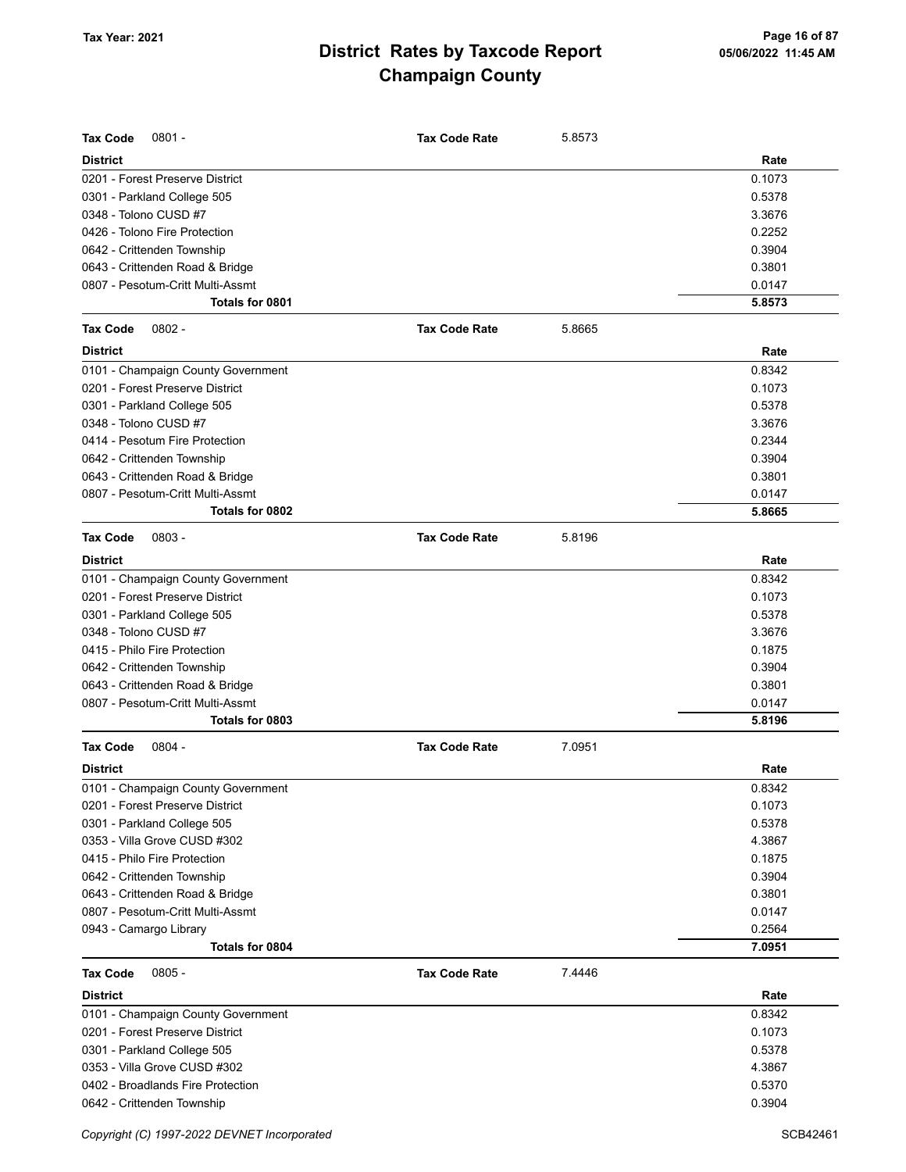| <b>Tax Code</b><br>$0801 -$        | <b>Tax Code Rate</b> | 5.8573 |        |
|------------------------------------|----------------------|--------|--------|
| <b>District</b>                    |                      |        | Rate   |
| 0201 - Forest Preserve District    |                      |        | 0.1073 |
| 0301 - Parkland College 505        |                      |        | 0.5378 |
| 0348 - Tolono CUSD #7              |                      |        | 3.3676 |
| 0426 - Tolono Fire Protection      |                      |        | 0.2252 |
| 0642 - Crittenden Township         |                      |        | 0.3904 |
| 0643 - Crittenden Road & Bridge    |                      |        | 0.3801 |
| 0807 - Pesotum-Critt Multi-Assmt   |                      |        | 0.0147 |
| Totals for 0801                    |                      |        | 5.8573 |
| $0802 -$<br><b>Tax Code</b>        | <b>Tax Code Rate</b> | 5.8665 |        |
| <b>District</b>                    |                      |        | Rate   |
| 0101 - Champaign County Government |                      |        | 0.8342 |
| 0201 - Forest Preserve District    |                      |        | 0.1073 |
| 0301 - Parkland College 505        |                      |        | 0.5378 |
| 0348 - Tolono CUSD #7              |                      |        | 3.3676 |
| 0414 - Pesotum Fire Protection     |                      |        | 0.2344 |
| 0642 - Crittenden Township         |                      |        | 0.3904 |
| 0643 - Crittenden Road & Bridge    |                      |        | 0.3801 |
| 0807 - Pesotum-Critt Multi-Assmt   |                      |        | 0.0147 |
| Totals for 0802                    |                      |        | 5.8665 |
| <b>Tax Code</b><br>$0803 -$        | <b>Tax Code Rate</b> | 5.8196 |        |
| <b>District</b>                    |                      |        | Rate   |
| 0101 - Champaign County Government |                      |        | 0.8342 |
| 0201 - Forest Preserve District    |                      |        | 0.1073 |
| 0301 - Parkland College 505        |                      |        | 0.5378 |
| 0348 - Tolono CUSD #7              |                      |        | 3.3676 |
| 0415 - Philo Fire Protection       |                      |        | 0.1875 |
| 0642 - Crittenden Township         |                      |        | 0.3904 |
| 0643 - Crittenden Road & Bridge    |                      |        | 0.3801 |
| 0807 - Pesotum-Critt Multi-Assmt   |                      |        | 0.0147 |
| Totals for 0803                    |                      |        | 5.8196 |
|                                    |                      |        |        |
| <b>Tax Code</b><br>$0804 -$        | <b>Tax Code Rate</b> | 7.0951 |        |
| <b>District</b>                    |                      |        | Rate   |
| 0101 - Champaign County Government |                      |        | 0.8342 |
| 0201 - Forest Preserve District    |                      |        | 0.1073 |
| 0301 - Parkland College 505        |                      |        | 0.5378 |
| 0353 - Villa Grove CUSD #302       |                      |        | 4.3867 |
| 0415 - Philo Fire Protection       |                      |        | 0.1875 |
| 0642 - Crittenden Township         |                      |        | 0.3904 |
| 0643 - Crittenden Road & Bridge    |                      |        | 0.3801 |
| 0807 - Pesotum-Critt Multi-Assmt   |                      |        | 0.0147 |
| 0943 - Camargo Library             |                      |        | 0.2564 |
| Totals for 0804                    |                      |        | 7.0951 |
| $0805 -$<br><b>Tax Code</b>        | <b>Tax Code Rate</b> | 7.4446 |        |
| <b>District</b>                    |                      |        | Rate   |
| 0101 - Champaign County Government |                      |        | 0.8342 |
| 0201 - Forest Preserve District    |                      |        | 0.1073 |
| 0301 - Parkland College 505        |                      |        | 0.5378 |
| 0353 - Villa Grove CUSD #302       |                      |        | 4.3867 |
| 0402 - Broadlands Fire Protection  |                      |        | 0.5370 |
| 0642 - Crittenden Township         |                      |        | 0.3904 |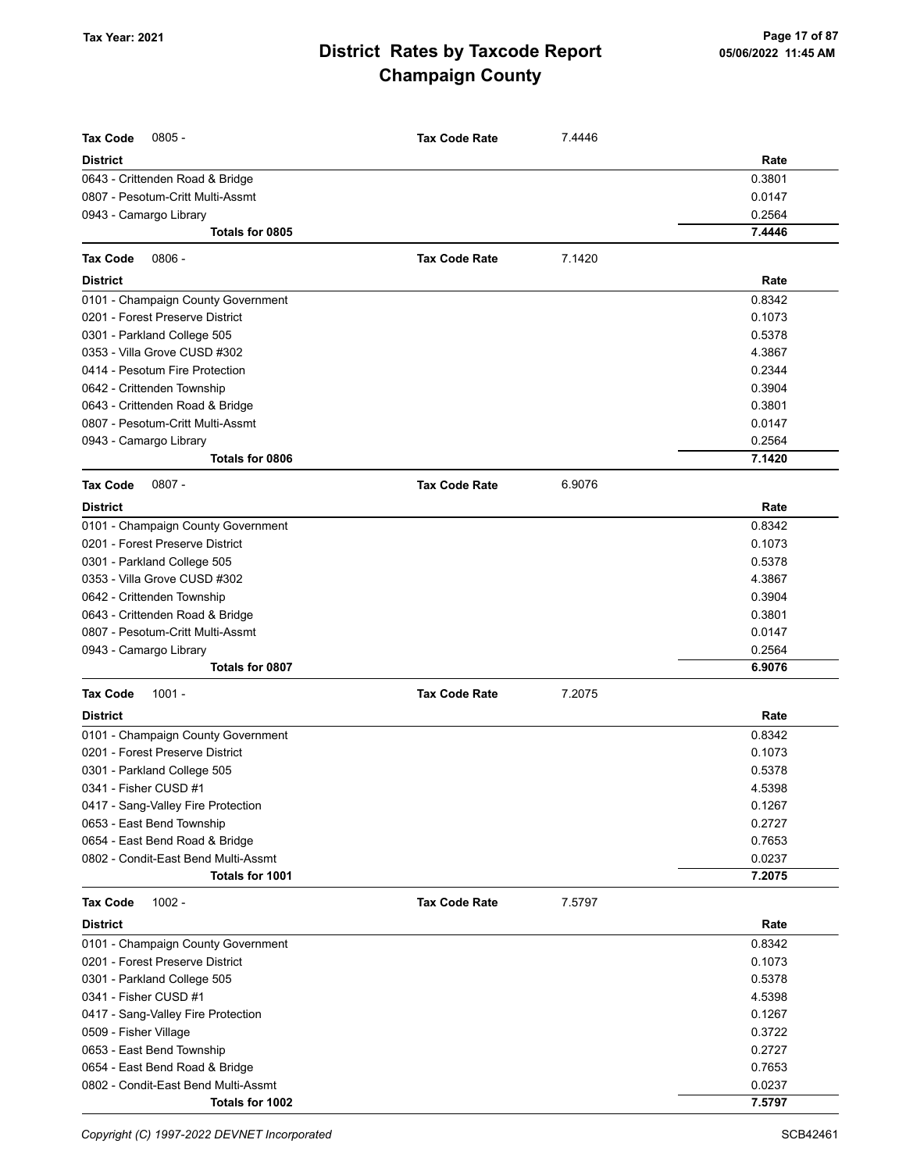| <b>Tax Code</b><br>$0805 -$         | <b>Tax Code Rate</b> | 7.4446 |        |
|-------------------------------------|----------------------|--------|--------|
|                                     |                      |        |        |
| <b>District</b>                     |                      |        | Rate   |
| 0643 - Crittenden Road & Bridge     |                      |        | 0.3801 |
| 0807 - Pesotum-Critt Multi-Assmt    |                      |        | 0.0147 |
| 0943 - Camargo Library              |                      |        | 0.2564 |
| Totals for 0805                     |                      |        | 7.4446 |
| Tax Code<br>$0806 -$                | <b>Tax Code Rate</b> | 7.1420 |        |
| <b>District</b>                     |                      |        | Rate   |
| 0101 - Champaign County Government  |                      |        | 0.8342 |
| 0201 - Forest Preserve District     |                      |        | 0.1073 |
| 0301 - Parkland College 505         |                      |        | 0.5378 |
| 0353 - Villa Grove CUSD #302        |                      |        | 4.3867 |
| 0414 - Pesotum Fire Protection      |                      |        | 0.2344 |
| 0642 - Crittenden Township          |                      |        | 0.3904 |
| 0643 - Crittenden Road & Bridge     |                      |        | 0.3801 |
| 0807 - Pesotum-Critt Multi-Assmt    |                      |        | 0.0147 |
| 0943 - Camargo Library              |                      |        | 0.2564 |
| Totals for 0806                     |                      |        | 7.1420 |
| $0807 -$<br><b>Tax Code</b>         | <b>Tax Code Rate</b> | 6.9076 |        |
| <b>District</b>                     |                      |        | Rate   |
| 0101 - Champaign County Government  |                      |        | 0.8342 |
| 0201 - Forest Preserve District     |                      |        | 0.1073 |
| 0301 - Parkland College 505         |                      |        | 0.5378 |
| 0353 - Villa Grove CUSD #302        |                      |        | 4.3867 |
| 0642 - Crittenden Township          |                      |        | 0.3904 |
| 0643 - Crittenden Road & Bridge     |                      |        | 0.3801 |
| 0807 - Pesotum-Critt Multi-Assmt    |                      |        | 0.0147 |
| 0943 - Camargo Library              |                      |        | 0.2564 |
| Totals for 0807                     |                      |        | 6.9076 |
| <b>Tax Code</b><br>$1001 -$         | <b>Tax Code Rate</b> | 7.2075 |        |
| <b>District</b>                     |                      |        | Rate   |
| 0101 - Champaign County Government  |                      |        | 0.8342 |
| 0201 - Forest Preserve District     |                      |        | 0.1073 |
| 0301 - Parkland College 505         |                      |        | 0.5378 |
| 0341 - Fisher CUSD #1               |                      |        | 4.5398 |
| 0417 - Sang-Valley Fire Protection  |                      |        | 0.1267 |
| 0653 - East Bend Township           |                      |        | 0.2727 |
| 0654 - East Bend Road & Bridge      |                      |        | 0.7653 |
| 0802 - Condit-East Bend Multi-Assmt |                      |        | 0.0237 |
| Totals for 1001                     |                      |        | 7.2075 |
| <b>Tax Code</b><br>$1002 -$         | <b>Tax Code Rate</b> | 7.5797 |        |
| <b>District</b>                     |                      |        | Rate   |
| 0101 - Champaign County Government  |                      |        | 0.8342 |
| 0201 - Forest Preserve District     |                      |        | 0.1073 |
| 0301 - Parkland College 505         |                      |        | 0.5378 |
| 0341 - Fisher CUSD #1               |                      |        | 4.5398 |
| 0417 - Sang-Valley Fire Protection  |                      |        | 0.1267 |
| 0509 - Fisher Village               |                      |        | 0.3722 |
| 0653 - East Bend Township           |                      |        | 0.2727 |
| 0654 - East Bend Road & Bridge      |                      |        | 0.7653 |
| 0802 - Condit-East Bend Multi-Assmt |                      |        | 0.0237 |
| Totals for 1002                     |                      |        | 7.5797 |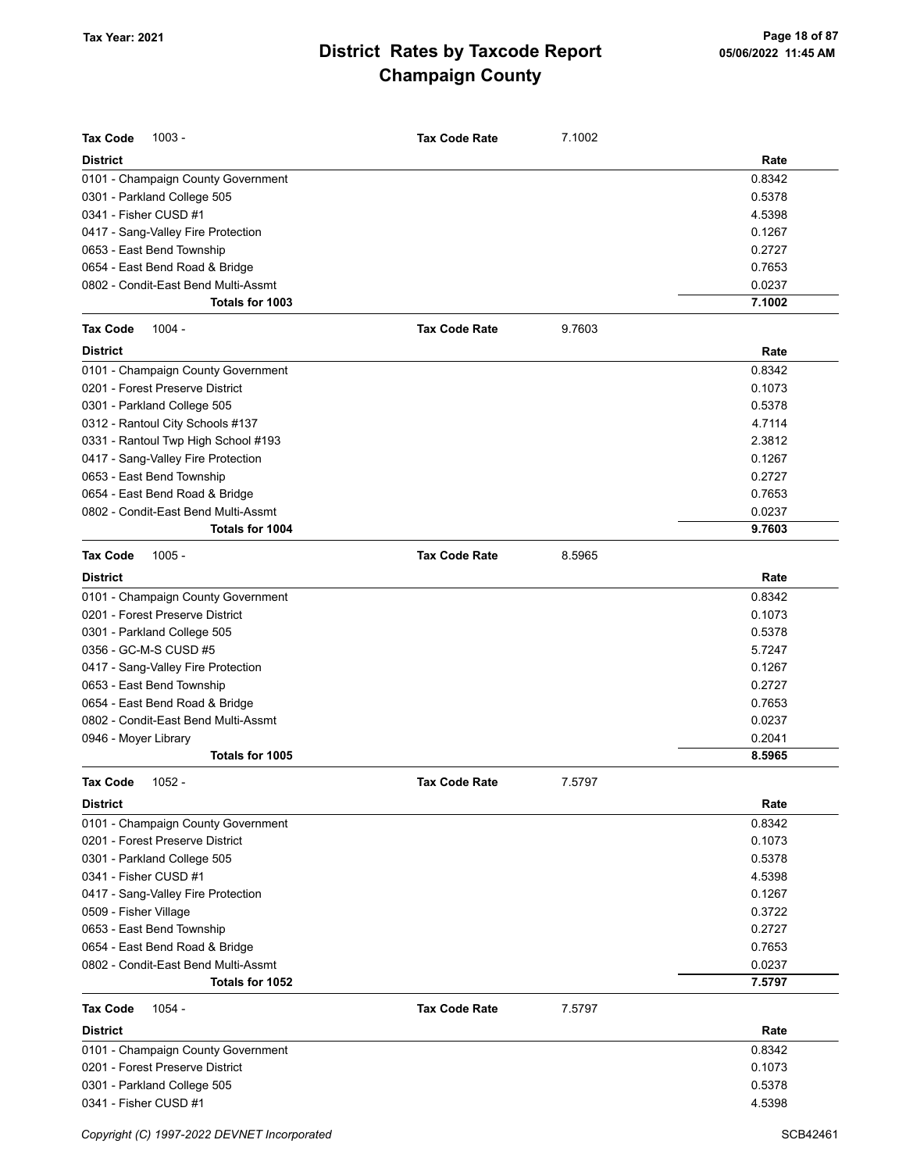| <b>Tax Code</b><br>$1003 -$         | <b>Tax Code Rate</b> | 7.1002 |        |
|-------------------------------------|----------------------|--------|--------|
| <b>District</b>                     |                      |        | Rate   |
| 0101 - Champaign County Government  |                      |        | 0.8342 |
| 0301 - Parkland College 505         |                      |        | 0.5378 |
| 0341 - Fisher CUSD #1               |                      |        | 4.5398 |
| 0417 - Sang-Valley Fire Protection  |                      |        | 0.1267 |
| 0653 - East Bend Township           |                      |        | 0.2727 |
| 0654 - East Bend Road & Bridge      |                      |        | 0.7653 |
| 0802 - Condit-East Bend Multi-Assmt |                      |        | 0.0237 |
| Totals for 1003                     |                      |        | 7.1002 |
| $1004 -$<br><b>Tax Code</b>         | <b>Tax Code Rate</b> | 9.7603 |        |
| <b>District</b>                     |                      |        | Rate   |
| 0101 - Champaign County Government  |                      |        | 0.8342 |
| 0201 - Forest Preserve District     |                      |        | 0.1073 |
| 0301 - Parkland College 505         |                      |        | 0.5378 |
| 0312 - Rantoul City Schools #137    |                      |        | 4.7114 |
| 0331 - Rantoul Twp High School #193 |                      |        | 2.3812 |
| 0417 - Sang-Valley Fire Protection  |                      |        | 0.1267 |
| 0653 - East Bend Township           |                      |        | 0.2727 |
| 0654 - East Bend Road & Bridge      |                      |        | 0.7653 |
| 0802 - Condit-East Bend Multi-Assmt |                      |        | 0.0237 |
| <b>Totals for 1004</b>              |                      |        | 9.7603 |
| <b>Tax Code</b><br>$1005 -$         | <b>Tax Code Rate</b> | 8.5965 |        |
| <b>District</b>                     |                      |        | Rate   |
| 0101 - Champaign County Government  |                      |        | 0.8342 |
| 0201 - Forest Preserve District     |                      |        | 0.1073 |
| 0301 - Parkland College 505         |                      |        | 0.5378 |
| 0356 - GC-M-S CUSD #5               |                      |        | 5.7247 |
| 0417 - Sang-Valley Fire Protection  |                      |        | 0.1267 |
| 0653 - East Bend Township           |                      |        | 0.2727 |
| 0654 - East Bend Road & Bridge      |                      |        | 0.7653 |
| 0802 - Condit-East Bend Multi-Assmt |                      |        | 0.0237 |
| 0946 - Moyer Library                |                      |        | 0.2041 |
| Totals for 1005                     |                      |        | 8.5965 |
| 1052 -<br>Tax Code                  | <b>Tax Code Rate</b> | 7.5797 |        |
| District                            |                      |        | Rate   |
| 0101 - Champaign County Government  |                      |        | 0.8342 |
| 0201 - Forest Preserve District     |                      |        | 0.1073 |
| 0301 - Parkland College 505         |                      |        | 0.5378 |
| 0341 - Fisher CUSD #1               |                      |        | 4.5398 |
| 0417 - Sang-Valley Fire Protection  |                      |        | 0.1267 |
| 0509 - Fisher Village               |                      |        | 0.3722 |
| 0653 - East Bend Township           |                      |        | 0.2727 |
| 0654 - East Bend Road & Bridge      |                      |        | 0.7653 |
| 0802 - Condit-East Bend Multi-Assmt |                      |        | 0.0237 |
| Totals for 1052                     |                      |        | 7.5797 |
| <b>Tax Code</b><br>1054 -           | <b>Tax Code Rate</b> | 7.5797 |        |
| <b>District</b>                     |                      |        | Rate   |
| 0101 - Champaign County Government  |                      |        | 0.8342 |
| 0201 - Forest Preserve District     |                      |        | 0.1073 |
| 0301 - Parkland College 505         |                      |        | 0.5378 |
| 0341 - Fisher CUSD #1               |                      |        | 4.5398 |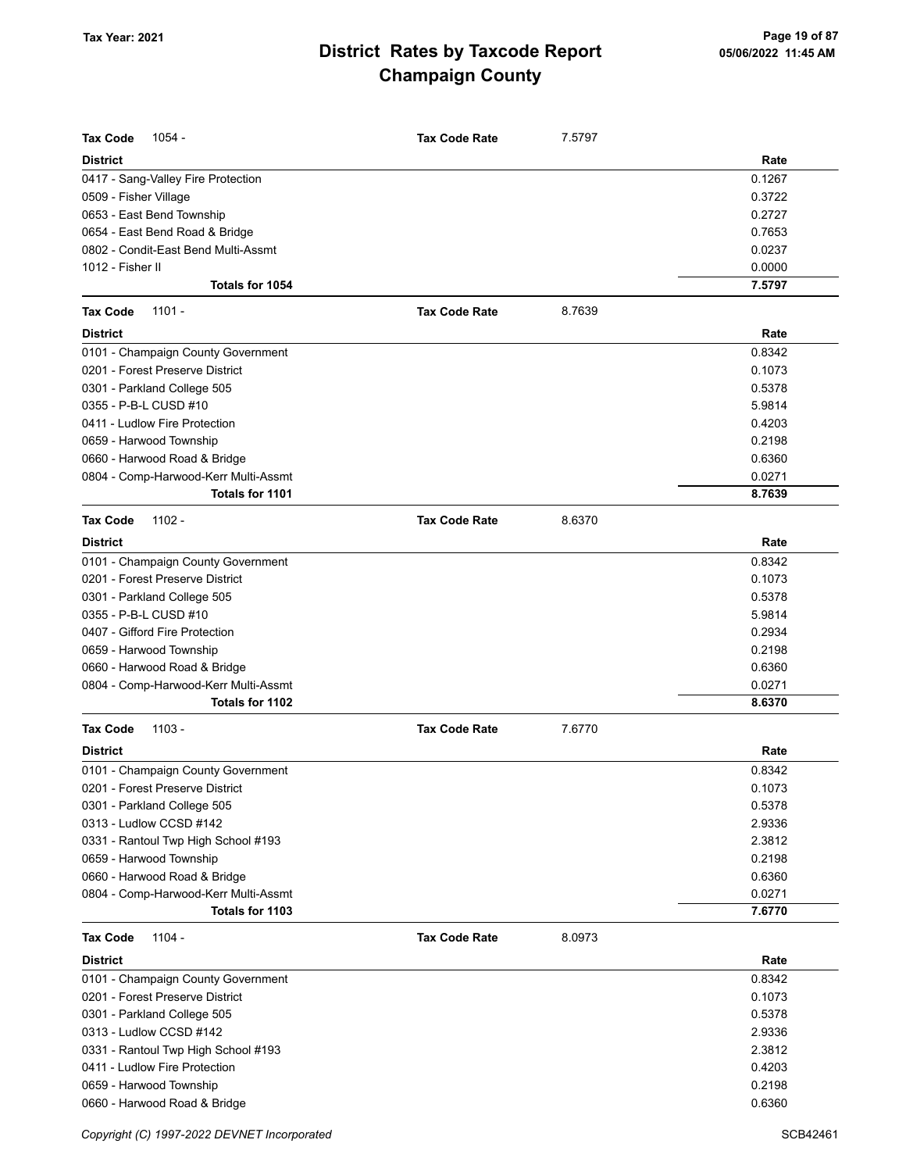| <b>Tax Code</b><br>1054 -            | <b>Tax Code Rate</b> | 7.5797 |                  |
|--------------------------------------|----------------------|--------|------------------|
|                                      |                      |        |                  |
| <b>District</b>                      |                      |        | Rate             |
| 0417 - Sang-Valley Fire Protection   |                      |        | 0.1267           |
| 0509 - Fisher Village                |                      |        | 0.3722           |
| 0653 - East Bend Township            |                      |        | 0.2727           |
| 0654 - East Bend Road & Bridge       |                      |        | 0.7653           |
| 0802 - Condit-East Bend Multi-Assmt  |                      |        | 0.0237           |
| 1012 - Fisher II<br>Totals for 1054  |                      |        | 0.0000<br>7.5797 |
|                                      |                      |        |                  |
| <b>Tax Code</b><br>$1101 -$          | <b>Tax Code Rate</b> | 8.7639 |                  |
| <b>District</b>                      |                      |        | Rate             |
| 0101 - Champaign County Government   |                      |        | 0.8342           |
| 0201 - Forest Preserve District      |                      |        | 0.1073           |
| 0301 - Parkland College 505          |                      |        | 0.5378           |
| 0355 - P-B-L CUSD #10                |                      |        | 5.9814           |
| 0411 - Ludlow Fire Protection        |                      |        | 0.4203           |
| 0659 - Harwood Township              |                      |        | 0.2198           |
| 0660 - Harwood Road & Bridge         |                      |        | 0.6360           |
| 0804 - Comp-Harwood-Kerr Multi-Assmt |                      |        | 0.0271           |
| Totals for 1101                      |                      |        | 8.7639           |
| <b>Tax Code</b><br>$1102 -$          | <b>Tax Code Rate</b> | 8.6370 |                  |
| <b>District</b>                      |                      |        | Rate             |
| 0101 - Champaign County Government   |                      |        | 0.8342           |
| 0201 - Forest Preserve District      |                      |        | 0.1073           |
| 0301 - Parkland College 505          |                      |        | 0.5378           |
| 0355 - P-B-L CUSD #10                |                      |        | 5.9814           |
| 0407 - Gifford Fire Protection       |                      |        | 0.2934           |
| 0659 - Harwood Township              |                      |        | 0.2198           |
| 0660 - Harwood Road & Bridge         |                      |        | 0.6360           |
| 0804 - Comp-Harwood-Kerr Multi-Assmt |                      |        | 0.0271           |
| Totals for 1102                      |                      |        | 8.6370           |
| $1103 -$<br><b>Tax Code</b>          | <b>Tax Code Rate</b> | 7.6770 |                  |
| <b>District</b>                      |                      |        | Rate             |
| 0101 - Champaign County Government   |                      |        | 0.8342           |
| 0201 - Forest Preserve District      |                      |        | 0.1073           |
| 0301 - Parkland College 505          |                      |        | 0.5378           |
| 0313 - Ludlow CCSD #142              |                      |        | 2.9336           |
| 0331 - Rantoul Twp High School #193  |                      |        | 2.3812           |
| 0659 - Harwood Township              |                      |        | 0.2198           |
| 0660 - Harwood Road & Bridge         |                      |        | 0.6360           |
| 0804 - Comp-Harwood-Kerr Multi-Assmt |                      |        | 0.0271           |
| Totals for 1103                      |                      |        | 7.6770           |
| <b>Tax Code</b><br>1104 -            | <b>Tax Code Rate</b> | 8.0973 |                  |
| <b>District</b>                      |                      |        | Rate             |
| 0101 - Champaign County Government   |                      |        | 0.8342           |
| 0201 - Forest Preserve District      |                      |        | 0.1073           |
| 0301 - Parkland College 505          |                      |        | 0.5378           |
| 0313 - Ludlow CCSD #142              |                      |        | 2.9336           |
| 0331 - Rantoul Twp High School #193  |                      |        | 2.3812           |
| 0411 - Ludlow Fire Protection        |                      |        | 0.4203           |
| 0659 - Harwood Township              |                      |        | 0.2198           |
| 0660 - Harwood Road & Bridge         |                      |        | 0.6360           |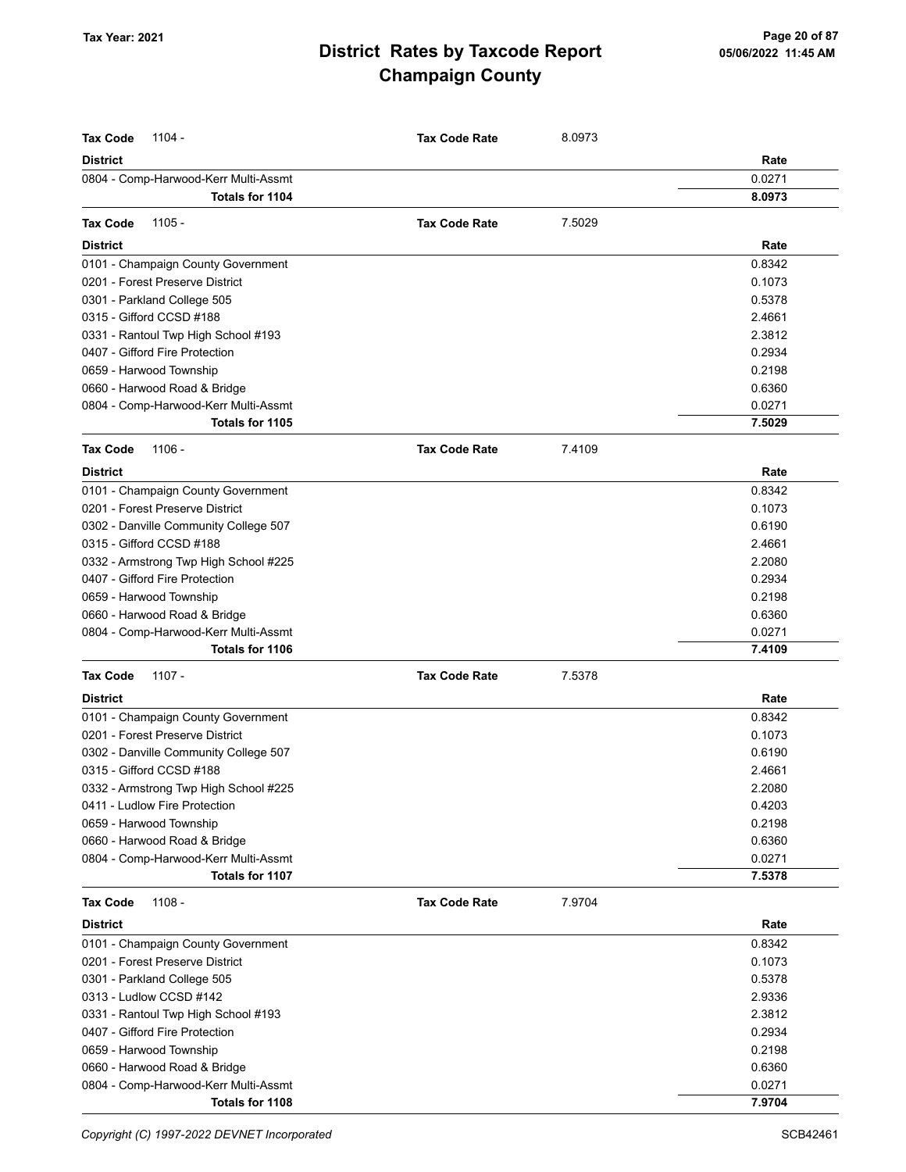| <b>Tax Code</b><br>1104 -             | <b>Tax Code Rate</b> | 8.0973 |        |
|---------------------------------------|----------------------|--------|--------|
| <b>District</b>                       |                      |        | Rate   |
| 0804 - Comp-Harwood-Kerr Multi-Assmt  |                      |        | 0.0271 |
| Totals for 1104                       |                      |        | 8.0973 |
| 1105 -<br><b>Tax Code</b>             | <b>Tax Code Rate</b> | 7.5029 |        |
| <b>District</b>                       |                      |        | Rate   |
| 0101 - Champaign County Government    |                      |        | 0.8342 |
| 0201 - Forest Preserve District       |                      |        | 0.1073 |
| 0301 - Parkland College 505           |                      |        | 0.5378 |
| 0315 - Gifford CCSD #188              |                      |        | 2.4661 |
| 0331 - Rantoul Twp High School #193   |                      |        | 2.3812 |
| 0407 - Gifford Fire Protection        |                      |        | 0.2934 |
| 0659 - Harwood Township               |                      |        | 0.2198 |
| 0660 - Harwood Road & Bridge          |                      |        | 0.6360 |
| 0804 - Comp-Harwood-Kerr Multi-Assmt  |                      |        | 0.0271 |
| Totals for 1105                       |                      |        | 7.5029 |
| <b>Tax Code</b><br>$1106 -$           | <b>Tax Code Rate</b> | 7.4109 |        |
| <b>District</b>                       |                      |        | Rate   |
| 0101 - Champaign County Government    |                      |        | 0.8342 |
| 0201 - Forest Preserve District       |                      |        | 0.1073 |
| 0302 - Danville Community College 507 |                      |        | 0.6190 |
| 0315 - Gifford CCSD #188              |                      |        | 2.4661 |
| 0332 - Armstrong Twp High School #225 |                      |        | 2.2080 |
| 0407 - Gifford Fire Protection        |                      |        | 0.2934 |
| 0659 - Harwood Township               |                      |        | 0.2198 |
| 0660 - Harwood Road & Bridge          |                      |        | 0.6360 |
| 0804 - Comp-Harwood-Kerr Multi-Assmt  |                      |        | 0.0271 |
| Totals for 1106                       |                      |        | 7.4109 |
| <b>Tax Code</b><br>1107 -             | <b>Tax Code Rate</b> | 7.5378 |        |
| <b>District</b>                       |                      |        | Rate   |
| 0101 - Champaign County Government    |                      |        | 0.8342 |
| 0201 - Forest Preserve District       |                      |        | 0.1073 |
| 0302 - Danville Community College 507 |                      |        | 0.6190 |
| 0315 - Gifford CCSD #188              |                      |        | 2.4661 |
| 0332 - Armstrong Twp High School #225 |                      |        | 2.2080 |
| 0411 - Ludlow Fire Protection         |                      |        | 0.4203 |
| 0659 - Harwood Township               |                      |        | 0.2198 |
| 0660 - Harwood Road & Bridge          |                      |        | 0.6360 |
| 0804 - Comp-Harwood-Kerr Multi-Assmt  |                      |        | 0.0271 |
| Totals for 1107                       |                      |        | 7.5378 |
| <b>Tax Code</b><br>$1108 -$           | <b>Tax Code Rate</b> | 7.9704 |        |
| <b>District</b>                       |                      |        | Rate   |
| 0101 - Champaign County Government    |                      |        | 0.8342 |
| 0201 - Forest Preserve District       |                      |        | 0.1073 |
| 0301 - Parkland College 505           |                      |        | 0.5378 |
| 0313 - Ludlow CCSD #142               |                      |        | 2.9336 |
| 0331 - Rantoul Twp High School #193   |                      |        | 2.3812 |
| 0407 - Gifford Fire Protection        |                      |        | 0.2934 |
| 0659 - Harwood Township               |                      |        | 0.2198 |
| 0660 - Harwood Road & Bridge          |                      |        | 0.6360 |
| 0804 - Comp-Harwood-Kerr Multi-Assmt  |                      |        | 0.0271 |
| Totals for 1108                       |                      |        | 7.9704 |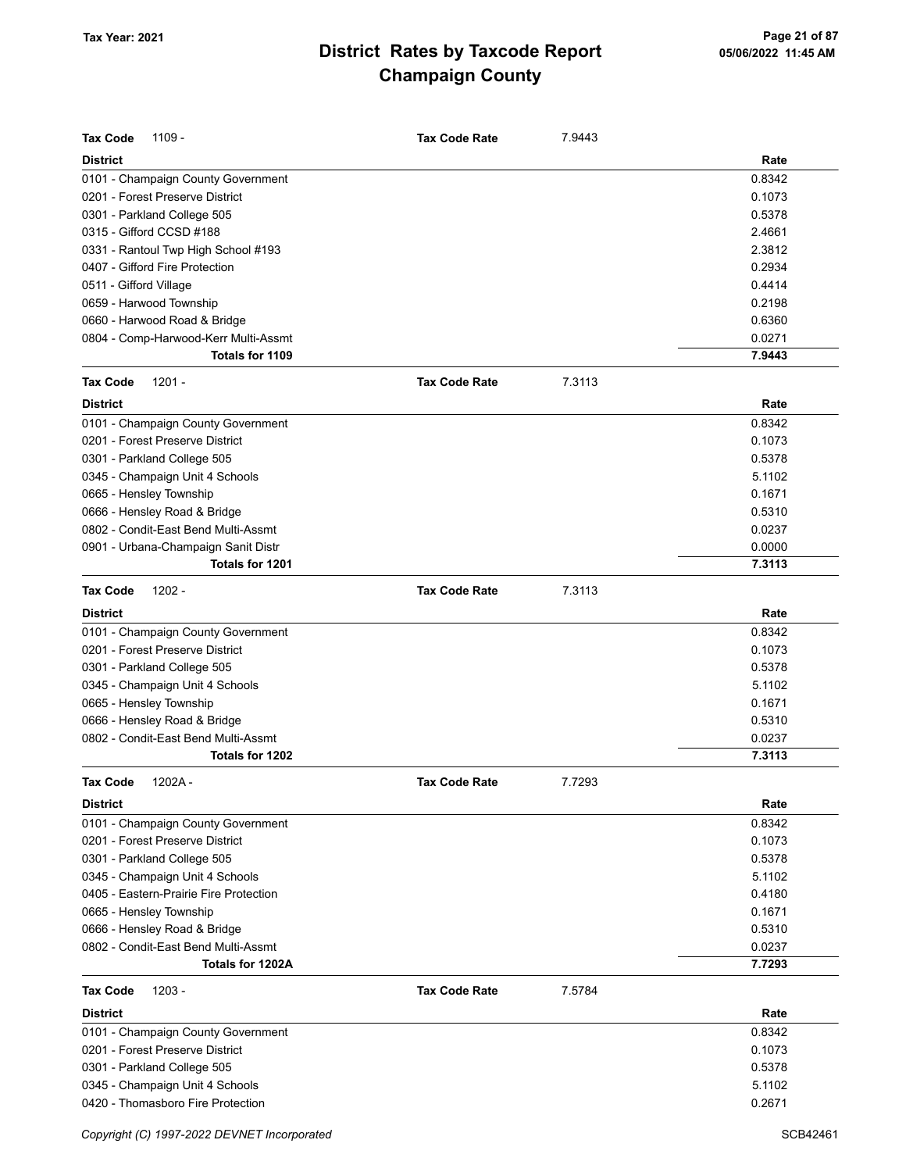| <b>Tax Code</b><br>1109 -              | <b>Tax Code Rate</b> | 7.9443 |        |
|----------------------------------------|----------------------|--------|--------|
| <b>District</b>                        |                      |        | Rate   |
| 0101 - Champaign County Government     |                      |        | 0.8342 |
| 0201 - Forest Preserve District        |                      |        | 0.1073 |
| 0301 - Parkland College 505            |                      |        | 0.5378 |
| 0315 - Gifford CCSD #188               |                      |        | 2.4661 |
| 0331 - Rantoul Twp High School #193    |                      |        | 2.3812 |
| 0407 - Gifford Fire Protection         |                      |        | 0.2934 |
| 0511 - Gifford Village                 |                      |        | 0.4414 |
| 0659 - Harwood Township                |                      |        | 0.2198 |
| 0660 - Harwood Road & Bridge           |                      |        | 0.6360 |
| 0804 - Comp-Harwood-Kerr Multi-Assmt   |                      |        | 0.0271 |
| Totals for 1109                        |                      |        | 7.9443 |
| <b>Tax Code</b><br>$1201 -$            | <b>Tax Code Rate</b> | 7.3113 |        |
| <b>District</b>                        |                      |        | Rate   |
| 0101 - Champaign County Government     |                      |        | 0.8342 |
| 0201 - Forest Preserve District        |                      |        | 0.1073 |
| 0301 - Parkland College 505            |                      |        | 0.5378 |
| 0345 - Champaign Unit 4 Schools        |                      |        | 5.1102 |
| 0665 - Hensley Township                |                      |        | 0.1671 |
| 0666 - Hensley Road & Bridge           |                      |        | 0.5310 |
| 0802 - Condit-East Bend Multi-Assmt    |                      |        | 0.0237 |
| 0901 - Urbana-Champaign Sanit Distr    |                      |        | 0.0000 |
| Totals for 1201                        |                      |        | 7.3113 |
| <b>Tax Code</b><br>$1202 -$            | <b>Tax Code Rate</b> | 7.3113 |        |
| <b>District</b>                        |                      |        | Rate   |
| 0101 - Champaign County Government     |                      |        | 0.8342 |
| 0201 - Forest Preserve District        |                      |        | 0.1073 |
| 0301 - Parkland College 505            |                      |        | 0.5378 |
| 0345 - Champaign Unit 4 Schools        |                      |        | 5.1102 |
| 0665 - Hensley Township                |                      |        | 0.1671 |
| 0666 - Hensley Road & Bridge           |                      |        | 0.5310 |
| 0802 - Condit-East Bend Multi-Assmt    |                      |        | 0.0237 |
| Totals for 1202                        |                      |        | 7.3113 |
| 1202A-<br>Tax Code                     | <b>Tax Code Rate</b> | 7.7293 |        |
| <b>District</b>                        |                      |        | Rate   |
| 0101 - Champaign County Government     |                      |        | 0.8342 |
| 0201 - Forest Preserve District        |                      |        | 0.1073 |
| 0301 - Parkland College 505            |                      |        | 0.5378 |
| 0345 - Champaign Unit 4 Schools        |                      |        | 5.1102 |
| 0405 - Eastern-Prairie Fire Protection |                      |        | 0.4180 |
| 0665 - Hensley Township                |                      |        | 0.1671 |
| 0666 - Hensley Road & Bridge           |                      |        | 0.5310 |
| 0802 - Condit-East Bend Multi-Assmt    |                      |        | 0.0237 |
| Totals for 1202A                       |                      |        | 7.7293 |
| <b>Tax Code</b><br>$1203 -$            | <b>Tax Code Rate</b> | 7.5784 |        |
| <b>District</b>                        |                      |        | Rate   |
| 0101 - Champaign County Government     |                      |        | 0.8342 |
| 0201 - Forest Preserve District        |                      |        | 0.1073 |
| 0301 - Parkland College 505            |                      |        | 0.5378 |
| 0345 - Champaign Unit 4 Schools        |                      |        | 5.1102 |
| 0420 - Thomasboro Fire Protection      |                      |        | 0.2671 |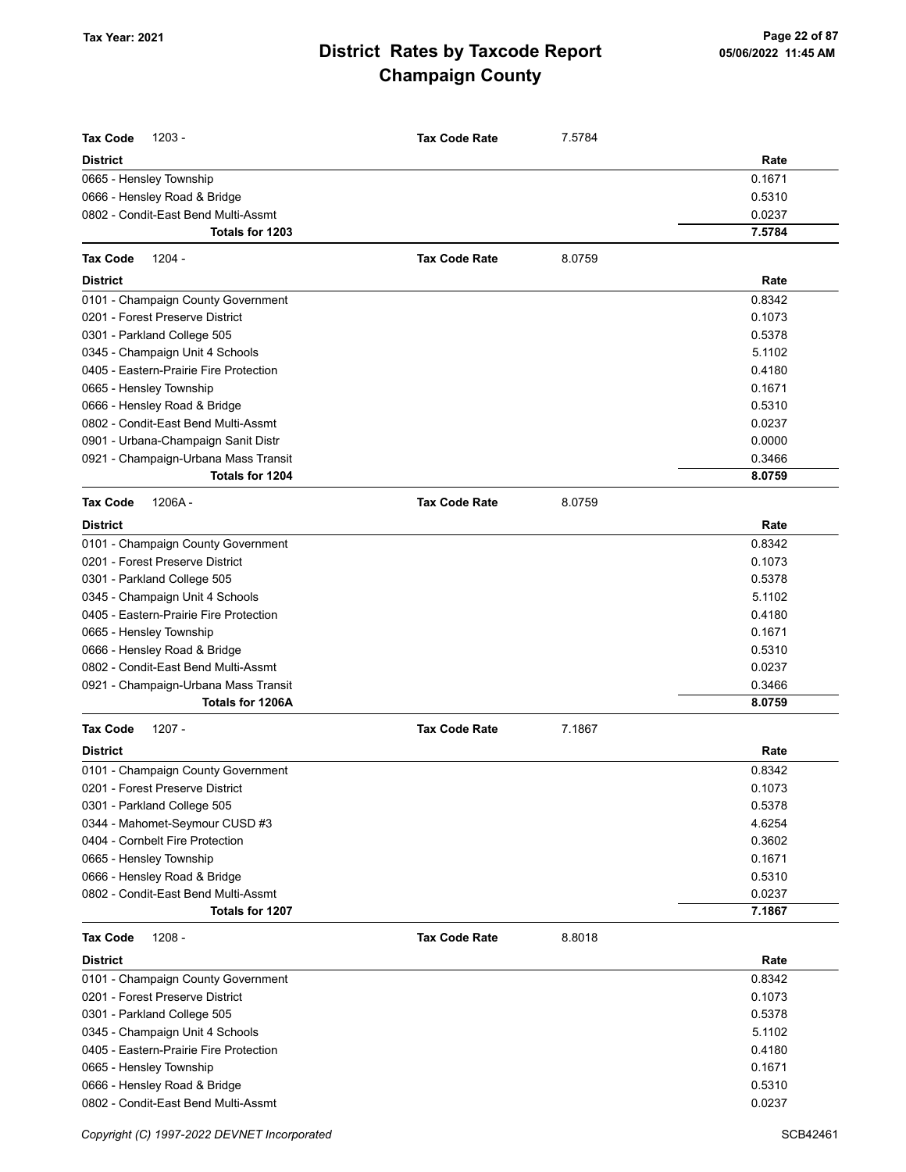| <b>Tax Code</b><br>$1203 -$                                         | <b>Tax Code Rate</b><br>7.5784 |        |
|---------------------------------------------------------------------|--------------------------------|--------|
| <b>District</b>                                                     |                                | Rate   |
| 0665 - Hensley Township                                             |                                | 0.1671 |
| 0666 - Hensley Road & Bridge<br>0802 - Condit-East Bend Multi-Assmt |                                | 0.5310 |
| Totals for 1203                                                     |                                | 0.0237 |
|                                                                     |                                | 7.5784 |
| <b>Tax Code</b><br>$1204 -$                                         | <b>Tax Code Rate</b><br>8.0759 |        |
| <b>District</b>                                                     |                                | Rate   |
| 0101 - Champaign County Government                                  |                                | 0.8342 |
| 0201 - Forest Preserve District                                     |                                | 0.1073 |
| 0301 - Parkland College 505                                         |                                | 0.5378 |
| 0345 - Champaign Unit 4 Schools                                     |                                | 5.1102 |
| 0405 - Eastern-Prairie Fire Protection                              |                                | 0.4180 |
| 0665 - Hensley Township                                             |                                | 0.1671 |
| 0666 - Hensley Road & Bridge                                        |                                | 0.5310 |
| 0802 - Condit-East Bend Multi-Assmt                                 |                                | 0.0237 |
| 0901 - Urbana-Champaign Sanit Distr                                 |                                | 0.0000 |
| 0921 - Champaign-Urbana Mass Transit                                |                                | 0.3466 |
| <b>Totals for 1204</b>                                              |                                | 8.0759 |
| <b>Tax Code</b><br>1206A-                                           | <b>Tax Code Rate</b><br>8.0759 |        |
| <b>District</b>                                                     |                                | Rate   |
| 0101 - Champaign County Government                                  |                                | 0.8342 |
| 0201 - Forest Preserve District                                     |                                | 0.1073 |
| 0301 - Parkland College 505                                         |                                | 0.5378 |
| 0345 - Champaign Unit 4 Schools                                     |                                | 5.1102 |
| 0405 - Eastern-Prairie Fire Protection                              |                                | 0.4180 |
| 0665 - Hensley Township                                             |                                | 0.1671 |
| 0666 - Hensley Road & Bridge                                        |                                | 0.5310 |
| 0802 - Condit-East Bend Multi-Assmt                                 |                                | 0.0237 |
| 0921 - Champaign-Urbana Mass Transit                                |                                | 0.3466 |
| Totals for 1206A                                                    |                                | 8.0759 |
| $1207 -$<br><b>Tax Code</b>                                         | 7.1867<br><b>Tax Code Rate</b> |        |
| <b>District</b>                                                     |                                | Rate   |
| 0101 - Champaign County Government                                  |                                | 0.8342 |
| 0201 - Forest Preserve District                                     |                                | 0.1073 |
| 0301 - Parkland College 505                                         |                                | 0.5378 |
| 0344 - Mahomet-Seymour CUSD #3                                      |                                | 4.6254 |
| 0404 - Cornbelt Fire Protection                                     |                                | 0.3602 |
| 0665 - Hensley Township                                             |                                | 0.1671 |
| 0666 - Hensley Road & Bridge                                        |                                | 0.5310 |
| 0802 - Condit-East Bend Multi-Assmt                                 |                                | 0.0237 |
| Totals for 1207                                                     |                                | 7.1867 |
| <b>Tax Code</b><br>$1208 -$                                         | <b>Tax Code Rate</b><br>8.8018 |        |
| <b>District</b>                                                     |                                | Rate   |
| 0101 - Champaign County Government                                  |                                | 0.8342 |
| 0201 - Forest Preserve District                                     |                                | 0.1073 |
| 0301 - Parkland College 505                                         |                                | 0.5378 |
| 0345 - Champaign Unit 4 Schools                                     |                                | 5.1102 |
| 0405 - Eastern-Prairie Fire Protection                              |                                | 0.4180 |
| 0665 - Hensley Township                                             |                                | 0.1671 |
| 0666 - Hensley Road & Bridge                                        |                                | 0.5310 |
| 0802 - Condit-East Bend Multi-Assmt                                 |                                | 0.0237 |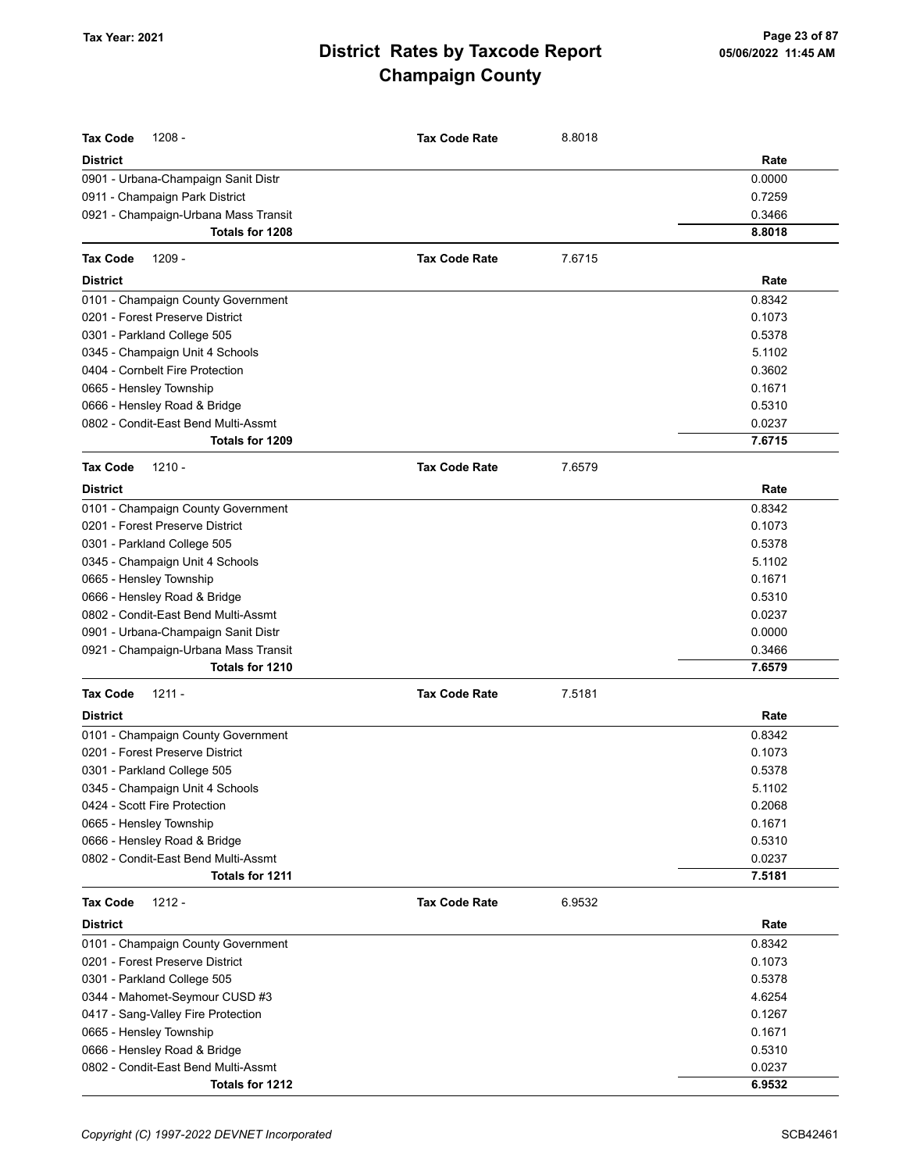| Rate<br>District<br>0.0000<br>0901 - Urbana-Champaign Sanit Distr<br>0911 - Champaign Park District<br>0.7259<br>0921 - Champaign-Urbana Mass Transit<br>0.3466<br>Totals for 1208<br>8.8018<br>Tax Code<br>1209 -<br><b>Tax Code Rate</b><br>7.6715<br><b>District</b><br>Rate<br>0.8342<br>0101 - Champaign County Government<br>0201 - Forest Preserve District<br>0.1073<br>0.5378<br>0301 - Parkland College 505<br>5.1102<br>0345 - Champaign Unit 4 Schools<br>0404 - Cornbelt Fire Protection<br>0.3602<br>0665 - Hensley Township<br>0.1671<br>0.5310<br>0666 - Hensley Road & Bridge<br>0802 - Condit-East Bend Multi-Assmt<br>0.0237<br>Totals for 1209<br>7.6715<br>$1210 -$<br>7.6579<br><b>Tax Code</b><br><b>Tax Code Rate</b><br><b>District</b><br>Rate<br>0.8342<br>0101 - Champaign County Government | Tax Code<br>$1208 -$ | <b>Tax Code Rate</b> | 8.8018 |  |
|--------------------------------------------------------------------------------------------------------------------------------------------------------------------------------------------------------------------------------------------------------------------------------------------------------------------------------------------------------------------------------------------------------------------------------------------------------------------------------------------------------------------------------------------------------------------------------------------------------------------------------------------------------------------------------------------------------------------------------------------------------------------------------------------------------------------------|----------------------|----------------------|--------|--|
|                                                                                                                                                                                                                                                                                                                                                                                                                                                                                                                                                                                                                                                                                                                                                                                                                          |                      |                      |        |  |
|                                                                                                                                                                                                                                                                                                                                                                                                                                                                                                                                                                                                                                                                                                                                                                                                                          |                      |                      |        |  |
|                                                                                                                                                                                                                                                                                                                                                                                                                                                                                                                                                                                                                                                                                                                                                                                                                          |                      |                      |        |  |
|                                                                                                                                                                                                                                                                                                                                                                                                                                                                                                                                                                                                                                                                                                                                                                                                                          |                      |                      |        |  |
|                                                                                                                                                                                                                                                                                                                                                                                                                                                                                                                                                                                                                                                                                                                                                                                                                          |                      |                      |        |  |
|                                                                                                                                                                                                                                                                                                                                                                                                                                                                                                                                                                                                                                                                                                                                                                                                                          |                      |                      |        |  |
|                                                                                                                                                                                                                                                                                                                                                                                                                                                                                                                                                                                                                                                                                                                                                                                                                          |                      |                      |        |  |
|                                                                                                                                                                                                                                                                                                                                                                                                                                                                                                                                                                                                                                                                                                                                                                                                                          |                      |                      |        |  |
|                                                                                                                                                                                                                                                                                                                                                                                                                                                                                                                                                                                                                                                                                                                                                                                                                          |                      |                      |        |  |
|                                                                                                                                                                                                                                                                                                                                                                                                                                                                                                                                                                                                                                                                                                                                                                                                                          |                      |                      |        |  |
|                                                                                                                                                                                                                                                                                                                                                                                                                                                                                                                                                                                                                                                                                                                                                                                                                          |                      |                      |        |  |
|                                                                                                                                                                                                                                                                                                                                                                                                                                                                                                                                                                                                                                                                                                                                                                                                                          |                      |                      |        |  |
|                                                                                                                                                                                                                                                                                                                                                                                                                                                                                                                                                                                                                                                                                                                                                                                                                          |                      |                      |        |  |
|                                                                                                                                                                                                                                                                                                                                                                                                                                                                                                                                                                                                                                                                                                                                                                                                                          |                      |                      |        |  |
|                                                                                                                                                                                                                                                                                                                                                                                                                                                                                                                                                                                                                                                                                                                                                                                                                          |                      |                      |        |  |
|                                                                                                                                                                                                                                                                                                                                                                                                                                                                                                                                                                                                                                                                                                                                                                                                                          |                      |                      |        |  |
|                                                                                                                                                                                                                                                                                                                                                                                                                                                                                                                                                                                                                                                                                                                                                                                                                          |                      |                      |        |  |
|                                                                                                                                                                                                                                                                                                                                                                                                                                                                                                                                                                                                                                                                                                                                                                                                                          |                      |                      |        |  |
|                                                                                                                                                                                                                                                                                                                                                                                                                                                                                                                                                                                                                                                                                                                                                                                                                          |                      |                      |        |  |
| 0201 - Forest Preserve District<br>0.1073                                                                                                                                                                                                                                                                                                                                                                                                                                                                                                                                                                                                                                                                                                                                                                                |                      |                      |        |  |
| 0301 - Parkland College 505<br>0.5378                                                                                                                                                                                                                                                                                                                                                                                                                                                                                                                                                                                                                                                                                                                                                                                    |                      |                      |        |  |
| 0345 - Champaign Unit 4 Schools<br>5.1102                                                                                                                                                                                                                                                                                                                                                                                                                                                                                                                                                                                                                                                                                                                                                                                |                      |                      |        |  |
| 0665 - Hensley Township<br>0.1671                                                                                                                                                                                                                                                                                                                                                                                                                                                                                                                                                                                                                                                                                                                                                                                        |                      |                      |        |  |
| 0666 - Hensley Road & Bridge<br>0.5310                                                                                                                                                                                                                                                                                                                                                                                                                                                                                                                                                                                                                                                                                                                                                                                   |                      |                      |        |  |
| 0802 - Condit-East Bend Multi-Assmt<br>0.0237                                                                                                                                                                                                                                                                                                                                                                                                                                                                                                                                                                                                                                                                                                                                                                            |                      |                      |        |  |
| 0901 - Urbana-Champaign Sanit Distr<br>0.0000                                                                                                                                                                                                                                                                                                                                                                                                                                                                                                                                                                                                                                                                                                                                                                            |                      |                      |        |  |
| 0921 - Champaign-Urbana Mass Transit<br>0.3466                                                                                                                                                                                                                                                                                                                                                                                                                                                                                                                                                                                                                                                                                                                                                                           |                      |                      |        |  |
| Totals for 1210<br>7.6579                                                                                                                                                                                                                                                                                                                                                                                                                                                                                                                                                                                                                                                                                                                                                                                                |                      |                      |        |  |
| Tax Code<br>$1211 -$<br><b>Tax Code Rate</b><br>7.5181                                                                                                                                                                                                                                                                                                                                                                                                                                                                                                                                                                                                                                                                                                                                                                   |                      |                      |        |  |
| <b>District</b><br>Rate                                                                                                                                                                                                                                                                                                                                                                                                                                                                                                                                                                                                                                                                                                                                                                                                  |                      |                      |        |  |
| 0.8342<br>0101 - Champaign County Government                                                                                                                                                                                                                                                                                                                                                                                                                                                                                                                                                                                                                                                                                                                                                                             |                      |                      |        |  |
| 0201 - Forest Preserve District<br>0.1073                                                                                                                                                                                                                                                                                                                                                                                                                                                                                                                                                                                                                                                                                                                                                                                |                      |                      |        |  |
| 0.5378<br>0301 - Parkland College 505                                                                                                                                                                                                                                                                                                                                                                                                                                                                                                                                                                                                                                                                                                                                                                                    |                      |                      |        |  |
| 0345 - Champaign Unit 4 Schools<br>5.1102                                                                                                                                                                                                                                                                                                                                                                                                                                                                                                                                                                                                                                                                                                                                                                                |                      |                      |        |  |
| 0424 - Scott Fire Protection<br>0.2068                                                                                                                                                                                                                                                                                                                                                                                                                                                                                                                                                                                                                                                                                                                                                                                   |                      |                      |        |  |
| 0665 - Hensley Township<br>0.1671                                                                                                                                                                                                                                                                                                                                                                                                                                                                                                                                                                                                                                                                                                                                                                                        |                      |                      |        |  |
| 0666 - Hensley Road & Bridge<br>0.5310                                                                                                                                                                                                                                                                                                                                                                                                                                                                                                                                                                                                                                                                                                                                                                                   |                      |                      |        |  |
| 0802 - Condit-East Bend Multi-Assmt<br>0.0237<br>Totals for 1211<br>7.5181                                                                                                                                                                                                                                                                                                                                                                                                                                                                                                                                                                                                                                                                                                                                               |                      |                      |        |  |
| Tax Code<br><b>Tax Code Rate</b><br>6.9532<br>1212 -                                                                                                                                                                                                                                                                                                                                                                                                                                                                                                                                                                                                                                                                                                                                                                     |                      |                      |        |  |
| <b>District</b><br>Rate                                                                                                                                                                                                                                                                                                                                                                                                                                                                                                                                                                                                                                                                                                                                                                                                  |                      |                      |        |  |
|                                                                                                                                                                                                                                                                                                                                                                                                                                                                                                                                                                                                                                                                                                                                                                                                                          |                      |                      |        |  |
| 0101 - Champaign County Government<br>0.8342<br>0201 - Forest Preserve District<br>0.1073                                                                                                                                                                                                                                                                                                                                                                                                                                                                                                                                                                                                                                                                                                                                |                      |                      |        |  |
|                                                                                                                                                                                                                                                                                                                                                                                                                                                                                                                                                                                                                                                                                                                                                                                                                          |                      |                      |        |  |
| 0301 - Parkland College 505<br>0.5378                                                                                                                                                                                                                                                                                                                                                                                                                                                                                                                                                                                                                                                                                                                                                                                    |                      |                      |        |  |
| 0344 - Mahomet-Seymour CUSD #3<br>4.6254                                                                                                                                                                                                                                                                                                                                                                                                                                                                                                                                                                                                                                                                                                                                                                                 |                      |                      |        |  |
| 0417 - Sang-Valley Fire Protection<br>0.1267<br>0.1671                                                                                                                                                                                                                                                                                                                                                                                                                                                                                                                                                                                                                                                                                                                                                                   |                      |                      |        |  |
| 0665 - Hensley Township<br>0666 - Hensley Road & Bridge<br>0.5310                                                                                                                                                                                                                                                                                                                                                                                                                                                                                                                                                                                                                                                                                                                                                        |                      |                      |        |  |
| 0802 - Condit-East Bend Multi-Assmt<br>0.0237                                                                                                                                                                                                                                                                                                                                                                                                                                                                                                                                                                                                                                                                                                                                                                            |                      |                      |        |  |
| Totals for 1212<br>6.9532                                                                                                                                                                                                                                                                                                                                                                                                                                                                                                                                                                                                                                                                                                                                                                                                |                      |                      |        |  |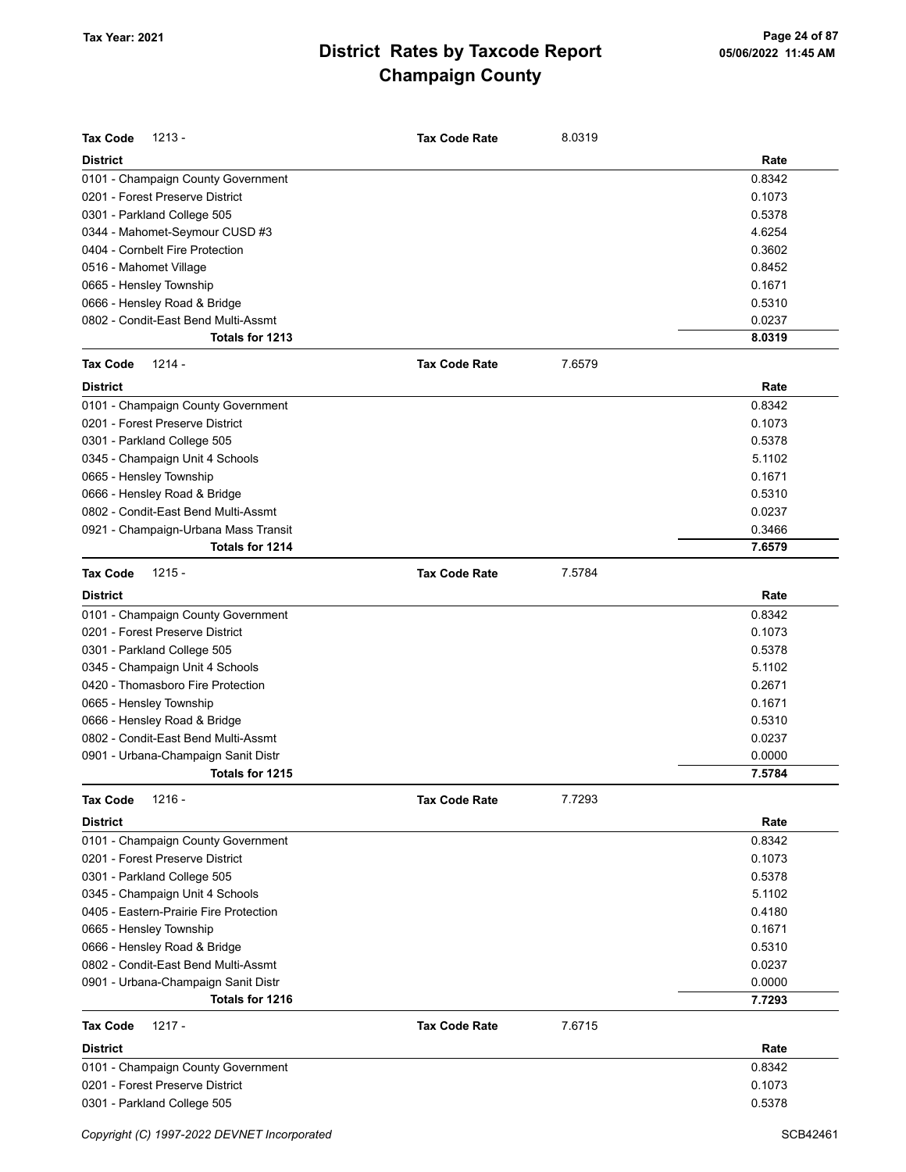| <b>Tax Code</b><br>$1213 -$            | <b>Tax Code Rate</b> | 8.0319 |        |
|----------------------------------------|----------------------|--------|--------|
| <b>District</b>                        |                      |        | Rate   |
| 0101 - Champaign County Government     |                      |        | 0.8342 |
| 0201 - Forest Preserve District        |                      |        | 0.1073 |
| 0301 - Parkland College 505            |                      |        | 0.5378 |
| 0344 - Mahomet-Seymour CUSD #3         |                      |        | 4.6254 |
| 0404 - Cornbelt Fire Protection        |                      |        | 0.3602 |
| 0516 - Mahomet Village                 |                      |        | 0.8452 |
| 0665 - Hensley Township                |                      |        | 0.1671 |
| 0666 - Hensley Road & Bridge           |                      |        | 0.5310 |
| 0802 - Condit-East Bend Multi-Assmt    |                      |        | 0.0237 |
| Totals for 1213                        |                      |        | 8.0319 |
| <b>Tax Code</b><br>1214 -              | <b>Tax Code Rate</b> | 7.6579 |        |
| <b>District</b>                        |                      |        | Rate   |
| 0101 - Champaign County Government     |                      |        | 0.8342 |
| 0201 - Forest Preserve District        |                      |        | 0.1073 |
| 0301 - Parkland College 505            |                      |        | 0.5378 |
| 0345 - Champaign Unit 4 Schools        |                      |        | 5.1102 |
| 0665 - Hensley Township                |                      |        | 0.1671 |
| 0666 - Hensley Road & Bridge           |                      |        | 0.5310 |
| 0802 - Condit-East Bend Multi-Assmt    |                      |        | 0.0237 |
| 0921 - Champaign-Urbana Mass Transit   |                      |        | 0.3466 |
| Totals for 1214                        |                      |        | 7.6579 |
| $1215 -$<br><b>Tax Code</b>            | <b>Tax Code Rate</b> | 7.5784 |        |
| <b>District</b>                        |                      |        | Rate   |
| 0101 - Champaign County Government     |                      |        | 0.8342 |
| 0201 - Forest Preserve District        |                      |        | 0.1073 |
| 0301 - Parkland College 505            |                      |        | 0.5378 |
| 0345 - Champaign Unit 4 Schools        |                      |        | 5.1102 |
| 0420 - Thomasboro Fire Protection      |                      |        | 0.2671 |
| 0665 - Hensley Township                |                      |        | 0.1671 |
| 0666 - Hensley Road & Bridge           |                      |        | 0.5310 |
| 0802 - Condit-East Bend Multi-Assmt    |                      |        | 0.0237 |
| 0901 - Urbana-Champaign Sanit Distr    |                      |        | 0.0000 |
| Totals for 1215                        |                      |        | 7.5784 |
| <b>Tax Code</b><br>$1216 -$            | <b>Tax Code Rate</b> | 7.7293 |        |
| <b>District</b>                        |                      |        | Rate   |
| 0101 - Champaign County Government     |                      |        | 0.8342 |
| 0201 - Forest Preserve District        |                      |        | 0.1073 |
| 0301 - Parkland College 505            |                      |        | 0.5378 |
| 0345 - Champaign Unit 4 Schools        |                      |        | 5.1102 |
| 0405 - Eastern-Prairie Fire Protection |                      |        | 0.4180 |
| 0665 - Hensley Township                |                      |        | 0.1671 |
| 0666 - Hensley Road & Bridge           |                      |        | 0.5310 |
| 0802 - Condit-East Bend Multi-Assmt    |                      |        | 0.0237 |
| 0901 - Urbana-Champaign Sanit Distr    |                      |        | 0.0000 |
| Totals for 1216                        |                      |        | 7.7293 |
| <b>Tax Code</b><br>$1217 -$            | <b>Tax Code Rate</b> | 7.6715 |        |
| <b>District</b>                        |                      |        | Rate   |
| 0101 - Champaign County Government     |                      |        | 0.8342 |
| 0201 - Forest Preserve District        |                      |        | 0.1073 |
| 0301 - Parkland College 505            |                      |        | 0.5378 |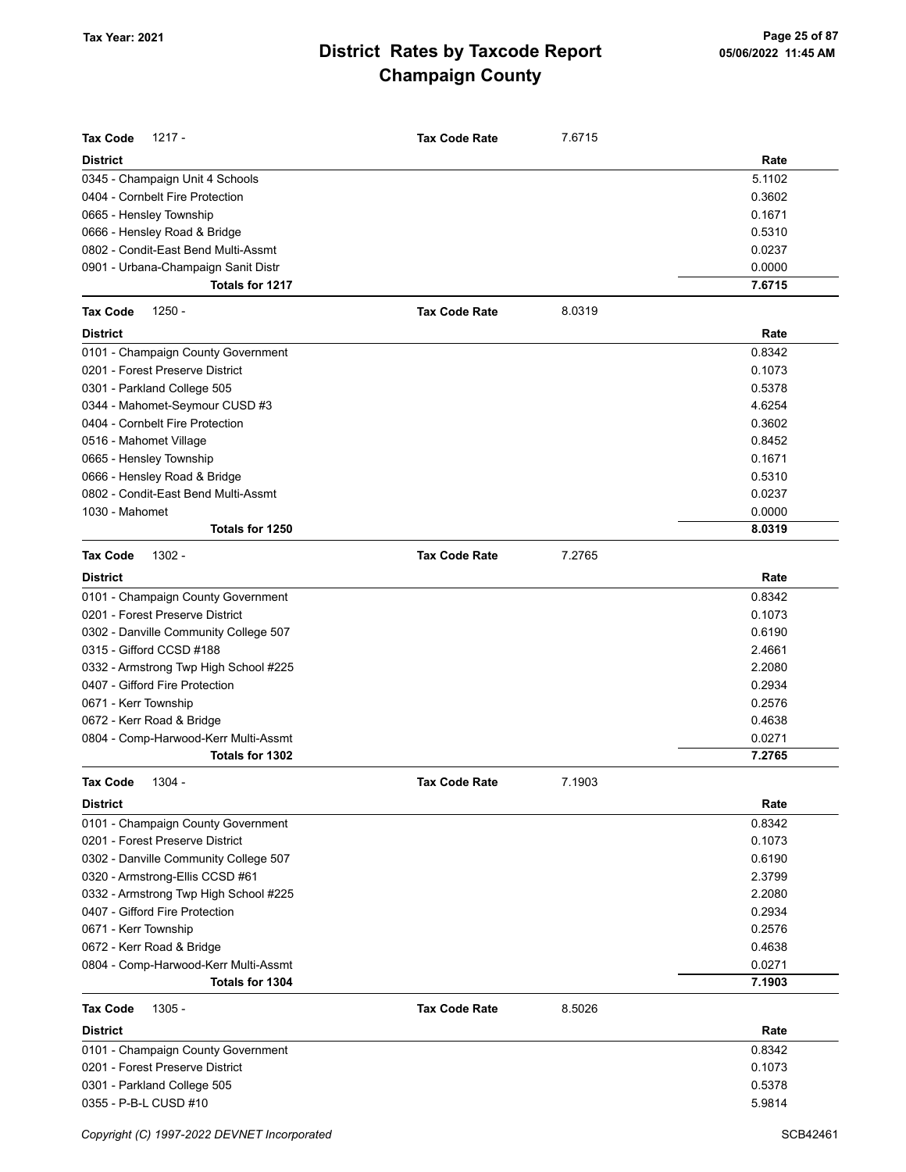| <b>Tax Code</b><br>1217 -             | <b>Tax Code Rate</b> | 7.6715 |        |
|---------------------------------------|----------------------|--------|--------|
| <b>District</b>                       |                      |        | Rate   |
| 0345 - Champaign Unit 4 Schools       |                      |        | 5.1102 |
| 0404 - Cornbelt Fire Protection       |                      |        | 0.3602 |
| 0665 - Hensley Township               |                      |        | 0.1671 |
| 0666 - Hensley Road & Bridge          |                      |        | 0.5310 |
| 0802 - Condit-East Bend Multi-Assmt   |                      |        | 0.0237 |
| 0901 - Urbana-Champaign Sanit Distr   |                      |        | 0.0000 |
| Totals for 1217                       |                      |        | 7.6715 |
| <b>Tax Code</b><br>$1250 -$           | <b>Tax Code Rate</b> | 8.0319 |        |
| <b>District</b>                       |                      |        | Rate   |
| 0101 - Champaign County Government    |                      |        | 0.8342 |
| 0201 - Forest Preserve District       |                      |        | 0.1073 |
| 0301 - Parkland College 505           |                      |        | 0.5378 |
| 0344 - Mahomet-Seymour CUSD #3        |                      |        | 4.6254 |
| 0404 - Cornbelt Fire Protection       |                      |        | 0.3602 |
| 0516 - Mahomet Village                |                      |        | 0.8452 |
| 0665 - Hensley Township               |                      |        | 0.1671 |
| 0666 - Hensley Road & Bridge          |                      |        | 0.5310 |
| 0802 - Condit-East Bend Multi-Assmt   |                      |        | 0.0237 |
| 1030 - Mahomet                        |                      |        | 0.0000 |
| Totals for 1250                       |                      |        | 8.0319 |
| <b>Tax Code</b><br>1302 -             | <b>Tax Code Rate</b> | 7.2765 |        |
| <b>District</b>                       |                      |        | Rate   |
| 0101 - Champaign County Government    |                      |        | 0.8342 |
| 0201 - Forest Preserve District       |                      |        | 0.1073 |
| 0302 - Danville Community College 507 |                      |        | 0.6190 |
| 0315 - Gifford CCSD #188              |                      |        | 2.4661 |
| 0332 - Armstrong Twp High School #225 |                      |        | 2.2080 |
| 0407 - Gifford Fire Protection        |                      |        | 0.2934 |
| 0671 - Kerr Township                  |                      |        | 0.2576 |
| 0672 - Kerr Road & Bridge             |                      |        | 0.4638 |
| 0804 - Comp-Harwood-Kerr Multi-Assmt  |                      |        | 0.0271 |
| <b>Totals for 1302</b>                |                      |        | 7.2765 |
| <b>Tax Code</b><br>1304 -             | <b>Tax Code Rate</b> | 7.1903 |        |
| <b>District</b>                       |                      |        | Rate   |
| 0101 - Champaign County Government    |                      |        | 0.8342 |
| 0201 - Forest Preserve District       |                      |        | 0.1073 |
| 0302 - Danville Community College 507 |                      |        | 0.6190 |
| 0320 - Armstrong-Ellis CCSD #61       |                      |        | 2.3799 |
| 0332 - Armstrong Twp High School #225 |                      |        | 2.2080 |
| 0407 - Gifford Fire Protection        |                      |        | 0.2934 |
| 0671 - Kerr Township                  |                      |        | 0.2576 |
| 0672 - Kerr Road & Bridge             |                      |        | 0.4638 |
| 0804 - Comp-Harwood-Kerr Multi-Assmt  |                      |        | 0.0271 |
| Totals for 1304                       |                      |        | 7.1903 |
| <b>Tax Code</b><br>$1305 -$           | <b>Tax Code Rate</b> | 8.5026 |        |
| <b>District</b>                       |                      |        | Rate   |
| 0101 - Champaign County Government    |                      |        | 0.8342 |
| 0201 - Forest Preserve District       |                      |        | 0.1073 |
| 0301 - Parkland College 505           |                      |        | 0.5378 |
| 0355 - P-B-L CUSD #10                 |                      |        | 5.9814 |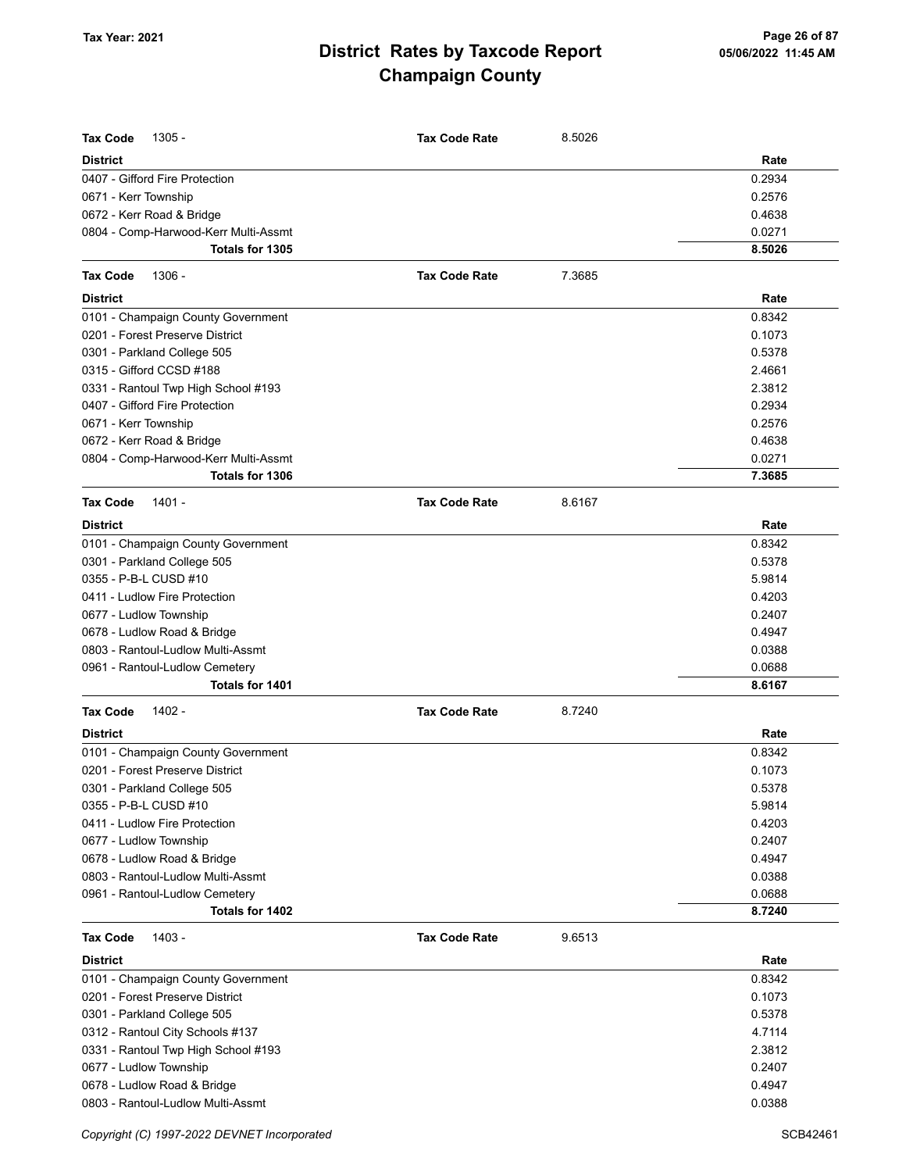| <b>Tax Code</b><br>$1305 -$                       | <b>Tax Code Rate</b> | 8.5026 | Rate   |
|---------------------------------------------------|----------------------|--------|--------|
| <b>District</b><br>0407 - Gifford Fire Protection |                      |        | 0.2934 |
| 0671 - Kerr Township                              |                      |        | 0.2576 |
| 0672 - Kerr Road & Bridge                         |                      |        | 0.4638 |
| 0804 - Comp-Harwood-Kerr Multi-Assmt              |                      |        | 0.0271 |
| Totals for 1305                                   |                      |        | 8.5026 |
| <b>Tax Code</b><br>1306 -                         | <b>Tax Code Rate</b> | 7.3685 |        |
| <b>District</b>                                   |                      |        | Rate   |
| 0101 - Champaign County Government                |                      |        | 0.8342 |
| 0201 - Forest Preserve District                   |                      |        | 0.1073 |
| 0301 - Parkland College 505                       |                      |        | 0.5378 |
| 0315 - Gifford CCSD #188                          |                      |        | 2.4661 |
| 0331 - Rantoul Twp High School #193               |                      |        | 2.3812 |
| 0407 - Gifford Fire Protection                    |                      |        | 0.2934 |
| 0671 - Kerr Township                              |                      |        | 0.2576 |
| 0672 - Kerr Road & Bridge                         |                      |        | 0.4638 |
| 0804 - Comp-Harwood-Kerr Multi-Assmt              |                      |        | 0.0271 |
| <b>Totals for 1306</b>                            |                      |        | 7.3685 |
| <b>Tax Code</b><br>1401 -                         | <b>Tax Code Rate</b> | 8.6167 |        |
| <b>District</b>                                   |                      |        | Rate   |
| 0101 - Champaign County Government                |                      |        | 0.8342 |
| 0301 - Parkland College 505                       |                      |        | 0.5378 |
| 0355 - P-B-L CUSD #10                             |                      |        | 5.9814 |
| 0411 - Ludlow Fire Protection                     |                      |        | 0.4203 |
| 0677 - Ludlow Township                            |                      |        | 0.2407 |
| 0678 - Ludlow Road & Bridge                       |                      |        | 0.4947 |
| 0803 - Rantoul-Ludlow Multi-Assmt                 |                      |        | 0.0388 |
| 0961 - Rantoul-Ludlow Cemetery                    |                      |        | 0.0688 |
| Totals for 1401                                   |                      |        | 8.6167 |
| 1402 -<br><b>Tax Code</b>                         | <b>Tax Code Rate</b> | 8.7240 |        |
| <b>District</b>                                   |                      |        | Rate   |
| 0101 - Champaign County Government                |                      |        | 0.8342 |
| 0201 - Forest Preserve District                   |                      |        | 0.1073 |
| 0301 - Parkland College 505                       |                      |        | 0.5378 |
| 0355 - P-B-L CUSD #10                             |                      |        | 5.9814 |
| 0411 - Ludlow Fire Protection                     |                      |        | 0.4203 |
| 0677 - Ludlow Township                            |                      |        | 0.2407 |
| 0678 - Ludlow Road & Bridge                       |                      |        | 0.4947 |
| 0803 - Rantoul-Ludlow Multi-Assmt                 |                      |        | 0.0388 |
| 0961 - Rantoul-Ludlow Cemetery                    |                      |        | 0.0688 |
| Totals for 1402                                   |                      |        | 8.7240 |
| <b>Tax Code</b><br>1403 -                         | <b>Tax Code Rate</b> | 9.6513 |        |
| <b>District</b>                                   |                      |        | Rate   |
| 0101 - Champaign County Government                |                      |        | 0.8342 |
| 0201 - Forest Preserve District                   |                      |        | 0.1073 |
| 0301 - Parkland College 505                       |                      |        | 0.5378 |
| 0312 - Rantoul City Schools #137                  |                      |        | 4.7114 |
| 0331 - Rantoul Twp High School #193               |                      |        | 2.3812 |
| 0677 - Ludlow Township                            |                      |        | 0.2407 |
| 0678 - Ludlow Road & Bridge                       |                      |        | 0.4947 |
| 0803 - Rantoul-Ludlow Multi-Assmt                 |                      |        | 0.0388 |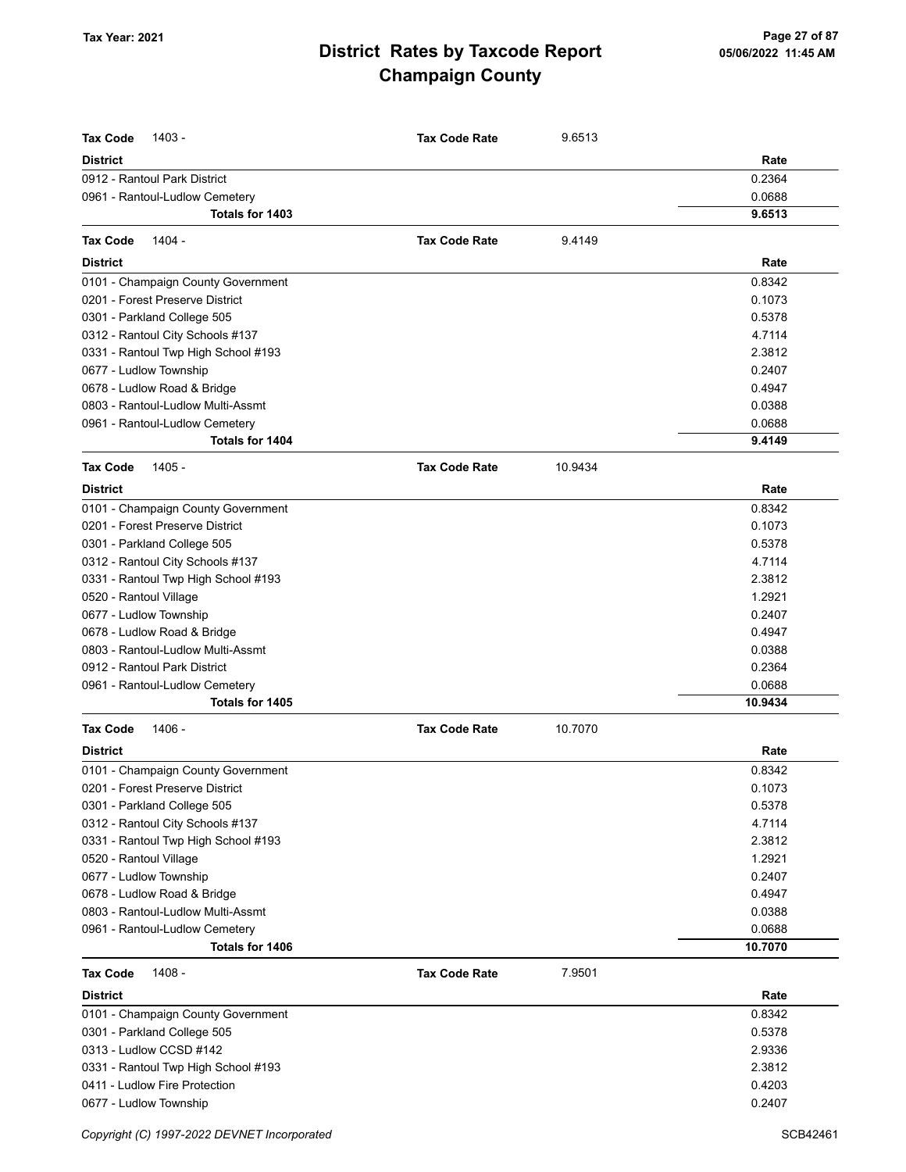|                                                                | <b>Tax Code Rate</b> |         |                   |
|----------------------------------------------------------------|----------------------|---------|-------------------|
| <b>Tax Code</b><br>1403 -<br><b>District</b>                   |                      | 9.6513  | Rate              |
| 0912 - Rantoul Park District                                   |                      |         | 0.2364            |
| 0961 - Rantoul-Ludlow Cemetery                                 |                      |         | 0.0688            |
| Totals for 1403                                                |                      |         | 9.6513            |
| 1404 -<br><b>Tax Code</b>                                      | <b>Tax Code Rate</b> | 9.4149  |                   |
| <b>District</b>                                                |                      |         | Rate              |
|                                                                |                      |         |                   |
| 0101 - Champaign County Government                             |                      |         | 0.8342<br>0.1073  |
| 0201 - Forest Preserve District<br>0301 - Parkland College 505 |                      |         | 0.5378            |
| 0312 - Rantoul City Schools #137                               |                      |         | 4.7114            |
| 0331 - Rantoul Twp High School #193                            |                      |         | 2.3812            |
| 0677 - Ludlow Township                                         |                      |         | 0.2407            |
| 0678 - Ludlow Road & Bridge                                    |                      |         | 0.4947            |
| 0803 - Rantoul-Ludlow Multi-Assmt                              |                      |         | 0.0388            |
| 0961 - Rantoul-Ludlow Cemetery                                 |                      |         | 0.0688            |
| Totals for 1404                                                |                      |         | 9.4149            |
| 1405 -<br><b>Tax Code</b>                                      | <b>Tax Code Rate</b> | 10.9434 |                   |
| <b>District</b>                                                |                      |         | Rate              |
| 0101 - Champaign County Government                             |                      |         | 0.8342            |
| 0201 - Forest Preserve District                                |                      |         | 0.1073            |
| 0301 - Parkland College 505                                    |                      |         | 0.5378            |
| 0312 - Rantoul City Schools #137                               |                      |         | 4.7114            |
| 0331 - Rantoul Twp High School #193                            |                      |         | 2.3812            |
| 0520 - Rantoul Village                                         |                      |         | 1.2921            |
| 0677 - Ludlow Township                                         |                      |         | 0.2407            |
| 0678 - Ludlow Road & Bridge                                    |                      |         | 0.4947            |
| 0803 - Rantoul-Ludlow Multi-Assmt                              |                      |         | 0.0388            |
| 0912 - Rantoul Park District                                   |                      |         | 0.2364            |
| 0961 - Rantoul-Ludlow Cemetery                                 |                      |         | 0.0688            |
| Totals for 1405                                                |                      |         | 10.9434           |
| 1406 -<br><b>Tax Code</b>                                      | <b>Tax Code Rate</b> | 10.7070 |                   |
| <b>District</b>                                                |                      |         | Rate              |
| 0101 - Champaign County Government                             |                      |         | 0.8342            |
| 0201 - Forest Preserve District                                |                      |         | 0.1073            |
| 0301 - Parkland College 505                                    |                      |         | 0.5378            |
| 0312 - Rantoul City Schools #137                               |                      |         | 4.7114            |
| 0331 - Rantoul Twp High School #193                            |                      |         | 2.3812            |
| 0520 - Rantoul Village                                         |                      |         | 1.2921            |
| 0677 - Ludlow Township                                         |                      |         | 0.2407            |
| 0678 - Ludlow Road & Bridge                                    |                      |         | 0.4947            |
| 0803 - Rantoul-Ludlow Multi-Assmt                              |                      |         | 0.0388            |
| 0961 - Rantoul-Ludlow Cemetery<br>Totals for 1406              |                      |         | 0.0688<br>10.7070 |
| 1408 -<br><b>Tax Code</b>                                      | <b>Tax Code Rate</b> | 7.9501  |                   |
| <b>District</b>                                                |                      |         | Rate              |
| 0101 - Champaign County Government                             |                      |         | 0.8342            |
| 0301 - Parkland College 505                                    |                      |         | 0.5378            |
| 0313 - Ludlow CCSD #142                                        |                      |         | 2.9336            |
| 0331 - Rantoul Twp High School #193                            |                      |         | 2.3812            |
| 0411 - Ludlow Fire Protection                                  |                      |         | 0.4203            |
| 0677 - Ludlow Township                                         |                      |         | 0.2407            |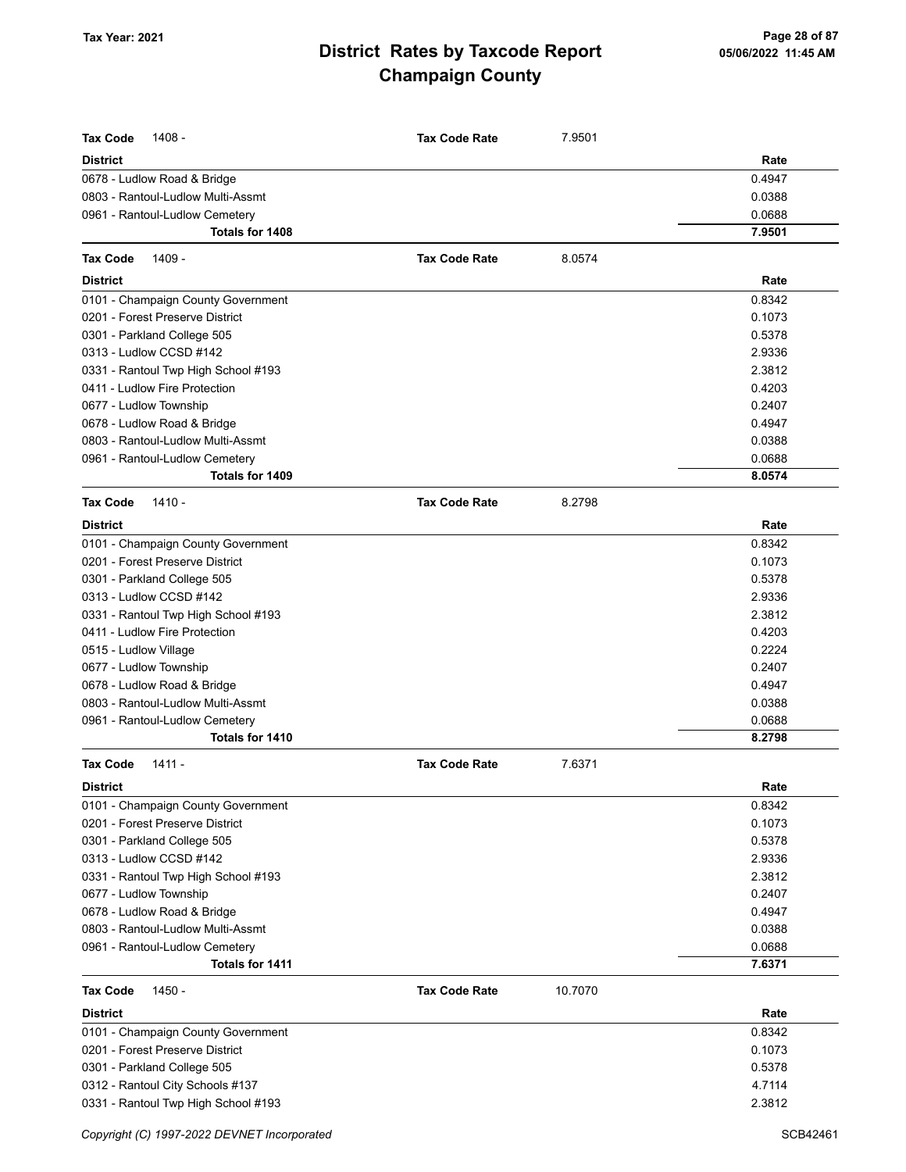| <b>Tax Code</b><br>1408 -<br><b>District</b>                     | <b>Tax Code Rate</b> | 7.9501  | Rate             |
|------------------------------------------------------------------|----------------------|---------|------------------|
|                                                                  |                      |         |                  |
| 0678 - Ludlow Road & Bridge<br>0803 - Rantoul-Ludlow Multi-Assmt |                      |         | 0.4947<br>0.0388 |
| 0961 - Rantoul-Ludlow Cemetery                                   |                      |         | 0.0688           |
| Totals for 1408                                                  |                      |         | 7.9501           |
|                                                                  |                      |         |                  |
| <b>Tax Code</b><br>1409 -<br><b>District</b>                     | <b>Tax Code Rate</b> | 8.0574  | Rate             |
|                                                                  |                      |         |                  |
| 0101 - Champaign County Government                               |                      |         | 0.8342           |
| 0201 - Forest Preserve District                                  |                      |         | 0.1073           |
| 0301 - Parkland College 505                                      |                      |         | 0.5378           |
| 0313 - Ludlow CCSD #142                                          |                      |         | 2.9336           |
| 0331 - Rantoul Twp High School #193                              |                      |         | 2.3812           |
| 0411 - Ludlow Fire Protection                                    |                      |         | 0.4203<br>0.2407 |
| 0677 - Ludlow Township                                           |                      |         |                  |
| 0678 - Ludlow Road & Bridge                                      |                      |         | 0.4947           |
| 0803 - Rantoul-Ludlow Multi-Assmt                                |                      |         | 0.0388           |
| 0961 - Rantoul-Ludlow Cemetery<br><b>Totals for 1409</b>         |                      |         | 0.0688<br>8.0574 |
|                                                                  |                      |         |                  |
| <b>Tax Code</b><br>$1410 -$                                      | <b>Tax Code Rate</b> | 8.2798  |                  |
| <b>District</b>                                                  |                      |         | Rate             |
| 0101 - Champaign County Government                               |                      |         | 0.8342           |
| 0201 - Forest Preserve District                                  |                      |         | 0.1073           |
| 0301 - Parkland College 505                                      |                      |         | 0.5378           |
| 0313 - Ludlow CCSD #142                                          |                      |         | 2.9336           |
| 0331 - Rantoul Twp High School #193                              |                      |         | 2.3812           |
| 0411 - Ludlow Fire Protection                                    |                      |         | 0.4203           |
| 0515 - Ludlow Village                                            |                      |         | 0.2224           |
| 0677 - Ludlow Township                                           |                      |         | 0.2407           |
| 0678 - Ludlow Road & Bridge                                      |                      |         | 0.4947           |
| 0803 - Rantoul-Ludlow Multi-Assmt                                |                      |         | 0.0388           |
| 0961 - Rantoul-Ludlow Cemetery<br>Totals for 1410                |                      |         | 0.0688<br>8.2798 |
| <b>Tax Code</b><br>1411 -                                        | <b>Tax Code Rate</b> | 7.6371  |                  |
| <b>District</b>                                                  |                      |         | Rate             |
| 0101 - Champaign County Government                               |                      |         | 0.8342           |
| 0201 - Forest Preserve District                                  |                      |         | 0.1073           |
| 0301 - Parkland College 505                                      |                      |         | 0.5378           |
| 0313 - Ludlow CCSD #142                                          |                      |         | 2.9336           |
| 0331 - Rantoul Twp High School #193                              |                      |         | 2.3812           |
| 0677 - Ludlow Township                                           |                      |         | 0.2407           |
| 0678 - Ludlow Road & Bridge                                      |                      |         | 0.4947           |
| 0803 - Rantoul-Ludlow Multi-Assmt                                |                      |         | 0.0388           |
| 0961 - Rantoul-Ludlow Cemetery                                   |                      |         | 0.0688           |
| Totals for 1411                                                  |                      |         | 7.6371           |
| <b>Tax Code</b><br>1450 -                                        | <b>Tax Code Rate</b> | 10.7070 |                  |
| <b>District</b>                                                  |                      |         | Rate             |
| 0101 - Champaign County Government                               |                      |         | 0.8342           |
| 0201 - Forest Preserve District                                  |                      |         | 0.1073           |
| 0301 - Parkland College 505                                      |                      |         | 0.5378           |
| 0312 - Rantoul City Schools #137                                 |                      |         | 4.7114           |
| 0331 - Rantoul Twp High School #193                              |                      |         | 2.3812           |
|                                                                  |                      |         |                  |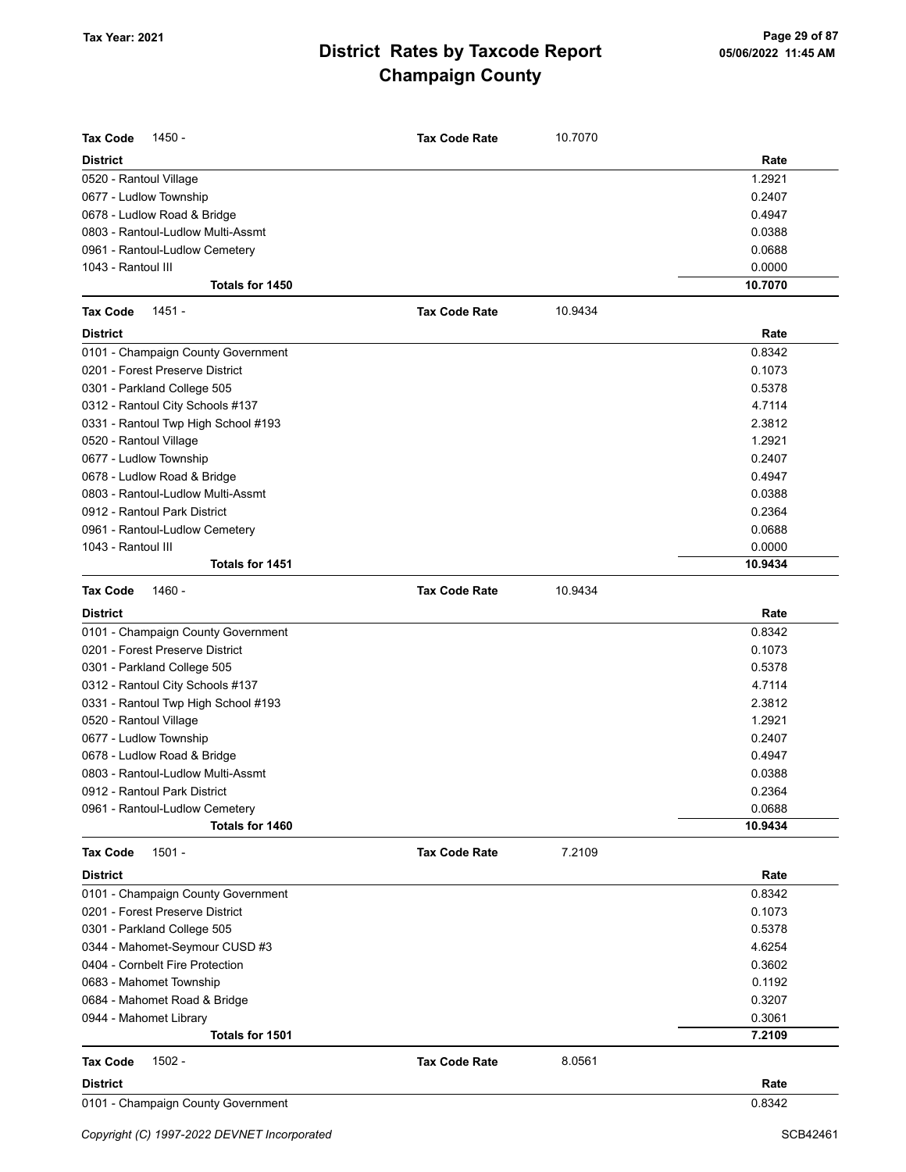| Rate<br>1.2921<br>0.2407<br>0.4947<br>0.0388<br>0.0688<br>1043 - Rantoul III<br>0.0000<br>Totals for 1450<br>10.7070<br>$1451 -$<br><b>Tax Code Rate</b><br>10.9434<br>Rate<br>0.8342<br>0.1073<br>0.5378<br>4.7114<br>2.3812<br>1.2921<br>0.2407<br>0.4947<br>0.0388<br>0.2364<br>0.0688<br>1043 - Rantoul III<br>0.0000<br>Totals for 1451<br>10.9434<br>1460 -<br>10.9434<br><b>Tax Code Rate</b><br>Rate<br>0.8342<br>0.1073<br>0.5378<br>4.7114<br>2.3812<br>1.2921<br>0.2407<br>0.4947<br>0.0388<br>0.2364<br>0.0688<br>10.9434<br>Totals for 1460<br>$1501 -$<br><b>Tax Code Rate</b><br>7.2109<br>Rate<br>0.8342<br>0.1073<br>0.5378<br>4.6254<br>0.3602<br>0.1192<br>0.3207<br>0.3061<br>Totals for 1501<br>7.2109<br>$1502 -$<br>8.0561<br><b>Tax Code Rate</b><br><b>District</b><br>Rate<br>0.8342 | <b>Tax Code</b><br>1450 -           | <b>Tax Code Rate</b> | 10.7070 |  |
|----------------------------------------------------------------------------------------------------------------------------------------------------------------------------------------------------------------------------------------------------------------------------------------------------------------------------------------------------------------------------------------------------------------------------------------------------------------------------------------------------------------------------------------------------------------------------------------------------------------------------------------------------------------------------------------------------------------------------------------------------------------------------------------------------------------|-------------------------------------|----------------------|---------|--|
|                                                                                                                                                                                                                                                                                                                                                                                                                                                                                                                                                                                                                                                                                                                                                                                                                | <b>District</b>                     |                      |         |  |
|                                                                                                                                                                                                                                                                                                                                                                                                                                                                                                                                                                                                                                                                                                                                                                                                                | 0520 - Rantoul Village              |                      |         |  |
|                                                                                                                                                                                                                                                                                                                                                                                                                                                                                                                                                                                                                                                                                                                                                                                                                | 0677 - Ludlow Township              |                      |         |  |
|                                                                                                                                                                                                                                                                                                                                                                                                                                                                                                                                                                                                                                                                                                                                                                                                                | 0678 - Ludlow Road & Bridge         |                      |         |  |
|                                                                                                                                                                                                                                                                                                                                                                                                                                                                                                                                                                                                                                                                                                                                                                                                                | 0803 - Rantoul-Ludlow Multi-Assmt   |                      |         |  |
|                                                                                                                                                                                                                                                                                                                                                                                                                                                                                                                                                                                                                                                                                                                                                                                                                | 0961 - Rantoul-Ludlow Cemetery      |                      |         |  |
|                                                                                                                                                                                                                                                                                                                                                                                                                                                                                                                                                                                                                                                                                                                                                                                                                |                                     |                      |         |  |
|                                                                                                                                                                                                                                                                                                                                                                                                                                                                                                                                                                                                                                                                                                                                                                                                                |                                     |                      |         |  |
|                                                                                                                                                                                                                                                                                                                                                                                                                                                                                                                                                                                                                                                                                                                                                                                                                | <b>Tax Code</b>                     |                      |         |  |
|                                                                                                                                                                                                                                                                                                                                                                                                                                                                                                                                                                                                                                                                                                                                                                                                                | <b>District</b>                     |                      |         |  |
|                                                                                                                                                                                                                                                                                                                                                                                                                                                                                                                                                                                                                                                                                                                                                                                                                | 0101 - Champaign County Government  |                      |         |  |
|                                                                                                                                                                                                                                                                                                                                                                                                                                                                                                                                                                                                                                                                                                                                                                                                                | 0201 - Forest Preserve District     |                      |         |  |
|                                                                                                                                                                                                                                                                                                                                                                                                                                                                                                                                                                                                                                                                                                                                                                                                                | 0301 - Parkland College 505         |                      |         |  |
|                                                                                                                                                                                                                                                                                                                                                                                                                                                                                                                                                                                                                                                                                                                                                                                                                | 0312 - Rantoul City Schools #137    |                      |         |  |
|                                                                                                                                                                                                                                                                                                                                                                                                                                                                                                                                                                                                                                                                                                                                                                                                                | 0331 - Rantoul Twp High School #193 |                      |         |  |
|                                                                                                                                                                                                                                                                                                                                                                                                                                                                                                                                                                                                                                                                                                                                                                                                                | 0520 - Rantoul Village              |                      |         |  |
|                                                                                                                                                                                                                                                                                                                                                                                                                                                                                                                                                                                                                                                                                                                                                                                                                | 0677 - Ludlow Township              |                      |         |  |
|                                                                                                                                                                                                                                                                                                                                                                                                                                                                                                                                                                                                                                                                                                                                                                                                                | 0678 - Ludlow Road & Bridge         |                      |         |  |
|                                                                                                                                                                                                                                                                                                                                                                                                                                                                                                                                                                                                                                                                                                                                                                                                                | 0803 - Rantoul-Ludlow Multi-Assmt   |                      |         |  |
|                                                                                                                                                                                                                                                                                                                                                                                                                                                                                                                                                                                                                                                                                                                                                                                                                | 0912 - Rantoul Park District        |                      |         |  |
|                                                                                                                                                                                                                                                                                                                                                                                                                                                                                                                                                                                                                                                                                                                                                                                                                | 0961 - Rantoul-Ludlow Cemetery      |                      |         |  |
|                                                                                                                                                                                                                                                                                                                                                                                                                                                                                                                                                                                                                                                                                                                                                                                                                |                                     |                      |         |  |
|                                                                                                                                                                                                                                                                                                                                                                                                                                                                                                                                                                                                                                                                                                                                                                                                                |                                     |                      |         |  |
|                                                                                                                                                                                                                                                                                                                                                                                                                                                                                                                                                                                                                                                                                                                                                                                                                | <b>Tax Code</b>                     |                      |         |  |
|                                                                                                                                                                                                                                                                                                                                                                                                                                                                                                                                                                                                                                                                                                                                                                                                                | <b>District</b>                     |                      |         |  |
|                                                                                                                                                                                                                                                                                                                                                                                                                                                                                                                                                                                                                                                                                                                                                                                                                | 0101 - Champaign County Government  |                      |         |  |
|                                                                                                                                                                                                                                                                                                                                                                                                                                                                                                                                                                                                                                                                                                                                                                                                                | 0201 - Forest Preserve District     |                      |         |  |
|                                                                                                                                                                                                                                                                                                                                                                                                                                                                                                                                                                                                                                                                                                                                                                                                                | 0301 - Parkland College 505         |                      |         |  |
|                                                                                                                                                                                                                                                                                                                                                                                                                                                                                                                                                                                                                                                                                                                                                                                                                | 0312 - Rantoul City Schools #137    |                      |         |  |
|                                                                                                                                                                                                                                                                                                                                                                                                                                                                                                                                                                                                                                                                                                                                                                                                                | 0331 - Rantoul Twp High School #193 |                      |         |  |
|                                                                                                                                                                                                                                                                                                                                                                                                                                                                                                                                                                                                                                                                                                                                                                                                                | 0520 - Rantoul Village              |                      |         |  |
|                                                                                                                                                                                                                                                                                                                                                                                                                                                                                                                                                                                                                                                                                                                                                                                                                | 0677 - Ludlow Township              |                      |         |  |
|                                                                                                                                                                                                                                                                                                                                                                                                                                                                                                                                                                                                                                                                                                                                                                                                                | 0678 - Ludlow Road & Bridge         |                      |         |  |
|                                                                                                                                                                                                                                                                                                                                                                                                                                                                                                                                                                                                                                                                                                                                                                                                                | 0803 - Rantoul-Ludlow Multi-Assmt   |                      |         |  |
|                                                                                                                                                                                                                                                                                                                                                                                                                                                                                                                                                                                                                                                                                                                                                                                                                | 0912 - Rantoul Park District        |                      |         |  |
|                                                                                                                                                                                                                                                                                                                                                                                                                                                                                                                                                                                                                                                                                                                                                                                                                | 0961 - Rantoul-Ludlow Cemetery      |                      |         |  |
|                                                                                                                                                                                                                                                                                                                                                                                                                                                                                                                                                                                                                                                                                                                                                                                                                |                                     |                      |         |  |
|                                                                                                                                                                                                                                                                                                                                                                                                                                                                                                                                                                                                                                                                                                                                                                                                                | <b>Tax Code</b>                     |                      |         |  |
|                                                                                                                                                                                                                                                                                                                                                                                                                                                                                                                                                                                                                                                                                                                                                                                                                | <b>District</b>                     |                      |         |  |
|                                                                                                                                                                                                                                                                                                                                                                                                                                                                                                                                                                                                                                                                                                                                                                                                                | 0101 - Champaign County Government  |                      |         |  |
|                                                                                                                                                                                                                                                                                                                                                                                                                                                                                                                                                                                                                                                                                                                                                                                                                | 0201 - Forest Preserve District     |                      |         |  |
|                                                                                                                                                                                                                                                                                                                                                                                                                                                                                                                                                                                                                                                                                                                                                                                                                | 0301 - Parkland College 505         |                      |         |  |
|                                                                                                                                                                                                                                                                                                                                                                                                                                                                                                                                                                                                                                                                                                                                                                                                                | 0344 - Mahomet-Seymour CUSD #3      |                      |         |  |
|                                                                                                                                                                                                                                                                                                                                                                                                                                                                                                                                                                                                                                                                                                                                                                                                                | 0404 - Cornbelt Fire Protection     |                      |         |  |
|                                                                                                                                                                                                                                                                                                                                                                                                                                                                                                                                                                                                                                                                                                                                                                                                                | 0683 - Mahomet Township             |                      |         |  |
|                                                                                                                                                                                                                                                                                                                                                                                                                                                                                                                                                                                                                                                                                                                                                                                                                | 0684 - Mahomet Road & Bridge        |                      |         |  |
|                                                                                                                                                                                                                                                                                                                                                                                                                                                                                                                                                                                                                                                                                                                                                                                                                | 0944 - Mahomet Library              |                      |         |  |
|                                                                                                                                                                                                                                                                                                                                                                                                                                                                                                                                                                                                                                                                                                                                                                                                                |                                     |                      |         |  |
|                                                                                                                                                                                                                                                                                                                                                                                                                                                                                                                                                                                                                                                                                                                                                                                                                | <b>Tax Code</b>                     |                      |         |  |
|                                                                                                                                                                                                                                                                                                                                                                                                                                                                                                                                                                                                                                                                                                                                                                                                                |                                     |                      |         |  |
|                                                                                                                                                                                                                                                                                                                                                                                                                                                                                                                                                                                                                                                                                                                                                                                                                | 0101 - Champaign County Government  |                      |         |  |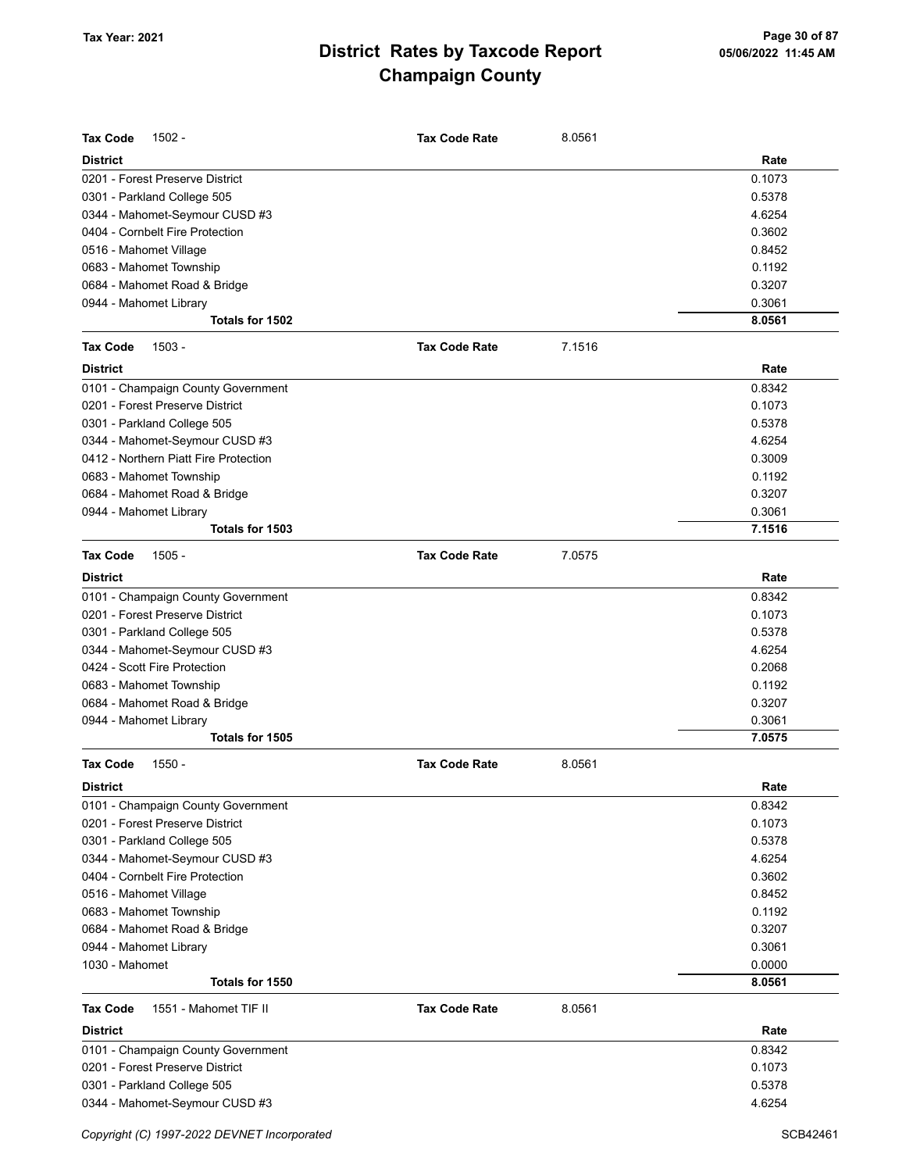| <b>Tax Code</b><br>$1502 -$              | <b>Tax Code Rate</b> | 8.0561 |        |
|------------------------------------------|----------------------|--------|--------|
| <b>District</b>                          |                      |        | Rate   |
| 0201 - Forest Preserve District          |                      |        | 0.1073 |
| 0301 - Parkland College 505              |                      |        | 0.5378 |
| 0344 - Mahomet-Seymour CUSD #3           |                      |        | 4.6254 |
| 0404 - Cornbelt Fire Protection          |                      |        | 0.3602 |
| 0516 - Mahomet Village                   |                      |        | 0.8452 |
| 0683 - Mahomet Township                  |                      |        | 0.1192 |
| 0684 - Mahomet Road & Bridge             |                      |        | 0.3207 |
| 0944 - Mahomet Library                   |                      |        | 0.3061 |
| Totals for 1502                          |                      |        | 8.0561 |
| <b>Tax Code</b><br>$1503 -$              | <b>Tax Code Rate</b> | 7.1516 |        |
| <b>District</b>                          |                      |        | Rate   |
| 0101 - Champaign County Government       |                      |        | 0.8342 |
| 0201 - Forest Preserve District          |                      |        | 0.1073 |
| 0301 - Parkland College 505              |                      |        | 0.5378 |
| 0344 - Mahomet-Seymour CUSD #3           |                      |        | 4.6254 |
| 0412 - Northern Piatt Fire Protection    |                      |        | 0.3009 |
| 0683 - Mahomet Township                  |                      |        | 0.1192 |
| 0684 - Mahomet Road & Bridge             |                      |        | 0.3207 |
| 0944 - Mahomet Library                   |                      |        | 0.3061 |
| Totals for 1503                          |                      |        | 7.1516 |
| <b>Tax Code</b><br>$1505 -$              | <b>Tax Code Rate</b> | 7.0575 |        |
| <b>District</b>                          |                      |        | Rate   |
| 0101 - Champaign County Government       |                      |        | 0.8342 |
| 0201 - Forest Preserve District          |                      |        | 0.1073 |
| 0301 - Parkland College 505              |                      |        | 0.5378 |
| 0344 - Mahomet-Seymour CUSD #3           |                      |        | 4.6254 |
| 0424 - Scott Fire Protection             |                      |        | 0.2068 |
| 0683 - Mahomet Township                  |                      |        | 0.1192 |
| 0684 - Mahomet Road & Bridge             |                      |        | 0.3207 |
| 0944 - Mahomet Library                   |                      |        | 0.3061 |
| Totals for 1505                          |                      |        | 7.0575 |
| <b>Tax Code</b><br>1550 -                | <b>Tax Code Rate</b> | 8.0561 |        |
| <b>District</b>                          |                      |        | Rate   |
| 0101 - Champaign County Government       |                      |        | 0.8342 |
| 0201 - Forest Preserve District          |                      |        | 0.1073 |
| 0301 - Parkland College 505              |                      |        | 0.5378 |
| 0344 - Mahomet-Seymour CUSD #3           |                      |        | 4.6254 |
| 0404 - Cornbelt Fire Protection          |                      |        | 0.3602 |
| 0516 - Mahomet Village                   |                      |        | 0.8452 |
| 0683 - Mahomet Township                  |                      |        | 0.1192 |
| 0684 - Mahomet Road & Bridge             |                      |        | 0.3207 |
| 0944 - Mahomet Library                   |                      |        | 0.3061 |
| 1030 - Mahomet                           |                      |        | 0.0000 |
| Totals for 1550                          |                      |        | 8.0561 |
| <b>Tax Code</b><br>1551 - Mahomet TIF II | <b>Tax Code Rate</b> | 8.0561 |        |
| <b>District</b>                          |                      |        | Rate   |
| 0101 - Champaign County Government       |                      |        | 0.8342 |
| 0201 - Forest Preserve District          |                      |        | 0.1073 |
| 0301 - Parkland College 505              |                      |        | 0.5378 |
| 0344 - Mahomet-Seymour CUSD #3           |                      |        | 4.6254 |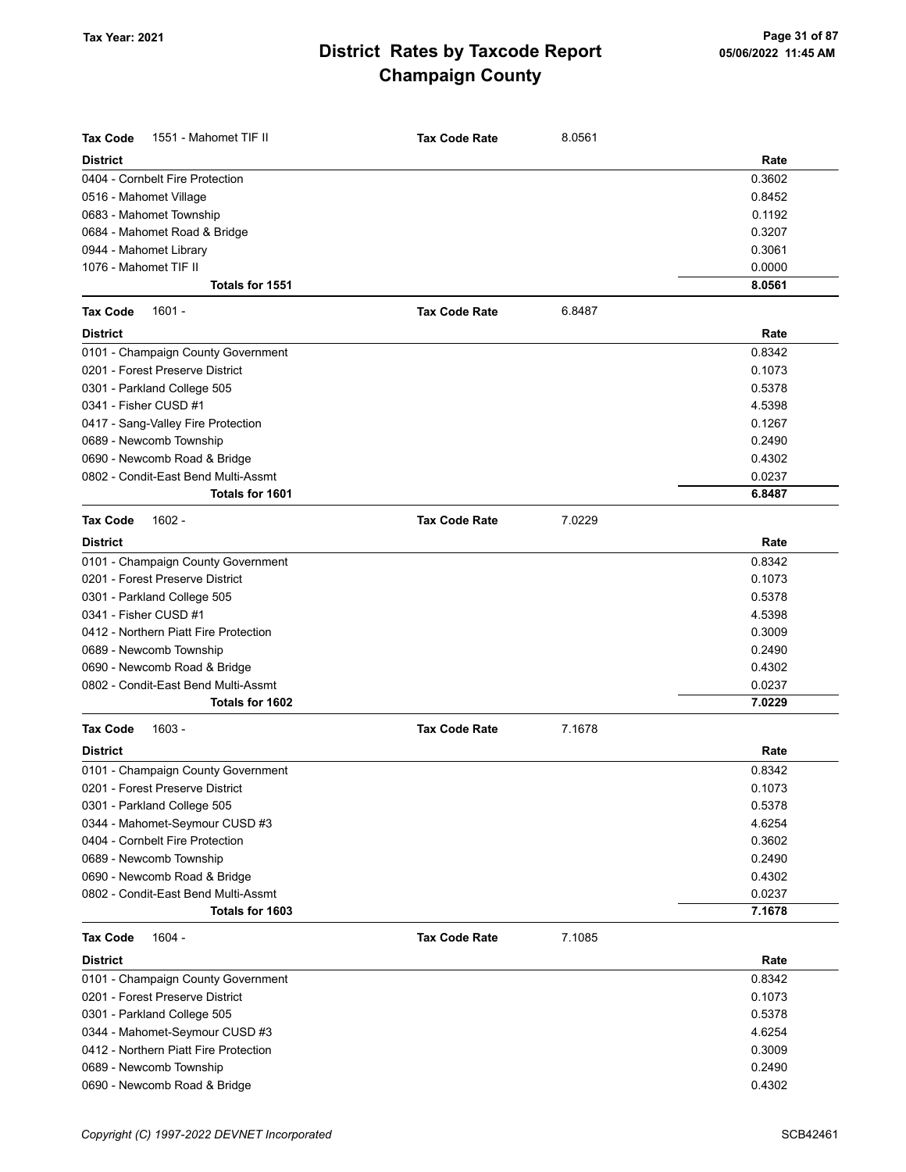| <b>Tax Code</b><br>1551 - Mahomet TIF II | <b>Tax Code Rate</b> | 8.0561 |        |
|------------------------------------------|----------------------|--------|--------|
| <b>District</b>                          |                      |        | Rate   |
| 0404 - Cornbelt Fire Protection          |                      |        | 0.3602 |
| 0516 - Mahomet Village                   |                      |        | 0.8452 |
| 0683 - Mahomet Township                  |                      |        | 0.1192 |
| 0684 - Mahomet Road & Bridge             |                      |        | 0.3207 |
| 0944 - Mahomet Library                   |                      |        | 0.3061 |
| 1076 - Mahomet TIF II                    |                      |        | 0.0000 |
| Totals for 1551                          |                      |        | 8.0561 |
| <b>Tax Code</b><br>$1601 -$              | <b>Tax Code Rate</b> | 6.8487 |        |
| <b>District</b>                          |                      |        | Rate   |
| 0101 - Champaign County Government       |                      |        | 0.8342 |
| 0201 - Forest Preserve District          |                      |        | 0.1073 |
| 0301 - Parkland College 505              |                      |        | 0.5378 |
| 0341 - Fisher CUSD #1                    |                      |        | 4.5398 |
| 0417 - Sang-Valley Fire Protection       |                      |        | 0.1267 |
| 0689 - Newcomb Township                  |                      |        | 0.2490 |
| 0690 - Newcomb Road & Bridge             |                      |        | 0.4302 |
| 0802 - Condit-East Bend Multi-Assmt      |                      |        | 0.0237 |
| Totals for 1601                          |                      |        | 6.8487 |
| <b>Tax Code</b><br>$1602 -$              | <b>Tax Code Rate</b> | 7.0229 |        |
| <b>District</b>                          |                      |        | Rate   |
| 0101 - Champaign County Government       |                      |        | 0.8342 |
| 0201 - Forest Preserve District          |                      |        | 0.1073 |
| 0301 - Parkland College 505              |                      |        | 0.5378 |
| 0341 - Fisher CUSD #1                    |                      |        | 4.5398 |
| 0412 - Northern Piatt Fire Protection    |                      |        | 0.3009 |
| 0689 - Newcomb Township                  |                      |        | 0.2490 |
| 0690 - Newcomb Road & Bridge             |                      |        | 0.4302 |
| 0802 - Condit-East Bend Multi-Assmt      |                      |        | 0.0237 |
| Totals for 1602                          |                      |        | 7.0229 |
| $1603 -$<br><b>Tax Code</b>              | <b>Tax Code Rate</b> | 7.1678 |        |
| <b>District</b>                          |                      |        | Rate   |
| 0101 - Champaign County Government       |                      |        | 0.8342 |
| 0201 - Forest Preserve District          |                      |        | 0.1073 |
| 0301 - Parkland College 505              |                      |        | 0.5378 |
| 0344 - Mahomet-Seymour CUSD #3           |                      |        | 4.6254 |
| 0404 - Cornbelt Fire Protection          |                      |        | 0.3602 |
| 0689 - Newcomb Township                  |                      |        | 0.2490 |
| 0690 - Newcomb Road & Bridge             |                      |        | 0.4302 |
| 0802 - Condit-East Bend Multi-Assmt      |                      |        | 0.0237 |
| Totals for 1603                          |                      |        | 7.1678 |
| <b>Tax Code</b><br>$1604 -$              | <b>Tax Code Rate</b> | 7.1085 |        |
| <b>District</b>                          |                      |        | Rate   |
| 0101 - Champaign County Government       |                      |        | 0.8342 |
| 0201 - Forest Preserve District          |                      |        | 0.1073 |
| 0301 - Parkland College 505              |                      |        | 0.5378 |
| 0344 - Mahomet-Seymour CUSD #3           |                      |        | 4.6254 |
| 0412 - Northern Piatt Fire Protection    |                      |        | 0.3009 |
| 0689 - Newcomb Township                  |                      |        | 0.2490 |
| 0690 - Newcomb Road & Bridge             |                      |        | 0.4302 |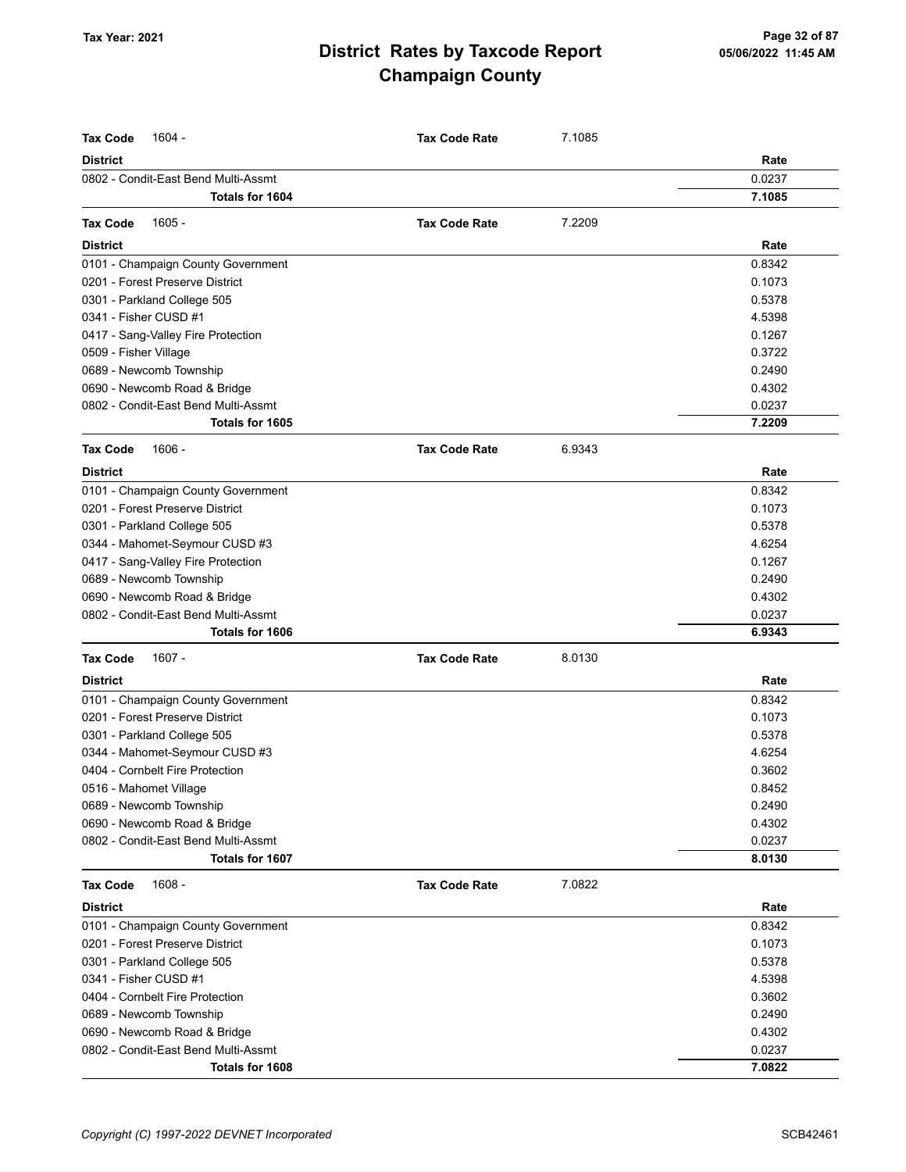| <b>Tax Code</b><br>$1604 -$         | <b>Tax Code Rate</b> | 7.1085 |        |
|-------------------------------------|----------------------|--------|--------|
| <b>District</b>                     |                      |        | Rate   |
| 0802 - Condit-East Bend Multi-Assmt |                      |        | 0.0237 |
| Totals for 1604                     |                      |        | 7.1085 |
| $1605 -$<br><b>Tax Code</b>         | <b>Tax Code Rate</b> | 7.2209 |        |
| <b>District</b>                     |                      |        | Rate   |
| 0101 - Champaign County Government  |                      |        | 0.8342 |
| 0201 - Forest Preserve District     |                      |        | 0.1073 |
| 0301 - Parkland College 505         |                      |        | 0.5378 |
| 0341 - Fisher CUSD #1               |                      |        | 4.5398 |
| 0417 - Sang-Valley Fire Protection  |                      |        | 0.1267 |
| 0509 - Fisher Village               |                      |        | 0.3722 |
| 0689 - Newcomb Township             |                      |        | 0.2490 |
| 0690 - Newcomb Road & Bridge        |                      |        | 0.4302 |
| 0802 - Condit-East Bend Multi-Assmt |                      |        | 0.0237 |
| Totals for 1605                     |                      |        | 7.2209 |
|                                     |                      |        |        |
| <b>Tax Code</b><br>$1606 -$         | <b>Tax Code Rate</b> | 6.9343 |        |
| <b>District</b>                     |                      |        | Rate   |
| 0101 - Champaign County Government  |                      |        | 0.8342 |
| 0201 - Forest Preserve District     |                      |        | 0.1073 |
| 0301 - Parkland College 505         |                      |        | 0.5378 |
| 0344 - Mahomet-Seymour CUSD #3      |                      |        | 4.6254 |
| 0417 - Sang-Valley Fire Protection  |                      |        | 0.1267 |
| 0689 - Newcomb Township             |                      |        | 0.2490 |
| 0690 - Newcomb Road & Bridge        |                      |        | 0.4302 |
| 0802 - Condit-East Bend Multi-Assmt |                      |        | 0.0237 |
| Totals for 1606                     |                      |        | 6.9343 |
| <b>Tax Code</b><br>1607 -           | <b>Tax Code Rate</b> | 8.0130 |        |
| <b>District</b>                     |                      |        | Rate   |
| 0101 - Champaign County Government  |                      |        | 0.8342 |
| 0201 - Forest Preserve District     |                      |        | 0.1073 |
| 0301 - Parkland College 505         |                      |        | 0.5378 |
| 0344 - Mahomet-Seymour CUSD #3      |                      |        | 4.6254 |
| 0404 - Cornbelt Fire Protection     |                      |        | 0.3602 |
| 0516 - Mahomet Village              |                      |        | 0.8452 |
| 0689 - Newcomb Township             |                      |        | 0.2490 |
| 0690 - Newcomb Road & Bridge        |                      |        | 0.4302 |
| 0802 - Condit-East Bend Multi-Assmt |                      |        | 0.0237 |
| Totals for 1607                     |                      |        | 8.0130 |
| <b>Tax Code</b><br>$1608 -$         | <b>Tax Code Rate</b> | 7.0822 |        |
| <b>District</b>                     |                      |        | Rate   |
| 0101 - Champaign County Government  |                      |        | 0.8342 |
| 0201 - Forest Preserve District     |                      |        | 0.1073 |
| 0301 - Parkland College 505         |                      |        | 0.5378 |
| 0341 - Fisher CUSD #1               |                      |        | 4.5398 |
| 0404 - Cornbelt Fire Protection     |                      |        | 0.3602 |
| 0689 - Newcomb Township             |                      |        | 0.2490 |
| 0690 - Newcomb Road & Bridge        |                      |        | 0.4302 |
| 0802 - Condit-East Bend Multi-Assmt |                      |        | 0.0237 |
| Totals for 1608                     |                      |        | 7.0822 |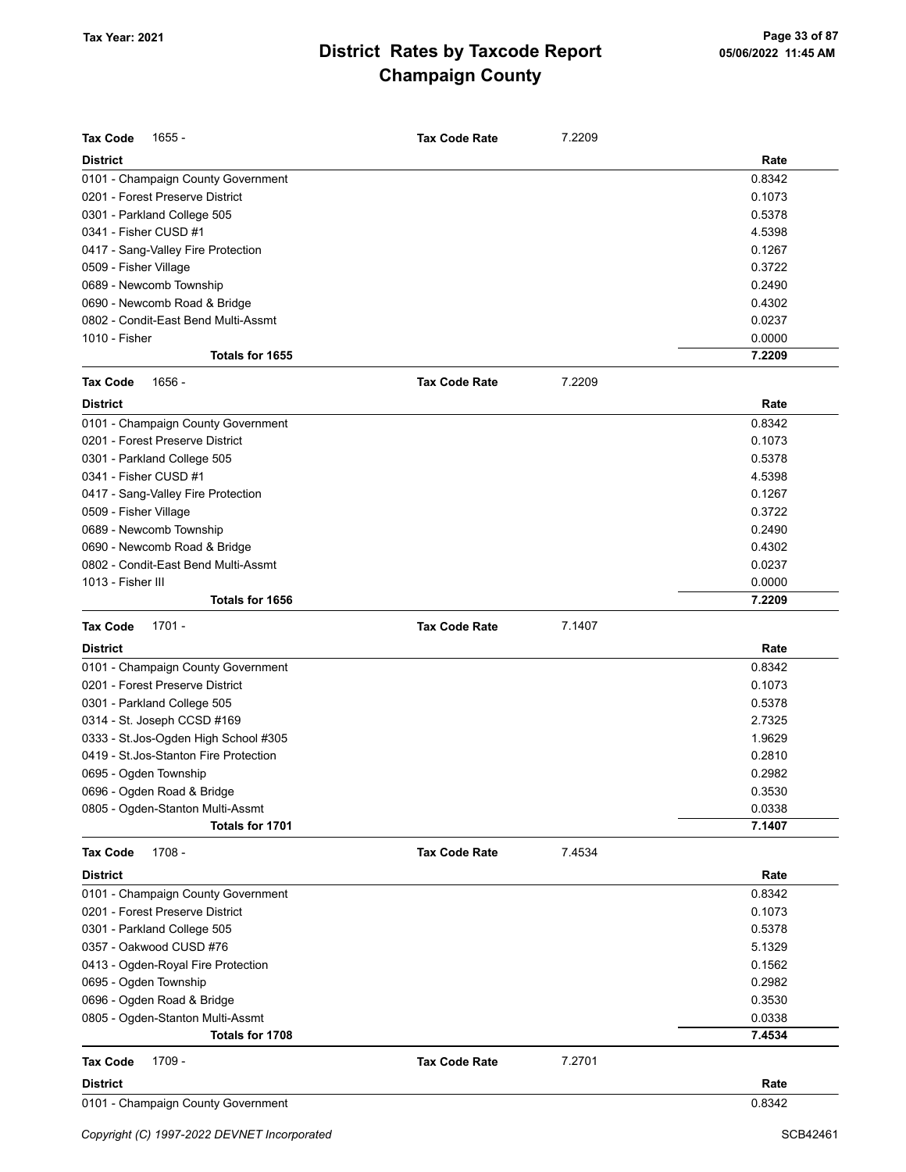| <b>Tax Code</b><br>$1655 -$            | <b>Tax Code Rate</b> | 7.2209 |        |
|----------------------------------------|----------------------|--------|--------|
| <b>District</b>                        |                      |        | Rate   |
| 0101 - Champaign County Government     |                      |        | 0.8342 |
| 0201 - Forest Preserve District        |                      |        | 0.1073 |
| 0301 - Parkland College 505            |                      |        | 0.5378 |
| 0341 - Fisher CUSD #1                  |                      |        | 4.5398 |
| 0417 - Sang-Valley Fire Protection     |                      |        | 0.1267 |
| 0509 - Fisher Village                  |                      |        | 0.3722 |
| 0689 - Newcomb Township                |                      |        | 0.2490 |
| 0690 - Newcomb Road & Bridge           |                      |        | 0.4302 |
| 0802 - Condit-East Bend Multi-Assmt    |                      |        | 0.0237 |
| 1010 - Fisher                          |                      |        | 0.0000 |
| Totals for 1655                        |                      |        | 7.2209 |
| <b>Tax Code</b><br>1656 -              | <b>Tax Code Rate</b> | 7.2209 |        |
| <b>District</b>                        |                      |        | Rate   |
| 0101 - Champaign County Government     |                      |        | 0.8342 |
| 0201 - Forest Preserve District        |                      |        | 0.1073 |
| 0301 - Parkland College 505            |                      |        | 0.5378 |
| 0341 - Fisher CUSD #1                  |                      |        | 4.5398 |
| 0417 - Sang-Valley Fire Protection     |                      |        | 0.1267 |
| 0509 - Fisher Village                  |                      |        | 0.3722 |
| 0689 - Newcomb Township                |                      |        | 0.2490 |
| 0690 - Newcomb Road & Bridge           |                      |        | 0.4302 |
| 0802 - Condit-East Bend Multi-Assmt    |                      |        | 0.0237 |
| 1013 - Fisher III                      |                      |        | 0.0000 |
| Totals for 1656                        |                      |        | 7.2209 |
| <b>Tax Code</b><br>$1701 -$            | <b>Tax Code Rate</b> | 7.1407 |        |
| <b>District</b>                        |                      |        | Rate   |
| 0101 - Champaign County Government     |                      |        | 0.8342 |
| 0201 - Forest Preserve District        |                      |        | 0.1073 |
| 0301 - Parkland College 505            |                      |        | 0.5378 |
| 0314 - St. Joseph CCSD #169            |                      |        | 2.7325 |
| 0333 - St.Jos-Ogden High School #305   |                      |        | 1.9629 |
| 0419 - St. Jos-Stanton Fire Protection |                      |        | 0.2810 |
| 0695 - Ogden Township                  |                      |        | 0.2982 |
| 0696 - Ogden Road & Bridge             |                      |        | 0.3530 |
| 0805 - Ogden-Stanton Multi-Assmt       |                      |        | 0.0338 |
| Totals for 1701                        |                      |        | 7.1407 |
| <b>Tax Code</b><br>1708 -              | <b>Tax Code Rate</b> | 7.4534 |        |
| <b>District</b>                        |                      |        | Rate   |
| 0101 - Champaign County Government     |                      |        | 0.8342 |
| 0201 - Forest Preserve District        |                      |        | 0.1073 |
| 0301 - Parkland College 505            |                      |        | 0.5378 |
| 0357 - Oakwood CUSD #76                |                      |        | 5.1329 |
| 0413 - Ogden-Royal Fire Protection     |                      |        | 0.1562 |
| 0695 - Ogden Township                  |                      |        | 0.2982 |
| 0696 - Ogden Road & Bridge             |                      |        | 0.3530 |
| 0805 - Ogden-Stanton Multi-Assmt       |                      |        | 0.0338 |
| Totals for 1708                        |                      |        | 7.4534 |
| 1709 -<br><b>Tax Code</b>              | <b>Tax Code Rate</b> | 7.2701 |        |
| <b>District</b>                        |                      |        | Rate   |
|                                        |                      |        |        |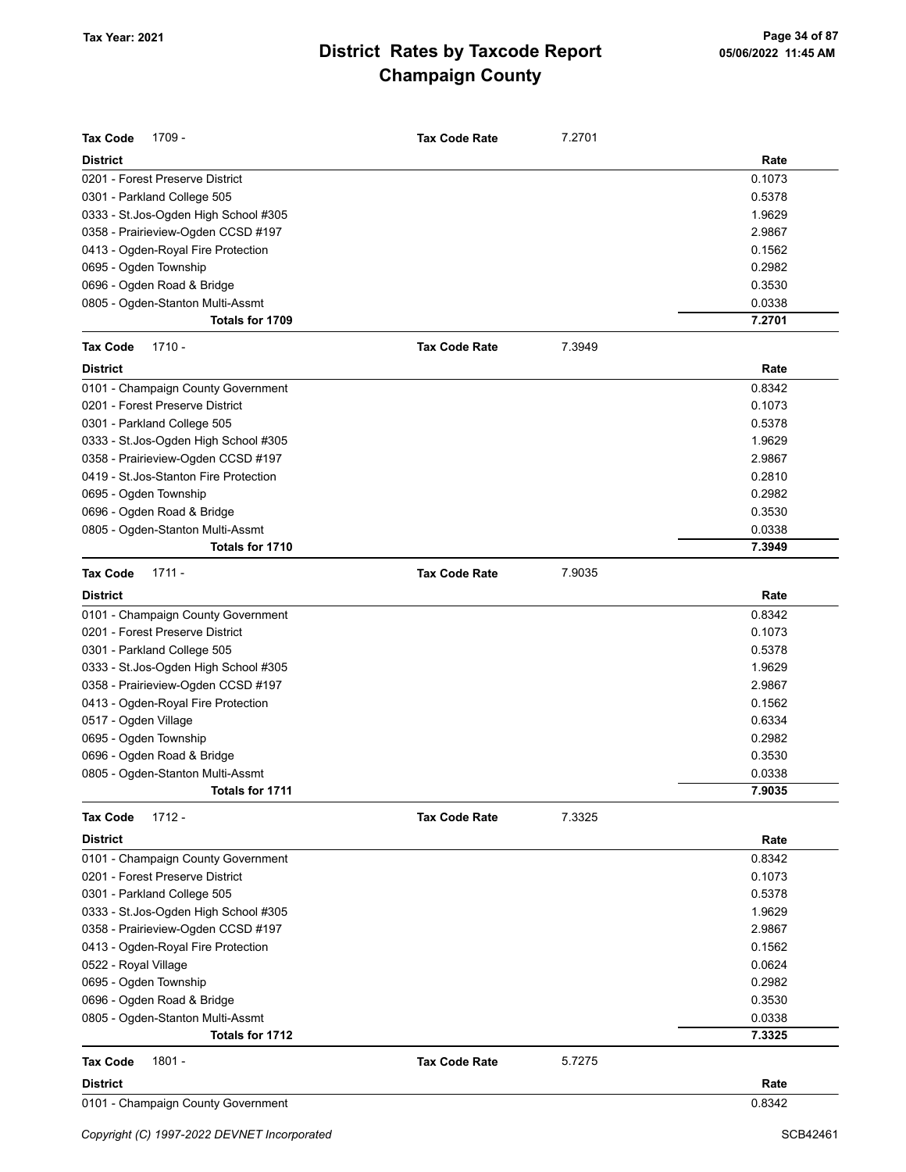| Tax Code<br>1709 -                     | <b>Tax Code Rate</b> | 7.2701 |        |
|----------------------------------------|----------------------|--------|--------|
| <b>District</b>                        |                      |        | Rate   |
| 0201 - Forest Preserve District        |                      |        | 0.1073 |
| 0301 - Parkland College 505            |                      |        | 0.5378 |
| 0333 - St. Jos-Ogden High School #305  |                      |        | 1.9629 |
| 0358 - Prairieview-Ogden CCSD #197     |                      |        | 2.9867 |
| 0413 - Ogden-Royal Fire Protection     |                      |        | 0.1562 |
| 0695 - Ogden Township                  |                      |        | 0.2982 |
| 0696 - Ogden Road & Bridge             |                      |        | 0.3530 |
| 0805 - Ogden-Stanton Multi-Assmt       |                      |        | 0.0338 |
| Totals for 1709                        |                      |        | 7.2701 |
| $1710 -$<br><b>Tax Code</b>            | <b>Tax Code Rate</b> | 7.3949 |        |
| <b>District</b>                        |                      |        | Rate   |
| 0101 - Champaign County Government     |                      |        | 0.8342 |
| 0201 - Forest Preserve District        |                      |        | 0.1073 |
| 0301 - Parkland College 505            |                      |        | 0.5378 |
| 0333 - St.Jos-Ogden High School #305   |                      |        | 1.9629 |
| 0358 - Prairieview-Ogden CCSD #197     |                      |        | 2.9867 |
| 0419 - St. Jos-Stanton Fire Protection |                      |        | 0.2810 |
| 0695 - Ogden Township                  |                      |        | 0.2982 |
| 0696 - Ogden Road & Bridge             |                      |        | 0.3530 |
| 0805 - Ogden-Stanton Multi-Assmt       |                      |        | 0.0338 |
| Totals for 1710                        |                      |        | 7.3949 |
| <b>Tax Code</b><br>$1711 -$            | <b>Tax Code Rate</b> | 7.9035 |        |
| <b>District</b>                        |                      |        | Rate   |
| 0101 - Champaign County Government     |                      |        | 0.8342 |
| 0201 - Forest Preserve District        |                      |        | 0.1073 |
| 0301 - Parkland College 505            |                      |        | 0.5378 |
| 0333 - St.Jos-Ogden High School #305   |                      |        | 1.9629 |
| 0358 - Prairieview-Ogden CCSD #197     |                      |        | 2.9867 |
| 0413 - Ogden-Royal Fire Protection     |                      |        | 0.1562 |
| 0517 - Ogden Village                   |                      |        | 0.6334 |
| 0695 - Ogden Township                  |                      |        | 0.2982 |
| 0696 - Ogden Road & Bridge             |                      |        | 0.3530 |
| 0805 - Ogden-Stanton Multi-Assmt       |                      |        | 0.0338 |
| Totals for 1711                        |                      |        | 7.9035 |
| $1712 -$<br><b>Tax Code</b>            | <b>Tax Code Rate</b> | 7.3325 |        |
| District                               |                      |        | Rate   |
| 0101 - Champaign County Government     |                      |        | 0.8342 |
| 0201 - Forest Preserve District        |                      |        | 0.1073 |
| 0301 - Parkland College 505            |                      |        | 0.5378 |
| 0333 - St.Jos-Ogden High School #305   |                      |        | 1.9629 |
| 0358 - Prairieview-Ogden CCSD #197     |                      |        | 2.9867 |
| 0413 - Ogden-Royal Fire Protection     |                      |        | 0.1562 |
| 0522 - Royal Village                   |                      |        | 0.0624 |
| 0695 - Ogden Township                  |                      |        | 0.2982 |
| 0696 - Ogden Road & Bridge             |                      |        | 0.3530 |
| 0805 - Ogden-Stanton Multi-Assmt       |                      |        | 0.0338 |
| Totals for 1712                        |                      |        | 7.3325 |
| 1801 -<br><b>Tax Code</b>              | <b>Tax Code Rate</b> | 5.7275 |        |
| <b>District</b>                        |                      |        | Rate   |
| 0101 - Champaign County Government     |                      |        | 0.8342 |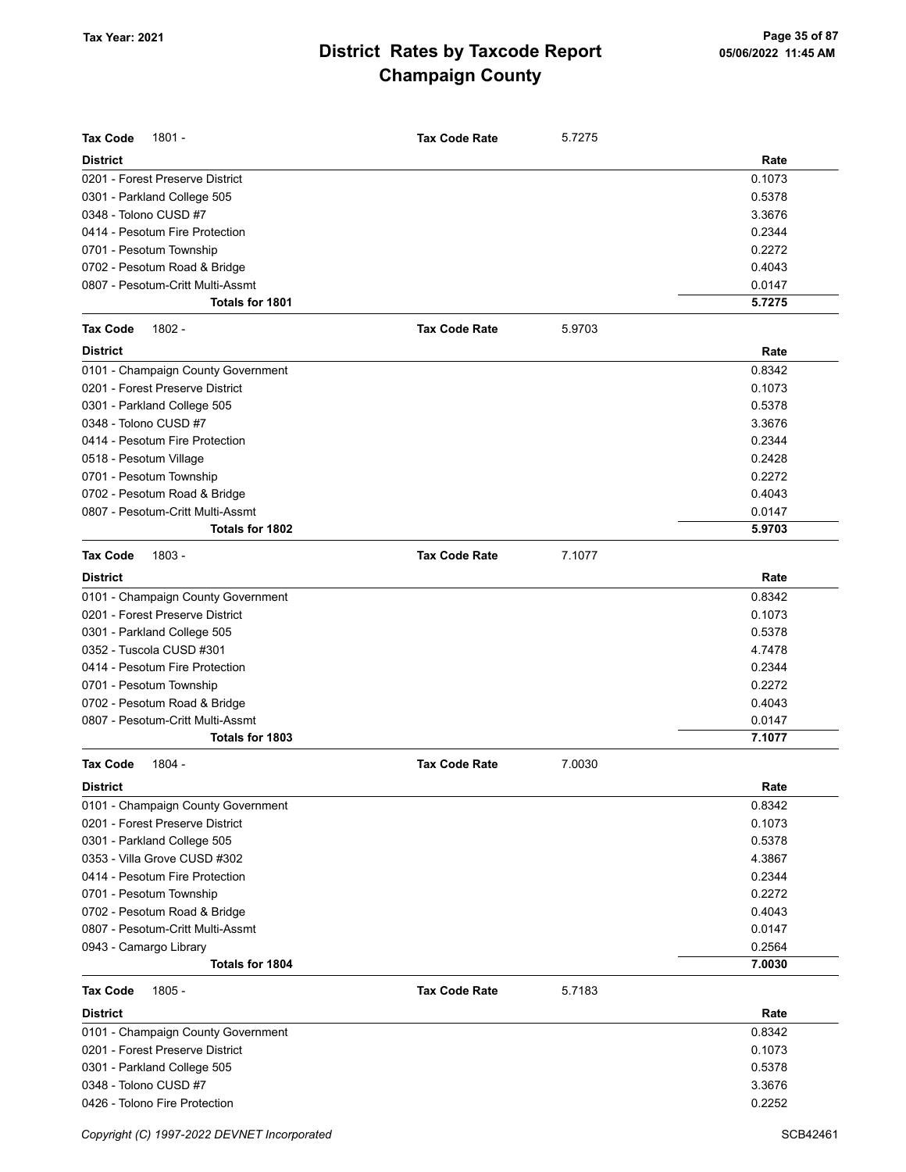| <b>Tax Code</b><br>1801 -                                        | <b>Tax Code Rate</b> | 5.7275 |                  |
|------------------------------------------------------------------|----------------------|--------|------------------|
|                                                                  |                      |        |                  |
| <b>District</b>                                                  |                      |        | Rate             |
| 0201 - Forest Preserve District                                  |                      |        | 0.1073           |
| 0301 - Parkland College 505<br>0348 - Tolono CUSD #7             |                      |        | 0.5378<br>3.3676 |
| 0414 - Pesotum Fire Protection                                   |                      |        | 0.2344           |
|                                                                  |                      |        | 0.2272           |
| 0701 - Pesotum Township                                          |                      |        | 0.4043           |
| 0702 - Pesotum Road & Bridge                                     |                      |        |                  |
| 0807 - Pesotum-Critt Multi-Assmt<br>Totals for 1801              |                      |        | 0.0147<br>5.7275 |
|                                                                  |                      |        |                  |
| $1802 -$<br><b>Tax Code</b>                                      | <b>Tax Code Rate</b> | 5.9703 |                  |
| <b>District</b>                                                  |                      |        | Rate             |
| 0101 - Champaign County Government                               |                      |        | 0.8342           |
| 0201 - Forest Preserve District                                  |                      |        | 0.1073           |
| 0301 - Parkland College 505                                      |                      |        | 0.5378           |
| 0348 - Tolono CUSD #7                                            |                      |        | 3.3676           |
| 0414 - Pesotum Fire Protection                                   |                      |        | 0.2344           |
| 0518 - Pesotum Village                                           |                      |        | 0.2428           |
| 0701 - Pesotum Township                                          |                      |        | 0.2272           |
| 0702 - Pesotum Road & Bridge                                     |                      |        | 0.4043           |
| 0807 - Pesotum-Critt Multi-Assmt                                 |                      |        | 0.0147           |
| <b>Totals for 1802</b>                                           |                      |        | 5.9703           |
| <b>Tax Code</b><br>$1803 -$                                      | <b>Tax Code Rate</b> | 7.1077 |                  |
| <b>District</b>                                                  |                      |        | Rate             |
| 0101 - Champaign County Government                               |                      |        | 0.8342           |
| 0201 - Forest Preserve District                                  |                      |        | 0.1073           |
| 0301 - Parkland College 505                                      |                      |        | 0.5378           |
| 0352 - Tuscola CUSD #301                                         |                      |        | 4.7478           |
| 0414 - Pesotum Fire Protection                                   |                      |        | 0.2344           |
| 0701 - Pesotum Township                                          |                      |        | 0.2272           |
| 0702 - Pesotum Road & Bridge                                     |                      |        | 0.4043           |
| 0807 - Pesotum-Critt Multi-Assmt                                 |                      |        | 0.0147           |
| Totals for 1803                                                  |                      |        | 7.1077           |
| <b>Tax Code</b><br>1804 -                                        | <b>Tax Code Rate</b> | 7.0030 |                  |
| <b>District</b>                                                  |                      |        | Rate             |
| 0101 - Champaign County Government                               |                      |        | 0.8342           |
| 0201 - Forest Preserve District                                  |                      |        | 0.1073           |
| 0301 - Parkland College 505                                      |                      |        | 0.5378           |
| 0353 - Villa Grove CUSD #302                                     |                      |        | 4.3867           |
| 0414 - Pesotum Fire Protection                                   |                      |        | 0.2344           |
| 0701 - Pesotum Township                                          |                      |        | 0.2272           |
|                                                                  |                      |        | 0.4043           |
| 0702 - Pesotum Road & Bridge<br>0807 - Pesotum-Critt Multi-Assmt |                      |        | 0.0147           |
| 0943 - Camargo Library                                           |                      |        | 0.2564           |
| Totals for 1804                                                  |                      |        | 7.0030           |
|                                                                  |                      |        |                  |
| <b>Tax Code</b><br>1805 -                                        | <b>Tax Code Rate</b> | 5.7183 |                  |
| <b>District</b>                                                  |                      |        | Rate             |
| 0101 - Champaign County Government                               |                      |        | 0.8342           |
| 0201 - Forest Preserve District                                  |                      |        | 0.1073           |
| 0301 - Parkland College 505                                      |                      |        | 0.5378           |
| 0348 - Tolono CUSD #7                                            |                      |        | 3.3676           |
| 0426 - Tolono Fire Protection                                    |                      |        | 0.2252           |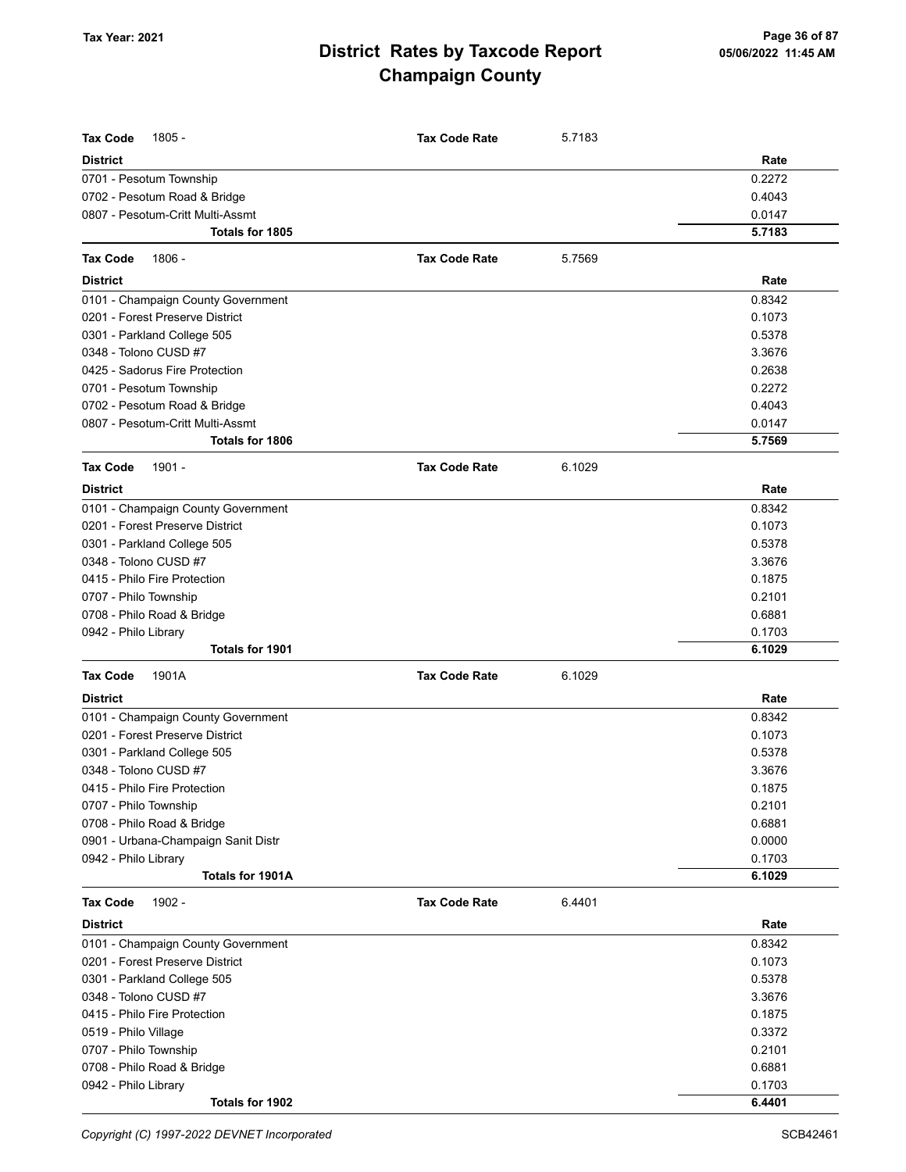| <b>Tax Code</b><br>1805 -           | <b>Tax Code Rate</b> | 5.7183 |        |
|-------------------------------------|----------------------|--------|--------|
| <b>District</b>                     |                      |        | Rate   |
| 0701 - Pesotum Township             |                      |        | 0.2272 |
| 0702 - Pesotum Road & Bridge        |                      |        | 0.4043 |
| 0807 - Pesotum-Critt Multi-Assmt    |                      |        | 0.0147 |
| <b>Totals for 1805</b>              |                      |        | 5.7183 |
| <b>Tax Code</b><br>1806 -           | <b>Tax Code Rate</b> | 5.7569 |        |
| <b>District</b>                     |                      |        | Rate   |
| 0101 - Champaign County Government  |                      |        | 0.8342 |
| 0201 - Forest Preserve District     |                      |        | 0.1073 |
| 0301 - Parkland College 505         |                      |        | 0.5378 |
| 0348 - Tolono CUSD #7               |                      |        | 3.3676 |
| 0425 - Sadorus Fire Protection      |                      |        | 0.2638 |
| 0701 - Pesotum Township             |                      |        | 0.2272 |
| 0702 - Pesotum Road & Bridge        |                      |        | 0.4043 |
| 0807 - Pesotum-Critt Multi-Assmt    |                      |        | 0.0147 |
| <b>Totals for 1806</b>              |                      |        | 5.7569 |
| 1901 -<br><b>Tax Code</b>           | <b>Tax Code Rate</b> | 6.1029 |        |
| <b>District</b>                     |                      |        | Rate   |
| 0101 - Champaign County Government  |                      |        | 0.8342 |
| 0201 - Forest Preserve District     |                      |        | 0.1073 |
| 0301 - Parkland College 505         |                      |        | 0.5378 |
| 0348 - Tolono CUSD #7               |                      |        | 3.3676 |
| 0415 - Philo Fire Protection        |                      |        | 0.1875 |
| 0707 - Philo Township               |                      |        | 0.2101 |
| 0708 - Philo Road & Bridge          |                      |        | 0.6881 |
| 0942 - Philo Library                |                      |        | 0.1703 |
| <b>Totals for 1901</b>              |                      |        | 6.1029 |
| <b>Tax Code</b><br>1901A            | <b>Tax Code Rate</b> | 6.1029 |        |
| <b>District</b>                     |                      |        | Rate   |
| 0101 - Champaign County Government  |                      |        | 0.8342 |
| 0201 - Forest Preserve District     |                      |        | 0.1073 |
| 0301 - Parkland College 505         |                      |        | 0.5378 |
| 0348 - Tolono CUSD #7               |                      |        | 3.3676 |
| 0415 - Philo Fire Protection        |                      |        | 0.1875 |
| 0707 - Philo Township               |                      |        | 0.2101 |
| 0708 - Philo Road & Bridge          |                      |        | 0.6881 |
| 0901 - Urbana-Champaign Sanit Distr |                      |        | 0.0000 |
| 0942 - Philo Library                |                      |        | 0.1703 |
| Totals for 1901A                    |                      |        | 6.1029 |
| <b>Tax Code</b><br>1902 -           | <b>Tax Code Rate</b> | 6.4401 |        |
| <b>District</b>                     |                      |        | Rate   |
| 0101 - Champaign County Government  |                      |        | 0.8342 |
| 0201 - Forest Preserve District     |                      |        | 0.1073 |
| 0301 - Parkland College 505         |                      |        | 0.5378 |
| 0348 - Tolono CUSD #7               |                      |        | 3.3676 |
| 0415 - Philo Fire Protection        |                      |        | 0.1875 |
| 0519 - Philo Village                |                      |        | 0.3372 |
| 0707 - Philo Township               |                      |        | 0.2101 |
| 0708 - Philo Road & Bridge          |                      |        | 0.6881 |
| 0942 - Philo Library                |                      |        | 0.1703 |
| Totals for 1902                     |                      |        | 6.4401 |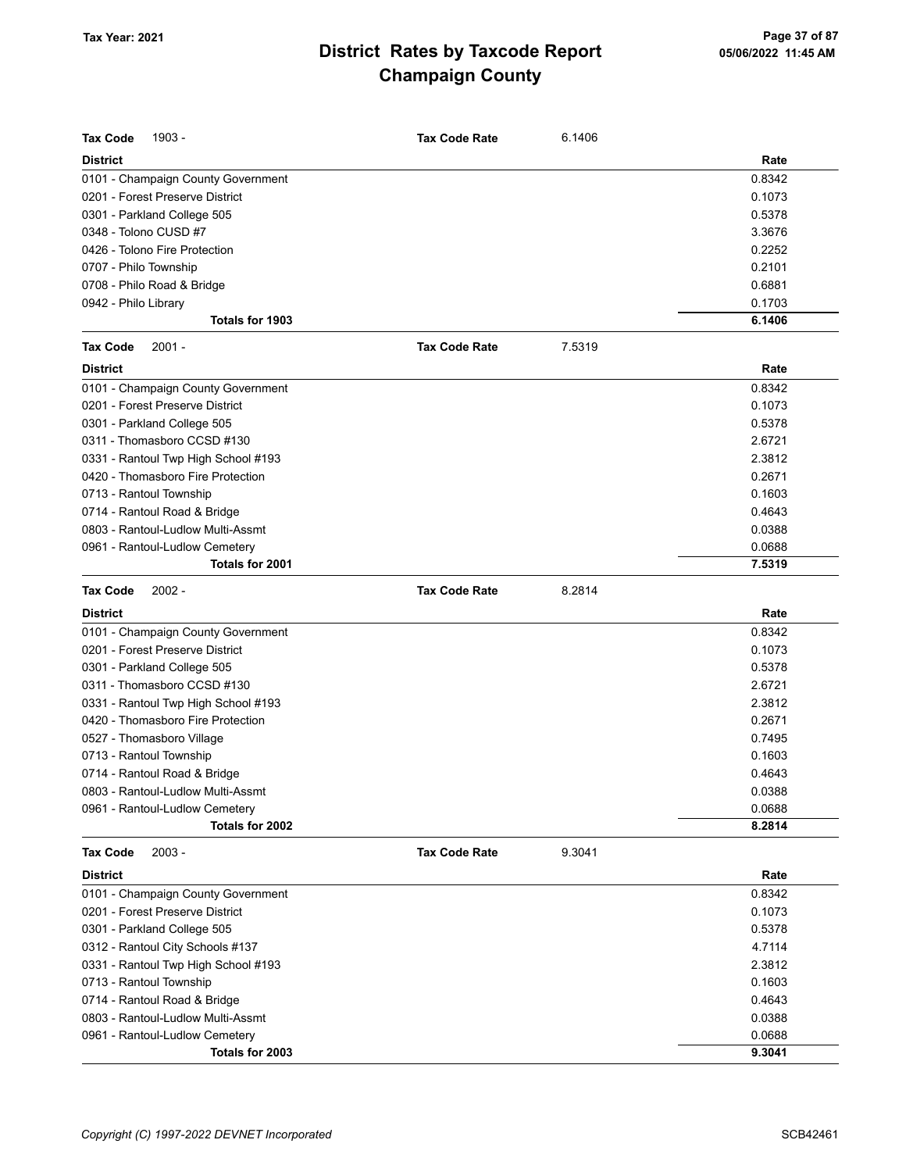| <b>Tax Code</b><br>1903 -           | <b>Tax Code Rate</b> | 6.1406 |        |
|-------------------------------------|----------------------|--------|--------|
| <b>District</b>                     |                      |        | Rate   |
| 0101 - Champaign County Government  |                      |        | 0.8342 |
| 0201 - Forest Preserve District     |                      |        | 0.1073 |
| 0301 - Parkland College 505         |                      |        | 0.5378 |
| 0348 - Tolono CUSD #7               |                      |        | 3.3676 |
| 0426 - Tolono Fire Protection       |                      |        | 0.2252 |
| 0707 - Philo Township               |                      |        | 0.2101 |
| 0708 - Philo Road & Bridge          |                      |        | 0.6881 |
| 0942 - Philo Library                |                      |        | 0.1703 |
| Totals for 1903                     |                      |        | 6.1406 |
| <b>Tax Code</b><br>$2001 -$         | <b>Tax Code Rate</b> | 7.5319 |        |
| <b>District</b>                     |                      |        | Rate   |
| 0101 - Champaign County Government  |                      |        | 0.8342 |
| 0201 - Forest Preserve District     |                      |        | 0.1073 |
| 0301 - Parkland College 505         |                      |        | 0.5378 |
| 0311 - Thomasboro CCSD #130         |                      |        | 2.6721 |
| 0331 - Rantoul Twp High School #193 |                      |        | 2.3812 |
| 0420 - Thomasboro Fire Protection   |                      |        | 0.2671 |
| 0713 - Rantoul Township             |                      |        | 0.1603 |
| 0714 - Rantoul Road & Bridge        |                      |        | 0.4643 |
| 0803 - Rantoul-Ludlow Multi-Assmt   |                      |        | 0.0388 |
| 0961 - Rantoul-Ludlow Cemetery      |                      |        | 0.0688 |
| Totals for 2001                     |                      |        | 7.5319 |
| <b>Tax Code</b><br>$2002 -$         | <b>Tax Code Rate</b> | 8.2814 |        |
| <b>District</b>                     |                      |        | Rate   |
| 0101 - Champaign County Government  |                      |        | 0.8342 |
| 0201 - Forest Preserve District     |                      |        | 0.1073 |
| 0301 - Parkland College 505         |                      |        | 0.5378 |
| 0311 - Thomasboro CCSD #130         |                      |        | 2.6721 |
| 0331 - Rantoul Twp High School #193 |                      |        | 2.3812 |
| 0420 - Thomasboro Fire Protection   |                      |        | 0.2671 |
| 0527 - Thomasboro Village           |                      |        | 0.7495 |
| 0713 - Rantoul Township             |                      |        | 0.1603 |
| 0714 - Rantoul Road & Bridge        |                      |        | 0.4643 |
| 0803 - Rantoul-Ludlow Multi-Assmt   |                      |        | 0.0388 |
| 0961 - Rantoul-Ludlow Cemetery      |                      |        | 0.0688 |
| Totals for 2002                     |                      |        | 8.2814 |
| <b>Tax Code</b><br>$2003 -$         | <b>Tax Code Rate</b> | 9.3041 |        |
| <b>District</b>                     |                      |        | Rate   |
| 0101 - Champaign County Government  |                      |        | 0.8342 |
| 0201 - Forest Preserve District     |                      |        | 0.1073 |
| 0301 - Parkland College 505         |                      |        | 0.5378 |
| 0312 - Rantoul City Schools #137    |                      |        | 4.7114 |
| 0331 - Rantoul Twp High School #193 |                      |        | 2.3812 |
| 0713 - Rantoul Township             |                      |        | 0.1603 |
| 0714 - Rantoul Road & Bridge        |                      |        | 0.4643 |
| 0803 - Rantoul-Ludlow Multi-Assmt   |                      |        | 0.0388 |
| 0961 - Rantoul-Ludlow Cemetery      |                      |        | 0.0688 |
| Totals for 2003                     |                      |        | 9.3041 |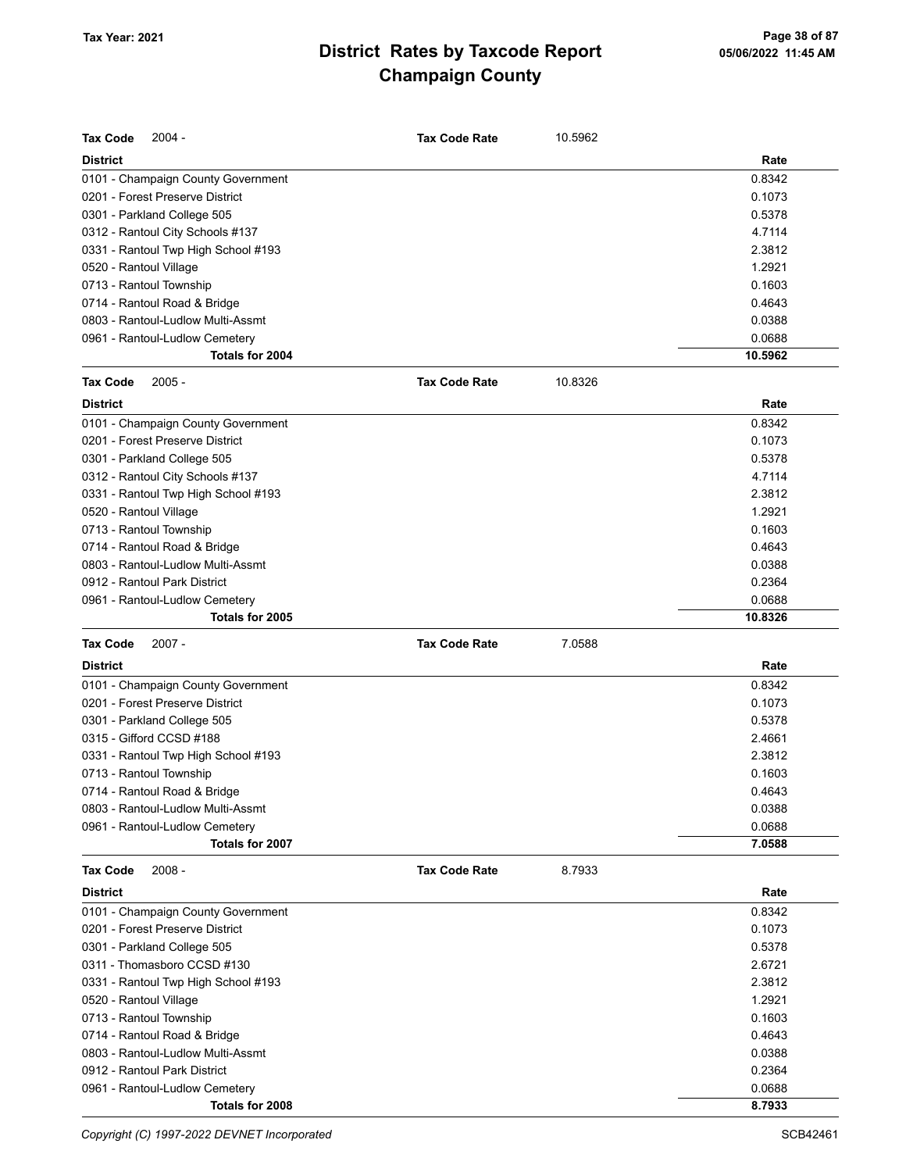| <b>Tax Code</b><br>$2004 -$                                           | <b>Tax Code Rate</b> | 10.5962 |                  |
|-----------------------------------------------------------------------|----------------------|---------|------------------|
| <b>District</b>                                                       |                      |         | Rate             |
| 0101 - Champaign County Government                                    |                      |         | 0.8342           |
| 0201 - Forest Preserve District                                       |                      |         | 0.1073           |
| 0301 - Parkland College 505                                           |                      |         | 0.5378           |
| 0312 - Rantoul City Schools #137                                      |                      |         | 4.7114           |
| 0331 - Rantoul Twp High School #193                                   |                      |         | 2.3812           |
| 0520 - Rantoul Village                                                |                      |         | 1.2921           |
| 0713 - Rantoul Township                                               |                      |         | 0.1603           |
| 0714 - Rantoul Road & Bridge                                          |                      |         | 0.4643           |
| 0803 - Rantoul-Ludlow Multi-Assmt                                     |                      |         | 0.0388           |
| 0961 - Rantoul-Ludlow Cemetery                                        |                      |         | 0.0688           |
| Totals for 2004                                                       |                      |         | 10.5962          |
| <b>Tax Code</b><br>$2005 -$                                           | <b>Tax Code Rate</b> | 10.8326 |                  |
| <b>District</b>                                                       |                      |         | Rate             |
| 0101 - Champaign County Government                                    |                      |         | 0.8342           |
| 0201 - Forest Preserve District                                       |                      |         | 0.1073           |
| 0301 - Parkland College 505                                           |                      |         | 0.5378           |
| 0312 - Rantoul City Schools #137                                      |                      |         | 4.7114           |
| 0331 - Rantoul Twp High School #193                                   |                      |         | 2.3812           |
| 0520 - Rantoul Village                                                |                      |         | 1.2921           |
| 0713 - Rantoul Township                                               |                      |         | 0.1603           |
| 0714 - Rantoul Road & Bridge                                          |                      |         | 0.4643           |
| 0803 - Rantoul-Ludlow Multi-Assmt                                     |                      |         | 0.0388           |
| 0912 - Rantoul Park District                                          |                      |         | 0.2364           |
| 0961 - Rantoul-Ludlow Cemetery                                        |                      |         | 0.0688           |
| Totals for 2005                                                       |                      |         | 10.8326          |
|                                                                       |                      |         |                  |
| <b>Tax Code</b><br>$2007 -$                                           | <b>Tax Code Rate</b> | 7.0588  |                  |
| <b>District</b>                                                       |                      |         | Rate             |
|                                                                       |                      |         | 0.8342           |
| 0101 - Champaign County Government<br>0201 - Forest Preserve District |                      |         | 0.1073           |
|                                                                       |                      |         | 0.5378           |
| 0301 - Parkland College 505<br>0315 - Gifford CCSD #188               |                      |         | 2.4661           |
|                                                                       |                      |         | 2.3812           |
| 0331 - Rantoul Twp High School #193<br>0713 - Rantoul Township        |                      |         | 0.1603           |
|                                                                       |                      |         |                  |
| 0714 - Rantoul Road & Bridge<br>0803 - Rantoul-Ludlow Multi-Assmt     |                      |         | 0.4643           |
|                                                                       |                      |         | 0.0388<br>0.0688 |
| 0961 - Rantoul-Ludlow Cemetery<br>Totals for 2007                     |                      |         | 7.0588           |
| <b>Tax Code</b><br>$2008 -$                                           | <b>Tax Code Rate</b> | 8.7933  |                  |
| <b>District</b>                                                       |                      |         | Rate             |
| 0101 - Champaign County Government                                    |                      |         | 0.8342           |
| 0201 - Forest Preserve District                                       |                      |         | 0.1073           |
| 0301 - Parkland College 505                                           |                      |         | 0.5378           |
| 0311 - Thomasboro CCSD #130                                           |                      |         | 2.6721           |
| 0331 - Rantoul Twp High School #193                                   |                      |         | 2.3812           |
| 0520 - Rantoul Village                                                |                      |         | 1.2921           |
|                                                                       |                      |         | 0.1603           |
| 0713 - Rantoul Township                                               |                      |         |                  |
| 0714 - Rantoul Road & Bridge<br>0803 - Rantoul-Ludlow Multi-Assmt     |                      |         | 0.4643           |
| 0912 - Rantoul Park District                                          |                      |         | 0.0388           |
| 0961 - Rantoul-Ludlow Cemetery                                        |                      |         | 0.2364<br>0.0688 |

Copyright (C) 1997-2022 DEVNET Incorporated SCB42461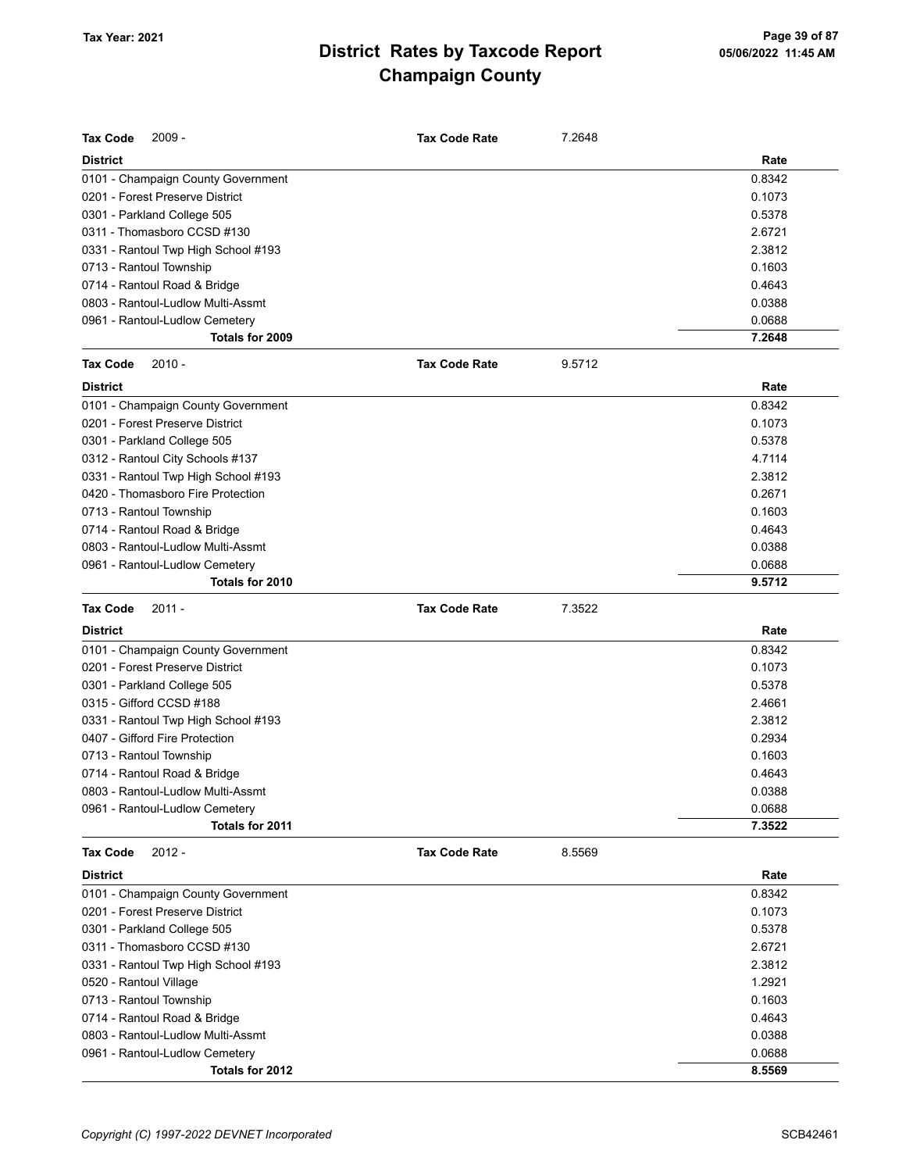| Tax Code<br>$2009 -$                | Tax Code Rate        | 7.2648 |        |
|-------------------------------------|----------------------|--------|--------|
| <b>District</b>                     |                      |        | Rate   |
| 0101 - Champaign County Government  |                      |        | 0.8342 |
| 0201 - Forest Preserve District     |                      |        | 0.1073 |
| 0301 - Parkland College 505         |                      |        | 0.5378 |
| 0311 - Thomasboro CCSD #130         |                      |        | 2.6721 |
| 0331 - Rantoul Twp High School #193 |                      |        | 2.3812 |
| 0713 - Rantoul Township             |                      |        | 0.1603 |
| 0714 - Rantoul Road & Bridge        |                      |        | 0.4643 |
| 0803 - Rantoul-Ludlow Multi-Assmt   |                      |        | 0.0388 |
| 0961 - Rantoul-Ludlow Cemetery      |                      |        | 0.0688 |
| Totals for 2009                     |                      |        | 7.2648 |
| <b>Tax Code</b><br>$2010 -$         | <b>Tax Code Rate</b> | 9.5712 |        |
| <b>District</b>                     |                      |        | Rate   |
| 0101 - Champaign County Government  |                      |        | 0.8342 |
| 0201 - Forest Preserve District     |                      |        | 0.1073 |
| 0301 - Parkland College 505         |                      |        | 0.5378 |
| 0312 - Rantoul City Schools #137    |                      |        | 4.7114 |
| 0331 - Rantoul Twp High School #193 |                      |        | 2.3812 |
| 0420 - Thomasboro Fire Protection   |                      |        | 0.2671 |
| 0713 - Rantoul Township             |                      |        | 0.1603 |
| 0714 - Rantoul Road & Bridge        |                      |        | 0.4643 |
| 0803 - Rantoul-Ludlow Multi-Assmt   |                      |        | 0.0388 |
| 0961 - Rantoul-Ludlow Cemetery      |                      |        | 0.0688 |
| Totals for 2010                     |                      |        | 9.5712 |
| <b>Tax Code</b><br>$2011 -$         | <b>Tax Code Rate</b> | 7.3522 |        |
| <b>District</b>                     |                      |        | Rate   |
| 0101 - Champaign County Government  |                      |        | 0.8342 |
| 0201 - Forest Preserve District     |                      |        | 0.1073 |
| 0301 - Parkland College 505         |                      |        | 0.5378 |
| 0315 - Gifford CCSD #188            |                      |        | 2.4661 |
| 0331 - Rantoul Twp High School #193 |                      |        | 2.3812 |
| 0407 - Gifford Fire Protection      |                      |        | 0.2934 |
| 0713 - Rantoul Township             |                      |        | 0.1603 |
| 0714 - Rantoul Road & Bridge        |                      |        | 0.4643 |
| 0803 - Rantoul-Ludlow Multi-Assmt   |                      |        | 0.0388 |
| 0961 - Rantoul-Ludlow Cemetery      |                      |        | 0.0688 |
| Totals for 2011                     |                      |        | 7.3522 |
| <b>Tax Code</b><br>$2012 -$         | <b>Tax Code Rate</b> | 8.5569 |        |
| <b>District</b>                     |                      |        | Rate   |
| 0101 - Champaign County Government  |                      |        | 0.8342 |
| 0201 - Forest Preserve District     |                      |        | 0.1073 |
| 0301 - Parkland College 505         |                      |        | 0.5378 |
| 0311 - Thomasboro CCSD #130         |                      |        | 2.6721 |
| 0331 - Rantoul Twp High School #193 |                      |        | 2.3812 |
| 0520 - Rantoul Village              |                      |        | 1.2921 |
| 0713 - Rantoul Township             |                      |        | 0.1603 |
| 0714 - Rantoul Road & Bridge        |                      |        | 0.4643 |
| 0803 - Rantoul-Ludlow Multi-Assmt   |                      |        | 0.0388 |
| 0961 - Rantoul-Ludlow Cemetery      |                      |        | 0.0688 |
| Totals for 2012                     |                      |        | 8.5569 |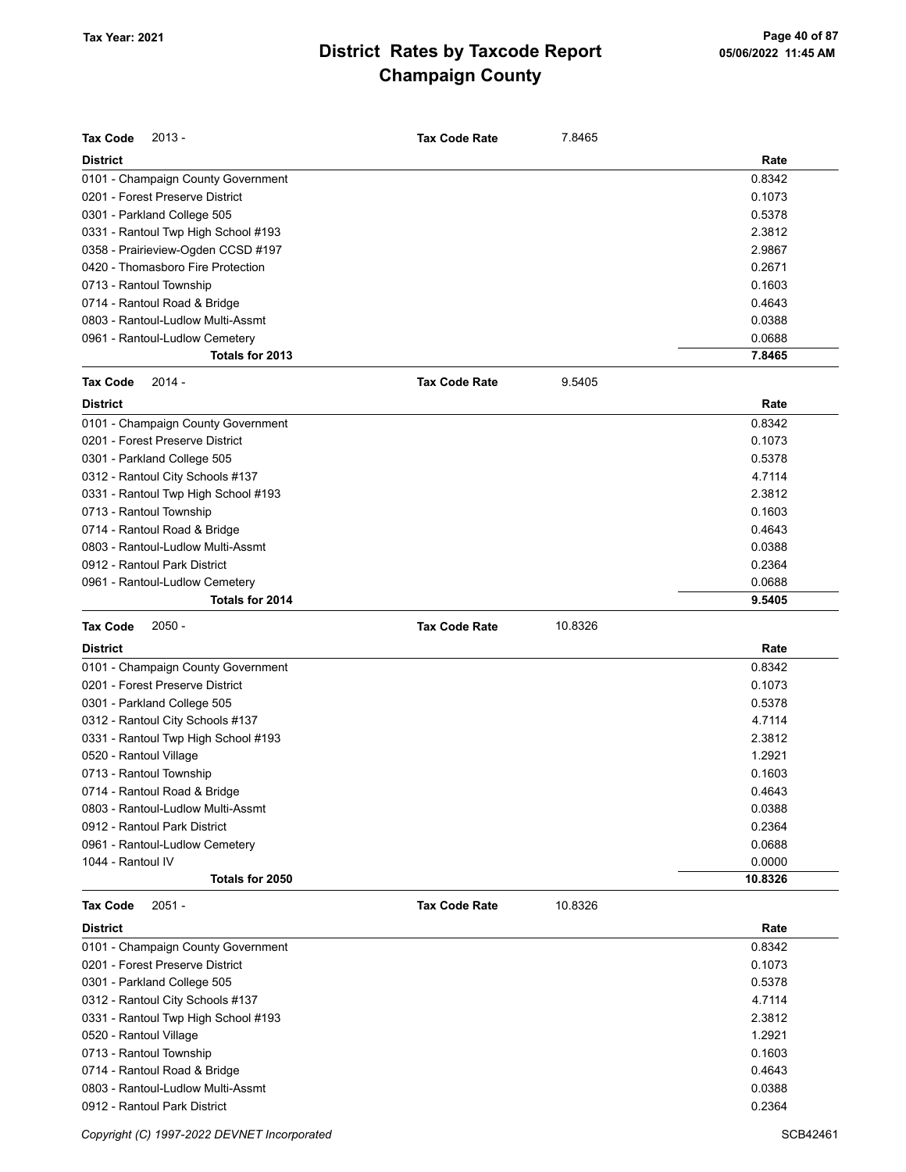| <b>Tax Code</b><br>$2013 -$         | <b>Tax Code Rate</b> | 7.8465  |         |
|-------------------------------------|----------------------|---------|---------|
| <b>District</b>                     |                      |         | Rate    |
| 0101 - Champaign County Government  |                      |         | 0.8342  |
| 0201 - Forest Preserve District     |                      |         | 0.1073  |
| 0301 - Parkland College 505         |                      |         | 0.5378  |
| 0331 - Rantoul Twp High School #193 |                      |         | 2.3812  |
| 0358 - Prairieview-Ogden CCSD #197  |                      |         | 2.9867  |
| 0420 - Thomasboro Fire Protection   |                      |         | 0.2671  |
| 0713 - Rantoul Township             |                      |         | 0.1603  |
| 0714 - Rantoul Road & Bridge        |                      |         | 0.4643  |
| 0803 - Rantoul-Ludlow Multi-Assmt   |                      |         | 0.0388  |
| 0961 - Rantoul-Ludlow Cemetery      |                      |         | 0.0688  |
| Totals for 2013                     |                      |         | 7.8465  |
| <b>Tax Code</b><br>$2014 -$         | <b>Tax Code Rate</b> | 9.5405  |         |
| <b>District</b>                     |                      |         | Rate    |
| 0101 - Champaign County Government  |                      |         | 0.8342  |
| 0201 - Forest Preserve District     |                      |         | 0.1073  |
| 0301 - Parkland College 505         |                      |         | 0.5378  |
| 0312 - Rantoul City Schools #137    |                      |         | 4.7114  |
| 0331 - Rantoul Twp High School #193 |                      |         | 2.3812  |
| 0713 - Rantoul Township             |                      |         | 0.1603  |
| 0714 - Rantoul Road & Bridge        |                      |         | 0.4643  |
| 0803 - Rantoul-Ludlow Multi-Assmt   |                      |         | 0.0388  |
| 0912 - Rantoul Park District        |                      |         | 0.2364  |
| 0961 - Rantoul-Ludlow Cemetery      |                      |         | 0.0688  |
| Totals for 2014                     |                      |         | 9.5405  |
| <b>Tax Code</b><br>$2050 -$         | <b>Tax Code Rate</b> | 10.8326 |         |
| <b>District</b>                     |                      |         | Rate    |
| 0101 - Champaign County Government  |                      |         | 0.8342  |
| 0201 - Forest Preserve District     |                      |         | 0.1073  |
| 0301 - Parkland College 505         |                      |         | 0.5378  |
| 0312 - Rantoul City Schools #137    |                      |         | 4.7114  |
| 0331 - Rantoul Twp High School #193 |                      |         | 2.3812  |
| 0520 - Rantoul Village              |                      |         | 1.2921  |
| 0713 - Rantoul Township             |                      |         | 0.1603  |
| 0714 - Rantoul Road & Bridge        |                      |         | 0.4643  |
| 0803 - Rantoul-Ludlow Multi-Assmt   |                      |         | 0.0388  |
| 0912 - Rantoul Park District        |                      |         | 0.2364  |
| 0961 - Rantoul-Ludlow Cemetery      |                      |         | 0.0688  |
| 1044 - Rantoul IV                   |                      |         | 0.0000  |
| Totals for 2050                     |                      |         | 10.8326 |
| <b>Tax Code</b><br>$2051 -$         | <b>Tax Code Rate</b> | 10.8326 |         |
| <b>District</b>                     |                      |         | Rate    |
| 0101 - Champaign County Government  |                      |         | 0.8342  |
| 0201 - Forest Preserve District     |                      |         | 0.1073  |
| 0301 - Parkland College 505         |                      |         | 0.5378  |
| 0312 - Rantoul City Schools #137    |                      |         | 4.7114  |
| 0331 - Rantoul Twp High School #193 |                      |         | 2.3812  |
| 0520 - Rantoul Village              |                      |         | 1.2921  |
| 0713 - Rantoul Township             |                      |         | 0.1603  |
| 0714 - Rantoul Road & Bridge        |                      |         | 0.4643  |
| 0803 - Rantoul-Ludlow Multi-Assmt   |                      |         | 0.0388  |
| 0912 - Rantoul Park District        |                      |         | 0.2364  |

Copyright (C) 1997-2022 DEVNET Incorporated SCB42461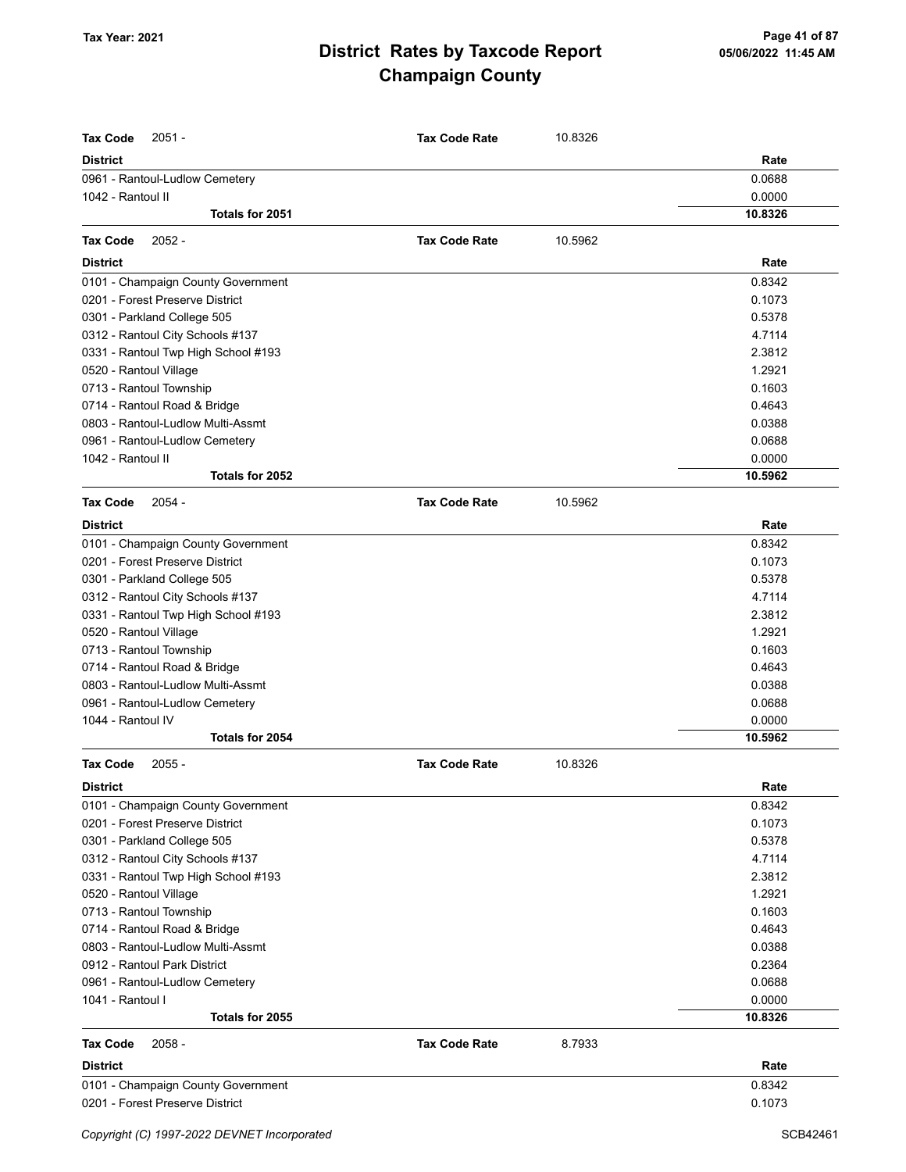| <b>Tax Code</b><br>$2051 -$         | <b>Tax Code Rate</b> | 10.8326 |         |
|-------------------------------------|----------------------|---------|---------|
| <b>District</b>                     |                      |         | Rate    |
| 0961 - Rantoul-Ludlow Cemetery      |                      |         | 0.0688  |
| 1042 - Rantoul II                   |                      |         | 0.0000  |
| Totals for 2051                     |                      |         | 10.8326 |
| $2052 -$<br><b>Tax Code</b>         | <b>Tax Code Rate</b> | 10.5962 |         |
| <b>District</b>                     |                      |         | Rate    |
| 0101 - Champaign County Government  |                      |         | 0.8342  |
| 0201 - Forest Preserve District     |                      |         | 0.1073  |
| 0301 - Parkland College 505         |                      |         | 0.5378  |
| 0312 - Rantoul City Schools #137    |                      |         | 4.7114  |
| 0331 - Rantoul Twp High School #193 |                      |         | 2.3812  |
| 0520 - Rantoul Village              |                      |         | 1.2921  |
| 0713 - Rantoul Township             |                      |         | 0.1603  |
| 0714 - Rantoul Road & Bridge        |                      |         | 0.4643  |
| 0803 - Rantoul-Ludlow Multi-Assmt   |                      |         | 0.0388  |
| 0961 - Rantoul-Ludlow Cemetery      |                      |         | 0.0688  |
| 1042 - Rantoul II                   |                      |         | 0.0000  |
| Totals for 2052                     |                      |         | 10.5962 |
| <b>Tax Code</b><br>$2054 -$         | <b>Tax Code Rate</b> | 10.5962 |         |
| <b>District</b>                     |                      |         | Rate    |
| 0101 - Champaign County Government  |                      |         | 0.8342  |
| 0201 - Forest Preserve District     |                      |         | 0.1073  |
| 0301 - Parkland College 505         |                      |         | 0.5378  |
| 0312 - Rantoul City Schools #137    |                      |         | 4.7114  |
| 0331 - Rantoul Twp High School #193 |                      |         | 2.3812  |
| 0520 - Rantoul Village              |                      |         | 1.2921  |
| 0713 - Rantoul Township             |                      |         | 0.1603  |
| 0714 - Rantoul Road & Bridge        |                      |         | 0.4643  |
| 0803 - Rantoul-Ludlow Multi-Assmt   |                      |         | 0.0388  |
| 0961 - Rantoul-Ludlow Cemetery      |                      |         | 0.0688  |
| 1044 - Rantoul IV                   |                      |         | 0.0000  |
| Totals for 2054                     |                      |         | 10.5962 |
| <b>Tax Code</b><br>$2055 -$         | <b>Tax Code Rate</b> | 10.8326 |         |
| <b>District</b>                     |                      |         | Rate    |
| 0101 - Champaign County Government  |                      |         | 0.8342  |
| 0201 - Forest Preserve District     |                      |         | 0.1073  |
| 0301 - Parkland College 505         |                      |         | 0.5378  |
| 0312 - Rantoul City Schools #137    |                      |         | 4.7114  |
| 0331 - Rantoul Twp High School #193 |                      |         | 2.3812  |
| 0520 - Rantoul Village              |                      |         | 1.2921  |
| 0713 - Rantoul Township             |                      |         | 0.1603  |
| 0714 - Rantoul Road & Bridge        |                      |         | 0.4643  |
| 0803 - Rantoul-Ludlow Multi-Assmt   |                      |         | 0.0388  |
| 0912 - Rantoul Park District        |                      |         | 0.2364  |
| 0961 - Rantoul-Ludlow Cemetery      |                      |         | 0.0688  |
| 1041 - Rantoul I                    |                      |         | 0.0000  |
| Totals for 2055                     |                      |         | 10.8326 |
| <b>Tax Code</b><br>$2058 -$         | <b>Tax Code Rate</b> | 8.7933  |         |
| <b>District</b>                     |                      |         | Rate    |
| 0101 - Champaign County Government  |                      |         | 0.8342  |
| 0201 - Forest Preserve District     |                      |         | 0.1073  |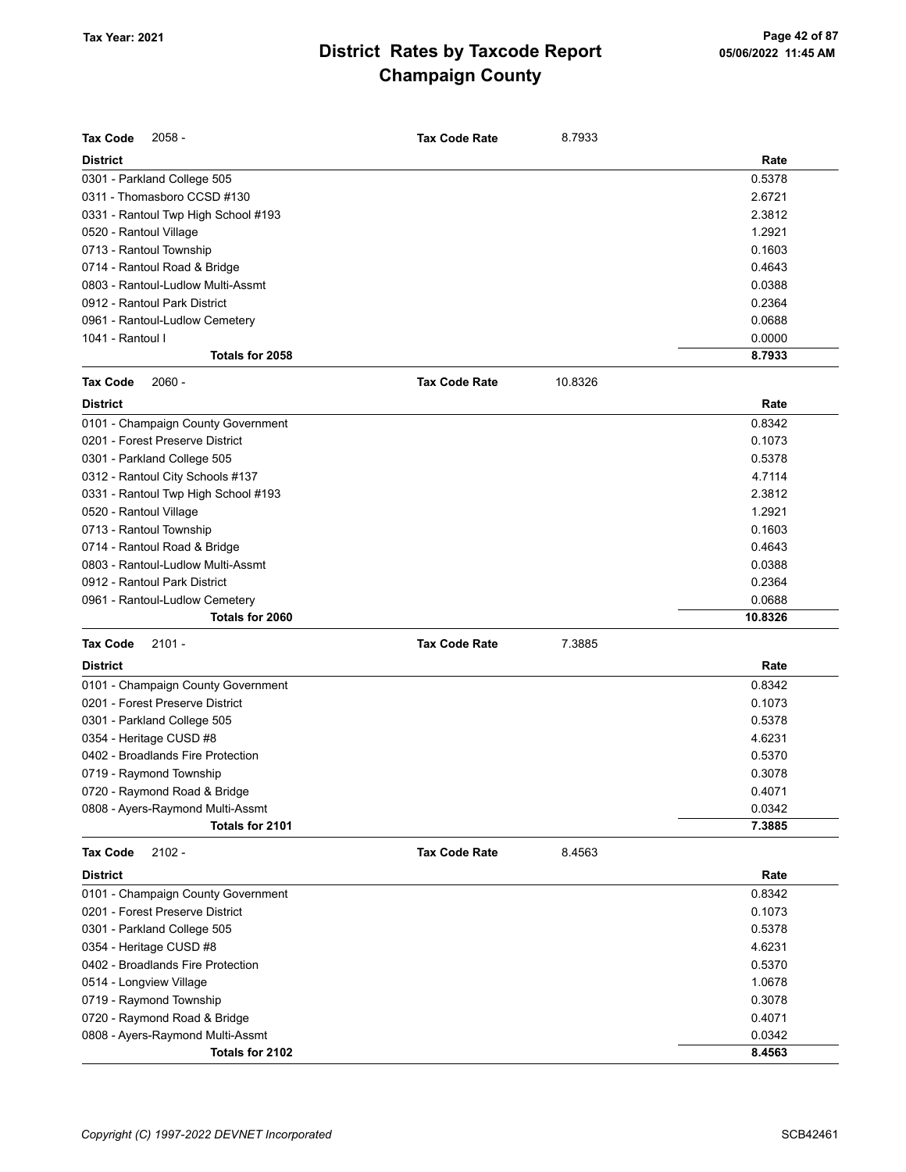| <b>Tax Code</b><br>$2058 -$         | <b>Tax Code Rate</b> | 8.7933  |         |
|-------------------------------------|----------------------|---------|---------|
| <b>District</b>                     |                      |         | Rate    |
| 0301 - Parkland College 505         |                      |         | 0.5378  |
| 0311 - Thomasboro CCSD #130         |                      |         | 2.6721  |
| 0331 - Rantoul Twp High School #193 |                      |         | 2.3812  |
| 0520 - Rantoul Village              |                      |         | 1.2921  |
| 0713 - Rantoul Township             |                      |         | 0.1603  |
| 0714 - Rantoul Road & Bridge        |                      |         | 0.4643  |
| 0803 - Rantoul-Ludlow Multi-Assmt   |                      |         | 0.0388  |
| 0912 - Rantoul Park District        |                      |         | 0.2364  |
| 0961 - Rantoul-Ludlow Cemetery      |                      |         | 0.0688  |
| 1041 - Rantoul I                    |                      |         | 0.0000  |
| Totals for 2058                     |                      |         | 8.7933  |
| <b>Tax Code</b><br>$2060 -$         | <b>Tax Code Rate</b> | 10.8326 |         |
| <b>District</b>                     |                      |         | Rate    |
| 0101 - Champaign County Government  |                      |         | 0.8342  |
| 0201 - Forest Preserve District     |                      |         | 0.1073  |
| 0301 - Parkland College 505         |                      |         | 0.5378  |
| 0312 - Rantoul City Schools #137    |                      |         | 4.7114  |
| 0331 - Rantoul Twp High School #193 |                      |         | 2.3812  |
| 0520 - Rantoul Village              |                      |         | 1.2921  |
| 0713 - Rantoul Township             |                      |         | 0.1603  |
| 0714 - Rantoul Road & Bridge        |                      |         | 0.4643  |
| 0803 - Rantoul-Ludlow Multi-Assmt   |                      |         | 0.0388  |
| 0912 - Rantoul Park District        |                      |         | 0.2364  |
| 0961 - Rantoul-Ludlow Cemetery      |                      |         | 0.0688  |
| Totals for 2060                     |                      |         | 10.8326 |
| <b>Tax Code</b><br>$2101 -$         | <b>Tax Code Rate</b> | 7.3885  |         |
| <b>District</b>                     |                      |         | Rate    |
| 0101 - Champaign County Government  |                      |         | 0.8342  |
| 0201 - Forest Preserve District     |                      |         | 0.1073  |
| 0301 - Parkland College 505         |                      |         | 0.5378  |
| 0354 - Heritage CUSD #8             |                      |         | 4.6231  |
| 0402 - Broadlands Fire Protection   |                      |         | 0.5370  |
| 0719 - Raymond Township             |                      |         | 0.3078  |
| 0720 - Raymond Road & Bridge        |                      |         | 0.4071  |
| 0808 - Ayers-Raymond Multi-Assmt    |                      |         | 0.0342  |
| Totals for 2101                     |                      |         | 7.3885  |
| $2102 -$<br><b>Tax Code</b>         | <b>Tax Code Rate</b> | 8.4563  |         |
| <b>District</b>                     |                      |         | Rate    |
| 0101 - Champaign County Government  |                      |         | 0.8342  |
| 0201 - Forest Preserve District     |                      |         | 0.1073  |
| 0301 - Parkland College 505         |                      |         | 0.5378  |
| 0354 - Heritage CUSD #8             |                      |         | 4.6231  |
| 0402 - Broadlands Fire Protection   |                      |         | 0.5370  |
| 0514 - Longview Village             |                      |         | 1.0678  |
| 0719 - Raymond Township             |                      |         | 0.3078  |
| 0720 - Raymond Road & Bridge        |                      |         | 0.4071  |
| 0808 - Ayers-Raymond Multi-Assmt    |                      |         | 0.0342  |
| Totals for 2102                     |                      |         | 8.4563  |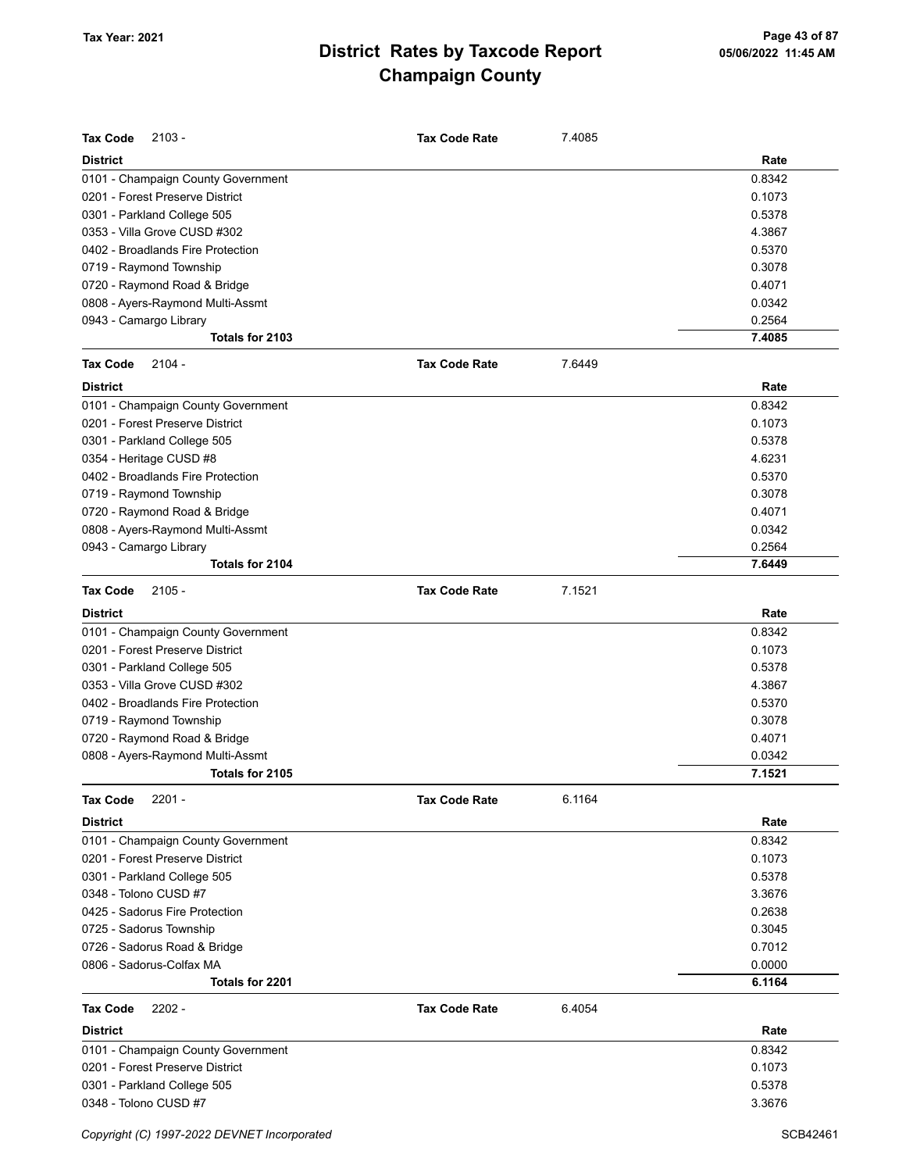| <b>Tax Code</b><br>$2103 -$        | <b>Tax Code Rate</b> | 7.4085 |        |
|------------------------------------|----------------------|--------|--------|
| <b>District</b>                    |                      |        | Rate   |
| 0101 - Champaign County Government |                      |        | 0.8342 |
| 0201 - Forest Preserve District    |                      |        | 0.1073 |
| 0301 - Parkland College 505        |                      |        | 0.5378 |
| 0353 - Villa Grove CUSD #302       |                      |        | 4.3867 |
| 0402 - Broadlands Fire Protection  |                      |        | 0.5370 |
| 0719 - Raymond Township            |                      |        | 0.3078 |
| 0720 - Raymond Road & Bridge       |                      |        | 0.4071 |
| 0808 - Ayers-Raymond Multi-Assmt   |                      |        | 0.0342 |
| 0943 - Camargo Library             |                      |        | 0.2564 |
| Totals for 2103                    |                      |        | 7.4085 |
| <b>Tax Code</b><br>$2104 -$        | <b>Tax Code Rate</b> | 7.6449 |        |
| <b>District</b>                    |                      |        | Rate   |
| 0101 - Champaign County Government |                      |        | 0.8342 |
| 0201 - Forest Preserve District    |                      |        | 0.1073 |
| 0301 - Parkland College 505        |                      |        | 0.5378 |
| 0354 - Heritage CUSD #8            |                      |        | 4.6231 |
| 0402 - Broadlands Fire Protection  |                      |        | 0.5370 |
| 0719 - Raymond Township            |                      |        | 0.3078 |
| 0720 - Raymond Road & Bridge       |                      |        | 0.4071 |
| 0808 - Ayers-Raymond Multi-Assmt   |                      |        | 0.0342 |
| 0943 - Camargo Library             |                      |        | 0.2564 |
| Totals for 2104                    |                      |        | 7.6449 |
| $2105 -$<br><b>Tax Code</b>        | <b>Tax Code Rate</b> | 7.1521 |        |
| <b>District</b>                    |                      |        | Rate   |
| 0101 - Champaign County Government |                      |        | 0.8342 |
| 0201 - Forest Preserve District    |                      |        | 0.1073 |
| 0301 - Parkland College 505        |                      |        | 0.5378 |
| 0353 - Villa Grove CUSD #302       |                      |        | 4.3867 |
| 0402 - Broadlands Fire Protection  |                      |        | 0.5370 |
| 0719 - Raymond Township            |                      |        | 0.3078 |
| 0720 - Raymond Road & Bridge       |                      |        | 0.4071 |
| 0808 - Ayers-Raymond Multi-Assmt   |                      |        | 0.0342 |
| Totals for 2105                    |                      |        | 7.1521 |
| <b>Tax Code</b><br>$2201 -$        | <b>Tax Code Rate</b> | 6.1164 |        |
| <b>District</b>                    |                      |        | Rate   |
| 0101 - Champaign County Government |                      |        | 0.8342 |
| 0201 - Forest Preserve District    |                      |        | 0.1073 |
| 0301 - Parkland College 505        |                      |        | 0.5378 |
| 0348 - Tolono CUSD #7              |                      |        | 3.3676 |
| 0425 - Sadorus Fire Protection     |                      |        | 0.2638 |
| 0725 - Sadorus Township            |                      |        | 0.3045 |
| 0726 - Sadorus Road & Bridge       |                      |        | 0.7012 |
| 0806 - Sadorus-Colfax MA           |                      |        | 0.0000 |
| Totals for 2201                    |                      |        | 6.1164 |
| <b>Tax Code</b><br>$2202 -$        | <b>Tax Code Rate</b> | 6.4054 |        |
| <b>District</b>                    |                      |        | Rate   |
| 0101 - Champaign County Government |                      |        | 0.8342 |
| 0201 - Forest Preserve District    |                      |        | 0.1073 |
| 0301 - Parkland College 505        |                      |        | 0.5378 |
| 0348 - Tolono CUSD #7              |                      |        | 3.3676 |
|                                    |                      |        |        |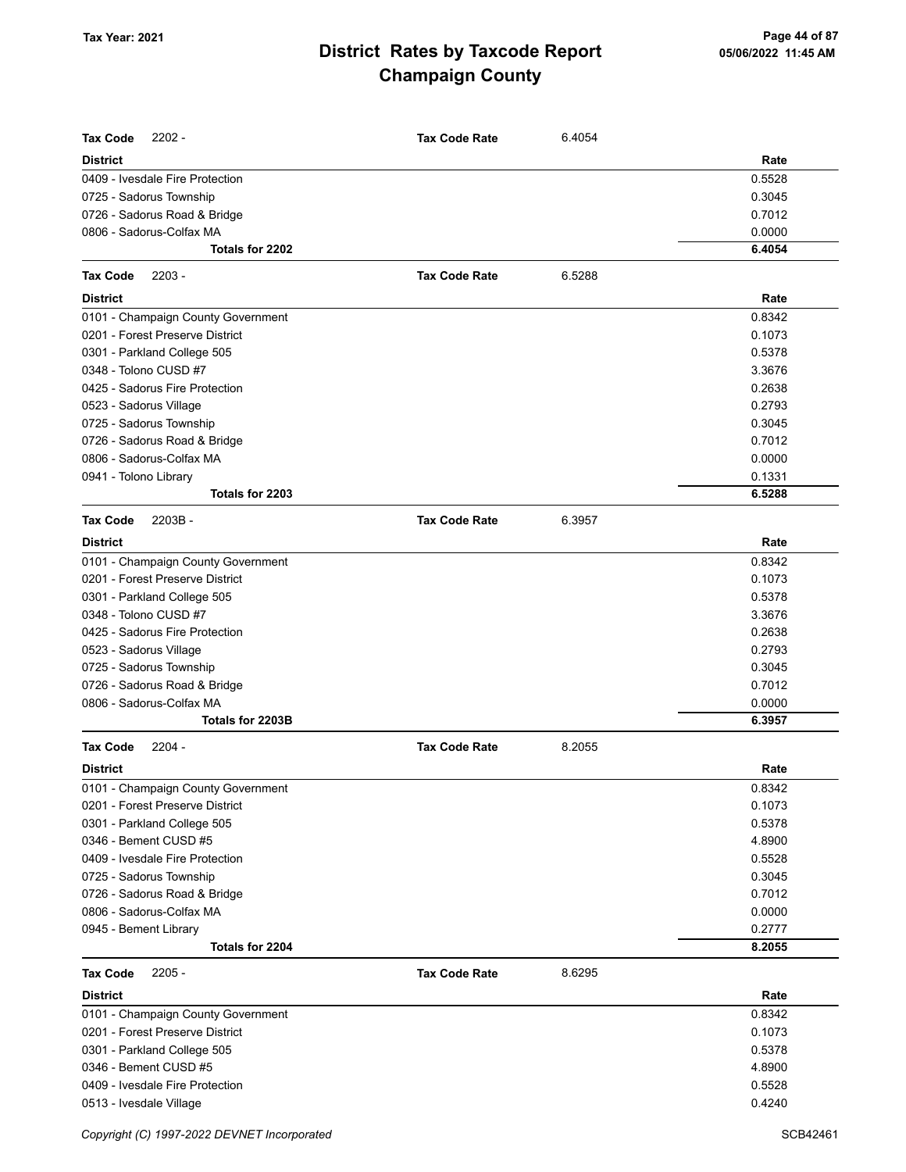| <b>Tax Code</b><br>$2202 -$                             | <b>Tax Code Rate</b> | 6.4054 | Rate             |
|---------------------------------------------------------|----------------------|--------|------------------|
| <b>District</b>                                         |                      |        |                  |
| 0409 - Ivesdale Fire Protection                         |                      |        | 0.5528<br>0.3045 |
| 0725 - Sadorus Township<br>0726 - Sadorus Road & Bridge |                      |        | 0.7012           |
| 0806 - Sadorus-Colfax MA                                |                      |        | 0.0000           |
| Totals for 2202                                         |                      |        | 6.4054           |
|                                                         |                      |        |                  |
| <b>Tax Code</b><br>$2203 -$                             | <b>Tax Code Rate</b> | 6.5288 |                  |
| <b>District</b>                                         |                      |        | Rate             |
| 0101 - Champaign County Government                      |                      |        | 0.8342           |
| 0201 - Forest Preserve District                         |                      |        | 0.1073           |
| 0301 - Parkland College 505                             |                      |        | 0.5378           |
| 0348 - Tolono CUSD #7                                   |                      |        | 3.3676           |
| 0425 - Sadorus Fire Protection                          |                      |        | 0.2638           |
| 0523 - Sadorus Village                                  |                      |        | 0.2793           |
| 0725 - Sadorus Township                                 |                      |        | 0.3045           |
| 0726 - Sadorus Road & Bridge                            |                      |        | 0.7012           |
| 0806 - Sadorus-Colfax MA                                |                      |        | 0.0000           |
| 0941 - Tolono Library<br>Totals for 2203                |                      |        | 0.1331<br>6.5288 |
|                                                         |                      |        |                  |
| <b>Tax Code</b><br>2203B-                               | <b>Tax Code Rate</b> | 6.3957 |                  |
| <b>District</b>                                         |                      |        | Rate             |
| 0101 - Champaign County Government                      |                      |        | 0.8342           |
| 0201 - Forest Preserve District                         |                      |        | 0.1073           |
| 0301 - Parkland College 505                             |                      |        | 0.5378           |
| 0348 - Tolono CUSD #7                                   |                      |        | 3.3676           |
| 0425 - Sadorus Fire Protection                          |                      |        | 0.2638           |
| 0523 - Sadorus Village                                  |                      |        | 0.2793           |
| 0725 - Sadorus Township                                 |                      |        | 0.3045           |
| 0726 - Sadorus Road & Bridge                            |                      |        | 0.7012           |
| 0806 - Sadorus-Colfax MA                                |                      |        | 0.0000           |
| Totals for 2203B                                        |                      |        | 6.3957           |
| <b>Tax Code</b><br>$2204 -$                             | <b>Tax Code Rate</b> | 8.2055 |                  |
| <b>District</b>                                         |                      |        | Rate             |
| 0101 - Champaign County Government                      |                      |        | 0.8342           |
| 0201 - Forest Preserve District                         |                      |        | 0.1073           |
| 0301 - Parkland College 505                             |                      |        | 0.5378           |
| 0346 - Bement CUSD #5                                   |                      |        | 4.8900           |
| 0409 - Ivesdale Fire Protection                         |                      |        | 0.5528           |
| 0725 - Sadorus Township                                 |                      |        | 0.3045           |
| 0726 - Sadorus Road & Bridge                            |                      |        | 0.7012           |
| 0806 - Sadorus-Colfax MA                                |                      |        | 0.0000           |
| 0945 - Bement Library                                   |                      |        | 0.2777           |
| Totals for 2204                                         |                      |        | 8.2055           |
| $2205 -$<br><b>Tax Code</b>                             | <b>Tax Code Rate</b> | 8.6295 |                  |
| <b>District</b>                                         |                      |        | Rate             |
| 0101 - Champaign County Government                      |                      |        | 0.8342           |
| 0201 - Forest Preserve District                         |                      |        | 0.1073           |
| 0301 - Parkland College 505                             |                      |        | 0.5378           |
| 0346 - Bement CUSD #5                                   |                      |        | 4.8900           |
| 0409 - Ivesdale Fire Protection                         |                      |        | 0.5528           |
| 0513 - Ivesdale Village                                 |                      |        | 0.4240           |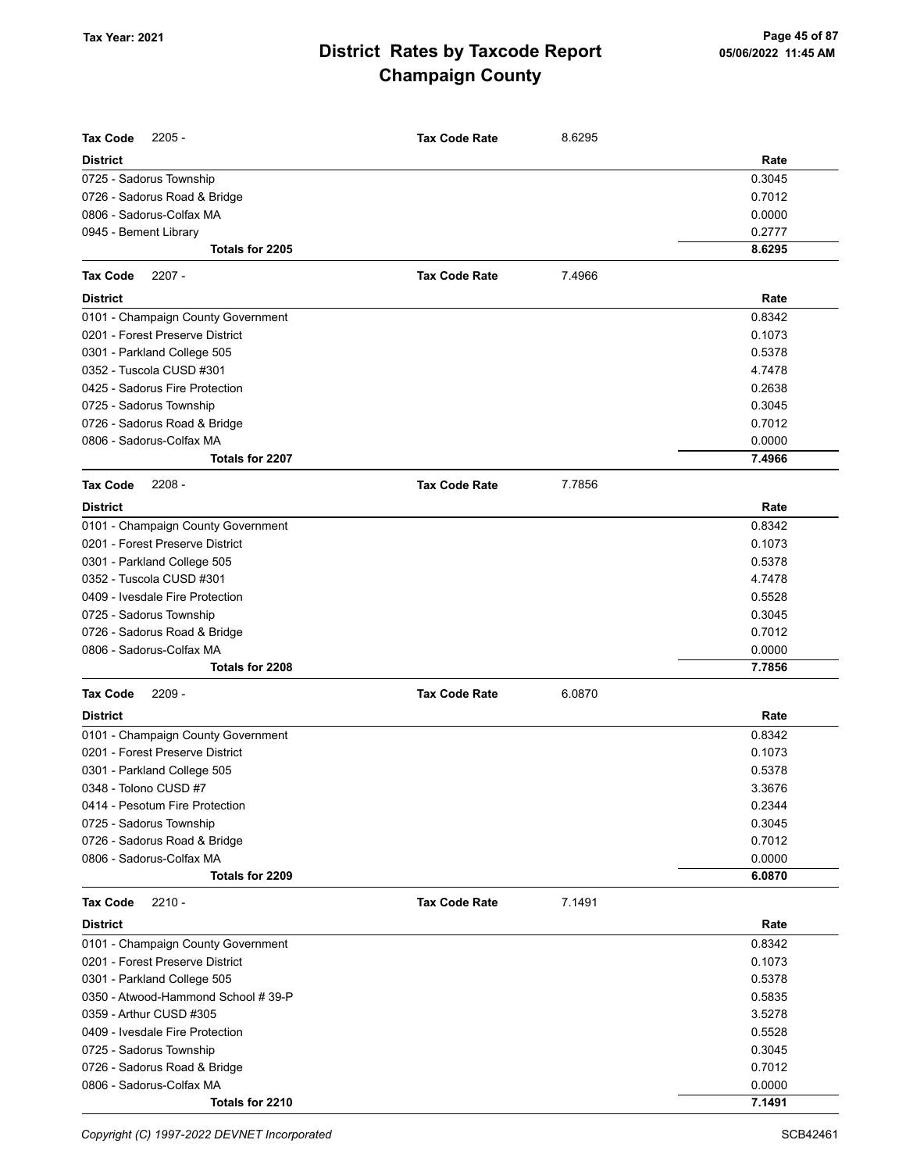| <b>Tax Code</b><br>$2205 -$         | <b>Tax Code Rate</b> | 8.6295 |        |
|-------------------------------------|----------------------|--------|--------|
| <b>District</b>                     |                      |        | Rate   |
| 0725 - Sadorus Township             |                      |        | 0.3045 |
| 0726 - Sadorus Road & Bridge        |                      |        | 0.7012 |
| 0806 - Sadorus-Colfax MA            |                      |        | 0.0000 |
| 0945 - Bement Library               |                      |        | 0.2777 |
| Totals for 2205                     |                      |        | 8.6295 |
| Tax Code<br>$2207 -$                | <b>Tax Code Rate</b> | 7.4966 |        |
| District                            |                      |        | Rate   |
| 0101 - Champaign County Government  |                      |        | 0.8342 |
| 0201 - Forest Preserve District     |                      |        | 0.1073 |
| 0301 - Parkland College 505         |                      |        | 0.5378 |
| 0352 - Tuscola CUSD #301            |                      |        | 4.7478 |
| 0425 - Sadorus Fire Protection      |                      |        | 0.2638 |
| 0725 - Sadorus Township             |                      |        | 0.3045 |
| 0726 - Sadorus Road & Bridge        |                      |        | 0.7012 |
| 0806 - Sadorus-Colfax MA            |                      |        | 0.0000 |
| Totals for 2207                     |                      |        | 7.4966 |
| $2208 -$<br><b>Tax Code</b>         | <b>Tax Code Rate</b> | 7.7856 |        |
| District                            |                      |        | Rate   |
| 0101 - Champaign County Government  |                      |        | 0.8342 |
| 0201 - Forest Preserve District     |                      |        | 0.1073 |
| 0301 - Parkland College 505         |                      |        | 0.5378 |
| 0352 - Tuscola CUSD #301            |                      |        | 4.7478 |
| 0409 - Ivesdale Fire Protection     |                      |        | 0.5528 |
| 0725 - Sadorus Township             |                      |        | 0.3045 |
| 0726 - Sadorus Road & Bridge        |                      |        | 0.7012 |
| 0806 - Sadorus-Colfax MA            |                      |        | 0.0000 |
| Totals for 2208                     |                      |        | 7.7856 |
| <b>Tax Code</b><br>$2209 -$         | <b>Tax Code Rate</b> | 6.0870 |        |
| District                            |                      |        | Rate   |
| 0101 - Champaign County Government  |                      |        | 0.8342 |
| 0201 - Forest Preserve District     |                      |        | 0.1073 |
| 0301 - Parkland College 505         |                      |        | 0.5378 |
| 0348 - Tolono CUSD #7               |                      |        | 3.3676 |
| 0414 - Pesotum Fire Protection      |                      |        | 0.2344 |
| 0725 - Sadorus Township             |                      |        | 0.3045 |
| 0726 - Sadorus Road & Bridge        |                      |        | 0.7012 |
| 0806 - Sadorus-Colfax MA            |                      |        | 0.0000 |
| Totals for 2209                     |                      |        | 6.0870 |
| Tax Code<br>$2210 -$                | <b>Tax Code Rate</b> | 7.1491 |        |
| <b>District</b>                     |                      |        | Rate   |
| 0101 - Champaign County Government  |                      |        | 0.8342 |
| 0201 - Forest Preserve District     |                      |        | 0.1073 |
| 0301 - Parkland College 505         |                      |        | 0.5378 |
| 0350 - Atwood-Hammond School # 39-P |                      |        | 0.5835 |
| 0359 - Arthur CUSD #305             |                      |        | 3.5278 |
| 0409 - Ivesdale Fire Protection     |                      |        | 0.5528 |
| 0725 - Sadorus Township             |                      |        | 0.3045 |
| 0726 - Sadorus Road & Bridge        |                      |        | 0.7012 |
| 0806 - Sadorus-Colfax MA            |                      |        | 0.0000 |
| Totals for 2210                     |                      |        | 7.1491 |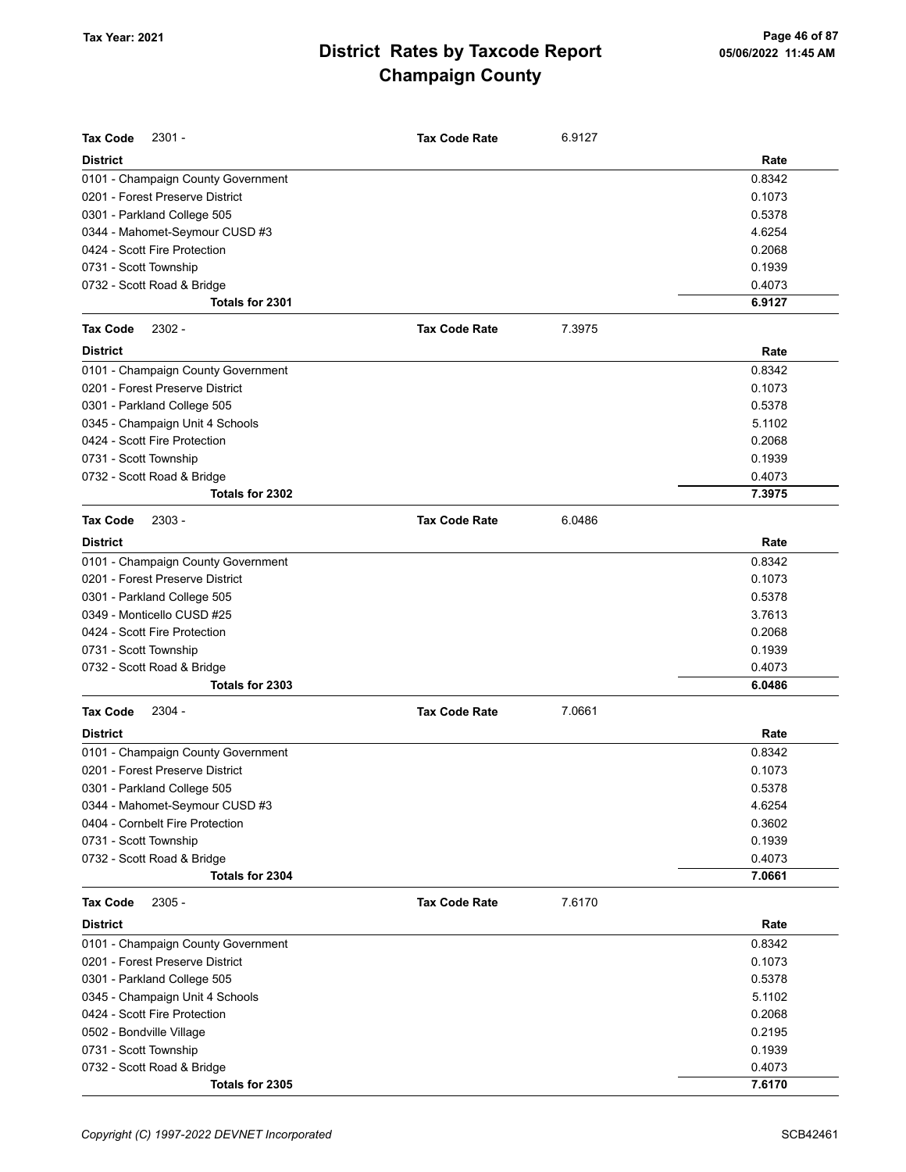| <b>Tax Code</b><br>2301 -          | <b>Tax Code Rate</b> | 6.9127 |        |
|------------------------------------|----------------------|--------|--------|
| <b>District</b>                    |                      |        | Rate   |
| 0101 - Champaign County Government |                      |        | 0.8342 |
| 0201 - Forest Preserve District    |                      |        | 0.1073 |
| 0301 - Parkland College 505        |                      |        | 0.5378 |
| 0344 - Mahomet-Seymour CUSD #3     |                      |        | 4.6254 |
| 0424 - Scott Fire Protection       |                      |        | 0.2068 |
| 0731 - Scott Township              |                      |        | 0.1939 |
| 0732 - Scott Road & Bridge         |                      |        | 0.4073 |
| Totals for 2301                    |                      |        | 6.9127 |
| <b>Tax Code</b><br>2302 -          | <b>Tax Code Rate</b> | 7.3975 |        |
| <b>District</b>                    |                      |        | Rate   |
| 0101 - Champaign County Government |                      |        | 0.8342 |
| 0201 - Forest Preserve District    |                      |        | 0.1073 |
| 0301 - Parkland College 505        |                      |        | 0.5378 |
| 0345 - Champaign Unit 4 Schools    |                      |        | 5.1102 |
| 0424 - Scott Fire Protection       |                      |        | 0.2068 |
| 0731 - Scott Township              |                      |        | 0.1939 |
| 0732 - Scott Road & Bridge         |                      |        | 0.4073 |
| Totals for 2302                    |                      |        | 7.3975 |
| <b>Tax Code</b><br>$2303 -$        | <b>Tax Code Rate</b> | 6.0486 |        |
| <b>District</b>                    |                      |        | Rate   |
| 0101 - Champaign County Government |                      |        | 0.8342 |
| 0201 - Forest Preserve District    |                      |        | 0.1073 |
| 0301 - Parkland College 505        |                      |        | 0.5378 |
| 0349 - Monticello CUSD #25         |                      |        | 3.7613 |
| 0424 - Scott Fire Protection       |                      |        | 0.2068 |
| 0731 - Scott Township              |                      |        | 0.1939 |
| 0732 - Scott Road & Bridge         |                      |        | 0.4073 |
| Totals for 2303                    |                      |        | 6.0486 |
| <b>Tax Code</b><br>$2304 -$        | <b>Tax Code Rate</b> | 7.0661 |        |
| <b>District</b>                    |                      |        | Rate   |
| 0101 - Champaign County Government |                      |        | 0.8342 |
| 0201 - Forest Preserve District    |                      |        | 0.1073 |
| 0301 - Parkland College 505        |                      |        | 0.5378 |
| 0344 - Mahomet-Seymour CUSD #3     |                      |        | 4.6254 |
| 0404 - Cornbelt Fire Protection    |                      |        | 0.3602 |
| 0731 - Scott Township              |                      |        | 0.1939 |
| 0732 - Scott Road & Bridge         |                      |        | 0.4073 |
| Totals for 2304                    |                      |        | 7.0661 |
| <b>Tax Code</b><br>$2305 -$        | <b>Tax Code Rate</b> | 7.6170 |        |
| <b>District</b>                    |                      |        | Rate   |
| 0101 - Champaign County Government |                      |        | 0.8342 |
| 0201 - Forest Preserve District    |                      |        | 0.1073 |
| 0301 - Parkland College 505        |                      |        | 0.5378 |
| 0345 - Champaign Unit 4 Schools    |                      |        | 5.1102 |
| 0424 - Scott Fire Protection       |                      |        | 0.2068 |
| 0502 - Bondville Village           |                      |        | 0.2195 |
| 0731 - Scott Township              |                      |        | 0.1939 |
| 0732 - Scott Road & Bridge         |                      |        | 0.4073 |
| Totals for 2305                    |                      |        | 7.6170 |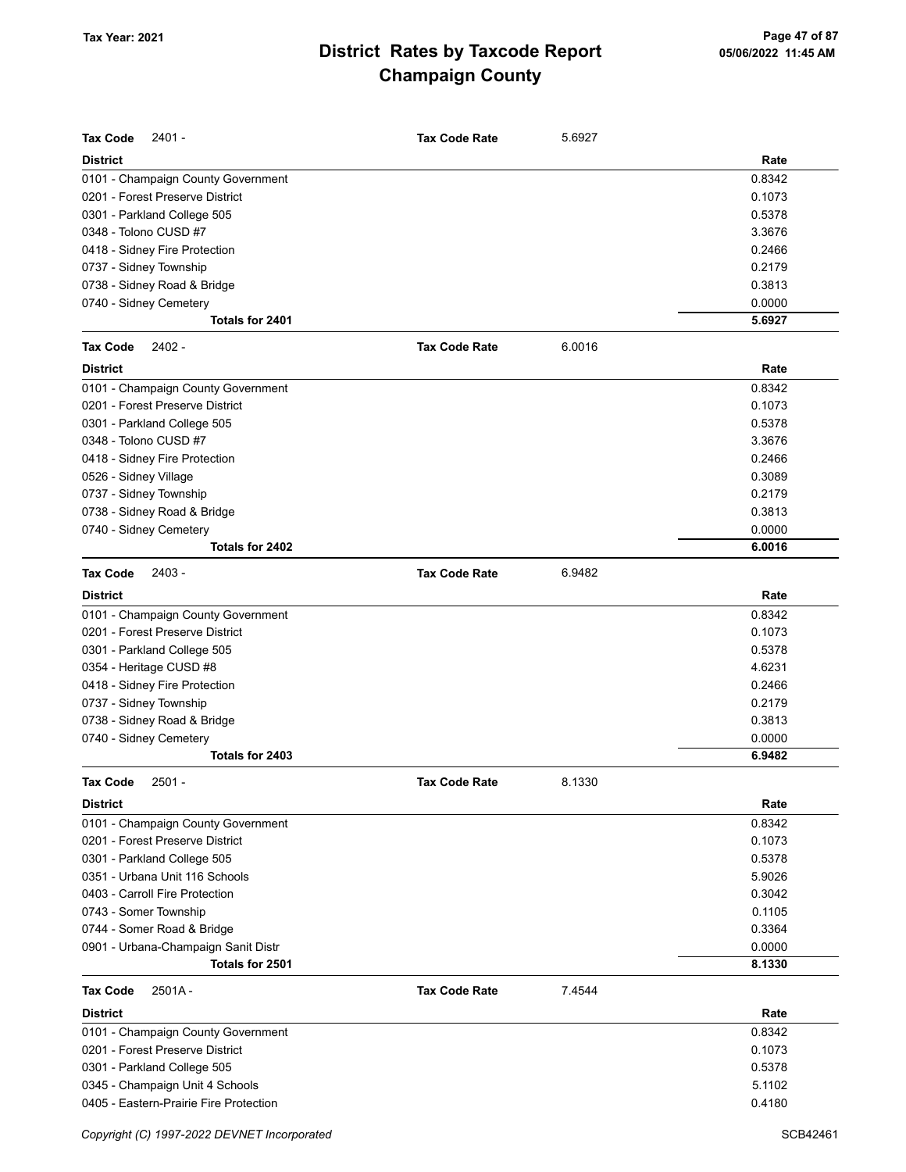| <b>Tax Code</b><br>2401 -              | <b>Tax Code Rate</b> | 5.6927 |        |
|----------------------------------------|----------------------|--------|--------|
| <b>District</b>                        |                      |        | Rate   |
| 0101 - Champaign County Government     |                      |        | 0.8342 |
| 0201 - Forest Preserve District        |                      |        | 0.1073 |
| 0301 - Parkland College 505            |                      |        | 0.5378 |
| 0348 - Tolono CUSD #7                  |                      |        | 3.3676 |
| 0418 - Sidney Fire Protection          |                      |        | 0.2466 |
| 0737 - Sidney Township                 |                      |        | 0.2179 |
| 0738 - Sidney Road & Bridge            |                      |        | 0.3813 |
| 0740 - Sidney Cemetery                 |                      |        | 0.0000 |
| Totals for 2401                        |                      |        | 5.6927 |
| 2402 -<br>Tax Code                     | <b>Tax Code Rate</b> | 6.0016 |        |
| <b>District</b>                        |                      |        | Rate   |
| 0101 - Champaign County Government     |                      |        | 0.8342 |
| 0201 - Forest Preserve District        |                      |        | 0.1073 |
| 0301 - Parkland College 505            |                      |        | 0.5378 |
| 0348 - Tolono CUSD #7                  |                      |        | 3.3676 |
| 0418 - Sidney Fire Protection          |                      |        | 0.2466 |
| 0526 - Sidney Village                  |                      |        | 0.3089 |
| 0737 - Sidney Township                 |                      |        | 0.2179 |
| 0738 - Sidney Road & Bridge            |                      |        | 0.3813 |
| 0740 - Sidney Cemetery                 |                      |        | 0.0000 |
| Totals for 2402                        |                      |        | 6.0016 |
| 2403 -<br><b>Tax Code</b>              | <b>Tax Code Rate</b> | 6.9482 |        |
| <b>District</b>                        |                      |        | Rate   |
| 0101 - Champaign County Government     |                      |        | 0.8342 |
| 0201 - Forest Preserve District        |                      |        | 0.1073 |
| 0301 - Parkland College 505            |                      |        | 0.5378 |
| 0354 - Heritage CUSD #8                |                      |        | 4.6231 |
| 0418 - Sidney Fire Protection          |                      |        | 0.2466 |
| 0737 - Sidney Township                 |                      |        | 0.2179 |
| 0738 - Sidney Road & Bridge            |                      |        | 0.3813 |
| 0740 - Sidney Cemetery                 |                      |        | 0.0000 |
| Totals for 2403                        |                      |        | 6.9482 |
| Tax Code<br>$2501 -$                   | <b>Tax Code Rate</b> | 8.1330 |        |
| <b>District</b>                        |                      |        | Rate   |
| 0101 - Champaign County Government     |                      |        | 0.8342 |
| 0201 - Forest Preserve District        |                      |        | 0.1073 |
| 0301 - Parkland College 505            |                      |        | 0.5378 |
| 0351 - Urbana Unit 116 Schools         |                      |        | 5.9026 |
| 0403 - Carroll Fire Protection         |                      |        | 0.3042 |
| 0743 - Somer Township                  |                      |        | 0.1105 |
| 0744 - Somer Road & Bridge             |                      |        | 0.3364 |
| 0901 - Urbana-Champaign Sanit Distr    |                      |        | 0.0000 |
| Totals for 2501                        |                      |        | 8.1330 |
| Tax Code<br>$2501A -$                  | <b>Tax Code Rate</b> | 7.4544 |        |
| <b>District</b>                        |                      |        | Rate   |
| 0101 - Champaign County Government     |                      |        | 0.8342 |
| 0201 - Forest Preserve District        |                      |        | 0.1073 |
| 0301 - Parkland College 505            |                      |        | 0.5378 |
| 0345 - Champaign Unit 4 Schools        |                      |        | 5.1102 |
| 0405 - Eastern-Prairie Fire Protection |                      |        | 0.4180 |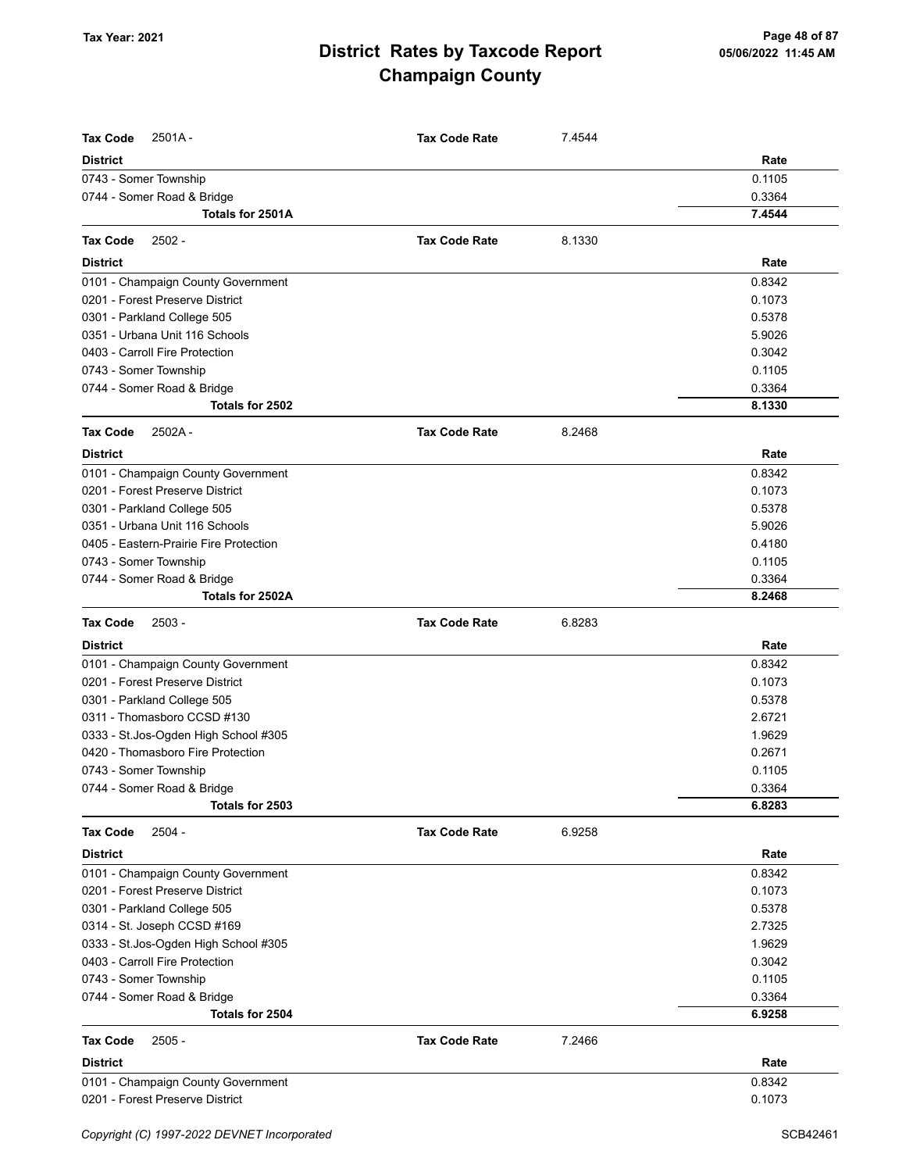| <b>Tax Code</b><br>$2501A -$           | <b>Tax Code Rate</b> | 7.4544 |        |
|----------------------------------------|----------------------|--------|--------|
| <b>District</b>                        |                      |        | Rate   |
| 0743 - Somer Township                  |                      |        | 0.1105 |
| 0744 - Somer Road & Bridge             |                      |        | 0.3364 |
| Totals for 2501A                       |                      |        | 7.4544 |
| $2502 -$<br><b>Tax Code</b>            | <b>Tax Code Rate</b> | 8.1330 |        |
| <b>District</b>                        |                      |        | Rate   |
| 0101 - Champaign County Government     |                      |        | 0.8342 |
| 0201 - Forest Preserve District        |                      |        | 0.1073 |
| 0301 - Parkland College 505            |                      |        | 0.5378 |
| 0351 - Urbana Unit 116 Schools         |                      |        | 5.9026 |
| 0403 - Carroll Fire Protection         |                      |        | 0.3042 |
| 0743 - Somer Township                  |                      |        | 0.1105 |
| 0744 - Somer Road & Bridge             |                      |        | 0.3364 |
| Totals for 2502                        |                      |        | 8.1330 |
| <b>Tax Code</b><br>2502A-              | <b>Tax Code Rate</b> | 8.2468 |        |
| <b>District</b>                        |                      |        | Rate   |
| 0101 - Champaign County Government     |                      |        | 0.8342 |
| 0201 - Forest Preserve District        |                      |        | 0.1073 |
| 0301 - Parkland College 505            |                      |        | 0.5378 |
| 0351 - Urbana Unit 116 Schools         |                      |        | 5.9026 |
| 0405 - Eastern-Prairie Fire Protection |                      |        | 0.4180 |
| 0743 - Somer Township                  |                      |        | 0.1105 |
| 0744 - Somer Road & Bridge             |                      |        | 0.3364 |
| Totals for 2502A                       |                      |        | 8.2468 |
| $2503 -$<br><b>Tax Code</b>            | <b>Tax Code Rate</b> | 6.8283 |        |
| <b>District</b>                        |                      |        | Rate   |
| 0101 - Champaign County Government     |                      |        | 0.8342 |
| 0201 - Forest Preserve District        |                      |        | 0.1073 |
| 0301 - Parkland College 505            |                      |        | 0.5378 |
| 0311 - Thomasboro CCSD #130            |                      |        | 2.6721 |
| 0333 - St.Jos-Ogden High School #305   |                      |        | 1.9629 |
| 0420 - Thomasboro Fire Protection      |                      |        | 0.2671 |
| 0743 - Somer Township                  |                      |        | 0.1105 |
| 0744 - Somer Road & Bridge             |                      |        | 0.3364 |
| Totals for 2503                        |                      |        | 6.8283 |
| <b>Tax Code</b><br>$2504 -$            | <b>Tax Code Rate</b> | 6.9258 |        |
| <b>District</b>                        |                      |        | Rate   |
| 0101 - Champaign County Government     |                      |        | 0.8342 |
| 0201 - Forest Preserve District        |                      |        | 0.1073 |
| 0301 - Parkland College 505            |                      |        | 0.5378 |
| 0314 - St. Joseph CCSD #169            |                      |        | 2.7325 |
| 0333 - St.Jos-Ogden High School #305   |                      |        | 1.9629 |
| 0403 - Carroll Fire Protection         |                      |        | 0.3042 |
| 0743 - Somer Township                  |                      |        | 0.1105 |
| 0744 - Somer Road & Bridge             |                      |        | 0.3364 |
| Totals for 2504                        |                      |        | 6.9258 |
| <b>Tax Code</b><br>$2505 -$            | <b>Tax Code Rate</b> | 7.2466 |        |
| <b>District</b>                        |                      |        | Rate   |
| 0101 - Champaign County Government     |                      |        | 0.8342 |
| 0201 - Forest Preserve District        |                      |        | 0.1073 |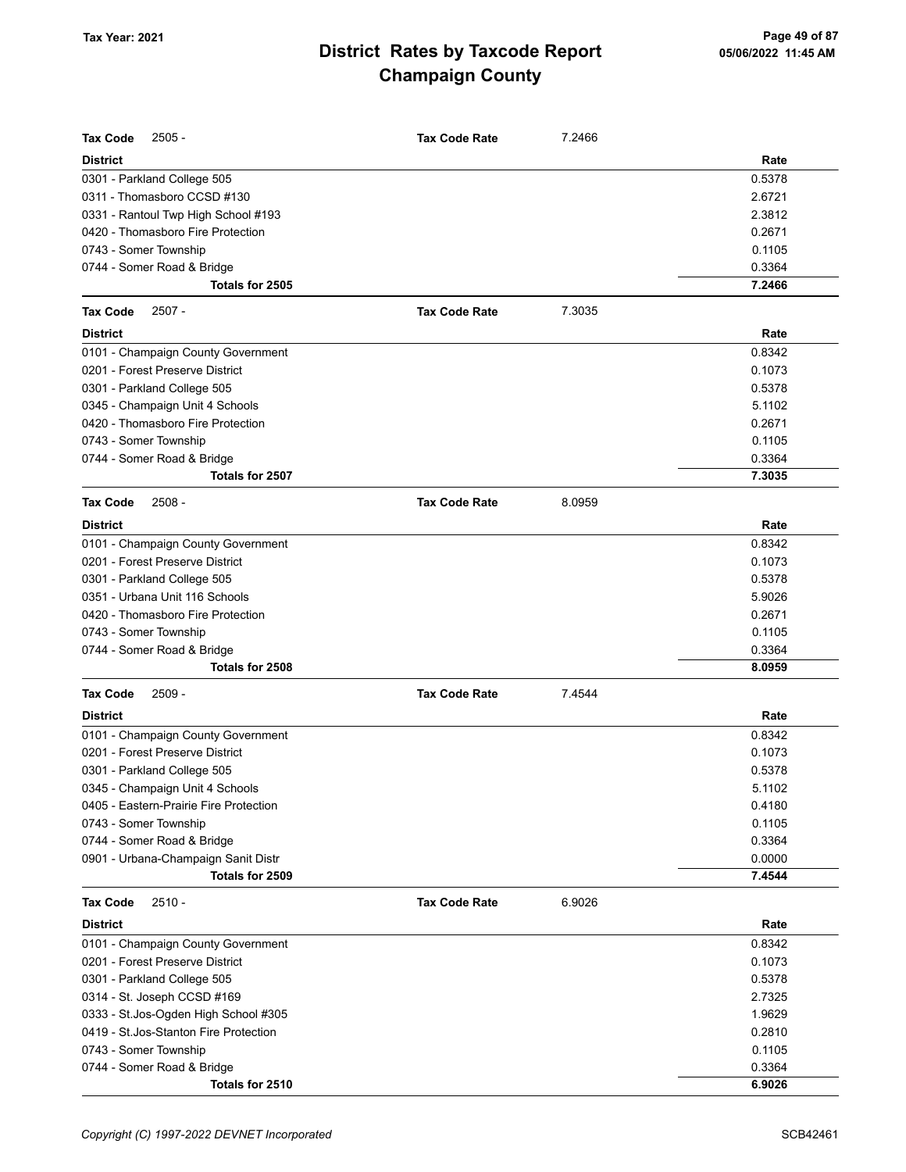| <b>Tax Code</b><br>$2505 -$            | <b>Tax Code Rate</b> | 7.2466 |        |
|----------------------------------------|----------------------|--------|--------|
| <b>District</b>                        |                      |        | Rate   |
| 0301 - Parkland College 505            |                      |        | 0.5378 |
| 0311 - Thomasboro CCSD #130            |                      |        | 2.6721 |
| 0331 - Rantoul Twp High School #193    |                      |        | 2.3812 |
| 0420 - Thomasboro Fire Protection      |                      |        | 0.2671 |
| 0743 - Somer Township                  |                      |        | 0.1105 |
| 0744 - Somer Road & Bridge             |                      |        | 0.3364 |
| Totals for 2505                        |                      |        | 7.2466 |
| <b>Tax Code</b><br>$2507 -$            | <b>Tax Code Rate</b> | 7.3035 |        |
| <b>District</b>                        |                      |        | Rate   |
| 0101 - Champaign County Government     |                      |        | 0.8342 |
| 0201 - Forest Preserve District        |                      |        | 0.1073 |
| 0301 - Parkland College 505            |                      |        | 0.5378 |
| 0345 - Champaign Unit 4 Schools        |                      |        | 5.1102 |
| 0420 - Thomasboro Fire Protection      |                      |        | 0.2671 |
| 0743 - Somer Township                  |                      |        | 0.1105 |
| 0744 - Somer Road & Bridge             |                      |        | 0.3364 |
| Totals for 2507                        |                      |        | 7.3035 |
| <b>Tax Code</b><br>$2508 -$            | <b>Tax Code Rate</b> | 8.0959 |        |
| <b>District</b>                        |                      |        | Rate   |
| 0101 - Champaign County Government     |                      |        | 0.8342 |
| 0201 - Forest Preserve District        |                      |        | 0.1073 |
| 0301 - Parkland College 505            |                      |        | 0.5378 |
| 0351 - Urbana Unit 116 Schools         |                      |        | 5.9026 |
| 0420 - Thomasboro Fire Protection      |                      |        | 0.2671 |
| 0743 - Somer Township                  |                      |        | 0.1105 |
| 0744 - Somer Road & Bridge             |                      |        | 0.3364 |
| Totals for 2508                        |                      |        | 8.0959 |
| <b>Tax Code</b><br>$2509 -$            | <b>Tax Code Rate</b> | 7.4544 |        |
| <b>District</b>                        |                      |        | Rate   |
| 0101 - Champaign County Government     |                      |        | 0.8342 |
| 0201 - Forest Preserve District        |                      |        | 0.1073 |
| 0301 - Parkland College 505            |                      |        | 0.5378 |
| 0345 - Champaign Unit 4 Schools        |                      |        | 5.1102 |
| 0405 - Eastern-Prairie Fire Protection |                      |        | 0.4180 |
| 0743 - Somer Township                  |                      |        | 0.1105 |
| 0744 - Somer Road & Bridge             |                      |        | 0.3364 |
| 0901 - Urbana-Champaign Sanit Distr    |                      |        | 0.0000 |
| Totals for 2509                        |                      |        | 7.4544 |
| <b>Tax Code</b><br>$2510 -$            | <b>Tax Code Rate</b> | 6.9026 |        |
| <b>District</b>                        |                      |        | Rate   |
| 0101 - Champaign County Government     |                      |        | 0.8342 |
| 0201 - Forest Preserve District        |                      |        | 0.1073 |
| 0301 - Parkland College 505            |                      |        | 0.5378 |
| 0314 - St. Joseph CCSD #169            |                      |        | 2.7325 |
| 0333 - St. Jos-Ogden High School #305  |                      |        | 1.9629 |
| 0419 - St.Jos-Stanton Fire Protection  |                      |        | 0.2810 |
| 0743 - Somer Township                  |                      |        | 0.1105 |
| 0744 - Somer Road & Bridge             |                      |        | 0.3364 |
| Totals for 2510                        |                      |        | 6.9026 |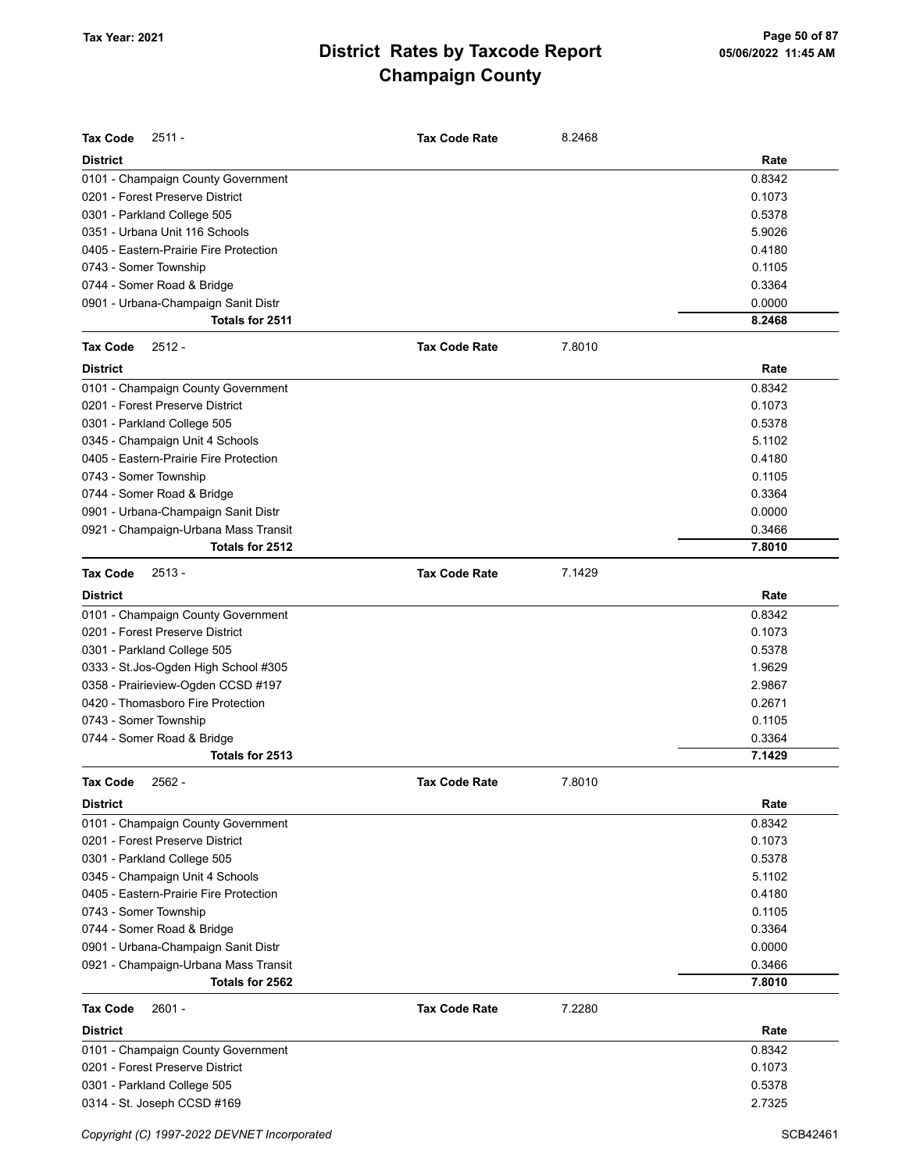| <b>Tax Code</b><br>$2511 -$            | <b>Tax Code Rate</b> | 8.2468 |        |
|----------------------------------------|----------------------|--------|--------|
| <b>District</b>                        |                      |        | Rate   |
| 0101 - Champaign County Government     |                      |        | 0.8342 |
| 0201 - Forest Preserve District        |                      |        | 0.1073 |
| 0301 - Parkland College 505            |                      |        | 0.5378 |
| 0351 - Urbana Unit 116 Schools         |                      |        | 5.9026 |
| 0405 - Eastern-Prairie Fire Protection |                      |        | 0.4180 |
| 0743 - Somer Township                  |                      |        | 0.1105 |
| 0744 - Somer Road & Bridge             |                      |        | 0.3364 |
| 0901 - Urbana-Champaign Sanit Distr    |                      |        | 0.0000 |
| Totals for 2511                        |                      |        | 8.2468 |
| $2512 -$<br><b>Tax Code</b>            | <b>Tax Code Rate</b> | 7.8010 |        |
| <b>District</b>                        |                      |        | Rate   |
| 0101 - Champaign County Government     |                      |        | 0.8342 |
| 0201 - Forest Preserve District        |                      |        | 0.1073 |
| 0301 - Parkland College 505            |                      |        | 0.5378 |
| 0345 - Champaign Unit 4 Schools        |                      |        | 5.1102 |
| 0405 - Eastern-Prairie Fire Protection |                      |        | 0.4180 |
| 0743 - Somer Township                  |                      |        | 0.1105 |
| 0744 - Somer Road & Bridge             |                      |        | 0.3364 |
| 0901 - Urbana-Champaign Sanit Distr    |                      |        | 0.0000 |
| 0921 - Champaign-Urbana Mass Transit   |                      |        | 0.3466 |
| Totals for 2512                        |                      |        | 7.8010 |
| <b>Tax Code</b><br>$2513 -$            | <b>Tax Code Rate</b> | 7.1429 |        |
| <b>District</b>                        |                      |        | Rate   |
| 0101 - Champaign County Government     |                      |        | 0.8342 |
| 0201 - Forest Preserve District        |                      |        | 0.1073 |
| 0301 - Parkland College 505            |                      |        | 0.5378 |
| 0333 - St. Jos-Ogden High School #305  |                      |        | 1.9629 |
| 0358 - Prairieview-Ogden CCSD #197     |                      |        | 2.9867 |
| 0420 - Thomasboro Fire Protection      |                      |        | 0.2671 |
| 0743 - Somer Township                  |                      |        | 0.1105 |
| 0744 - Somer Road & Bridge             |                      |        | 0.3364 |
| Totals for 2513                        |                      |        | 7.1429 |
| Tax Code<br>2562 -                     | Tax Code Rate        | 7.8010 |        |
| <b>District</b>                        |                      |        | Rate   |
| 0101 - Champaign County Government     |                      |        | 0.8342 |
| 0201 - Forest Preserve District        |                      |        | 0.1073 |
| 0301 - Parkland College 505            |                      |        | 0.5378 |
| 0345 - Champaign Unit 4 Schools        |                      |        | 5.1102 |
| 0405 - Eastern-Prairie Fire Protection |                      |        | 0.4180 |
| 0743 - Somer Township                  |                      |        | 0.1105 |
| 0744 - Somer Road & Bridge             |                      |        | 0.3364 |
| 0901 - Urbana-Champaign Sanit Distr    |                      |        | 0.0000 |
| 0921 - Champaign-Urbana Mass Transit   |                      |        | 0.3466 |
| Totals for 2562                        |                      |        | 7.8010 |
| <b>Tax Code</b><br>$2601 -$            | <b>Tax Code Rate</b> | 7.2280 |        |
| <b>District</b>                        |                      |        | Rate   |
| 0101 - Champaign County Government     |                      |        | 0.8342 |
| 0201 - Forest Preserve District        |                      |        | 0.1073 |
| 0301 - Parkland College 505            |                      |        | 0.5378 |
| 0314 - St. Joseph CCSD #169            |                      |        | 2.7325 |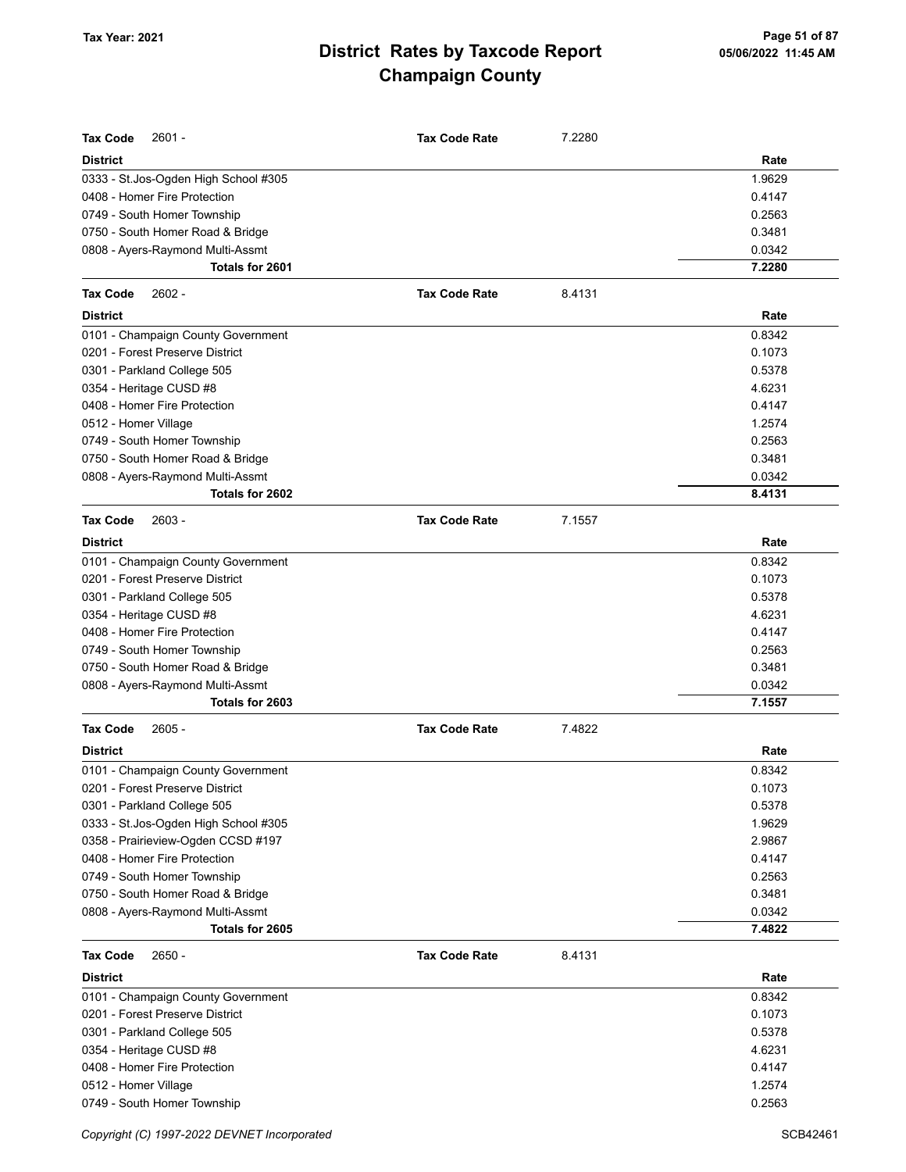| <b>Tax Code</b><br>$2601 -$          | <b>Tax Code Rate</b> | 7.2280 |        |
|--------------------------------------|----------------------|--------|--------|
| <b>District</b>                      |                      |        | Rate   |
| 0333 - St.Jos-Ogden High School #305 |                      |        | 1.9629 |
| 0408 - Homer Fire Protection         |                      |        | 0.4147 |
| 0749 - South Homer Township          |                      |        | 0.2563 |
| 0750 - South Homer Road & Bridge     |                      |        | 0.3481 |
| 0808 - Ayers-Raymond Multi-Assmt     |                      |        | 0.0342 |
| Totals for 2601                      |                      |        | 7.2280 |
| Tax Code<br>$2602 -$                 | <b>Tax Code Rate</b> | 8.4131 |        |
| <b>District</b>                      |                      |        | Rate   |
| 0101 - Champaign County Government   |                      |        | 0.8342 |
| 0201 - Forest Preserve District      |                      |        | 0.1073 |
| 0301 - Parkland College 505          |                      |        | 0.5378 |
| 0354 - Heritage CUSD #8              |                      |        | 4.6231 |
| 0408 - Homer Fire Protection         |                      |        | 0.4147 |
| 0512 - Homer Village                 |                      |        | 1.2574 |
| 0749 - South Homer Township          |                      |        | 0.2563 |
| 0750 - South Homer Road & Bridge     |                      |        | 0.3481 |
| 0808 - Ayers-Raymond Multi-Assmt     |                      |        | 0.0342 |
| Totals for 2602                      |                      |        | 8.4131 |
| <b>Tax Code</b><br>$2603 -$          | <b>Tax Code Rate</b> | 7.1557 |        |
| <b>District</b>                      |                      |        | Rate   |
| 0101 - Champaign County Government   |                      |        | 0.8342 |
| 0201 - Forest Preserve District      |                      |        | 0.1073 |
| 0301 - Parkland College 505          |                      |        | 0.5378 |
| 0354 - Heritage CUSD #8              |                      |        | 4.6231 |
| 0408 - Homer Fire Protection         |                      |        | 0.4147 |
| 0749 - South Homer Township          |                      |        | 0.2563 |
| 0750 - South Homer Road & Bridge     |                      |        | 0.3481 |
| 0808 - Ayers-Raymond Multi-Assmt     |                      |        | 0.0342 |
| Totals for 2603                      |                      |        | 7.1557 |
| $2605 -$<br><b>Tax Code</b>          | <b>Tax Code Rate</b> | 7.4822 |        |
| <b>District</b>                      |                      |        | Rate   |
| 0101 - Champaign County Government   |                      |        | 0.8342 |
| 0201 - Forest Preserve District      |                      |        | 0.1073 |
| 0301 - Parkland College 505          |                      |        | 0.5378 |
| 0333 - St.Jos-Ogden High School #305 |                      |        | 1.9629 |
| 0358 - Prairieview-Ogden CCSD #197   |                      |        | 2.9867 |
| 0408 - Homer Fire Protection         |                      |        | 0.4147 |
| 0749 - South Homer Township          |                      |        | 0.2563 |
| 0750 - South Homer Road & Bridge     |                      |        | 0.3481 |
| 0808 - Ayers-Raymond Multi-Assmt     |                      |        | 0.0342 |
| Totals for 2605                      |                      |        | 7.4822 |
| $2650 -$<br>Tax Code                 | <b>Tax Code Rate</b> | 8.4131 |        |
| <b>District</b>                      |                      |        | Rate   |
| 0101 - Champaign County Government   |                      |        | 0.8342 |
| 0201 - Forest Preserve District      |                      |        | 0.1073 |
| 0301 - Parkland College 505          |                      |        | 0.5378 |
| 0354 - Heritage CUSD #8              |                      |        | 4.6231 |
| 0408 - Homer Fire Protection         |                      |        | 0.4147 |
| 0512 - Homer Village                 |                      |        | 1.2574 |
| 0749 - South Homer Township          |                      |        | 0.2563 |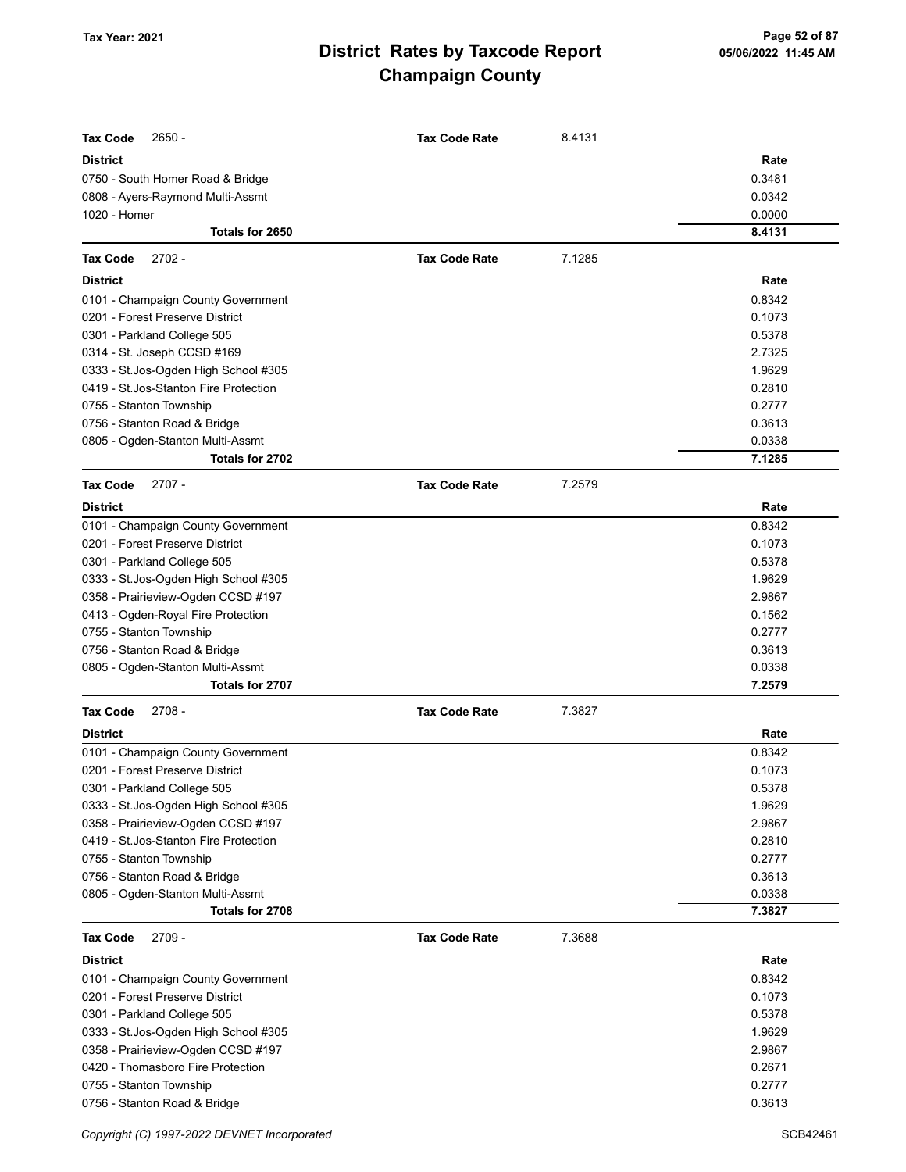| <b>Tax Code</b><br>2650 -              | <b>Tax Code Rate</b> | 8.4131 |        |
|----------------------------------------|----------------------|--------|--------|
| <b>District</b>                        |                      |        | Rate   |
| 0750 - South Homer Road & Bridge       |                      |        | 0.3481 |
| 0808 - Ayers-Raymond Multi-Assmt       |                      |        | 0.0342 |
| 1020 - Homer                           |                      |        | 0.0000 |
| Totals for 2650                        |                      |        | 8.4131 |
| <b>Tax Code</b><br>$2702 -$            | <b>Tax Code Rate</b> | 7.1285 |        |
| <b>District</b>                        |                      |        | Rate   |
| 0101 - Champaign County Government     |                      |        | 0.8342 |
| 0201 - Forest Preserve District        |                      |        | 0.1073 |
| 0301 - Parkland College 505            |                      |        | 0.5378 |
| 0314 - St. Joseph CCSD #169            |                      |        | 2.7325 |
| 0333 - St.Jos-Ogden High School #305   |                      |        | 1.9629 |
| 0419 - St. Jos-Stanton Fire Protection |                      |        | 0.2810 |
| 0755 - Stanton Township                |                      |        | 0.2777 |
| 0756 - Stanton Road & Bridge           |                      |        | 0.3613 |
| 0805 - Ogden-Stanton Multi-Assmt       |                      |        | 0.0338 |
| Totals for 2702                        |                      |        | 7.1285 |
| $2707 -$<br><b>Tax Code</b>            | <b>Tax Code Rate</b> | 7.2579 |        |
| <b>District</b>                        |                      |        | Rate   |
| 0101 - Champaign County Government     |                      |        | 0.8342 |
| 0201 - Forest Preserve District        |                      |        | 0.1073 |
| 0301 - Parkland College 505            |                      |        | 0.5378 |
| 0333 - St.Jos-Ogden High School #305   |                      |        | 1.9629 |
| 0358 - Prairieview-Ogden CCSD #197     |                      |        | 2.9867 |
| 0413 - Ogden-Royal Fire Protection     |                      |        | 0.1562 |
| 0755 - Stanton Township                |                      |        | 0.2777 |
| 0756 - Stanton Road & Bridge           |                      |        | 0.3613 |
| 0805 - Ogden-Stanton Multi-Assmt       |                      |        | 0.0338 |
| Totals for 2707                        |                      |        | 7.2579 |
| $2708 -$<br><b>Tax Code</b>            | <b>Tax Code Rate</b> | 7.3827 |        |
| <b>District</b>                        |                      |        | Rate   |
| 0101 - Champaign County Government     |                      |        | 0.8342 |
| 0201 - Forest Preserve District        |                      |        | 0.1073 |
| 0301 - Parkland College 505            |                      |        | 0.5378 |
| 0333 - St.Jos-Ogden High School #305   |                      |        | 1.9629 |
| 0358 - Prairieview-Ogden CCSD #197     |                      |        | 2.9867 |
| 0419 - St. Jos-Stanton Fire Protection |                      |        | 0.2810 |
| 0755 - Stanton Township                |                      |        | 0.2777 |
| 0756 - Stanton Road & Bridge           |                      |        | 0.3613 |
| 0805 - Ogden-Stanton Multi-Assmt       |                      |        | 0.0338 |
| Totals for 2708                        |                      |        | 7.3827 |
| <b>Tax Code</b><br>2709 -              | <b>Tax Code Rate</b> | 7.3688 |        |
| <b>District</b>                        |                      |        | Rate   |
| 0101 - Champaign County Government     |                      |        | 0.8342 |
| 0201 - Forest Preserve District        |                      |        | 0.1073 |
| 0301 - Parkland College 505            |                      |        | 0.5378 |
| 0333 - St.Jos-Ogden High School #305   |                      |        | 1.9629 |
| 0358 - Prairieview-Ogden CCSD #197     |                      |        | 2.9867 |
| 0420 - Thomasboro Fire Protection      |                      |        | 0.2671 |
| 0755 - Stanton Township                |                      |        | 0.2777 |
| 0756 - Stanton Road & Bridge           |                      |        | 0.3613 |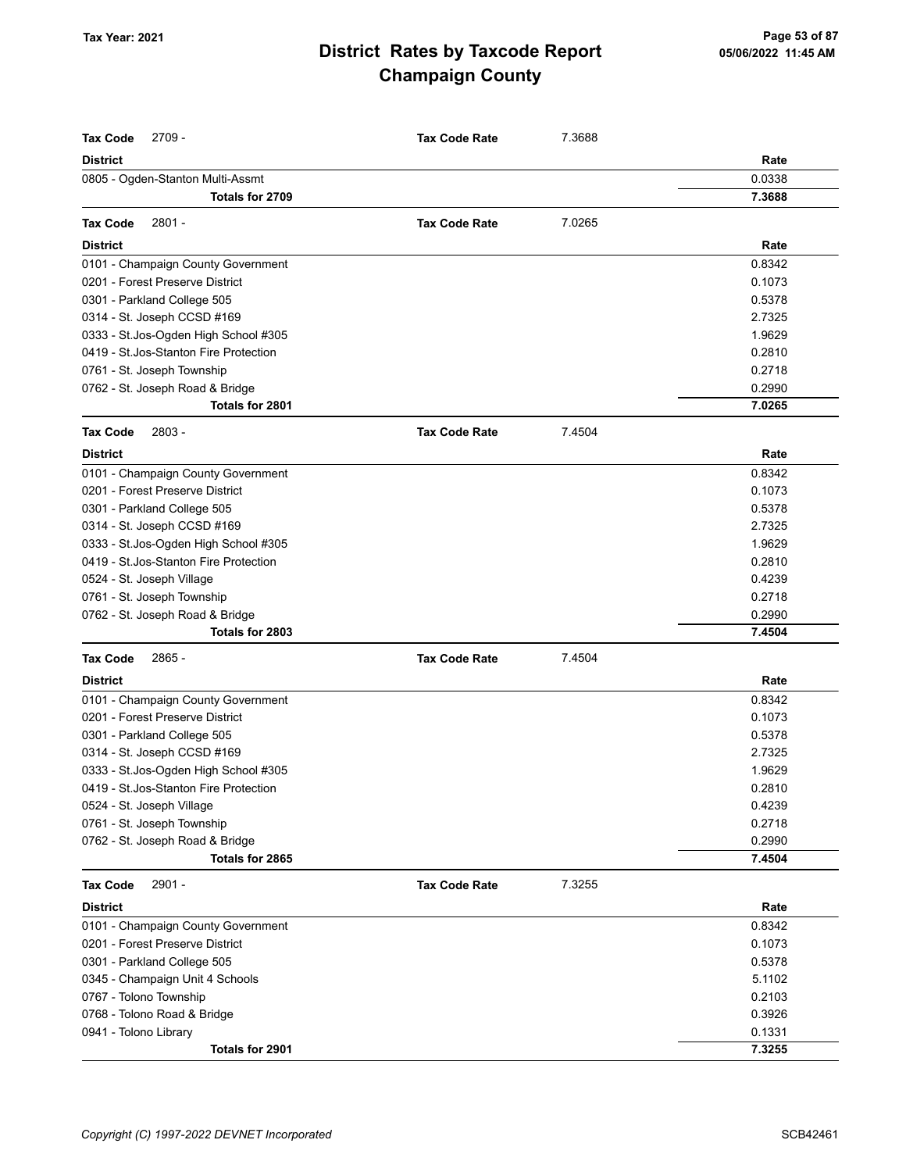| <b>Tax Code</b><br>$2709 -$            | <b>Tax Code Rate</b> | 7.3688 |        |
|----------------------------------------|----------------------|--------|--------|
| <b>District</b>                        |                      |        | Rate   |
| 0805 - Ogden-Stanton Multi-Assmt       |                      |        | 0.0338 |
| Totals for 2709                        |                      |        | 7.3688 |
| 2801 -<br><b>Tax Code</b>              | <b>Tax Code Rate</b> | 7.0265 |        |
| <b>District</b>                        |                      |        | Rate   |
| 0101 - Champaign County Government     |                      |        | 0.8342 |
| 0201 - Forest Preserve District        |                      |        | 0.1073 |
| 0301 - Parkland College 505            |                      |        | 0.5378 |
| 0314 - St. Joseph CCSD #169            |                      |        | 2.7325 |
| 0333 - St.Jos-Ogden High School #305   |                      |        | 1.9629 |
| 0419 - St. Jos-Stanton Fire Protection |                      |        | 0.2810 |
| 0761 - St. Joseph Township             |                      |        | 0.2718 |
| 0762 - St. Joseph Road & Bridge        |                      |        | 0.2990 |
| Totals for 2801                        |                      |        | 7.0265 |
| <b>Tax Code</b><br>$2803 -$            | <b>Tax Code Rate</b> | 7.4504 |        |
| <b>District</b>                        |                      |        | Rate   |
| 0101 - Champaign County Government     |                      |        | 0.8342 |
| 0201 - Forest Preserve District        |                      |        | 0.1073 |
| 0301 - Parkland College 505            |                      |        | 0.5378 |
| 0314 - St. Joseph CCSD #169            |                      |        | 2.7325 |
| 0333 - St.Jos-Ogden High School #305   |                      |        | 1.9629 |
| 0419 - St. Jos-Stanton Fire Protection |                      |        | 0.2810 |
| 0524 - St. Joseph Village              |                      |        | 0.4239 |
| 0761 - St. Joseph Township             |                      |        | 0.2718 |
| 0762 - St. Joseph Road & Bridge        |                      |        | 0.2990 |
| Totals for 2803                        |                      |        | 7.4504 |
| <b>Tax Code</b><br>2865 -              | <b>Tax Code Rate</b> | 7.4504 |        |
| <b>District</b>                        |                      |        | Rate   |
| 0101 - Champaign County Government     |                      |        | 0.8342 |
| 0201 - Forest Preserve District        |                      |        | 0.1073 |
| 0301 - Parkland College 505            |                      |        | 0.5378 |
| 0314 - St. Joseph CCSD #169            |                      |        | 2.7325 |
| 0333 - St.Jos-Ogden High School #305   |                      |        | 1.9629 |
| 0419 - St. Jos-Stanton Fire Protection |                      |        | 0.2810 |
| 0524 - St. Joseph Village              |                      |        | 0.4239 |
| 0761 - St. Joseph Township             |                      |        | 0.2718 |
| 0762 - St. Joseph Road & Bridge        |                      |        | 0.2990 |
| Totals for 2865                        |                      |        | 7.4504 |
| <b>Tax Code</b><br>$2901 -$            | <b>Tax Code Rate</b> | 7.3255 |        |
| <b>District</b>                        |                      |        | Rate   |
| 0101 - Champaign County Government     |                      |        | 0.8342 |
| 0201 - Forest Preserve District        |                      |        | 0.1073 |
| 0301 - Parkland College 505            |                      |        | 0.5378 |
| 0345 - Champaign Unit 4 Schools        |                      |        | 5.1102 |
| 0767 - Tolono Township                 |                      |        | 0.2103 |
| 0768 - Tolono Road & Bridge            |                      |        | 0.3926 |
| 0941 - Tolono Library                  |                      |        | 0.1331 |
| Totals for 2901                        |                      |        | 7.3255 |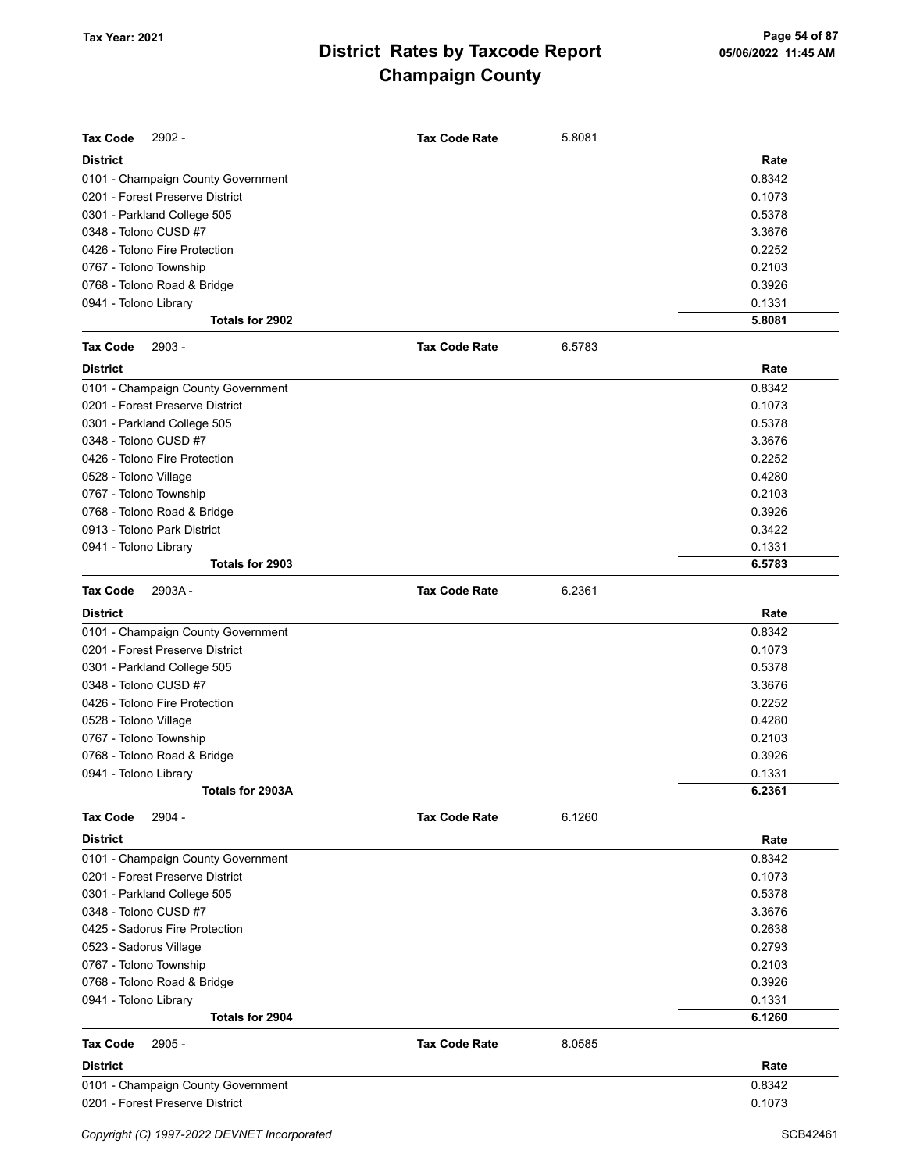| <b>Tax Code</b><br>$2902 -$        | <b>Tax Code Rate</b> | 5.8081 |        |
|------------------------------------|----------------------|--------|--------|
| <b>District</b>                    |                      |        | Rate   |
| 0101 - Champaign County Government |                      |        | 0.8342 |
| 0201 - Forest Preserve District    |                      |        | 0.1073 |
| 0301 - Parkland College 505        |                      |        | 0.5378 |
| 0348 - Tolono CUSD #7              |                      |        | 3.3676 |
| 0426 - Tolono Fire Protection      |                      |        | 0.2252 |
| 0767 - Tolono Township             |                      |        | 0.2103 |
| 0768 - Tolono Road & Bridge        |                      |        | 0.3926 |
| 0941 - Tolono Library              |                      |        | 0.1331 |
| Totals for 2902                    |                      |        | 5.8081 |
| 2903 -<br><b>Tax Code</b>          | <b>Tax Code Rate</b> | 6.5783 |        |
| <b>District</b>                    |                      |        | Rate   |
| 0101 - Champaign County Government |                      |        | 0.8342 |
| 0201 - Forest Preserve District    |                      |        | 0.1073 |
| 0301 - Parkland College 505        |                      |        | 0.5378 |
| 0348 - Tolono CUSD #7              |                      |        | 3.3676 |
| 0426 - Tolono Fire Protection      |                      |        | 0.2252 |
| 0528 - Tolono Village              |                      |        | 0.4280 |
| 0767 - Tolono Township             |                      |        | 0.2103 |
| 0768 - Tolono Road & Bridge        |                      |        | 0.3926 |
| 0913 - Tolono Park District        |                      |        | 0.3422 |
| 0941 - Tolono Library              |                      |        | 0.1331 |
| Totals for 2903                    |                      |        | 6.5783 |
| 2903A-<br><b>Tax Code</b>          | <b>Tax Code Rate</b> | 6.2361 |        |
| <b>District</b>                    |                      |        | Rate   |
| 0101 - Champaign County Government |                      |        | 0.8342 |
| 0201 - Forest Preserve District    |                      |        | 0.1073 |
| 0301 - Parkland College 505        |                      |        | 0.5378 |
| 0348 - Tolono CUSD #7              |                      |        | 3.3676 |
| 0426 - Tolono Fire Protection      |                      |        | 0.2252 |
| 0528 - Tolono Village              |                      |        | 0.4280 |
| 0767 - Tolono Township             |                      |        | 0.2103 |
| 0768 - Tolono Road & Bridge        |                      |        | 0.3926 |
| 0941 - Tolono Library              |                      |        | 0.1331 |
| Totals for 2903A                   |                      |        | 6.2361 |
| $2904 -$<br><b>Tax Code</b>        | <b>Tax Code Rate</b> | 6.1260 |        |
| <b>District</b>                    |                      |        | Rate   |
| 0101 - Champaign County Government |                      |        | 0.8342 |
| 0201 - Forest Preserve District    |                      |        | 0.1073 |
| 0301 - Parkland College 505        |                      |        | 0.5378 |
| 0348 - Tolono CUSD #7              |                      |        | 3.3676 |
| 0425 - Sadorus Fire Protection     |                      |        | 0.2638 |
| 0523 - Sadorus Village             |                      |        | 0.2793 |
| 0767 - Tolono Township             |                      |        | 0.2103 |
| 0768 - Tolono Road & Bridge        |                      |        | 0.3926 |
| 0941 - Tolono Library              |                      |        | 0.1331 |
| Totals for 2904                    |                      |        | 6.1260 |
| <b>Tax Code</b><br>$2905 -$        | <b>Tax Code Rate</b> | 8.0585 |        |
| <b>District</b>                    |                      |        | Rate   |
| 0101 - Champaign County Government |                      |        | 0.8342 |
| 0201 - Forest Preserve District    |                      |        | 0.1073 |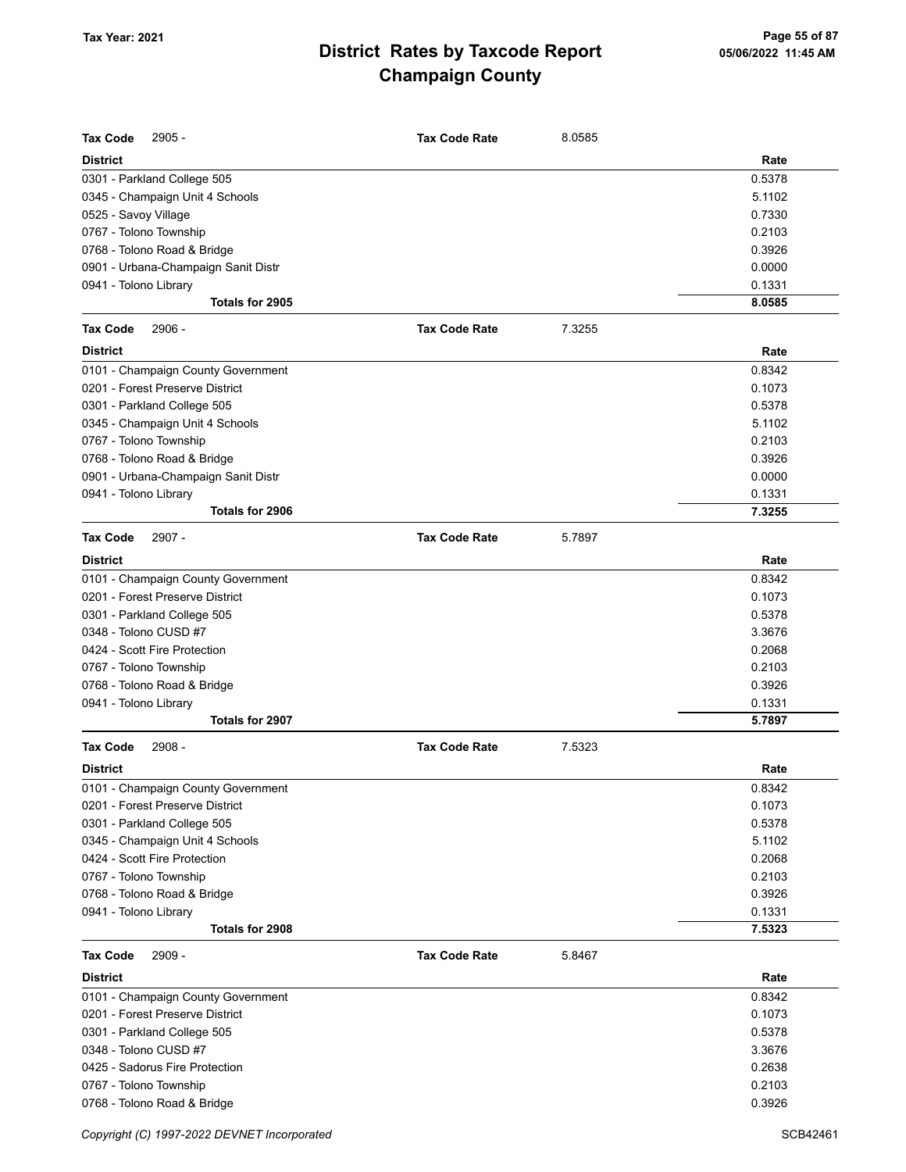| <b>Tax Code</b><br>$2905 -$                                           | <b>Tax Code Rate</b> | 8.0585 |                |
|-----------------------------------------------------------------------|----------------------|--------|----------------|
| <b>District</b>                                                       |                      |        | Rate           |
| 0301 - Parkland College 505                                           |                      |        | 0.5378         |
| 0345 - Champaign Unit 4 Schools                                       |                      |        | 5.1102         |
| 0525 - Savoy Village                                                  |                      |        | 0.7330         |
| 0767 - Tolono Township                                                |                      |        | 0.2103         |
| 0768 - Tolono Road & Bridge                                           |                      |        | 0.3926         |
| 0901 - Urbana-Champaign Sanit Distr                                   |                      |        | 0.0000         |
| 0941 - Tolono Library                                                 |                      |        | 0.1331         |
| Totals for 2905                                                       |                      |        | 8.0585         |
| 2906 -<br><b>Tax Code</b>                                             | <b>Tax Code Rate</b> | 7.3255 |                |
| <b>District</b>                                                       |                      |        | Rate           |
| 0101 - Champaign County Government                                    |                      |        | 0.8342         |
| 0201 - Forest Preserve District                                       |                      |        | 0.1073         |
| 0301 - Parkland College 505                                           |                      |        | 0.5378         |
| 0345 - Champaign Unit 4 Schools                                       |                      |        | 5.1102         |
| 0767 - Tolono Township                                                |                      |        | 0.2103         |
| 0768 - Tolono Road & Bridge                                           |                      |        | 0.3926         |
| 0901 - Urbana-Champaign Sanit Distr                                   |                      |        | 0.0000         |
| 0941 - Tolono Library                                                 |                      |        | 0.1331         |
| <b>Totals for 2906</b>                                                |                      |        | 7.3255         |
| <b>Tax Code</b><br>$2907 -$                                           | <b>Tax Code Rate</b> | 5.7897 |                |
| <b>District</b>                                                       |                      |        | Rate           |
| 0101 - Champaign County Government                                    |                      |        | 0.8342         |
| 0201 - Forest Preserve District                                       |                      |        | 0.1073         |
| 0301 - Parkland College 505                                           |                      |        | 0.5378         |
| 0348 - Tolono CUSD #7                                                 |                      |        | 3.3676         |
| 0424 - Scott Fire Protection                                          |                      |        | 0.2068         |
| 0767 - Tolono Township                                                |                      |        | 0.2103         |
| 0768 - Tolono Road & Bridge                                           |                      |        | 0.3926         |
| 0941 - Tolono Library                                                 |                      |        | 0.1331         |
| Totals for 2907                                                       |                      |        | 5.7897         |
| <b>Tax Code</b><br>$2908 -$                                           | <b>Tax Code Rate</b> | 7.5323 |                |
| <b>District</b>                                                       |                      |        | Rate           |
| 0101 - Champaign County Government                                    |                      |        | 0.8342         |
| 0201 - Forest Preserve District                                       |                      |        | 0.1073         |
| 0301 - Parkland College 505                                           |                      |        | 0.5378         |
| 0345 - Champaign Unit 4 Schools                                       |                      |        | 5.1102         |
| 0424 - Scott Fire Protection                                          |                      |        | 0.2068         |
| 0767 - Tolono Township                                                |                      |        | 0.2103         |
| 0768 - Tolono Road & Bridge                                           |                      |        | 0.3926         |
| 0941 - Tolono Library                                                 |                      |        | 0.1331         |
| Totals for 2908                                                       |                      |        | 7.5323         |
| 2909 -<br><b>Tax Code</b>                                             | <b>Tax Code Rate</b> | 5.8467 |                |
|                                                                       |                      |        |                |
| <b>District</b>                                                       |                      |        | Rate<br>0.8342 |
| 0101 - Champaign County Government<br>0201 - Forest Preserve District |                      |        | 0.1073         |
|                                                                       |                      |        | 0.5378         |
| 0301 - Parkland College 505<br>0348 - Tolono CUSD #7                  |                      |        | 3.3676         |
| 0425 - Sadorus Fire Protection                                        |                      |        | 0.2638         |
| 0767 - Tolono Township                                                |                      |        | 0.2103         |
| 0768 - Tolono Road & Bridge                                           |                      |        | 0.3926         |
|                                                                       |                      |        |                |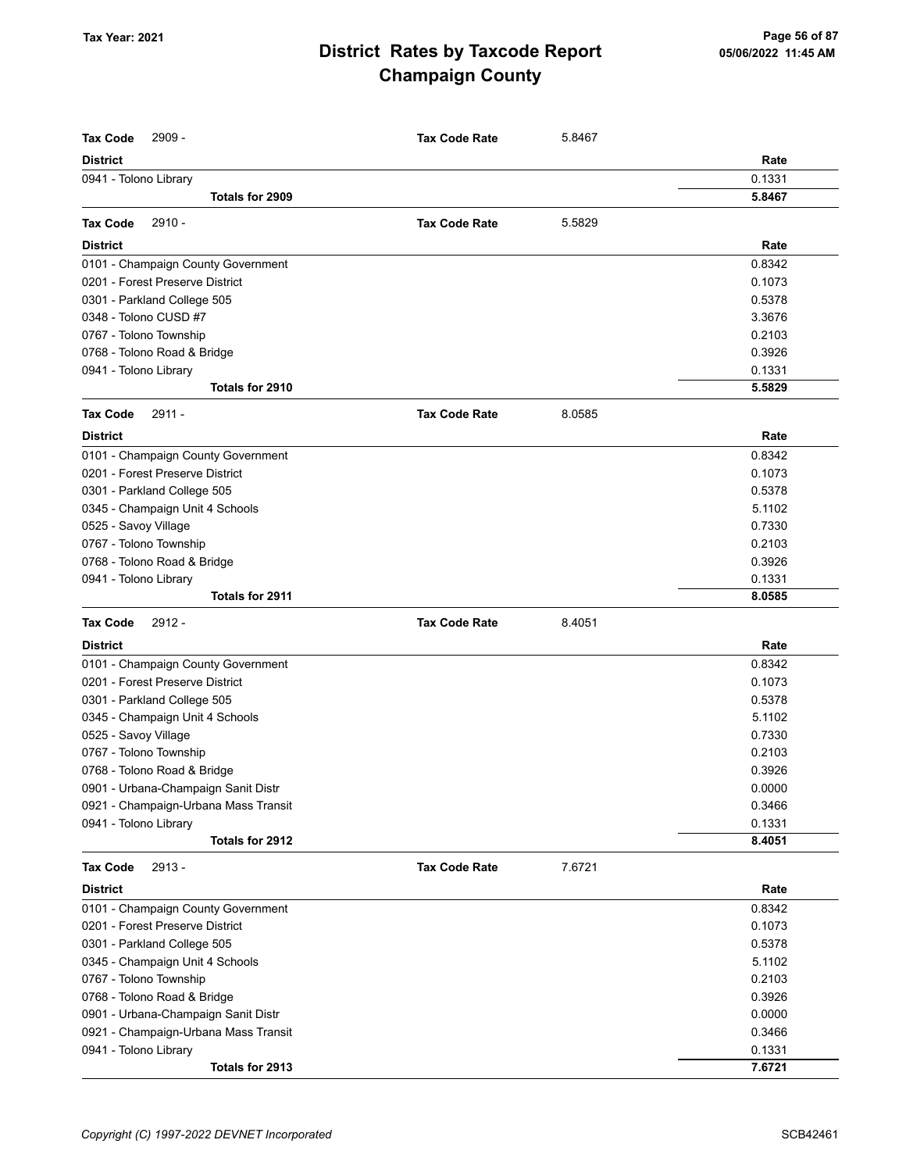| <b>Tax Code</b><br>2909 -            | <b>Tax Code Rate</b> | 5.8467 |        |
|--------------------------------------|----------------------|--------|--------|
| <b>District</b>                      |                      |        | Rate   |
| 0941 - Tolono Library                |                      |        | 0.1331 |
| Totals for 2909                      |                      |        | 5.8467 |
| $2910 -$<br><b>Tax Code</b>          | <b>Tax Code Rate</b> | 5.5829 |        |
| <b>District</b>                      |                      |        | Rate   |
| 0101 - Champaign County Government   |                      |        | 0.8342 |
| 0201 - Forest Preserve District      |                      |        | 0.1073 |
| 0301 - Parkland College 505          |                      |        | 0.5378 |
| 0348 - Tolono CUSD #7                |                      |        | 3.3676 |
| 0767 - Tolono Township               |                      |        | 0.2103 |
| 0768 - Tolono Road & Bridge          |                      |        | 0.3926 |
| 0941 - Tolono Library                |                      |        | 0.1331 |
| Totals for 2910                      |                      |        | 5.5829 |
| <b>Tax Code</b><br>2911 -            | <b>Tax Code Rate</b> | 8.0585 |        |
| <b>District</b>                      |                      |        | Rate   |
| 0101 - Champaign County Government   |                      |        | 0.8342 |
| 0201 - Forest Preserve District      |                      |        | 0.1073 |
| 0301 - Parkland College 505          |                      |        | 0.5378 |
| 0345 - Champaign Unit 4 Schools      |                      |        | 5.1102 |
| 0525 - Savoy Village                 |                      |        | 0.7330 |
| 0767 - Tolono Township               |                      |        | 0.2103 |
| 0768 - Tolono Road & Bridge          |                      |        | 0.3926 |
| 0941 - Tolono Library                |                      |        | 0.1331 |
| Totals for 2911                      |                      |        | 8.0585 |
| 2912 -<br><b>Tax Code</b>            | <b>Tax Code Rate</b> | 8.4051 |        |
| <b>District</b>                      |                      |        | Rate   |
| 0101 - Champaign County Government   |                      |        | 0.8342 |
| 0201 - Forest Preserve District      |                      |        | 0.1073 |
| 0301 - Parkland College 505          |                      |        | 0.5378 |
| 0345 - Champaign Unit 4 Schools      |                      |        | 5.1102 |
| 0525 - Savoy Village                 |                      |        | 0.7330 |
| 0767 - Tolono Township               |                      |        | 0.2103 |
| 0768 - Tolono Road & Bridge          |                      |        | 0.3926 |
| 0901 - Urbana-Champaign Sanit Distr  |                      |        | 0.0000 |
| 0921 - Champaign-Urbana Mass Transit |                      |        | 0.3466 |
| 0941 - Tolono Library                |                      |        | 0.1331 |
| Totals for 2912                      |                      |        | 8.4051 |
| $2913 -$<br><b>Tax Code</b>          | <b>Tax Code Rate</b> | 7.6721 |        |
| <b>District</b>                      |                      |        | Rate   |
| 0101 - Champaign County Government   |                      |        | 0.8342 |
| 0201 - Forest Preserve District      |                      |        | 0.1073 |
| 0301 - Parkland College 505          |                      |        | 0.5378 |
| 0345 - Champaign Unit 4 Schools      |                      |        | 5.1102 |
| 0767 - Tolono Township               |                      |        | 0.2103 |
| 0768 - Tolono Road & Bridge          |                      |        | 0.3926 |
| 0901 - Urbana-Champaign Sanit Distr  |                      |        | 0.0000 |
| 0921 - Champaign-Urbana Mass Transit |                      |        | 0.3466 |
| 0941 - Tolono Library                |                      |        | 0.1331 |
| Totals for 2913                      |                      |        | 7.6721 |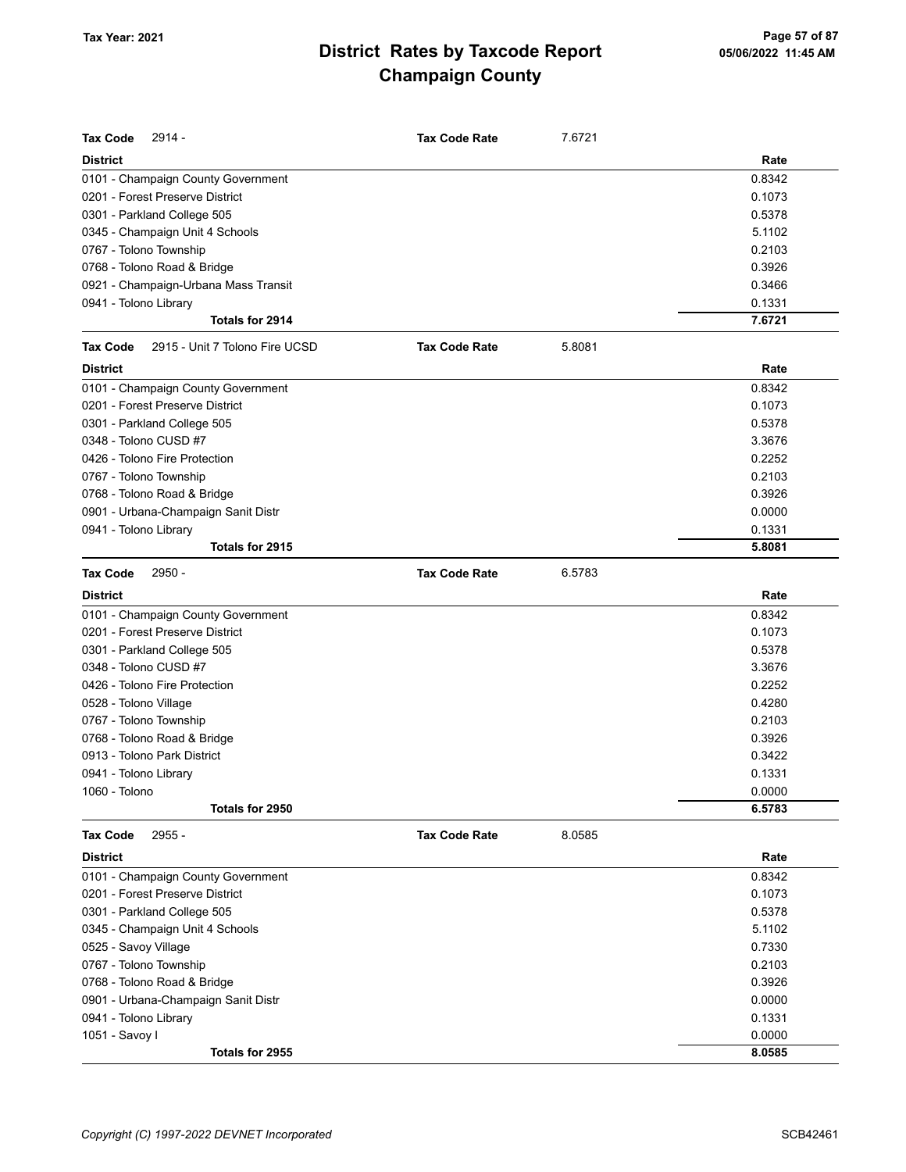| <b>Tax Code</b><br>2914 -                         | <b>Tax Code Rate</b> | 7.6721 |        |
|---------------------------------------------------|----------------------|--------|--------|
| <b>District</b>                                   |                      |        | Rate   |
| 0101 - Champaign County Government                |                      |        | 0.8342 |
| 0201 - Forest Preserve District                   |                      |        | 0.1073 |
| 0301 - Parkland College 505                       |                      |        | 0.5378 |
| 0345 - Champaign Unit 4 Schools                   |                      |        | 5.1102 |
| 0767 - Tolono Township                            |                      |        | 0.2103 |
| 0768 - Tolono Road & Bridge                       |                      |        | 0.3926 |
| 0921 - Champaign-Urbana Mass Transit              |                      |        | 0.3466 |
| 0941 - Tolono Library                             |                      |        | 0.1331 |
| Totals for 2914                                   |                      |        | 7.6721 |
| 2915 - Unit 7 Tolono Fire UCSD<br><b>Tax Code</b> | <b>Tax Code Rate</b> | 5.8081 |        |
| <b>District</b>                                   |                      |        | Rate   |
| 0101 - Champaign County Government                |                      |        | 0.8342 |
| 0201 - Forest Preserve District                   |                      |        | 0.1073 |
| 0301 - Parkland College 505                       |                      |        | 0.5378 |
| 0348 - Tolono CUSD #7                             |                      |        | 3.3676 |
| 0426 - Tolono Fire Protection                     |                      |        | 0.2252 |
| 0767 - Tolono Township                            |                      |        | 0.2103 |
| 0768 - Tolono Road & Bridge                       |                      |        | 0.3926 |
| 0901 - Urbana-Champaign Sanit Distr               |                      |        | 0.0000 |
| 0941 - Tolono Library                             |                      |        | 0.1331 |
| Totals for 2915                                   |                      |        | 5.8081 |
| 2950 -<br><b>Tax Code</b>                         | <b>Tax Code Rate</b> | 6.5783 |        |
| <b>District</b>                                   |                      |        | Rate   |
| 0101 - Champaign County Government                |                      |        | 0.8342 |
| 0201 - Forest Preserve District                   |                      |        | 0.1073 |
| 0301 - Parkland College 505                       |                      |        | 0.5378 |
| 0348 - Tolono CUSD #7                             |                      |        | 3.3676 |
| 0426 - Tolono Fire Protection                     |                      |        | 0.2252 |
| 0528 - Tolono Village                             |                      |        | 0.4280 |
| 0767 - Tolono Township                            |                      |        | 0.2103 |
| 0768 - Tolono Road & Bridge                       |                      |        | 0.3926 |
| 0913 - Tolono Park District                       |                      |        | 0.3422 |
| 0941 - Tolono Library                             |                      |        | 0.1331 |
| 1060 - Tolono                                     |                      |        | 0.0000 |
| Totals for 2950                                   |                      |        | 6.5783 |
| 2955 -<br><b>Tax Code</b>                         | <b>Tax Code Rate</b> | 8.0585 |        |
| <b>District</b>                                   |                      |        | Rate   |
| 0101 - Champaign County Government                |                      |        | 0.8342 |
| 0201 - Forest Preserve District                   |                      |        | 0.1073 |
| 0301 - Parkland College 505                       |                      |        | 0.5378 |
| 0345 - Champaign Unit 4 Schools                   |                      |        | 5.1102 |
| 0525 - Savoy Village                              |                      |        | 0.7330 |
| 0767 - Tolono Township                            |                      |        | 0.2103 |
| 0768 - Tolono Road & Bridge                       |                      |        | 0.3926 |
| 0901 - Urbana-Champaign Sanit Distr               |                      |        | 0.0000 |
| 0941 - Tolono Library                             |                      |        | 0.1331 |
| 1051 - Savoy I                                    |                      |        | 0.0000 |
| Totals for 2955                                   |                      |        | 8.0585 |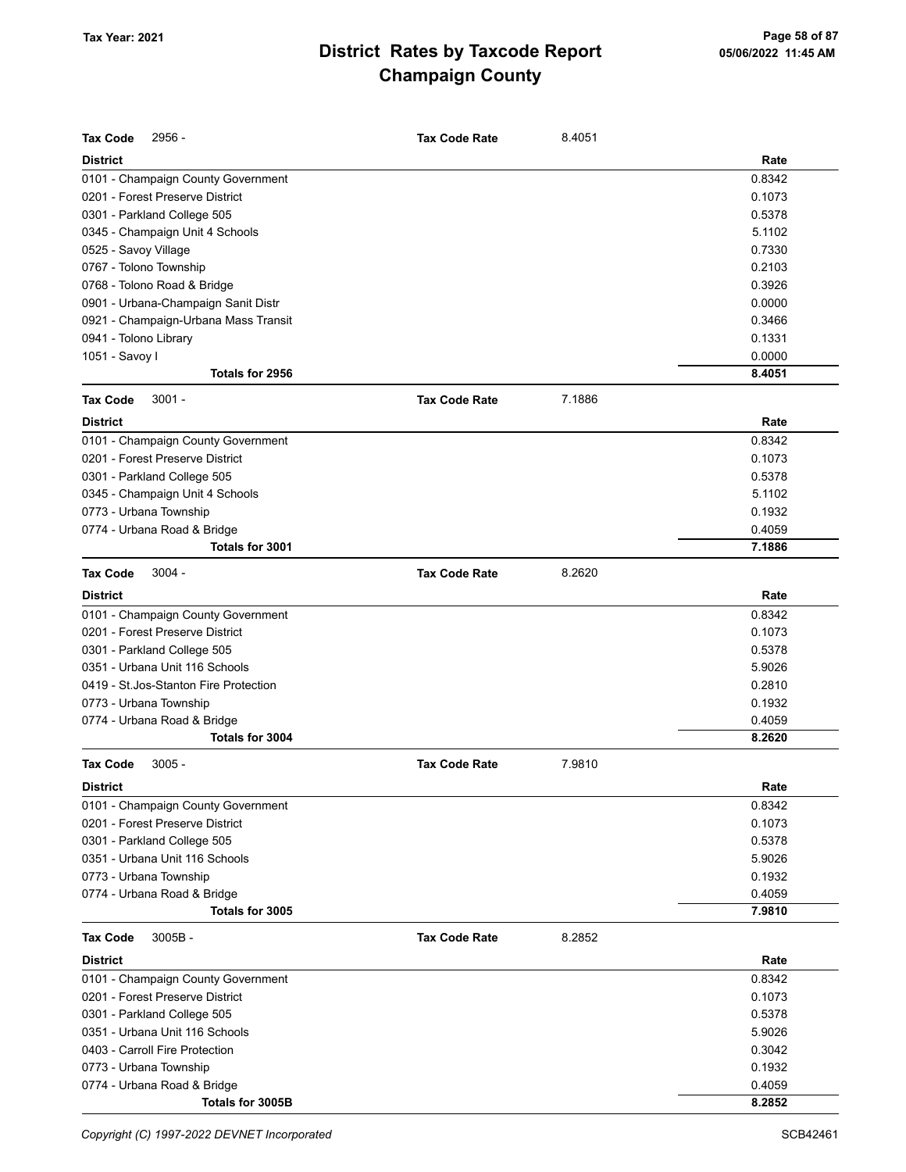| <b>Tax Code</b><br>$2956 -$            | <b>Tax Code Rate</b> | 8.4051 |        |
|----------------------------------------|----------------------|--------|--------|
| <b>District</b>                        |                      |        | Rate   |
| 0101 - Champaign County Government     |                      |        | 0.8342 |
| 0201 - Forest Preserve District        |                      |        | 0.1073 |
| 0301 - Parkland College 505            |                      |        | 0.5378 |
| 0345 - Champaign Unit 4 Schools        |                      |        | 5.1102 |
| 0525 - Savoy Village                   |                      |        | 0.7330 |
| 0767 - Tolono Township                 |                      |        | 0.2103 |
| 0768 - Tolono Road & Bridge            |                      |        | 0.3926 |
| 0901 - Urbana-Champaign Sanit Distr    |                      |        | 0.0000 |
| 0921 - Champaign-Urbana Mass Transit   |                      |        | 0.3466 |
| 0941 - Tolono Library                  |                      |        | 0.1331 |
| 1051 - Savoy I                         |                      |        | 0.0000 |
| Totals for 2956                        |                      |        | 8.4051 |
| <b>Tax Code</b><br>$3001 -$            | <b>Tax Code Rate</b> | 7.1886 |        |
| <b>District</b>                        |                      |        | Rate   |
| 0101 - Champaign County Government     |                      |        | 0.8342 |
| 0201 - Forest Preserve District        |                      |        | 0.1073 |
| 0301 - Parkland College 505            |                      |        | 0.5378 |
| 0345 - Champaign Unit 4 Schools        |                      |        | 5.1102 |
| 0773 - Urbana Township                 |                      |        | 0.1932 |
| 0774 - Urbana Road & Bridge            |                      |        | 0.4059 |
| Totals for 3001                        |                      |        | 7.1886 |
| <b>Tax Code</b><br>$3004 -$            | <b>Tax Code Rate</b> | 8.2620 |        |
| <b>District</b>                        |                      |        | Rate   |
| 0101 - Champaign County Government     |                      |        | 0.8342 |
| 0201 - Forest Preserve District        |                      |        | 0.1073 |
| 0301 - Parkland College 505            |                      |        | 0.5378 |
| 0351 - Urbana Unit 116 Schools         |                      |        | 5.9026 |
| 0419 - St. Jos-Stanton Fire Protection |                      |        | 0.2810 |
| 0773 - Urbana Township                 |                      |        | 0.1932 |
| 0774 - Urbana Road & Bridge            |                      |        | 0.4059 |
| Totals for 3004                        |                      |        | 8.2620 |
| <b>Tax Code</b><br>$3005 -$            | <b>Tax Code Rate</b> | 7.9810 |        |
| <b>District</b>                        |                      |        | Rate   |
| 0101 - Champaign County Government     |                      |        | 0.8342 |
| 0201 - Forest Preserve District        |                      |        | 0.1073 |
| 0301 - Parkland College 505            |                      |        | 0.5378 |
| 0351 - Urbana Unit 116 Schools         |                      |        | 5.9026 |
| 0773 - Urbana Township                 |                      |        | 0.1932 |
| 0774 - Urbana Road & Bridge            |                      |        | 0.4059 |
| Totals for 3005                        |                      |        | 7.9810 |
| <b>Tax Code</b><br>$3005B -$           | <b>Tax Code Rate</b> | 8.2852 |        |
| <b>District</b>                        |                      |        | Rate   |
| 0101 - Champaign County Government     |                      |        | 0.8342 |
| 0201 - Forest Preserve District        |                      |        | 0.1073 |
| 0301 - Parkland College 505            |                      |        | 0.5378 |
| 0351 - Urbana Unit 116 Schools         |                      |        | 5.9026 |
| 0403 - Carroll Fire Protection         |                      |        | 0.3042 |
| 0773 - Urbana Township                 |                      |        | 0.1932 |
| 0774 - Urbana Road & Bridge            |                      |        | 0.4059 |
| Totals for 3005B                       |                      |        | 8.2852 |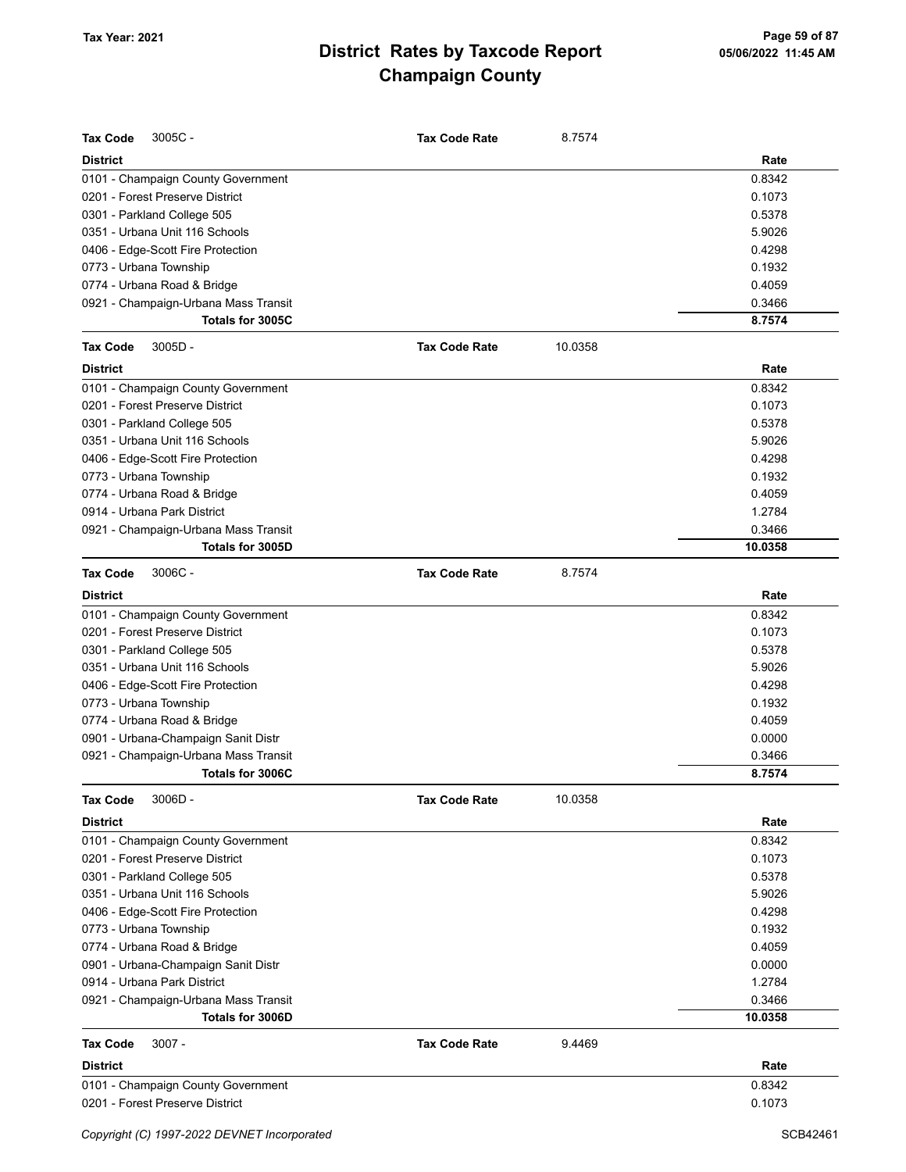| <b>Tax Code</b><br>3005C-            | <b>Tax Code Rate</b> | 8.7574  |         |
|--------------------------------------|----------------------|---------|---------|
| <b>District</b>                      |                      |         | Rate    |
| 0101 - Champaign County Government   |                      |         | 0.8342  |
| 0201 - Forest Preserve District      |                      |         | 0.1073  |
| 0301 - Parkland College 505          |                      |         | 0.5378  |
| 0351 - Urbana Unit 116 Schools       |                      |         | 5.9026  |
| 0406 - Edge-Scott Fire Protection    |                      |         | 0.4298  |
| 0773 - Urbana Township               |                      |         | 0.1932  |
| 0774 - Urbana Road & Bridge          |                      |         | 0.4059  |
| 0921 - Champaign-Urbana Mass Transit |                      |         | 0.3466  |
| Totals for 3005C                     |                      |         | 8.7574  |
| $3005D -$<br><b>Tax Code</b>         | <b>Tax Code Rate</b> | 10.0358 |         |
| <b>District</b>                      |                      |         | Rate    |
| 0101 - Champaign County Government   |                      |         | 0.8342  |
| 0201 - Forest Preserve District      |                      |         | 0.1073  |
| 0301 - Parkland College 505          |                      |         | 0.5378  |
| 0351 - Urbana Unit 116 Schools       |                      |         | 5.9026  |
| 0406 - Edge-Scott Fire Protection    |                      |         | 0.4298  |
| 0773 - Urbana Township               |                      |         | 0.1932  |
| 0774 - Urbana Road & Bridge          |                      |         | 0.4059  |
| 0914 - Urbana Park District          |                      |         | 1.2784  |
| 0921 - Champaign-Urbana Mass Transit |                      |         | 0.3466  |
| Totals for 3005D                     |                      |         | 10.0358 |
| $3006C -$<br><b>Tax Code</b>         | <b>Tax Code Rate</b> | 8.7574  |         |
| <b>District</b>                      |                      |         | Rate    |
| 0101 - Champaign County Government   |                      |         | 0.8342  |
| 0201 - Forest Preserve District      |                      |         | 0.1073  |
| 0301 - Parkland College 505          |                      |         | 0.5378  |
| 0351 - Urbana Unit 116 Schools       |                      |         | 5.9026  |
| 0406 - Edge-Scott Fire Protection    |                      |         | 0.4298  |
| 0773 - Urbana Township               |                      |         | 0.1932  |
| 0774 - Urbana Road & Bridge          |                      |         | 0.4059  |
| 0901 - Urbana-Champaign Sanit Distr  |                      |         | 0.0000  |
| 0921 - Champaign-Urbana Mass Transit |                      |         | 0.3466  |
| Totals for 3006C                     |                      |         | 8.7574  |
| <b>Tax Code</b><br>$3006D -$         | <b>Tax Code Rate</b> | 10.0358 |         |
| <b>District</b>                      |                      |         | Rate    |
| 0101 - Champaign County Government   |                      |         | 0.8342  |
| 0201 - Forest Preserve District      |                      |         | 0.1073  |
| 0301 - Parkland College 505          |                      |         | 0.5378  |
| 0351 - Urbana Unit 116 Schools       |                      |         | 5.9026  |
| 0406 - Edge-Scott Fire Protection    |                      |         | 0.4298  |
| 0773 - Urbana Township               |                      |         | 0.1932  |
| 0774 - Urbana Road & Bridge          |                      |         | 0.4059  |
| 0901 - Urbana-Champaign Sanit Distr  |                      |         | 0.0000  |
| 0914 - Urbana Park District          |                      |         | 1.2784  |
| 0921 - Champaign-Urbana Mass Transit |                      |         | 0.3466  |
| Totals for 3006D                     |                      |         | 10.0358 |
| <b>Tax Code</b><br>$3007 -$          | <b>Tax Code Rate</b> | 9.4469  |         |
| <b>District</b>                      |                      |         | Rate    |
| 0101 - Champaign County Government   |                      |         | 0.8342  |
| 0201 - Forest Preserve District      |                      |         | 0.1073  |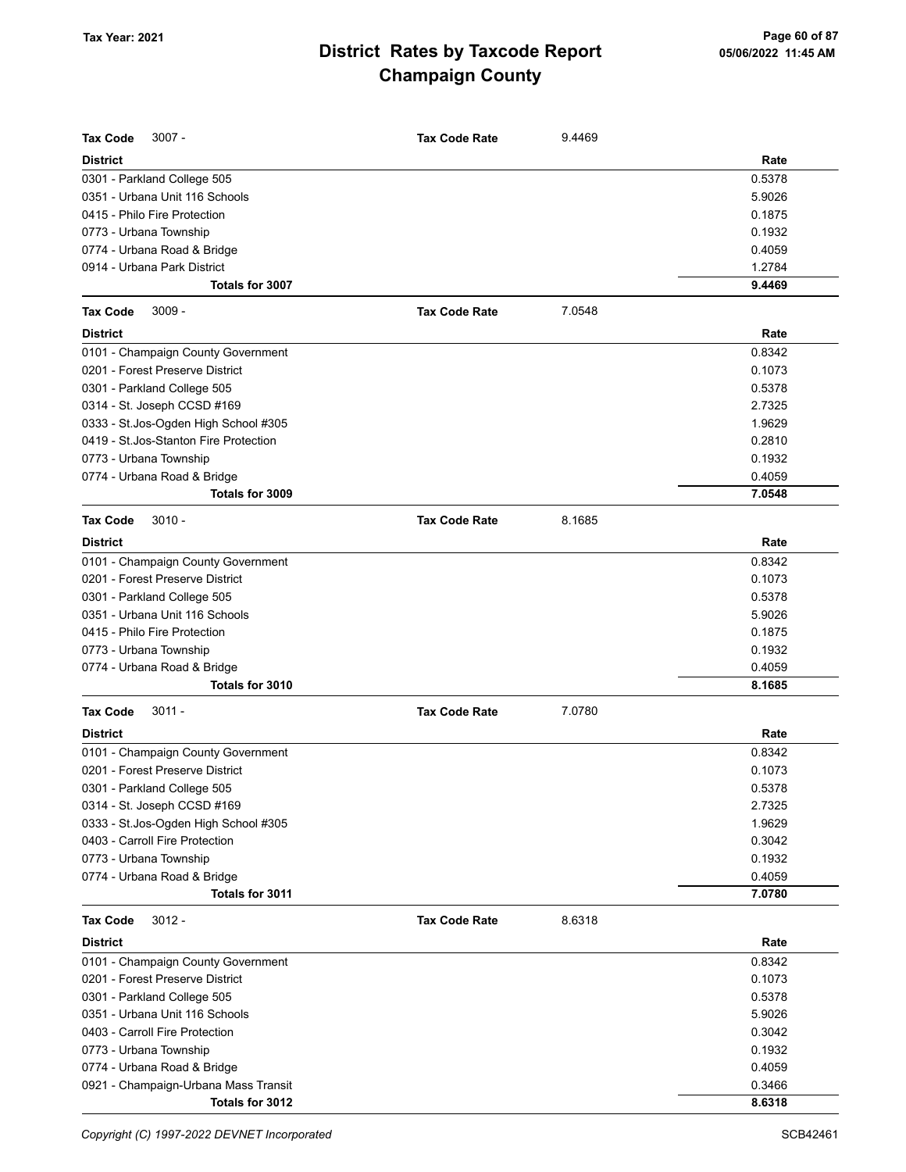| <b>Tax Code</b><br>$3007 -$            | <b>Tax Code Rate</b> | 9.4469 |        |
|----------------------------------------|----------------------|--------|--------|
| <b>District</b>                        |                      |        | Rate   |
| 0301 - Parkland College 505            |                      |        | 0.5378 |
| 0351 - Urbana Unit 116 Schools         |                      |        | 5.9026 |
| 0415 - Philo Fire Protection           |                      |        | 0.1875 |
| 0773 - Urbana Township                 |                      |        | 0.1932 |
| 0774 - Urbana Road & Bridge            |                      |        | 0.4059 |
| 0914 - Urbana Park District            |                      |        | 1.2784 |
| Totals for 3007                        |                      |        | 9.4469 |
| <b>Tax Code</b><br>$3009 -$            | <b>Tax Code Rate</b> | 7.0548 |        |
| <b>District</b>                        |                      |        | Rate   |
| 0101 - Champaign County Government     |                      |        | 0.8342 |
| 0201 - Forest Preserve District        |                      |        | 0.1073 |
| 0301 - Parkland College 505            |                      |        | 0.5378 |
| 0314 - St. Joseph CCSD #169            |                      |        | 2.7325 |
| 0333 - St.Jos-Ogden High School #305   |                      |        | 1.9629 |
| 0419 - St. Jos-Stanton Fire Protection |                      |        | 0.2810 |
| 0773 - Urbana Township                 |                      |        | 0.1932 |
| 0774 - Urbana Road & Bridge            |                      |        | 0.4059 |
| Totals for 3009                        |                      |        | 7.0548 |
| <b>Tax Code</b><br>$3010 -$            | <b>Tax Code Rate</b> | 8.1685 |        |
| <b>District</b>                        |                      |        | Rate   |
| 0101 - Champaign County Government     |                      |        | 0.8342 |
| 0201 - Forest Preserve District        |                      |        | 0.1073 |
| 0301 - Parkland College 505            |                      |        | 0.5378 |
| 0351 - Urbana Unit 116 Schools         |                      |        | 5.9026 |
| 0415 - Philo Fire Protection           |                      |        | 0.1875 |
| 0773 - Urbana Township                 |                      |        | 0.1932 |
| 0774 - Urbana Road & Bridge            |                      |        | 0.4059 |
| Totals for 3010                        |                      |        | 8.1685 |
| <b>Tax Code</b><br>$3011 -$            | <b>Tax Code Rate</b> | 7.0780 |        |
| <b>District</b>                        |                      |        | Rate   |
| 0101 - Champaign County Government     |                      |        | 0.8342 |
| 0201 - Forest Preserve District        |                      |        | 0.1073 |
| 0301 - Parkland College 505            |                      |        | 0.5378 |
| 0314 - St. Joseph CCSD #169            |                      |        | 2.7325 |
| 0333 - St.Jos-Ogden High School #305   |                      |        | 1.9629 |
| 0403 - Carroll Fire Protection         |                      |        | 0.3042 |
| 0773 - Urbana Township                 |                      |        | 0.1932 |
| 0774 - Urbana Road & Bridge            |                      |        | 0.4059 |
| Totals for 3011                        |                      |        | 7.0780 |
| <b>Tax Code</b><br>$3012 -$            | <b>Tax Code Rate</b> | 8.6318 |        |
| <b>District</b>                        |                      |        | Rate   |
| 0101 - Champaign County Government     |                      |        | 0.8342 |
| 0201 - Forest Preserve District        |                      |        | 0.1073 |
| 0301 - Parkland College 505            |                      |        | 0.5378 |
| 0351 - Urbana Unit 116 Schools         |                      |        | 5.9026 |
| 0403 - Carroll Fire Protection         |                      |        | 0.3042 |
| 0773 - Urbana Township                 |                      |        | 0.1932 |
| 0774 - Urbana Road & Bridge            |                      |        | 0.4059 |
| 0921 - Champaign-Urbana Mass Transit   |                      |        | 0.3466 |
| Totals for 3012                        |                      |        | 8.6318 |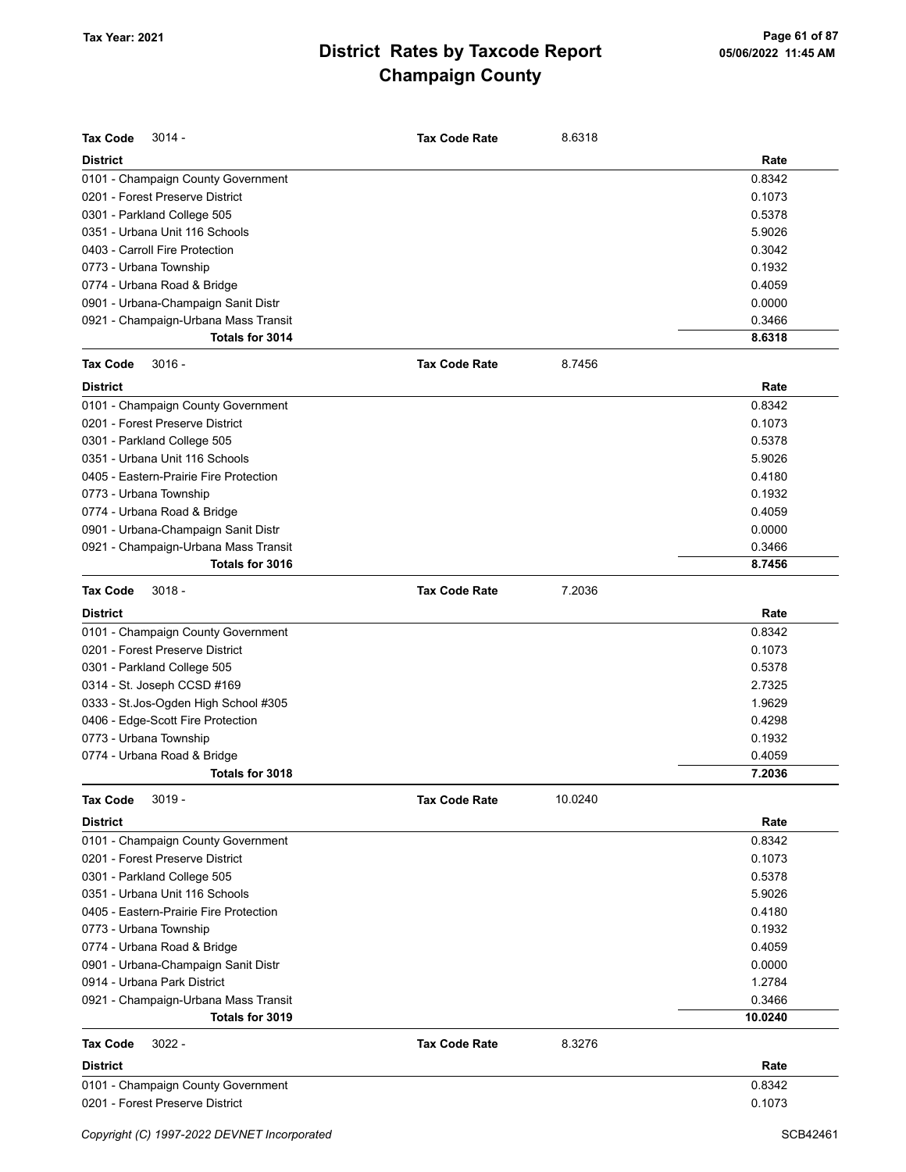| <b>Tax Code</b><br>$3014 -$            | <b>Tax Code Rate</b> | 8.6318  |         |
|----------------------------------------|----------------------|---------|---------|
| <b>District</b>                        |                      |         | Rate    |
| 0101 - Champaign County Government     |                      |         | 0.8342  |
| 0201 - Forest Preserve District        |                      |         | 0.1073  |
| 0301 - Parkland College 505            |                      |         | 0.5378  |
| 0351 - Urbana Unit 116 Schools         |                      |         | 5.9026  |
| 0403 - Carroll Fire Protection         |                      |         | 0.3042  |
| 0773 - Urbana Township                 |                      |         | 0.1932  |
| 0774 - Urbana Road & Bridge            |                      |         | 0.4059  |
| 0901 - Urbana-Champaign Sanit Distr    |                      |         | 0.0000  |
| 0921 - Champaign-Urbana Mass Transit   |                      |         | 0.3466  |
| Totals for 3014                        |                      |         | 8.6318  |
| <b>Tax Code</b><br>$3016 -$            | <b>Tax Code Rate</b> | 8.7456  |         |
| <b>District</b>                        |                      |         | Rate    |
| 0101 - Champaign County Government     |                      |         | 0.8342  |
| 0201 - Forest Preserve District        |                      |         | 0.1073  |
| 0301 - Parkland College 505            |                      |         | 0.5378  |
| 0351 - Urbana Unit 116 Schools         |                      |         | 5.9026  |
| 0405 - Eastern-Prairie Fire Protection |                      |         | 0.4180  |
| 0773 - Urbana Township                 |                      |         | 0.1932  |
| 0774 - Urbana Road & Bridge            |                      |         | 0.4059  |
| 0901 - Urbana-Champaign Sanit Distr    |                      |         | 0.0000  |
| 0921 - Champaign-Urbana Mass Transit   |                      |         | 0.3466  |
| Totals for 3016                        |                      |         | 8.7456  |
| <b>Tax Code</b><br>$3018 -$            | <b>Tax Code Rate</b> | 7.2036  |         |
| <b>District</b>                        |                      |         | Rate    |
| 0101 - Champaign County Government     |                      |         | 0.8342  |
| 0201 - Forest Preserve District        |                      |         | 0.1073  |
| 0301 - Parkland College 505            |                      |         | 0.5378  |
| 0314 - St. Joseph CCSD #169            |                      |         | 2.7325  |
| 0333 - St.Jos-Ogden High School #305   |                      |         | 1.9629  |
| 0406 - Edge-Scott Fire Protection      |                      |         | 0.4298  |
| 0773 - Urbana Township                 |                      |         | 0.1932  |
| 0774 - Urbana Road & Bridge            |                      |         | 0.4059  |
| Totals for 3018                        |                      |         | 7.2036  |
| <b>Tax Code</b><br>$3019 -$            | <b>Tax Code Rate</b> | 10.0240 |         |
| <b>District</b>                        |                      |         | Rate    |
| 0101 - Champaign County Government     |                      |         | 0.8342  |
| 0201 - Forest Preserve District        |                      |         | 0.1073  |
| 0301 - Parkland College 505            |                      |         | 0.5378  |
| 0351 - Urbana Unit 116 Schools         |                      |         | 5.9026  |
| 0405 - Eastern-Prairie Fire Protection |                      |         | 0.4180  |
| 0773 - Urbana Township                 |                      |         | 0.1932  |
| 0774 - Urbana Road & Bridge            |                      |         | 0.4059  |
| 0901 - Urbana-Champaign Sanit Distr    |                      |         | 0.0000  |
| 0914 - Urbana Park District            |                      |         | 1.2784  |
| 0921 - Champaign-Urbana Mass Transit   |                      |         | 0.3466  |
| Totals for 3019                        |                      |         | 10.0240 |
| Tax Code<br>$3022 -$                   | <b>Tax Code Rate</b> | 8.3276  |         |
| <b>District</b>                        |                      |         | Rate    |
| 0101 - Champaign County Government     |                      |         | 0.8342  |
| 0201 - Forest Preserve District        |                      |         | 0.1073  |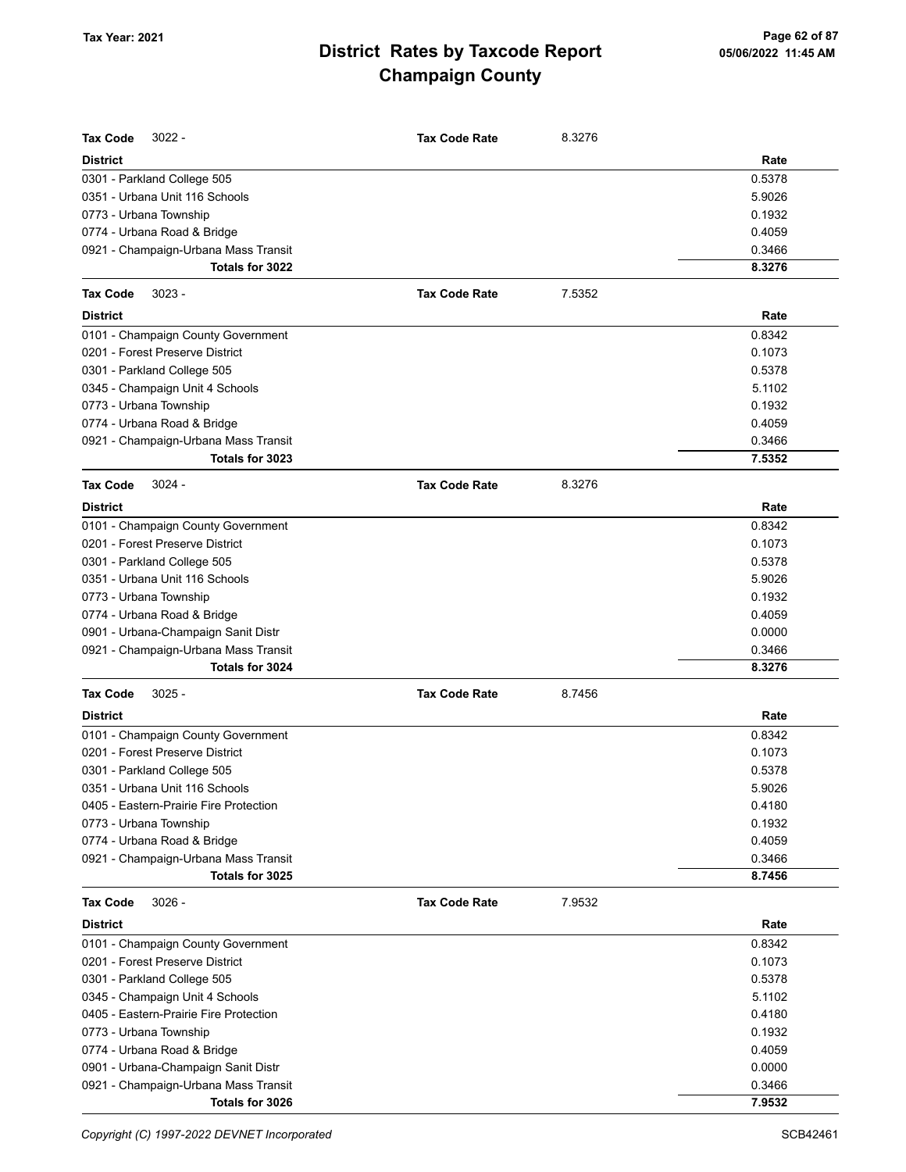| Tax Code<br>3022 -                     | <b>Tax Code Rate</b> | 8.3276 |        |
|----------------------------------------|----------------------|--------|--------|
| <b>District</b>                        |                      |        | Rate   |
| 0301 - Parkland College 505            |                      |        | 0.5378 |
| 0351 - Urbana Unit 116 Schools         |                      |        | 5.9026 |
| 0773 - Urbana Township                 |                      |        | 0.1932 |
| 0774 - Urbana Road & Bridge            |                      |        | 0.4059 |
| 0921 - Champaign-Urbana Mass Transit   |                      |        | 0.3466 |
| Totals for 3022                        |                      |        | 8.3276 |
| <b>Tax Code</b><br>$3023 -$            | <b>Tax Code Rate</b> | 7.5352 |        |
| <b>District</b>                        |                      |        | Rate   |
| 0101 - Champaign County Government     |                      |        | 0.8342 |
| 0201 - Forest Preserve District        |                      |        | 0.1073 |
| 0301 - Parkland College 505            |                      |        | 0.5378 |
| 0345 - Champaign Unit 4 Schools        |                      |        | 5.1102 |
| 0773 - Urbana Township                 |                      |        | 0.1932 |
| 0774 - Urbana Road & Bridge            |                      |        | 0.4059 |
| 0921 - Champaign-Urbana Mass Transit   |                      |        | 0.3466 |
| Totals for 3023                        |                      |        | 7.5352 |
| $3024 -$<br>Tax Code                   | <b>Tax Code Rate</b> | 8.3276 |        |
| <b>District</b>                        |                      |        | Rate   |
| 0101 - Champaign County Government     |                      |        | 0.8342 |
| 0201 - Forest Preserve District        |                      |        | 0.1073 |
| 0301 - Parkland College 505            |                      |        | 0.5378 |
| 0351 - Urbana Unit 116 Schools         |                      |        | 5.9026 |
| 0773 - Urbana Township                 |                      |        | 0.1932 |
| 0774 - Urbana Road & Bridge            |                      |        | 0.4059 |
| 0901 - Urbana-Champaign Sanit Distr    |                      |        | 0.0000 |
| 0921 - Champaign-Urbana Mass Transit   |                      |        | 0.3466 |
| Totals for 3024                        |                      |        | 8.3276 |
| <b>Tax Code</b><br>$3025 -$            | <b>Tax Code Rate</b> | 8.7456 |        |
| <b>District</b>                        |                      |        | Rate   |
| 0101 - Champaign County Government     |                      |        | 0.8342 |
| 0201 - Forest Preserve District        |                      |        | 0.1073 |
| 0301 - Parkland College 505            |                      |        | 0.5378 |
| 0351 - Urbana Unit 116 Schools         |                      |        | 5.9026 |
| 0405 - Eastern-Prairie Fire Protection |                      |        | 0.4180 |
| 0773 - Urbana Township                 |                      |        | 0.1932 |
| 0774 - Urbana Road & Bridge            |                      |        | 0.4059 |
| 0921 - Champaign-Urbana Mass Transit   |                      |        | 0.3466 |
| Totals for 3025                        |                      |        | 8.7456 |
| <b>Tax Code</b><br>$3026 -$            | <b>Tax Code Rate</b> | 7.9532 |        |
| <b>District</b>                        |                      |        | Rate   |
| 0101 - Champaign County Government     |                      |        | 0.8342 |
| 0201 - Forest Preserve District        |                      |        | 0.1073 |
| 0301 - Parkland College 505            |                      |        | 0.5378 |
| 0345 - Champaign Unit 4 Schools        |                      |        | 5.1102 |
| 0405 - Eastern-Prairie Fire Protection |                      |        | 0.4180 |
| 0773 - Urbana Township                 |                      |        | 0.1932 |
| 0774 - Urbana Road & Bridge            |                      |        | 0.4059 |
| 0901 - Urbana-Champaign Sanit Distr    |                      |        | 0.0000 |
| 0921 - Champaign-Urbana Mass Transit   |                      |        | 0.3466 |
| Totals for 3026                        |                      |        | 7.9532 |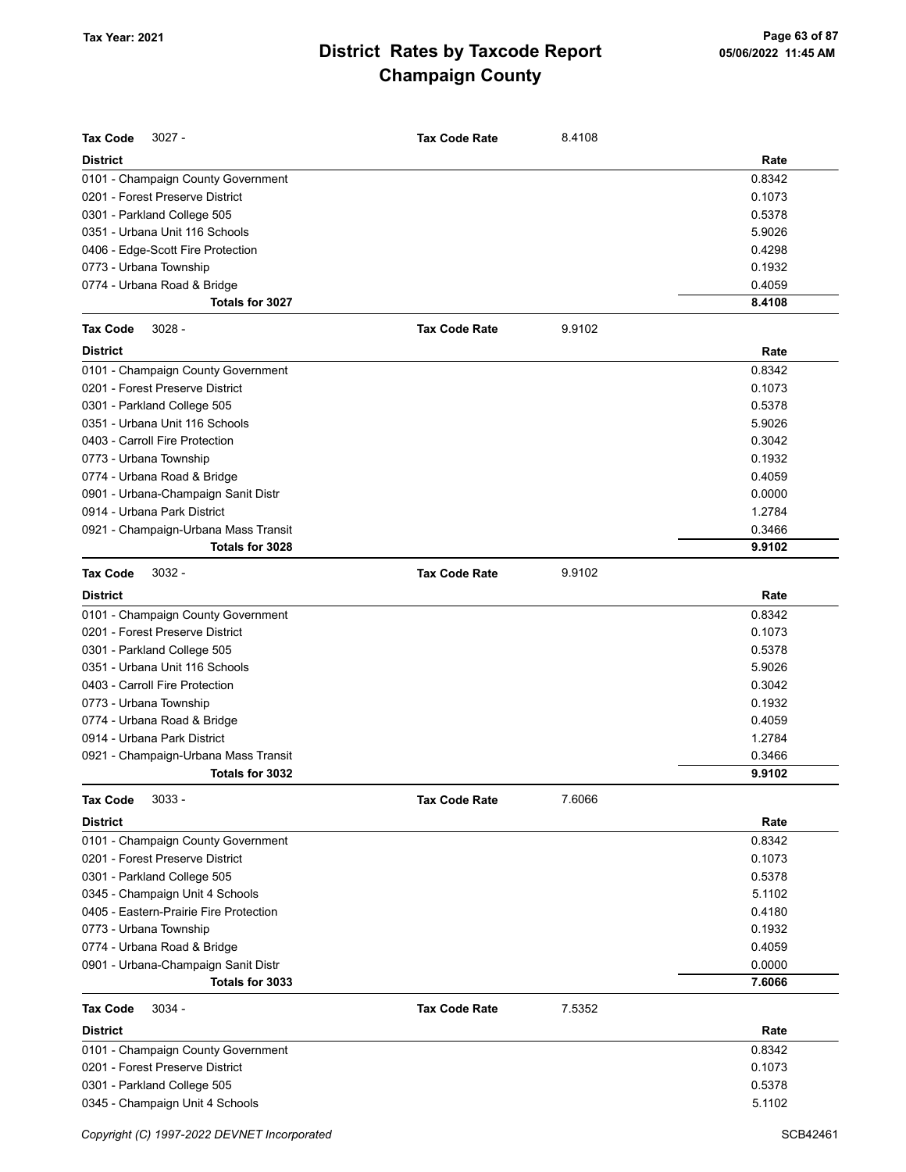| <b>Tax Code</b><br>$3027 -$                                           | <b>Tax Code Rate</b> | 8.4108 |        |
|-----------------------------------------------------------------------|----------------------|--------|--------|
| <b>District</b>                                                       |                      |        | Rate   |
|                                                                       |                      |        | 0.8342 |
| 0101 - Champaign County Government<br>0201 - Forest Preserve District |                      |        | 0.1073 |
| 0301 - Parkland College 505                                           |                      |        | 0.5378 |
| 0351 - Urbana Unit 116 Schools                                        |                      |        | 5.9026 |
|                                                                       |                      |        | 0.4298 |
| 0406 - Edge-Scott Fire Protection                                     |                      |        | 0.1932 |
| 0773 - Urbana Township<br>0774 - Urbana Road & Bridge                 |                      |        | 0.4059 |
| Totals for 3027                                                       |                      |        | 8.4108 |
|                                                                       |                      |        |        |
| $3028 -$<br><b>Tax Code</b>                                           | <b>Tax Code Rate</b> | 9.9102 |        |
| <b>District</b>                                                       |                      |        | Rate   |
| 0101 - Champaign County Government                                    |                      |        | 0.8342 |
| 0201 - Forest Preserve District                                       |                      |        | 0.1073 |
| 0301 - Parkland College 505                                           |                      |        | 0.5378 |
| 0351 - Urbana Unit 116 Schools                                        |                      |        | 5.9026 |
| 0403 - Carroll Fire Protection                                        |                      |        | 0.3042 |
| 0773 - Urbana Township                                                |                      |        | 0.1932 |
| 0774 - Urbana Road & Bridge                                           |                      |        | 0.4059 |
| 0901 - Urbana-Champaign Sanit Distr                                   |                      |        | 0.0000 |
| 0914 - Urbana Park District                                           |                      |        | 1.2784 |
| 0921 - Champaign-Urbana Mass Transit                                  |                      |        | 0.3466 |
| Totals for 3028                                                       |                      |        | 9.9102 |
| $3032 -$<br><b>Tax Code</b>                                           | <b>Tax Code Rate</b> | 9.9102 |        |
| <b>District</b>                                                       |                      |        | Rate   |
| 0101 - Champaign County Government                                    |                      |        | 0.8342 |
| 0201 - Forest Preserve District                                       |                      |        | 0.1073 |
| 0301 - Parkland College 505                                           |                      |        | 0.5378 |
| 0351 - Urbana Unit 116 Schools                                        |                      |        | 5.9026 |
| 0403 - Carroll Fire Protection                                        |                      |        | 0.3042 |
| 0773 - Urbana Township                                                |                      |        | 0.1932 |
| 0774 - Urbana Road & Bridge                                           |                      |        | 0.4059 |
| 0914 - Urbana Park District                                           |                      |        | 1.2784 |
| 0921 - Champaign-Urbana Mass Transit                                  |                      |        | 0.3466 |
| Totals for 3032                                                       |                      |        | 9.9102 |
| <b>Tax Code</b><br>$3033 -$                                           | <b>Tax Code Rate</b> | 7.6066 |        |
| <b>District</b>                                                       |                      |        | Rate   |
| 0101 - Champaign County Government                                    |                      |        | 0.8342 |
| 0201 - Forest Preserve District                                       |                      |        | 0.1073 |
| 0301 - Parkland College 505                                           |                      |        | 0.5378 |
| 0345 - Champaign Unit 4 Schools                                       |                      |        | 5.1102 |
| 0405 - Eastern-Prairie Fire Protection                                |                      |        | 0.4180 |
| 0773 - Urbana Township                                                |                      |        | 0.1932 |
| 0774 - Urbana Road & Bridge                                           |                      |        | 0.4059 |
| 0901 - Urbana-Champaign Sanit Distr                                   |                      |        | 0.0000 |
| Totals for 3033                                                       |                      |        | 7.6066 |
| <b>Tax Code</b><br>$3034 -$                                           | <b>Tax Code Rate</b> | 7.5352 |        |
| <b>District</b>                                                       |                      |        | Rate   |
| 0101 - Champaign County Government                                    |                      |        | 0.8342 |
| 0201 - Forest Preserve District                                       |                      |        | 0.1073 |
| 0301 - Parkland College 505                                           |                      |        | 0.5378 |
| 0345 - Champaign Unit 4 Schools                                       |                      |        | 5.1102 |
|                                                                       |                      |        |        |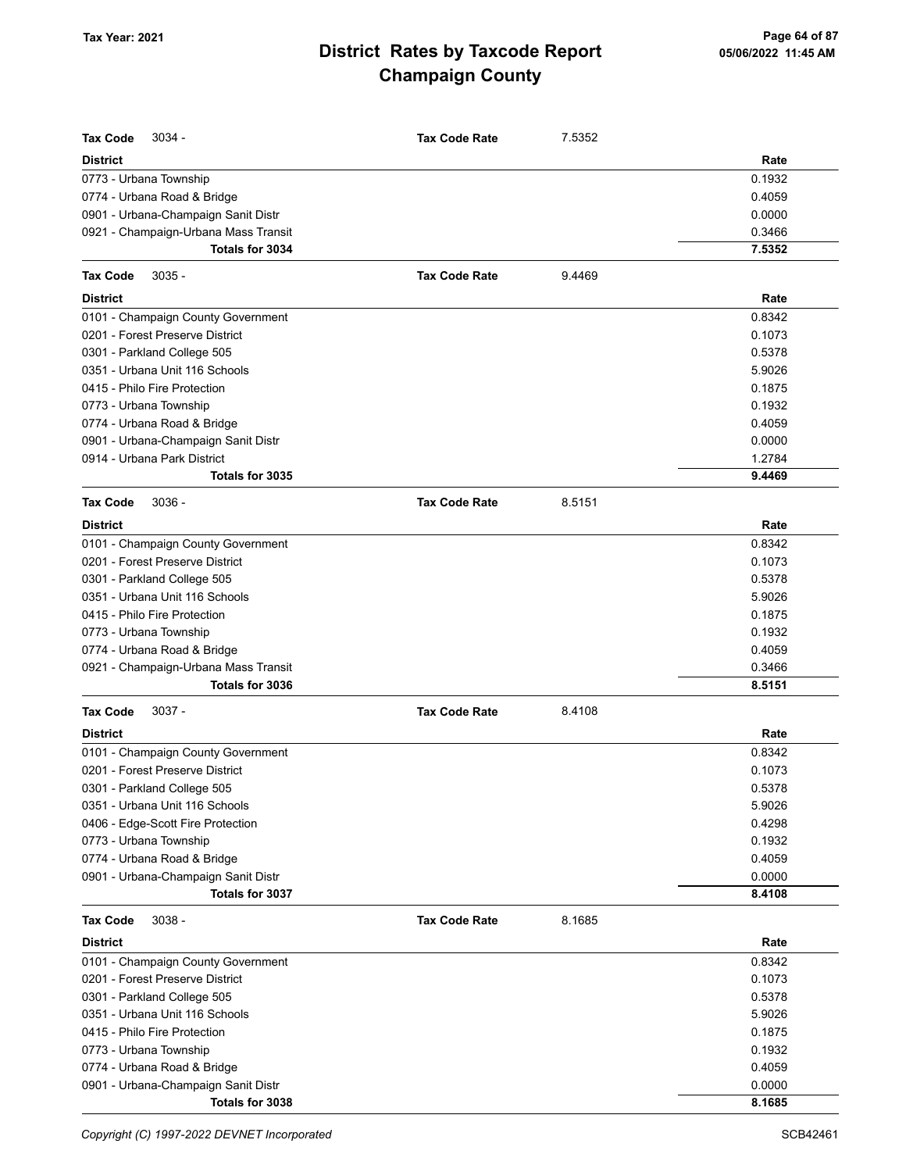| <b>Tax Code</b><br>$3034 -$          | <b>Tax Code Rate</b> | 7.5352 |        |
|--------------------------------------|----------------------|--------|--------|
| <b>District</b>                      |                      |        | Rate   |
| 0773 - Urbana Township               |                      |        | 0.1932 |
| 0774 - Urbana Road & Bridge          |                      |        | 0.4059 |
| 0901 - Urbana-Champaign Sanit Distr  |                      |        | 0.0000 |
| 0921 - Champaign-Urbana Mass Transit |                      |        | 0.3466 |
| Totals for 3034                      |                      |        | 7.5352 |
| <b>Tax Code</b><br>$3035 -$          | <b>Tax Code Rate</b> | 9.4469 |        |
| <b>District</b>                      |                      |        | Rate   |
| 0101 - Champaign County Government   |                      |        | 0.8342 |
| 0201 - Forest Preserve District      |                      |        | 0.1073 |
| 0301 - Parkland College 505          |                      |        | 0.5378 |
| 0351 - Urbana Unit 116 Schools       |                      |        | 5.9026 |
| 0415 - Philo Fire Protection         |                      |        | 0.1875 |
| 0773 - Urbana Township               |                      |        | 0.1932 |
| 0774 - Urbana Road & Bridge          |                      |        | 0.4059 |
| 0901 - Urbana-Champaign Sanit Distr  |                      |        | 0.0000 |
| 0914 - Urbana Park District          |                      |        | 1.2784 |
| Totals for 3035                      |                      |        | 9.4469 |
| <b>Tax Code</b><br>$3036 -$          | <b>Tax Code Rate</b> | 8.5151 |        |
| <b>District</b>                      |                      |        | Rate   |
| 0101 - Champaign County Government   |                      |        | 0.8342 |
| 0201 - Forest Preserve District      |                      |        | 0.1073 |
| 0301 - Parkland College 505          |                      |        | 0.5378 |
| 0351 - Urbana Unit 116 Schools       |                      |        | 5.9026 |
| 0415 - Philo Fire Protection         |                      |        | 0.1875 |
| 0773 - Urbana Township               |                      |        | 0.1932 |
| 0774 - Urbana Road & Bridge          |                      |        | 0.4059 |
| 0921 - Champaign-Urbana Mass Transit |                      |        | 0.3466 |
| Totals for 3036                      |                      |        | 8.5151 |
| $3037 -$<br><b>Tax Code</b>          | <b>Tax Code Rate</b> | 8.4108 |        |
| District                             |                      |        | Rate   |
| 0101 - Champaign County Government   |                      |        | 0.8342 |
| 0201 - Forest Preserve District      |                      |        | 0.1073 |
| 0301 - Parkland College 505          |                      |        | 0.5378 |
| 0351 - Urbana Unit 116 Schools       |                      |        | 5.9026 |
| 0406 - Edge-Scott Fire Protection    |                      |        | 0.4298 |
| 0773 - Urbana Township               |                      |        | 0.1932 |
| 0774 - Urbana Road & Bridge          |                      |        | 0.4059 |
| 0901 - Urbana-Champaign Sanit Distr  |                      |        | 0.0000 |
| Totals for 3037                      |                      |        | 8.4108 |
| <b>Tax Code</b><br>$3038 -$          | <b>Tax Code Rate</b> | 8.1685 |        |
| District                             |                      |        | Rate   |
| 0101 - Champaign County Government   |                      |        | 0.8342 |
| 0201 - Forest Preserve District      |                      |        | 0.1073 |
| 0301 - Parkland College 505          |                      |        | 0.5378 |
| 0351 - Urbana Unit 116 Schools       |                      |        | 5.9026 |
| 0415 - Philo Fire Protection         |                      |        | 0.1875 |
| 0773 - Urbana Township               |                      |        | 0.1932 |
| 0774 - Urbana Road & Bridge          |                      |        | 0.4059 |
| 0901 - Urbana-Champaign Sanit Distr  |                      |        | 0.0000 |
| Totals for 3038                      |                      |        | 8.1685 |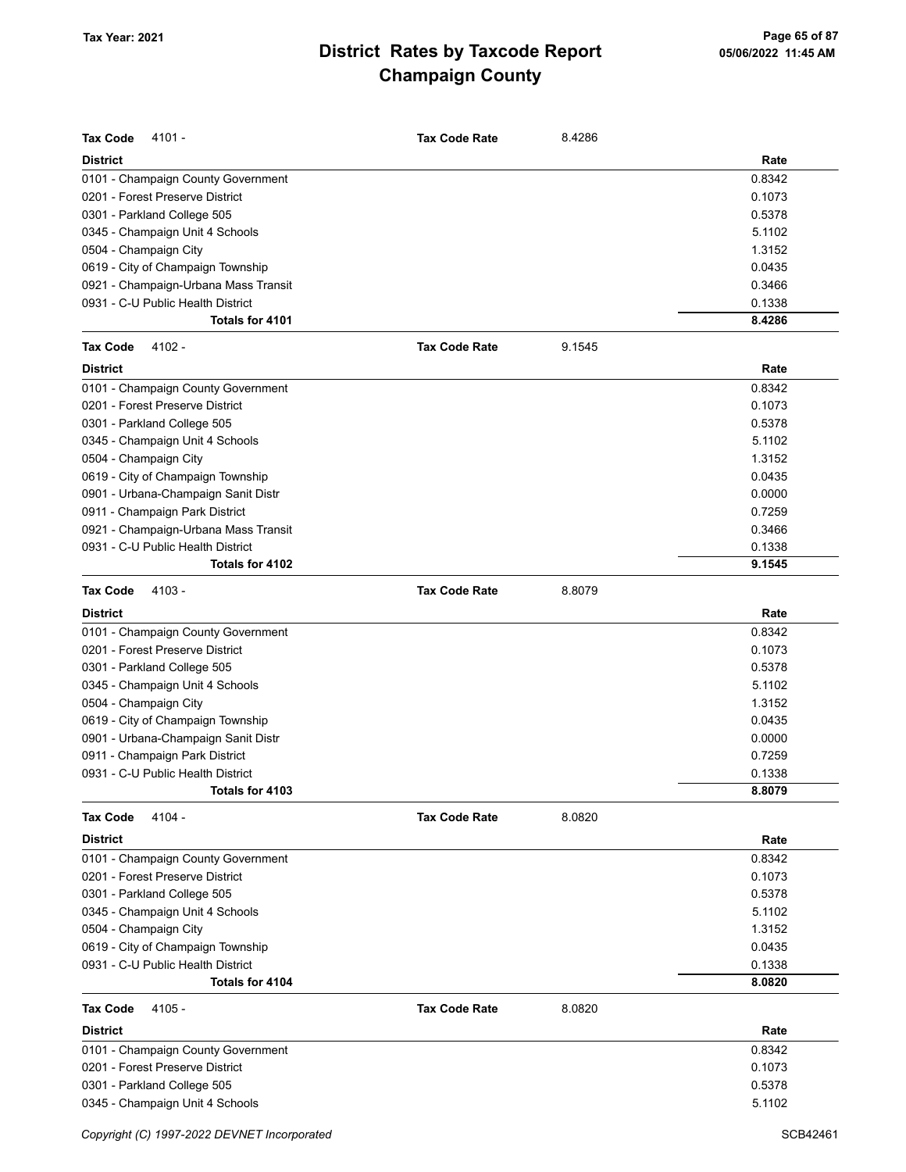| <b>Tax Code</b><br>4101 -            | <b>Tax Code Rate</b> | 8.4286 |        |
|--------------------------------------|----------------------|--------|--------|
| <b>District</b>                      |                      |        | Rate   |
| 0101 - Champaign County Government   |                      |        | 0.8342 |
| 0201 - Forest Preserve District      |                      |        | 0.1073 |
| 0301 - Parkland College 505          |                      |        | 0.5378 |
| 0345 - Champaign Unit 4 Schools      |                      |        | 5.1102 |
| 0504 - Champaign City                |                      |        | 1.3152 |
| 0619 - City of Champaign Township    |                      |        | 0.0435 |
| 0921 - Champaign-Urbana Mass Transit |                      |        | 0.3466 |
| 0931 - C-U Public Health District    |                      |        | 0.1338 |
| Totals for 4101                      |                      |        | 8.4286 |
| 4102 -<br><b>Tax Code</b>            | <b>Tax Code Rate</b> | 9.1545 |        |
| <b>District</b>                      |                      |        | Rate   |
| 0101 - Champaign County Government   |                      |        | 0.8342 |
| 0201 - Forest Preserve District      |                      |        | 0.1073 |
| 0301 - Parkland College 505          |                      |        | 0.5378 |
| 0345 - Champaign Unit 4 Schools      |                      |        | 5.1102 |
| 0504 - Champaign City                |                      |        | 1.3152 |
| 0619 - City of Champaign Township    |                      |        | 0.0435 |
| 0901 - Urbana-Champaign Sanit Distr  |                      |        | 0.0000 |
| 0911 - Champaign Park District       |                      |        | 0.7259 |
| 0921 - Champaign-Urbana Mass Transit |                      |        | 0.3466 |
| 0931 - C-U Public Health District    |                      |        | 0.1338 |
| Totals for 4102                      |                      |        | 9.1545 |
| 4103 -<br><b>Tax Code</b>            | <b>Tax Code Rate</b> | 8.8079 |        |
| <b>District</b>                      |                      |        | Rate   |
| 0101 - Champaign County Government   |                      |        | 0.8342 |
| 0201 - Forest Preserve District      |                      |        | 0.1073 |
| 0301 - Parkland College 505          |                      |        | 0.5378 |
| 0345 - Champaign Unit 4 Schools      |                      |        | 5.1102 |
| 0504 - Champaign City                |                      |        | 1.3152 |
| 0619 - City of Champaign Township    |                      |        | 0.0435 |
| 0901 - Urbana-Champaign Sanit Distr  |                      |        | 0.0000 |
| 0911 - Champaign Park District       |                      |        | 0.7259 |
| 0931 - C-U Public Health District    |                      |        | 0.1338 |
| Totals for 4103                      |                      |        | 8.8079 |
| 4104 -<br><b>Tax Code</b>            | <b>Tax Code Rate</b> | 8.0820 |        |
| <b>District</b>                      |                      |        | Rate   |
| 0101 - Champaign County Government   |                      |        | 0.8342 |
| 0201 - Forest Preserve District      |                      |        | 0.1073 |
| 0301 - Parkland College 505          |                      |        | 0.5378 |
| 0345 - Champaign Unit 4 Schools      |                      |        | 5.1102 |
| 0504 - Champaign City                |                      |        | 1.3152 |
| 0619 - City of Champaign Township    |                      |        | 0.0435 |
| 0931 - C-U Public Health District    |                      |        | 0.1338 |
| Totals for 4104                      |                      |        | 8.0820 |
| <b>Tax Code</b><br>4105 -            | <b>Tax Code Rate</b> | 8.0820 |        |
| <b>District</b>                      |                      |        | Rate   |
| 0101 - Champaign County Government   |                      |        | 0.8342 |
| 0201 - Forest Preserve District      |                      |        | 0.1073 |
| 0301 - Parkland College 505          |                      |        | 0.5378 |
| 0345 - Champaign Unit 4 Schools      |                      |        | 5.1102 |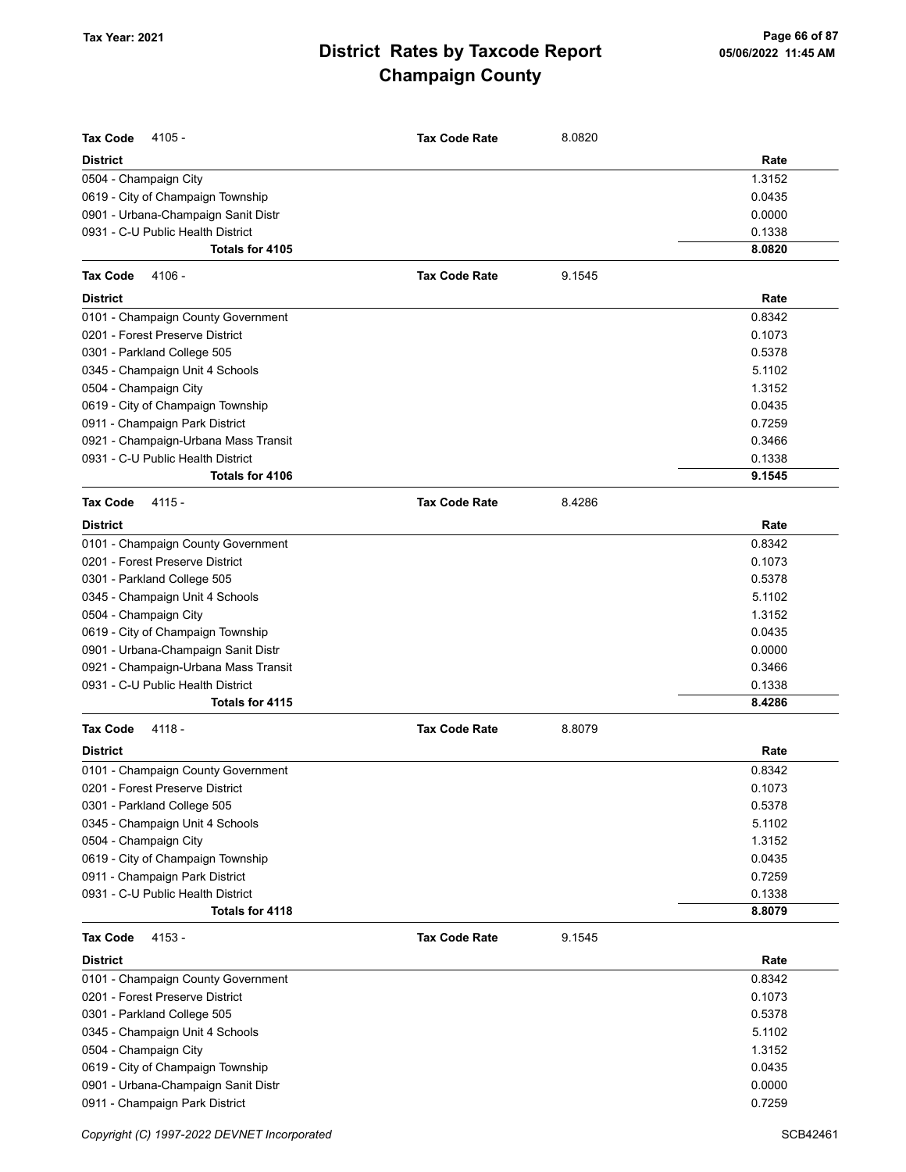| <b>Tax Code</b><br>$4105 -$<br><b>District</b> | <b>Tax Code Rate</b> | 8.0820 | Rate   |
|------------------------------------------------|----------------------|--------|--------|
| 0504 - Champaign City                          |                      |        | 1.3152 |
| 0619 - City of Champaign Township              |                      |        | 0.0435 |
| 0901 - Urbana-Champaign Sanit Distr            |                      |        | 0.0000 |
| 0931 - C-U Public Health District              |                      |        | 0.1338 |
| Totals for 4105                                |                      |        | 8.0820 |
| <b>Tax Code</b><br>4106 -                      | <b>Tax Code Rate</b> | 9.1545 |        |
| <b>District</b>                                |                      |        | Rate   |
| 0101 - Champaign County Government             |                      |        | 0.8342 |
| 0201 - Forest Preserve District                |                      |        | 0.1073 |
| 0301 - Parkland College 505                    |                      |        | 0.5378 |
| 0345 - Champaign Unit 4 Schools                |                      |        | 5.1102 |
| 0504 - Champaign City                          |                      |        | 1.3152 |
| 0619 - City of Champaign Township              |                      |        | 0.0435 |
| 0911 - Champaign Park District                 |                      |        | 0.7259 |
| 0921 - Champaign-Urbana Mass Transit           |                      |        | 0.3466 |
| 0931 - C-U Public Health District              |                      |        | 0.1338 |
| Totals for 4106                                |                      |        | 9.1545 |
| <b>Tax Code</b><br>4115 -                      | <b>Tax Code Rate</b> | 8.4286 |        |
| <b>District</b>                                |                      |        | Rate   |
| 0101 - Champaign County Government             |                      |        | 0.8342 |
| 0201 - Forest Preserve District                |                      |        | 0.1073 |
| 0301 - Parkland College 505                    |                      |        | 0.5378 |
| 0345 - Champaign Unit 4 Schools                |                      |        | 5.1102 |
| 0504 - Champaign City                          |                      |        | 1.3152 |
| 0619 - City of Champaign Township              |                      |        | 0.0435 |
| 0901 - Urbana-Champaign Sanit Distr            |                      |        | 0.0000 |
| 0921 - Champaign-Urbana Mass Transit           |                      |        | 0.3466 |
| 0931 - C-U Public Health District              |                      |        | 0.1338 |
| Totals for 4115                                |                      |        | 8.4286 |
| 4118 -<br><b>Tax Code</b>                      | <b>Tax Code Rate</b> | 8.8079 |        |
| <b>District</b>                                |                      |        | Rate   |
| 0101 - Champaign County Government             |                      |        | 0.8342 |
| 0201 - Forest Preserve District                |                      |        | 0.1073 |
| 0301 - Parkland College 505                    |                      |        | 0.5378 |
| 0345 - Champaign Unit 4 Schools                |                      |        | 5.1102 |
| 0504 - Champaign City                          |                      |        | 1.3152 |
| 0619 - City of Champaign Township              |                      |        | 0.0435 |
| 0911 - Champaign Park District                 |                      |        | 0.7259 |
| 0931 - C-U Public Health District              |                      |        | 0.1338 |
| Totals for 4118                                |                      |        | 8.8079 |
| <b>Tax Code</b><br>$4153 -$                    | <b>Tax Code Rate</b> | 9.1545 |        |
| <b>District</b>                                |                      |        | Rate   |
| 0101 - Champaign County Government             |                      |        | 0.8342 |
| 0201 - Forest Preserve District                |                      |        | 0.1073 |
| 0301 - Parkland College 505                    |                      |        | 0.5378 |
| 0345 - Champaign Unit 4 Schools                |                      |        | 5.1102 |
| 0504 - Champaign City                          |                      |        | 1.3152 |
| 0619 - City of Champaign Township              |                      |        | 0.0435 |
| 0901 - Urbana-Champaign Sanit Distr            |                      |        | 0.0000 |
| 0911 - Champaign Park District                 |                      |        | 0.7259 |

Copyright (C) 1997-2022 DEVNET Incorporated SCB42461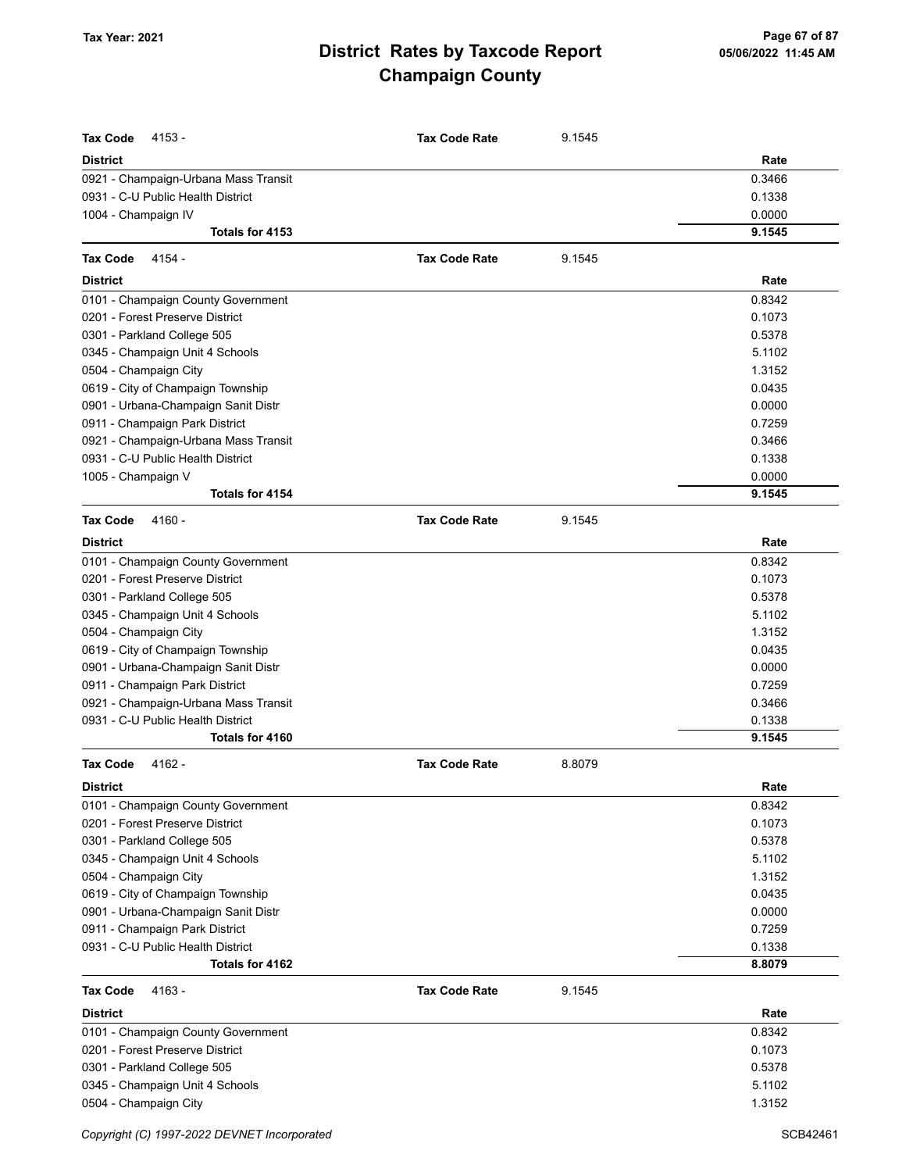| <b>Tax Code</b><br>$4153 -$            | <b>Tax Code Rate</b> | 9.1545 |                  |
|----------------------------------------|----------------------|--------|------------------|
| <b>District</b>                        |                      |        | Rate             |
| 0921 - Champaign-Urbana Mass Transit   |                      |        | 0.3466           |
| 0931 - C-U Public Health District      |                      |        | 0.1338           |
| 1004 - Champaign IV<br>Totals for 4153 |                      |        | 0.0000<br>9.1545 |
|                                        |                      |        |                  |
| <b>Tax Code</b><br>4154 -              | <b>Tax Code Rate</b> | 9.1545 |                  |
| <b>District</b>                        |                      |        | Rate             |
| 0101 - Champaign County Government     |                      |        | 0.8342           |
| 0201 - Forest Preserve District        |                      |        | 0.1073           |
| 0301 - Parkland College 505            |                      |        | 0.5378           |
| 0345 - Champaign Unit 4 Schools        |                      |        | 5.1102           |
| 0504 - Champaign City                  |                      |        | 1.3152           |
| 0619 - City of Champaign Township      |                      |        | 0.0435           |
| 0901 - Urbana-Champaign Sanit Distr    |                      |        | 0.0000           |
| 0911 - Champaign Park District         |                      |        | 0.7259           |
| 0921 - Champaign-Urbana Mass Transit   |                      |        | 0.3466           |
| 0931 - C-U Public Health District      |                      |        | 0.1338           |
| 1005 - Champaign V                     |                      |        | 0.0000           |
| Totals for 4154                        |                      |        | 9.1545           |
| <b>Tax Code</b><br>4160 -              | <b>Tax Code Rate</b> | 9.1545 |                  |
| <b>District</b>                        |                      |        | Rate             |
| 0101 - Champaign County Government     |                      |        | 0.8342           |
| 0201 - Forest Preserve District        |                      |        | 0.1073           |
| 0301 - Parkland College 505            |                      |        | 0.5378           |
| 0345 - Champaign Unit 4 Schools        |                      |        | 5.1102           |
| 0504 - Champaign City                  |                      |        | 1.3152           |
| 0619 - City of Champaign Township      |                      |        | 0.0435           |
| 0901 - Urbana-Champaign Sanit Distr    |                      |        | 0.0000           |
| 0911 - Champaign Park District         |                      |        | 0.7259           |
| 0921 - Champaign-Urbana Mass Transit   |                      |        | 0.3466           |
| 0931 - C-U Public Health District      |                      |        | 0.1338           |
| Totals for 4160                        |                      |        | 9.1545           |
| <b>Tax Code</b><br>$4162 -$            | <b>Tax Code Rate</b> | 8.8079 |                  |
| <b>District</b>                        |                      |        | Rate             |
| 0101 - Champaign County Government     |                      |        | 0.8342           |
| 0201 - Forest Preserve District        |                      |        | 0.1073           |
| 0301 - Parkland College 505            |                      |        | 0.5378           |
| 0345 - Champaign Unit 4 Schools        |                      |        | 5.1102           |
| 0504 - Champaign City                  |                      |        | 1.3152           |
| 0619 - City of Champaign Township      |                      |        | 0.0435           |
| 0901 - Urbana-Champaign Sanit Distr    |                      |        | 0.0000           |
| 0911 - Champaign Park District         |                      |        | 0.7259           |
| 0931 - C-U Public Health District      |                      |        | 0.1338           |
| Totals for 4162                        |                      |        | 8.8079           |
| <b>Tax Code</b><br>4163 -              | <b>Tax Code Rate</b> | 9.1545 |                  |
| <b>District</b>                        |                      |        | Rate             |
| 0101 - Champaign County Government     |                      |        | 0.8342           |
| 0201 - Forest Preserve District        |                      |        | 0.1073           |
| 0301 - Parkland College 505            |                      |        | 0.5378           |
| 0345 - Champaign Unit 4 Schools        |                      |        | 5.1102           |
| 0504 - Champaign City                  |                      |        | 1.3152           |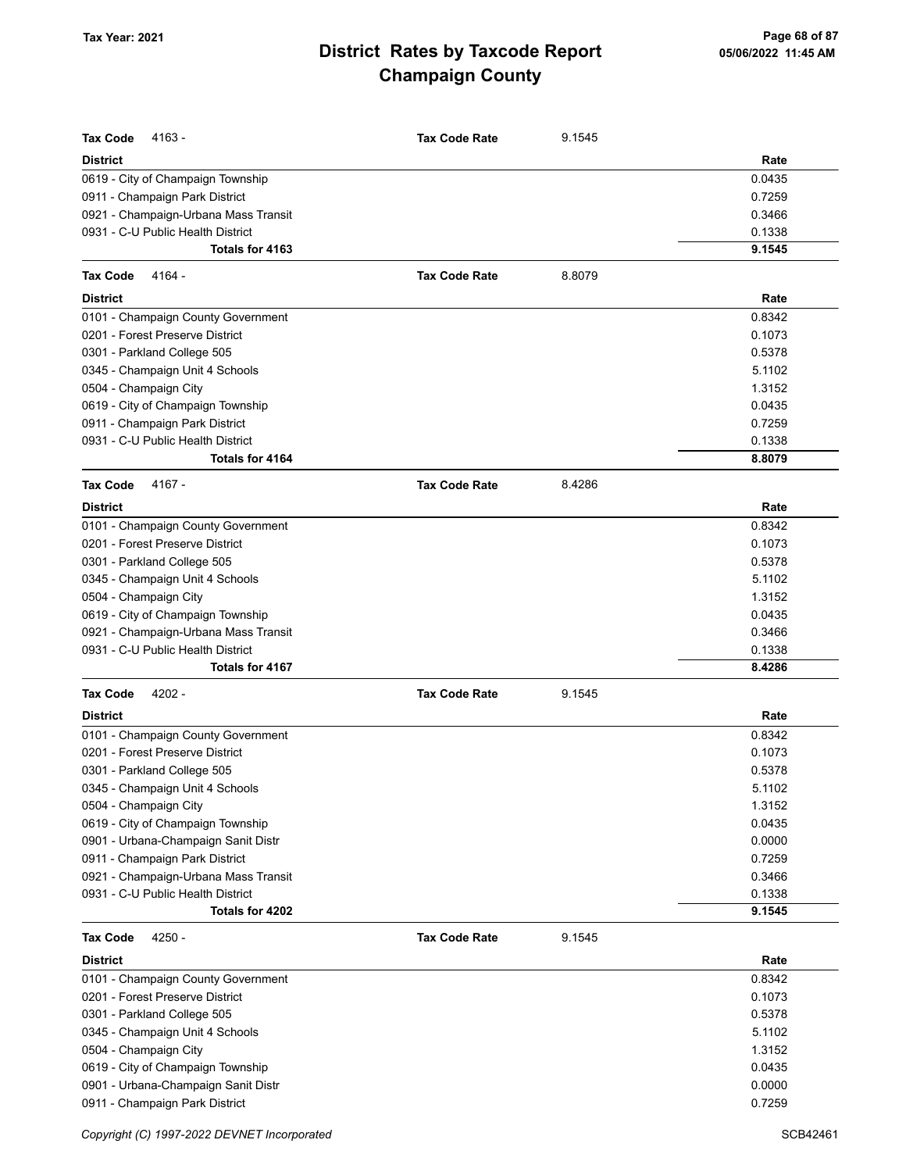| <b>Tax Code</b><br>4163 -                                                | <b>Tax Code Rate</b> | 9.1545 |                  |
|--------------------------------------------------------------------------|----------------------|--------|------------------|
| <b>District</b>                                                          |                      |        | Rate             |
| 0619 - City of Champaign Township                                        |                      |        | 0.0435           |
| 0911 - Champaign Park District                                           |                      |        | 0.7259           |
| 0921 - Champaign-Urbana Mass Transit                                     |                      |        | 0.3466           |
| 0931 - C-U Public Health District                                        |                      |        | 0.1338           |
| Totals for 4163                                                          |                      |        | 9.1545           |
| <b>Tax Code</b><br>4164 -                                                | <b>Tax Code Rate</b> | 8.8079 |                  |
| District                                                                 |                      |        | Rate             |
| 0101 - Champaign County Government                                       |                      |        | 0.8342           |
| 0201 - Forest Preserve District                                          |                      |        | 0.1073           |
| 0301 - Parkland College 505                                              |                      |        | 0.5378           |
| 0345 - Champaign Unit 4 Schools                                          |                      |        | 5.1102           |
| 0504 - Champaign City                                                    |                      |        | 1.3152           |
| 0619 - City of Champaign Township                                        |                      |        | 0.0435           |
| 0911 - Champaign Park District                                           |                      |        | 0.7259           |
| 0931 - C-U Public Health District                                        |                      |        | 0.1338           |
| Totals for 4164                                                          |                      |        | 8.8079           |
| 4167 -<br><b>Tax Code</b>                                                | <b>Tax Code Rate</b> | 8.4286 |                  |
| District                                                                 |                      |        | Rate             |
| 0101 - Champaign County Government                                       |                      |        | 0.8342           |
| 0201 - Forest Preserve District                                          |                      |        | 0.1073           |
| 0301 - Parkland College 505                                              |                      |        | 0.5378           |
| 0345 - Champaign Unit 4 Schools                                          |                      |        | 5.1102           |
| 0504 - Champaign City                                                    |                      |        | 1.3152           |
| 0619 - City of Champaign Township                                        |                      |        | 0.0435           |
| 0921 - Champaign-Urbana Mass Transit                                     |                      |        | 0.3466           |
| 0931 - C-U Public Health District                                        |                      |        | 0.1338           |
| Totals for 4167                                                          |                      |        | 8.4286           |
| <b>Tax Code</b><br>4202 -                                                | <b>Tax Code Rate</b> | 9.1545 |                  |
| District                                                                 |                      |        | Rate             |
| 0101 - Champaign County Government                                       |                      |        | 0.8342           |
| 0201 - Forest Preserve District                                          |                      |        | 0.1073           |
| 0301 - Parkland College 505                                              |                      |        | 0.5378           |
| 0345 - Champaign Unit 4 Schools                                          |                      |        | 5.1102           |
| 0504 - Champaign City                                                    |                      |        | 1.3152           |
| 0619 - City of Champaign Township<br>0901 - Urbana-Champaign Sanit Distr |                      |        | 0.0435<br>0.0000 |
| 0911 - Champaign Park District                                           |                      |        | 0.7259           |
| 0921 - Champaign-Urbana Mass Transit                                     |                      |        | 0.3466           |
| 0931 - C-U Public Health District                                        |                      |        | 0.1338           |
| Totals for 4202                                                          |                      |        | 9.1545           |
| <b>Tax Code</b><br>4250 -                                                | <b>Tax Code Rate</b> | 9.1545 |                  |
| District                                                                 |                      |        | Rate             |
| 0101 - Champaign County Government                                       |                      |        | 0.8342           |
| 0201 - Forest Preserve District                                          |                      |        | 0.1073           |
| 0301 - Parkland College 505                                              |                      |        | 0.5378           |
| 0345 - Champaign Unit 4 Schools                                          |                      |        | 5.1102           |
| 0504 - Champaign City                                                    |                      |        | 1.3152           |
| 0619 - City of Champaign Township                                        |                      |        | 0.0435           |
| 0901 - Urbana-Champaign Sanit Distr                                      |                      |        | 0.0000           |
| 0911 - Champaign Park District                                           |                      |        | 0.7259           |

Copyright (C) 1997-2022 DEVNET Incorporated SCB42461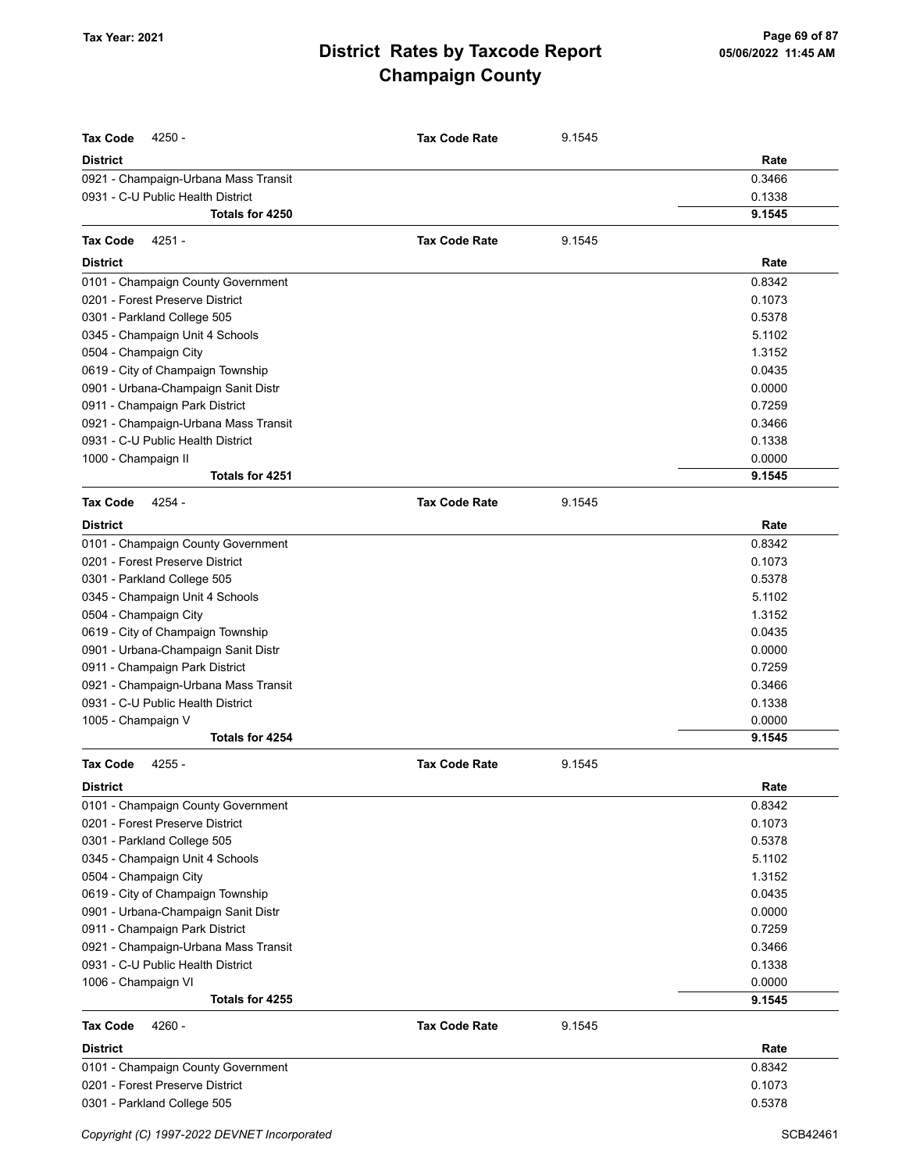| <b>Tax Code</b><br>4250 -                                                 | <b>Tax Code Rate</b> | 9.1545 |                  |
|---------------------------------------------------------------------------|----------------------|--------|------------------|
| <b>District</b>                                                           |                      |        | Rate             |
| 0921 - Champaign-Urbana Mass Transit                                      |                      |        | 0.3466           |
| 0931 - C-U Public Health District                                         |                      |        | 0.1338           |
| Totals for 4250                                                           |                      |        | 9.1545           |
| 4251 -<br><b>Tax Code</b>                                                 | <b>Tax Code Rate</b> | 9.1545 |                  |
| <b>District</b>                                                           |                      |        | Rate             |
| 0101 - Champaign County Government                                        |                      |        | 0.8342           |
| 0201 - Forest Preserve District                                           |                      |        | 0.1073           |
| 0301 - Parkland College 505                                               |                      |        | 0.5378           |
| 0345 - Champaign Unit 4 Schools                                           |                      |        | 5.1102           |
| 0504 - Champaign City                                                     |                      |        | 1.3152           |
| 0619 - City of Champaign Township                                         |                      |        | 0.0435           |
| 0901 - Urbana-Champaign Sanit Distr                                       |                      |        | 0.0000           |
| 0911 - Champaign Park District                                            |                      |        | 0.7259           |
| 0921 - Champaign-Urbana Mass Transit                                      |                      |        | 0.3466           |
| 0931 - C-U Public Health District                                         |                      |        | 0.1338           |
| 1000 - Champaign II                                                       |                      |        | 0.0000           |
| Totals for 4251                                                           |                      |        | 9.1545           |
| <b>Tax Code</b><br>4254 -                                                 | <b>Tax Code Rate</b> | 9.1545 |                  |
|                                                                           |                      |        |                  |
| <b>District</b>                                                           |                      |        | Rate             |
| 0101 - Champaign County Government                                        |                      |        | 0.8342           |
| 0201 - Forest Preserve District                                           |                      |        | 0.1073           |
| 0301 - Parkland College 505                                               |                      |        | 0.5378           |
| 0345 - Champaign Unit 4 Schools                                           |                      |        | 5.1102           |
| 0504 - Champaign City                                                     |                      |        | 1.3152           |
| 0619 - City of Champaign Township                                         |                      |        | 0.0435<br>0.0000 |
| 0901 - Urbana-Champaign Sanit Distr                                       |                      |        | 0.7259           |
| 0911 - Champaign Park District                                            |                      |        | 0.3466           |
| 0921 - Champaign-Urbana Mass Transit<br>0931 - C-U Public Health District |                      |        | 0.1338           |
| 1005 - Champaign V                                                        |                      |        | 0.0000           |
| Totals for 4254                                                           |                      |        | 9.1545           |
| <b>Tax Code</b><br>$4255 -$                                               | <b>Tax Code Rate</b> | 9.1545 |                  |
| <b>District</b>                                                           |                      |        | Rate             |
|                                                                           |                      |        |                  |
| 0101 - Champaign County Government<br>0201 - Forest Preserve District     |                      |        | 0.8342<br>0.1073 |
| 0301 - Parkland College 505                                               |                      |        | 0.5378           |
| 0345 - Champaign Unit 4 Schools                                           |                      |        | 5.1102           |
| 0504 - Champaign City                                                     |                      |        | 1.3152           |
| 0619 - City of Champaign Township                                         |                      |        | 0.0435           |
| 0901 - Urbana-Champaign Sanit Distr                                       |                      |        | 0.0000           |
| 0911 - Champaign Park District                                            |                      |        | 0.7259           |
| 0921 - Champaign-Urbana Mass Transit                                      |                      |        | 0.3466           |
| 0931 - C-U Public Health District                                         |                      |        | 0.1338           |
| 1006 - Champaign VI                                                       |                      |        | 0.0000           |
| Totals for 4255                                                           |                      |        | 9.1545           |
| <b>Tax Code</b><br>4260 -                                                 | <b>Tax Code Rate</b> | 9.1545 |                  |
| <b>District</b>                                                           |                      |        | Rate             |
| 0101 - Champaign County Government                                        |                      |        | 0.8342           |
| 0201 - Forest Preserve District                                           |                      |        | 0.1073           |
| 0301 - Parkland College 505                                               |                      |        | 0.5378           |
|                                                                           |                      |        |                  |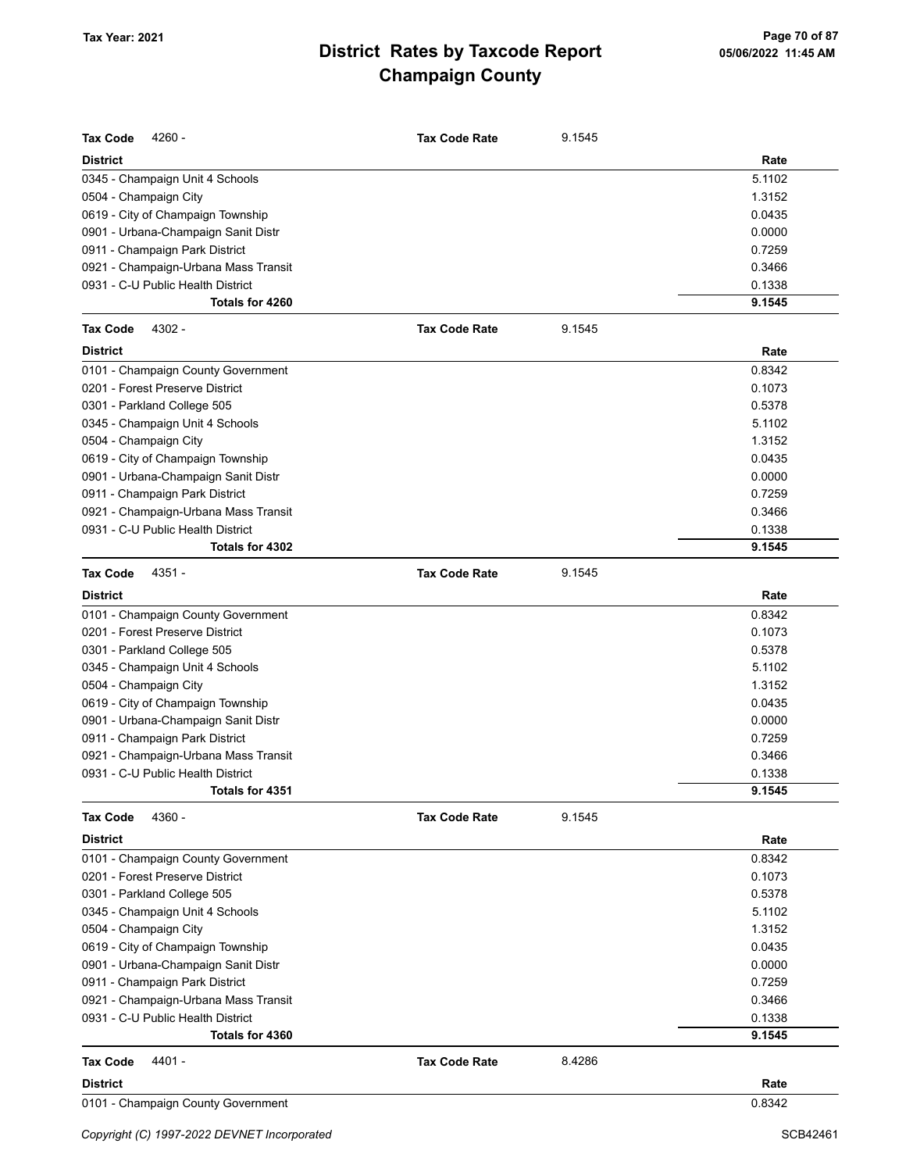| <b>Tax Code</b><br>4260 -            | <b>Tax Code Rate</b> | 9.1545 |        |
|--------------------------------------|----------------------|--------|--------|
| <b>District</b>                      |                      |        | Rate   |
| 0345 - Champaign Unit 4 Schools      |                      |        | 5.1102 |
| 0504 - Champaign City                |                      |        | 1.3152 |
| 0619 - City of Champaign Township    |                      |        | 0.0435 |
| 0901 - Urbana-Champaign Sanit Distr  |                      |        | 0.0000 |
| 0911 - Champaign Park District       |                      |        | 0.7259 |
| 0921 - Champaign-Urbana Mass Transit |                      |        | 0.3466 |
| 0931 - C-U Public Health District    |                      |        | 0.1338 |
| Totals for 4260                      |                      |        | 9.1545 |
| 4302 -<br><b>Tax Code</b>            | <b>Tax Code Rate</b> | 9.1545 |        |
| <b>District</b>                      |                      |        | Rate   |
| 0101 - Champaign County Government   |                      |        | 0.8342 |
| 0201 - Forest Preserve District      |                      |        | 0.1073 |
| 0301 - Parkland College 505          |                      |        | 0.5378 |
| 0345 - Champaign Unit 4 Schools      |                      |        | 5.1102 |
| 0504 - Champaign City                |                      |        | 1.3152 |
| 0619 - City of Champaign Township    |                      |        | 0.0435 |
| 0901 - Urbana-Champaign Sanit Distr  |                      |        | 0.0000 |
| 0911 - Champaign Park District       |                      |        | 0.7259 |
| 0921 - Champaign-Urbana Mass Transit |                      |        | 0.3466 |
| 0931 - C-U Public Health District    |                      |        | 0.1338 |
| Totals for 4302                      |                      |        | 9.1545 |
| 4351 -<br><b>Tax Code</b>            | <b>Tax Code Rate</b> | 9.1545 |        |
| <b>District</b>                      |                      |        | Rate   |
| 0101 - Champaign County Government   |                      |        | 0.8342 |
| 0201 - Forest Preserve District      |                      |        | 0.1073 |
| 0301 - Parkland College 505          |                      |        | 0.5378 |
| 0345 - Champaign Unit 4 Schools      |                      |        | 5.1102 |
| 0504 - Champaign City                |                      |        | 1.3152 |
| 0619 - City of Champaign Township    |                      |        | 0.0435 |
| 0901 - Urbana-Champaign Sanit Distr  |                      |        | 0.0000 |
| 0911 - Champaign Park District       |                      |        | 0.7259 |
| 0921 - Champaign-Urbana Mass Transit |                      |        | 0.3466 |
| 0931 - C-U Public Health District    |                      |        | 0.1338 |
| Totals for 4351                      |                      |        | 9.1545 |
| 4360 -<br><b>Tax Code</b>            | <b>Tax Code Rate</b> | 9.1545 |        |
| <b>District</b>                      |                      |        | Rate   |
| 0101 - Champaign County Government   |                      |        | 0.8342 |
| 0201 - Forest Preserve District      |                      |        | 0.1073 |
| 0301 - Parkland College 505          |                      |        | 0.5378 |
| 0345 - Champaign Unit 4 Schools      |                      |        | 5.1102 |
| 0504 - Champaign City                |                      |        | 1.3152 |
| 0619 - City of Champaign Township    |                      |        | 0.0435 |
| 0901 - Urbana-Champaign Sanit Distr  |                      |        | 0.0000 |
| 0911 - Champaign Park District       |                      |        | 0.7259 |
| 0921 - Champaign-Urbana Mass Transit |                      |        | 0.3466 |
| 0931 - C-U Public Health District    |                      |        | 0.1338 |
| Totals for 4360                      |                      |        | 9.1545 |
| 4401 -<br><b>Tax Code</b>            | <b>Tax Code Rate</b> | 8.4286 |        |
| <b>District</b>                      |                      |        | Rate   |
| 0101 - Champaign County Government   |                      |        | 0.8342 |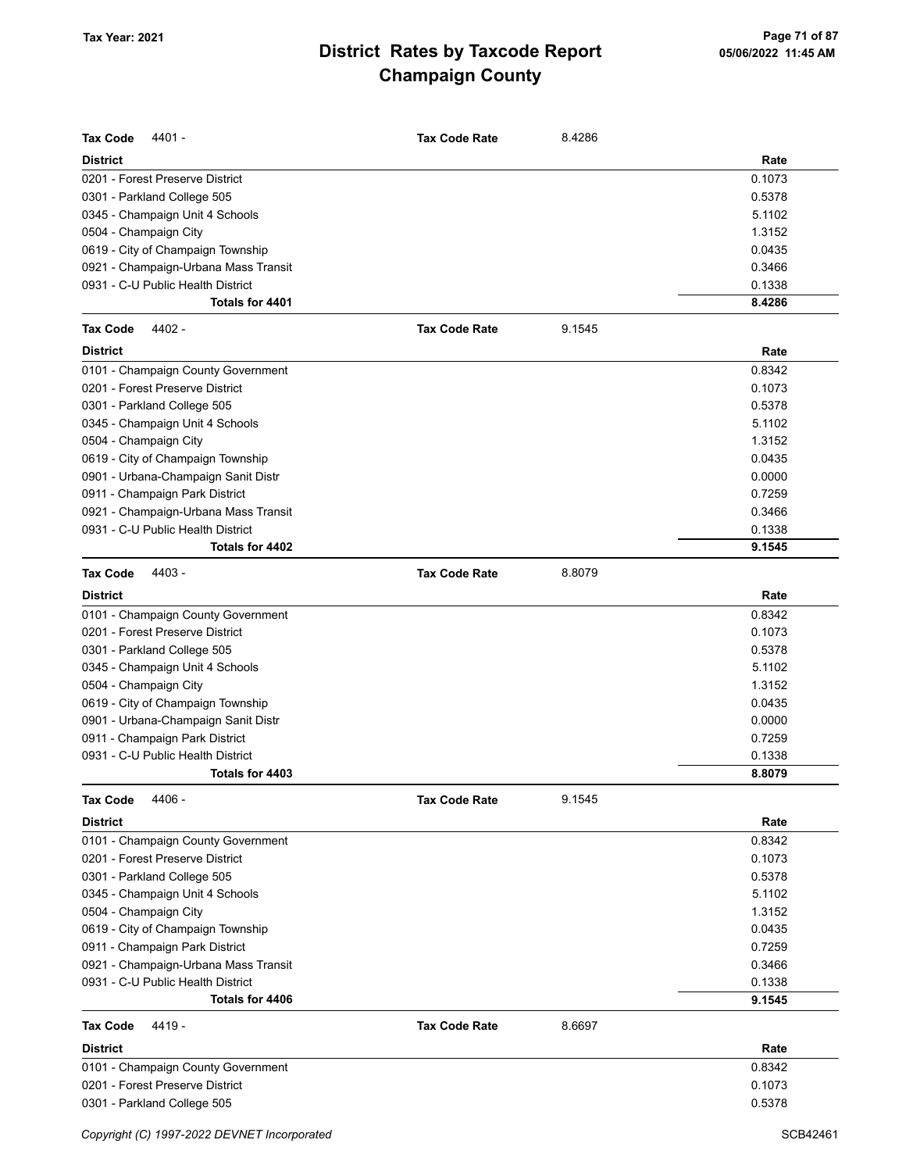| <b>Tax Code</b><br>4401 -            | <b>Tax Code Rate</b> | 8.4286 |        |
|--------------------------------------|----------------------|--------|--------|
| <b>District</b>                      |                      |        | Rate   |
| 0201 - Forest Preserve District      |                      |        | 0.1073 |
| 0301 - Parkland College 505          |                      |        | 0.5378 |
| 0345 - Champaign Unit 4 Schools      |                      |        | 5.1102 |
| 0504 - Champaign City                |                      |        | 1.3152 |
| 0619 - City of Champaign Township    |                      |        | 0.0435 |
| 0921 - Champaign-Urbana Mass Transit |                      |        | 0.3466 |
| 0931 - C-U Public Health District    |                      |        | 0.1338 |
| Totals for 4401                      |                      |        | 8.4286 |
| 4402 -<br><b>Tax Code</b>            | <b>Tax Code Rate</b> | 9.1545 |        |
| <b>District</b>                      |                      |        | Rate   |
| 0101 - Champaign County Government   |                      |        | 0.8342 |
| 0201 - Forest Preserve District      |                      |        | 0.1073 |
| 0301 - Parkland College 505          |                      |        | 0.5378 |
| 0345 - Champaign Unit 4 Schools      |                      |        | 5.1102 |
| 0504 - Champaign City                |                      |        | 1.3152 |
| 0619 - City of Champaign Township    |                      |        | 0.0435 |
| 0901 - Urbana-Champaign Sanit Distr  |                      |        | 0.0000 |
| 0911 - Champaign Park District       |                      |        | 0.7259 |
| 0921 - Champaign-Urbana Mass Transit |                      |        | 0.3466 |
| 0931 - C-U Public Health District    |                      |        | 0.1338 |
| Totals for 4402                      |                      |        | 9.1545 |
| 4403 -<br><b>Tax Code</b>            | <b>Tax Code Rate</b> | 8.8079 |        |
| <b>District</b>                      |                      |        | Rate   |
| 0101 - Champaign County Government   |                      |        | 0.8342 |
| 0201 - Forest Preserve District      |                      |        | 0.1073 |
| 0301 - Parkland College 505          |                      |        | 0.5378 |
| 0345 - Champaign Unit 4 Schools      |                      |        | 5.1102 |
| 0504 - Champaign City                |                      |        | 1.3152 |
| 0619 - City of Champaign Township    |                      |        | 0.0435 |
| 0901 - Urbana-Champaign Sanit Distr  |                      |        | 0.0000 |
| 0911 - Champaign Park District       |                      |        | 0.7259 |
| 0931 - C-U Public Health District    |                      |        | 0.1338 |
| Totals for 4403                      |                      |        | 8.8079 |
| <b>Tax Code</b><br>4406 -            | <b>Tax Code Rate</b> | 9.1545 |        |
| <b>District</b>                      |                      |        | Rate   |
| 0101 - Champaign County Government   |                      |        | 0.8342 |
| 0201 - Forest Preserve District      |                      |        | 0.1073 |
| 0301 - Parkland College 505          |                      |        | 0.5378 |
| 0345 - Champaign Unit 4 Schools      |                      |        | 5.1102 |
| 0504 - Champaign City                |                      |        | 1.3152 |
| 0619 - City of Champaign Township    |                      |        | 0.0435 |
| 0911 - Champaign Park District       |                      |        | 0.7259 |
| 0921 - Champaign-Urbana Mass Transit |                      |        | 0.3466 |
| 0931 - C-U Public Health District    |                      |        | 0.1338 |
| Totals for 4406                      |                      |        | 9.1545 |
| 4419 -<br>Tax Code                   | <b>Tax Code Rate</b> | 8.6697 |        |
| <b>District</b>                      |                      |        | Rate   |
| 0101 - Champaign County Government   |                      |        | 0.8342 |
| 0201 - Forest Preserve District      |                      |        | 0.1073 |
| 0301 - Parkland College 505          |                      |        | 0.5378 |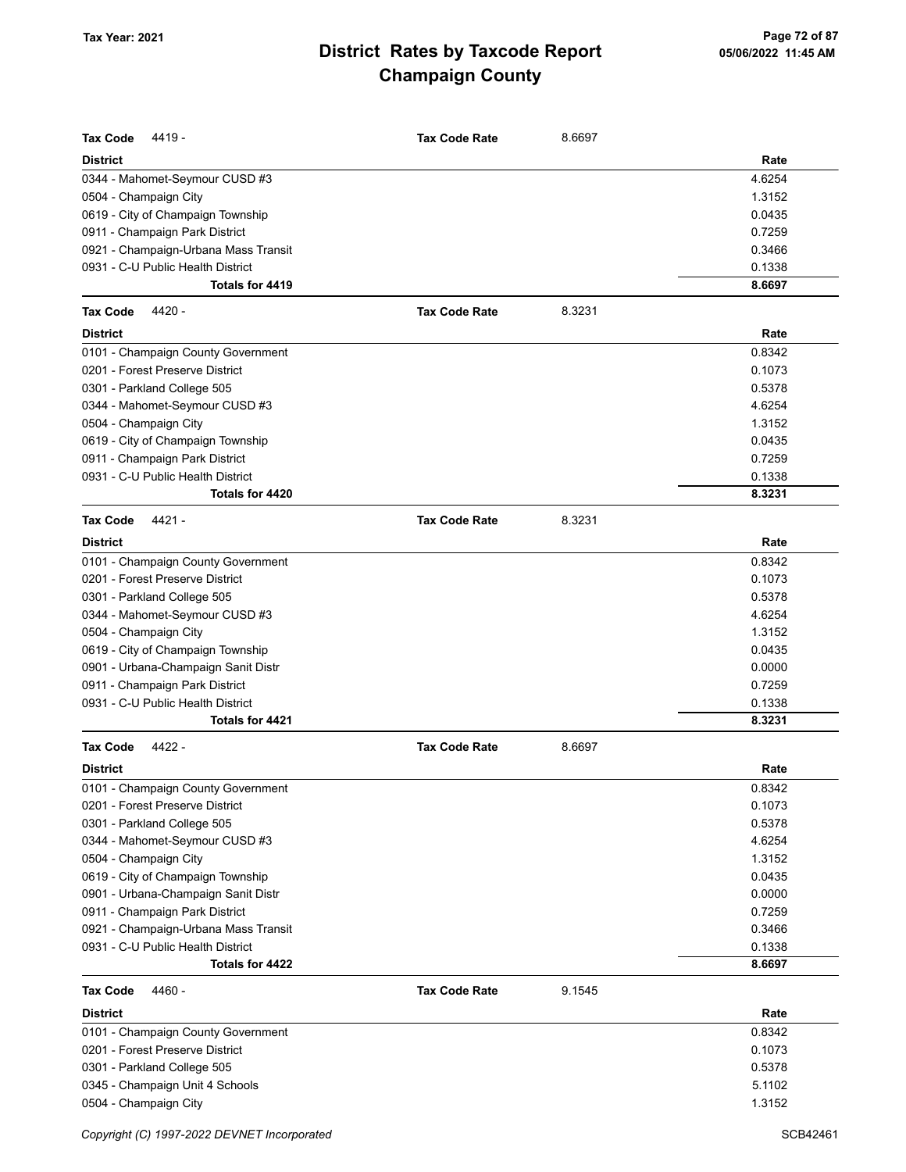| <b>Tax Code</b><br>4419 -            | <b>Tax Code Rate</b> | 8.6697 |        |
|--------------------------------------|----------------------|--------|--------|
| <b>District</b>                      |                      |        | Rate   |
| 0344 - Mahomet-Seymour CUSD #3       |                      |        | 4.6254 |
| 0504 - Champaign City                |                      |        | 1.3152 |
| 0619 - City of Champaign Township    |                      |        | 0.0435 |
| 0911 - Champaign Park District       |                      |        | 0.7259 |
| 0921 - Champaign-Urbana Mass Transit |                      |        | 0.3466 |
| 0931 - C-U Public Health District    |                      |        | 0.1338 |
| Totals for 4419                      |                      |        | 8.6697 |
| <b>Tax Code</b><br>4420 -            | <b>Tax Code Rate</b> | 8.3231 |        |
| <b>District</b>                      |                      |        | Rate   |
| 0101 - Champaign County Government   |                      |        | 0.8342 |
| 0201 - Forest Preserve District      |                      |        | 0.1073 |
| 0301 - Parkland College 505          |                      |        | 0.5378 |
| 0344 - Mahomet-Seymour CUSD #3       |                      |        | 4.6254 |
| 0504 - Champaign City                |                      |        | 1.3152 |
| 0619 - City of Champaign Township    |                      |        | 0.0435 |
| 0911 - Champaign Park District       |                      |        | 0.7259 |
| 0931 - C-U Public Health District    |                      |        | 0.1338 |
| Totals for 4420                      |                      |        | 8.3231 |
| <b>Tax Code</b><br>4421 -            | <b>Tax Code Rate</b> | 8.3231 |        |
| <b>District</b>                      |                      |        | Rate   |
| 0101 - Champaign County Government   |                      |        | 0.8342 |
| 0201 - Forest Preserve District      |                      |        | 0.1073 |
| 0301 - Parkland College 505          |                      |        | 0.5378 |
| 0344 - Mahomet-Seymour CUSD #3       |                      |        | 4.6254 |
| 0504 - Champaign City                |                      |        | 1.3152 |
| 0619 - City of Champaign Township    |                      |        | 0.0435 |
| 0901 - Urbana-Champaign Sanit Distr  |                      |        | 0.0000 |
| 0911 - Champaign Park District       |                      |        | 0.7259 |
| 0931 - C-U Public Health District    |                      |        | 0.1338 |
| Totals for 4421                      |                      |        | 8.3231 |
| <b>Tax Code</b><br>4422 -            | <b>Tax Code Rate</b> | 8.6697 |        |
| <b>District</b>                      |                      |        | Rate   |
| 0101 - Champaign County Government   |                      |        | 0.8342 |
| 0201 - Forest Preserve District      |                      |        | 0.1073 |
| 0301 - Parkland College 505          |                      |        | 0.5378 |
| 0344 - Mahomet-Seymour CUSD #3       |                      |        | 4.6254 |
| 0504 - Champaign City                |                      |        | 1.3152 |
| 0619 - City of Champaign Township    |                      |        | 0.0435 |
| 0901 - Urbana-Champaign Sanit Distr  |                      |        | 0.0000 |
| 0911 - Champaign Park District       |                      |        | 0.7259 |
| 0921 - Champaign-Urbana Mass Transit |                      |        | 0.3466 |
| 0931 - C-U Public Health District    |                      |        | 0.1338 |
| Totals for 4422                      |                      |        | 8.6697 |
| <b>Tax Code</b><br>4460 -            | <b>Tax Code Rate</b> | 9.1545 |        |
| <b>District</b>                      |                      |        | Rate   |
| 0101 - Champaign County Government   |                      |        | 0.8342 |
| 0201 - Forest Preserve District      |                      |        | 0.1073 |
| 0301 - Parkland College 505          |                      |        | 0.5378 |
| 0345 - Champaign Unit 4 Schools      |                      |        | 5.1102 |
| 0504 - Champaign City                |                      |        | 1.3152 |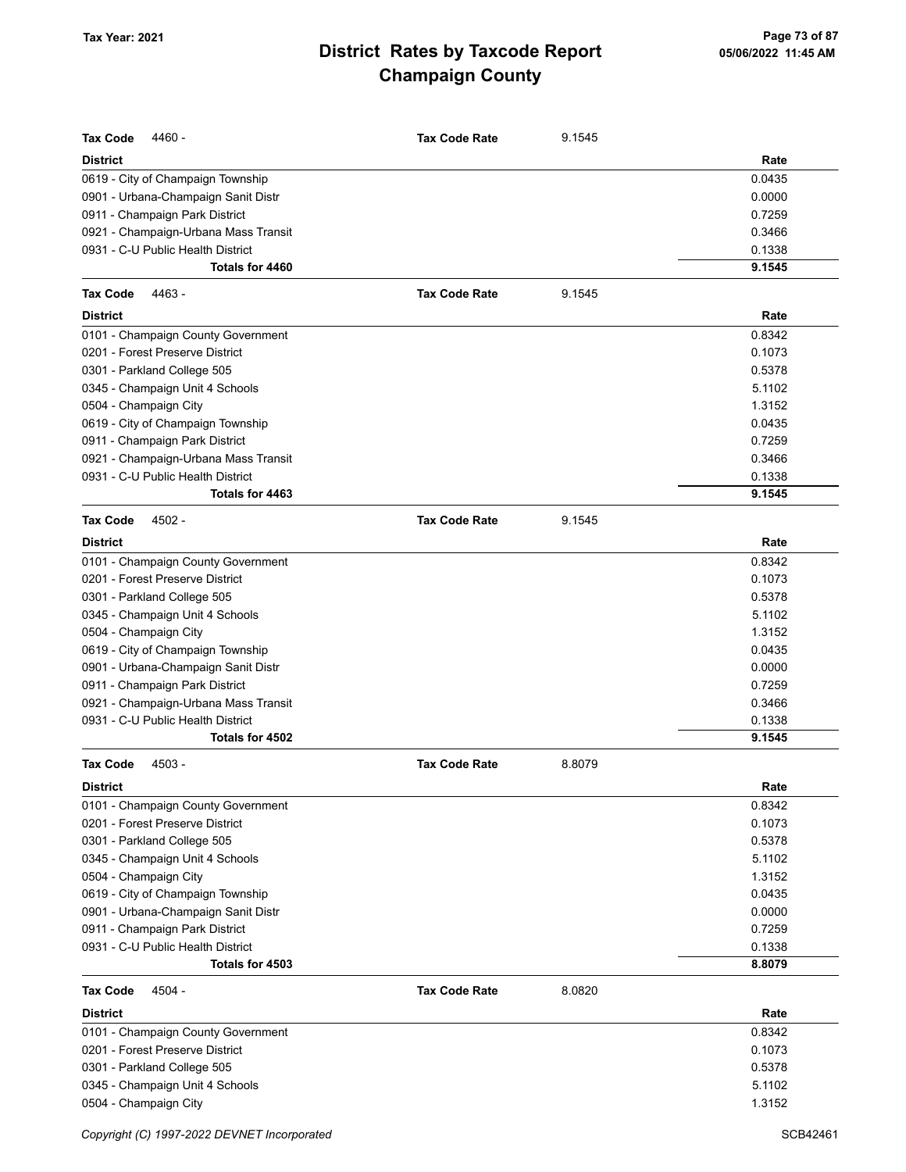| <b>Tax Code</b><br>4460 -            | <b>Tax Code Rate</b> | 9.1545 |        |
|--------------------------------------|----------------------|--------|--------|
| <b>District</b>                      |                      |        | Rate   |
| 0619 - City of Champaign Township    |                      |        | 0.0435 |
| 0901 - Urbana-Champaign Sanit Distr  |                      |        | 0.0000 |
| 0911 - Champaign Park District       |                      |        | 0.7259 |
| 0921 - Champaign-Urbana Mass Transit |                      |        | 0.3466 |
| 0931 - C-U Public Health District    |                      |        | 0.1338 |
| Totals for 4460                      |                      |        | 9.1545 |
| <b>Tax Code</b><br>4463 -            | <b>Tax Code Rate</b> | 9.1545 |        |
| <b>District</b>                      |                      |        | Rate   |
| 0101 - Champaign County Government   |                      |        | 0.8342 |
| 0201 - Forest Preserve District      |                      |        | 0.1073 |
| 0301 - Parkland College 505          |                      |        | 0.5378 |
| 0345 - Champaign Unit 4 Schools      |                      |        | 5.1102 |
| 0504 - Champaign City                |                      |        | 1.3152 |
| 0619 - City of Champaign Township    |                      |        | 0.0435 |
| 0911 - Champaign Park District       |                      |        | 0.7259 |
| 0921 - Champaign-Urbana Mass Transit |                      |        | 0.3466 |
| 0931 - C-U Public Health District    |                      |        | 0.1338 |
| Totals for 4463                      |                      |        | 9.1545 |
| <b>Tax Code</b><br>4502 -            | <b>Tax Code Rate</b> | 9.1545 |        |
| <b>District</b>                      |                      |        | Rate   |
| 0101 - Champaign County Government   |                      |        | 0.8342 |
| 0201 - Forest Preserve District      |                      |        | 0.1073 |
| 0301 - Parkland College 505          |                      |        | 0.5378 |
| 0345 - Champaign Unit 4 Schools      |                      |        | 5.1102 |
| 0504 - Champaign City                |                      |        | 1.3152 |
| 0619 - City of Champaign Township    |                      |        | 0.0435 |
| 0901 - Urbana-Champaign Sanit Distr  |                      |        | 0.0000 |
| 0911 - Champaign Park District       |                      |        | 0.7259 |
| 0921 - Champaign-Urbana Mass Transit |                      |        | 0.3466 |
| 0931 - C-U Public Health District    |                      |        | 0.1338 |
| Totals for 4502                      |                      |        | 9.1545 |
| <b>Tax Code</b><br>4503 -            | <b>Tax Code Rate</b> | 8.8079 |        |
| District                             |                      |        | Rate   |
| 0101 - Champaign County Government   |                      |        | 0.8342 |
| 0201 - Forest Preserve District      |                      |        | 0.1073 |
| 0301 - Parkland College 505          |                      |        | 0.5378 |
| 0345 - Champaign Unit 4 Schools      |                      |        | 5.1102 |
| 0504 - Champaign City                |                      |        | 1.3152 |
| 0619 - City of Champaign Township    |                      |        | 0.0435 |
| 0901 - Urbana-Champaign Sanit Distr  |                      |        | 0.0000 |
| 0911 - Champaign Park District       |                      |        | 0.7259 |
| 0931 - C-U Public Health District    |                      |        | 0.1338 |
| Totals for 4503                      |                      |        | 8.8079 |
| <b>Tax Code</b><br>4504 -            | <b>Tax Code Rate</b> | 8.0820 |        |
| <b>District</b>                      |                      |        | Rate   |
| 0101 - Champaign County Government   |                      |        | 0.8342 |
| 0201 - Forest Preserve District      |                      |        | 0.1073 |
| 0301 - Parkland College 505          |                      |        | 0.5378 |
| 0345 - Champaign Unit 4 Schools      |                      |        | 5.1102 |
| 0504 - Champaign City                |                      |        | 1.3152 |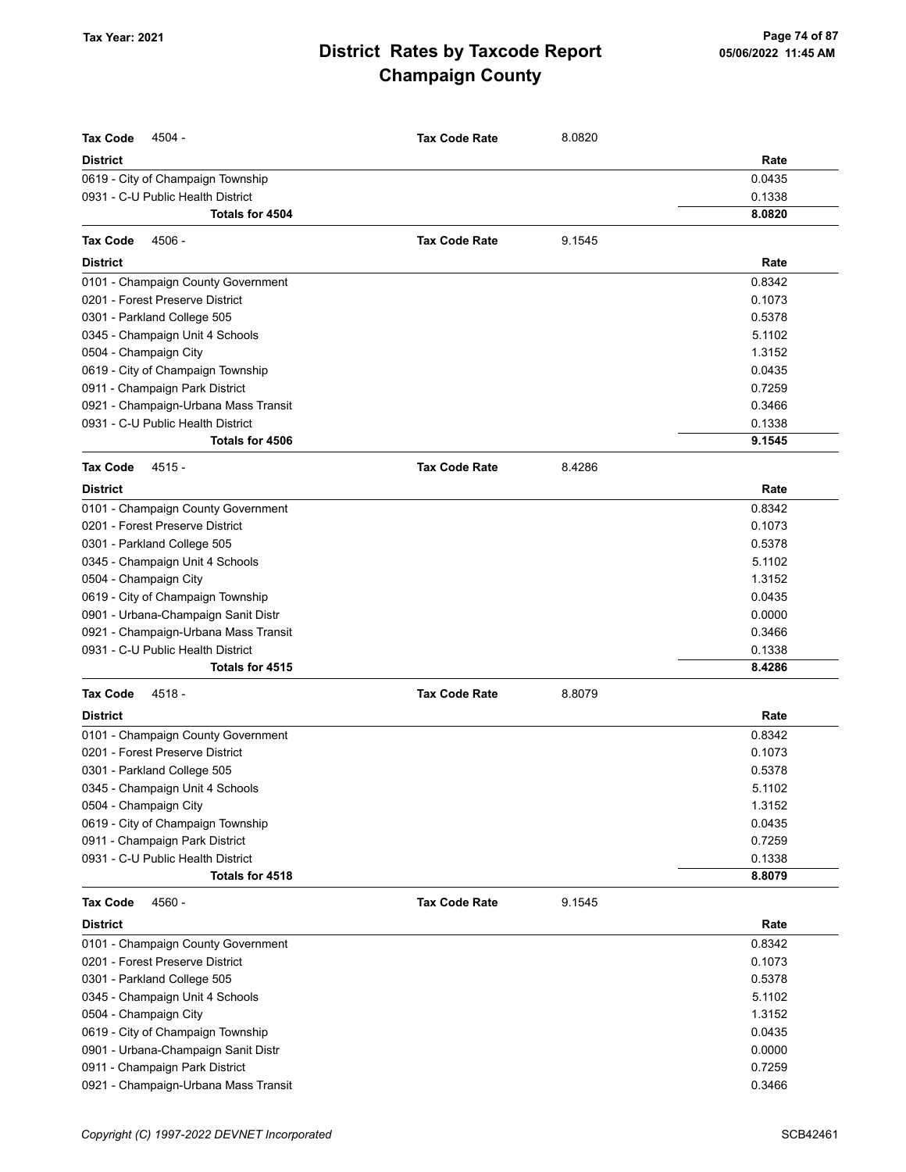| <b>Tax Code</b><br>4504 -            | <b>Tax Code Rate</b> | 8.0820 |        |
|--------------------------------------|----------------------|--------|--------|
| <b>District</b>                      |                      |        | Rate   |
| 0619 - City of Champaign Township    |                      |        | 0.0435 |
| 0931 - C-U Public Health District    |                      |        | 0.1338 |
| Totals for 4504                      |                      |        | 8.0820 |
| 4506 -<br><b>Tax Code</b>            | <b>Tax Code Rate</b> | 9.1545 |        |
| <b>District</b>                      |                      |        | Rate   |
| 0101 - Champaign County Government   |                      |        | 0.8342 |
| 0201 - Forest Preserve District      |                      |        | 0.1073 |
| 0301 - Parkland College 505          |                      |        | 0.5378 |
| 0345 - Champaign Unit 4 Schools      |                      |        | 5.1102 |
| 0504 - Champaign City                |                      |        | 1.3152 |
| 0619 - City of Champaign Township    |                      |        | 0.0435 |
| 0911 - Champaign Park District       |                      |        | 0.7259 |
| 0921 - Champaign-Urbana Mass Transit |                      |        | 0.3466 |
| 0931 - C-U Public Health District    |                      |        | 0.1338 |
| Totals for 4506                      |                      |        | 9.1545 |
| 4515 -<br><b>Tax Code</b>            | <b>Tax Code Rate</b> | 8.4286 |        |
| <b>District</b>                      |                      |        | Rate   |
| 0101 - Champaign County Government   |                      |        | 0.8342 |
| 0201 - Forest Preserve District      |                      |        | 0.1073 |
| 0301 - Parkland College 505          |                      |        | 0.5378 |
| 0345 - Champaign Unit 4 Schools      |                      |        | 5.1102 |
| 0504 - Champaign City                |                      |        | 1.3152 |
| 0619 - City of Champaign Township    |                      |        | 0.0435 |
| 0901 - Urbana-Champaign Sanit Distr  |                      |        | 0.0000 |
| 0921 - Champaign-Urbana Mass Transit |                      |        | 0.3466 |
| 0931 - C-U Public Health District    |                      |        | 0.1338 |
| Totals for 4515                      |                      |        | 8.4286 |
| <b>Tax Code</b><br>$4518 -$          | <b>Tax Code Rate</b> | 8.8079 |        |
| <b>District</b>                      |                      |        | Rate   |
| 0101 - Champaign County Government   |                      |        | 0.8342 |
| 0201 - Forest Preserve District      |                      |        | 0.1073 |
| 0301 - Parkland College 505          |                      |        | 0.5378 |
| 0345 - Champaign Unit 4 Schools      |                      |        | 5.1102 |
| 0504 - Champaign City                |                      |        | 1.3152 |
| 0619 - City of Champaign Township    |                      |        | 0.0435 |
| 0911 - Champaign Park District       |                      |        | 0.7259 |
| 0931 - C-U Public Health District    |                      |        | 0.1338 |
| Totals for 4518                      |                      |        | 8.8079 |
| <b>Tax Code</b><br>4560 -            | <b>Tax Code Rate</b> | 9.1545 |        |
| <b>District</b>                      |                      |        | Rate   |
| 0101 - Champaign County Government   |                      |        | 0.8342 |
| 0201 - Forest Preserve District      |                      |        | 0.1073 |
| 0301 - Parkland College 505          |                      |        | 0.5378 |
| 0345 - Champaign Unit 4 Schools      |                      |        | 5.1102 |
| 0504 - Champaign City                |                      |        | 1.3152 |
| 0619 - City of Champaign Township    |                      |        | 0.0435 |
| 0901 - Urbana-Champaign Sanit Distr  |                      |        | 0.0000 |
| 0911 - Champaign Park District       |                      |        | 0.7259 |
| 0921 - Champaign-Urbana Mass Transit |                      |        | 0.3466 |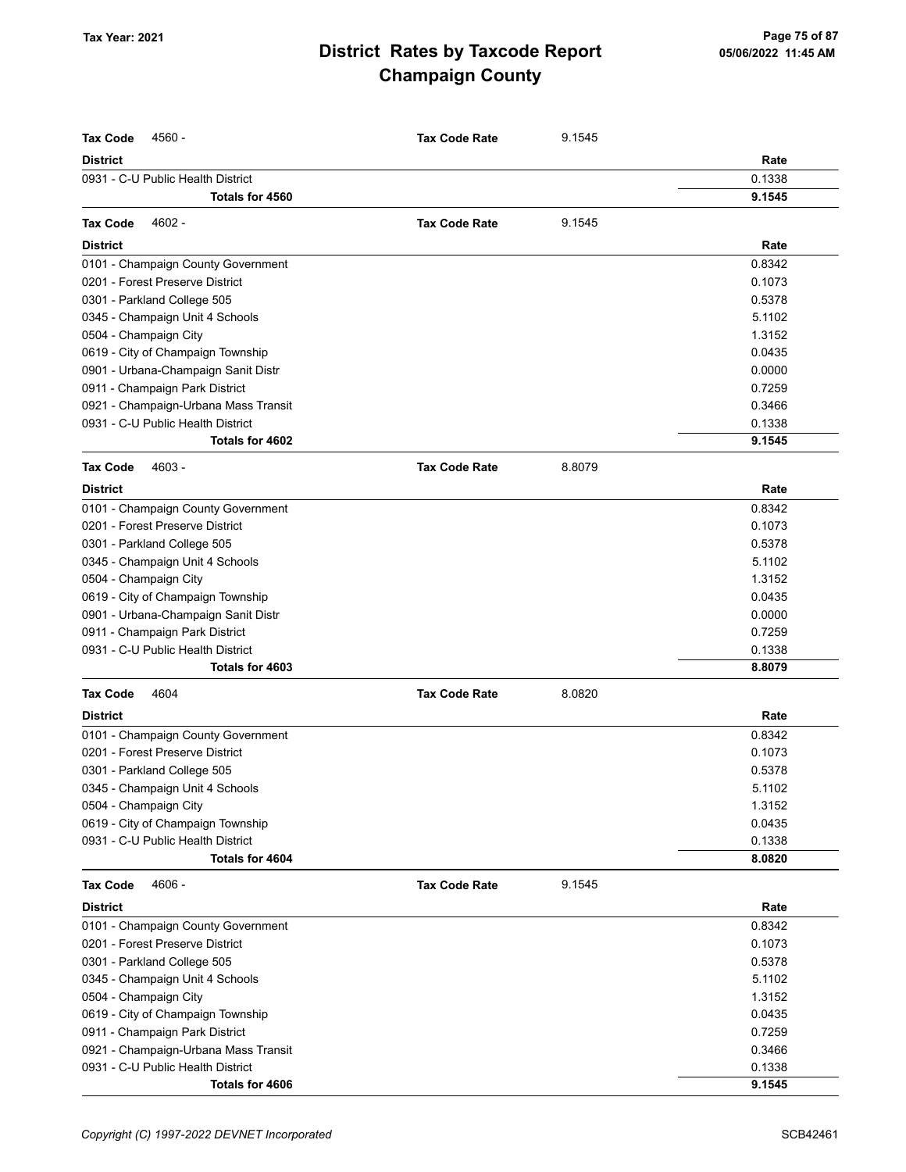| <b>Tax Code</b><br>4560 -                                             | <b>Tax Code Rate</b> | 9.1545 |        |
|-----------------------------------------------------------------------|----------------------|--------|--------|
| <b>District</b>                                                       |                      |        | Rate   |
| 0931 - C-U Public Health District                                     |                      |        | 0.1338 |
| Totals for 4560                                                       |                      |        | 9.1545 |
| 4602 -<br><b>Tax Code</b>                                             | <b>Tax Code Rate</b> | 9.1545 |        |
|                                                                       |                      |        |        |
| <b>District</b>                                                       |                      |        | Rate   |
| 0101 - Champaign County Government<br>0201 - Forest Preserve District |                      |        | 0.8342 |
|                                                                       |                      |        | 0.1073 |
| 0301 - Parkland College 505                                           |                      |        | 0.5378 |
| 0345 - Champaign Unit 4 Schools                                       |                      |        | 5.1102 |
| 0504 - Champaign City                                                 |                      |        | 1.3152 |
| 0619 - City of Champaign Township                                     |                      |        | 0.0435 |
| 0901 - Urbana-Champaign Sanit Distr                                   |                      |        | 0.0000 |
| 0911 - Champaign Park District                                        |                      |        | 0.7259 |
| 0921 - Champaign-Urbana Mass Transit                                  |                      |        | 0.3466 |
| 0931 - C-U Public Health District                                     |                      |        | 0.1338 |
| Totals for 4602                                                       |                      |        | 9.1545 |
| 4603 -<br><b>Tax Code</b>                                             | <b>Tax Code Rate</b> | 8.8079 |        |
| <b>District</b>                                                       |                      |        | Rate   |
| 0101 - Champaign County Government                                    |                      |        | 0.8342 |
| 0201 - Forest Preserve District                                       |                      |        | 0.1073 |
| 0301 - Parkland College 505                                           |                      |        | 0.5378 |
| 0345 - Champaign Unit 4 Schools                                       |                      |        | 5.1102 |
| 0504 - Champaign City                                                 |                      |        | 1.3152 |
| 0619 - City of Champaign Township                                     |                      |        | 0.0435 |
| 0901 - Urbana-Champaign Sanit Distr                                   |                      |        | 0.0000 |
| 0911 - Champaign Park District                                        |                      |        | 0.7259 |
| 0931 - C-U Public Health District                                     |                      |        | 0.1338 |
| Totals for 4603                                                       |                      |        | 8.8079 |
| <b>Tax Code</b><br>4604                                               | <b>Tax Code Rate</b> | 8.0820 |        |
| <b>District</b>                                                       |                      |        | Rate   |
| 0101 - Champaign County Government                                    |                      |        | 0.8342 |
| 0201 - Forest Preserve District                                       |                      |        | 0.1073 |
| 0301 - Parkland College 505                                           |                      |        | 0.5378 |
| 0345 - Champaign Unit 4 Schools                                       |                      |        | 5.1102 |
| 0504 - Champaign City                                                 |                      |        | 1.3152 |
| 0619 - City of Champaign Township                                     |                      |        | 0.0435 |
| 0931 - C-U Public Health District                                     |                      |        | 0.1338 |
| Totals for 4604                                                       |                      |        | 8.0820 |
| <b>Tax Code</b><br>4606 -                                             | <b>Tax Code Rate</b> | 9.1545 |        |
| <b>District</b>                                                       |                      |        | Rate   |
| 0101 - Champaign County Government                                    |                      |        | 0.8342 |
| 0201 - Forest Preserve District                                       |                      |        | 0.1073 |
| 0301 - Parkland College 505                                           |                      |        | 0.5378 |
| 0345 - Champaign Unit 4 Schools                                       |                      |        | 5.1102 |
| 0504 - Champaign City                                                 |                      |        | 1.3152 |
| 0619 - City of Champaign Township                                     |                      |        | 0.0435 |
| 0911 - Champaign Park District                                        |                      |        | 0.7259 |
| 0921 - Champaign-Urbana Mass Transit                                  |                      |        | 0.3466 |
| 0931 - C-U Public Health District                                     |                      |        | 0.1338 |
| Totals for 4606                                                       |                      |        | 9.1545 |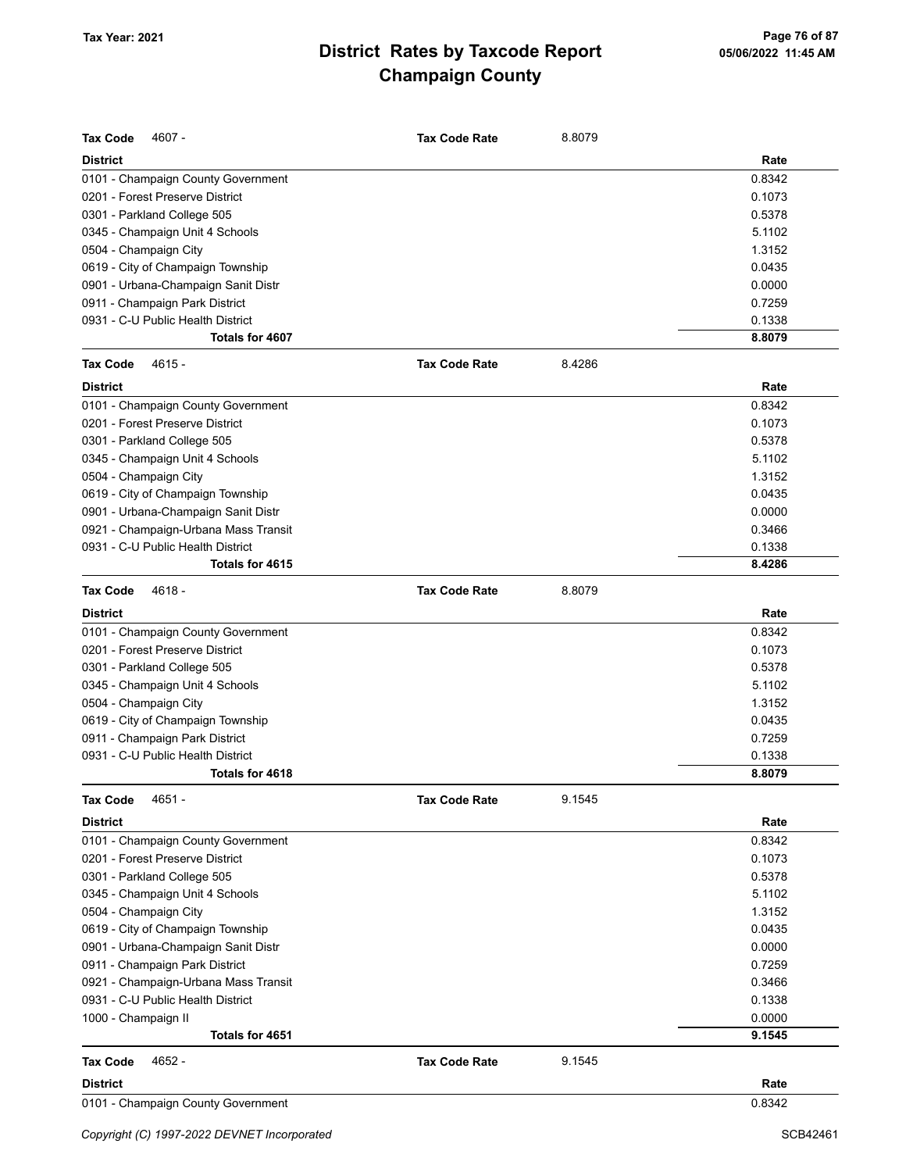| Tax Code<br>4607 -                   | <b>Tax Code Rate</b> | 8.8079 |        |
|--------------------------------------|----------------------|--------|--------|
| <b>District</b>                      |                      |        | Rate   |
| 0101 - Champaign County Government   |                      |        | 0.8342 |
| 0201 - Forest Preserve District      |                      |        | 0.1073 |
| 0301 - Parkland College 505          |                      |        | 0.5378 |
| 0345 - Champaign Unit 4 Schools      |                      |        | 5.1102 |
| 0504 - Champaign City                |                      |        | 1.3152 |
| 0619 - City of Champaign Township    |                      |        | 0.0435 |
| 0901 - Urbana-Champaign Sanit Distr  |                      |        | 0.0000 |
| 0911 - Champaign Park District       |                      |        | 0.7259 |
| 0931 - C-U Public Health District    |                      |        | 0.1338 |
| Totals for 4607                      |                      |        | 8.8079 |
| <b>Tax Code</b><br>$4615 -$          | <b>Tax Code Rate</b> | 8.4286 |        |
| <b>District</b>                      |                      |        | Rate   |
| 0101 - Champaign County Government   |                      |        | 0.8342 |
| 0201 - Forest Preserve District      |                      |        | 0.1073 |
| 0301 - Parkland College 505          |                      |        | 0.5378 |
| 0345 - Champaign Unit 4 Schools      |                      |        | 5.1102 |
| 0504 - Champaign City                |                      |        | 1.3152 |
| 0619 - City of Champaign Township    |                      |        | 0.0435 |
| 0901 - Urbana-Champaign Sanit Distr  |                      |        | 0.0000 |
| 0921 - Champaign-Urbana Mass Transit |                      |        | 0.3466 |
| 0931 - C-U Public Health District    |                      |        | 0.1338 |
| Totals for 4615                      |                      |        | 8.4286 |
| <b>Tax Code</b><br>4618 -            | <b>Tax Code Rate</b> | 8.8079 |        |
| <b>District</b>                      |                      |        | Rate   |
| 0101 - Champaign County Government   |                      |        | 0.8342 |
| 0201 - Forest Preserve District      |                      |        | 0.1073 |
| 0301 - Parkland College 505          |                      |        | 0.5378 |
| 0345 - Champaign Unit 4 Schools      |                      |        | 5.1102 |
| 0504 - Champaign City                |                      |        | 1.3152 |
| 0619 - City of Champaign Township    |                      |        | 0.0435 |
| 0911 - Champaign Park District       |                      |        | 0.7259 |
| 0931 - C-U Public Health District    |                      |        | 0.1338 |
| Totals for 4618                      |                      |        | 8.8079 |
| Tax Code<br>4651 -                   | <b>Tax Code Rate</b> | 9.1545 |        |
| <b>District</b>                      |                      |        | Rate   |
| 0101 - Champaign County Government   |                      |        | 0.8342 |
| 0201 - Forest Preserve District      |                      |        | 0.1073 |
| 0301 - Parkland College 505          |                      |        | 0.5378 |
| 0345 - Champaign Unit 4 Schools      |                      |        | 5.1102 |
| 0504 - Champaign City                |                      |        | 1.3152 |
| 0619 - City of Champaign Township    |                      |        | 0.0435 |
| 0901 - Urbana-Champaign Sanit Distr  |                      |        | 0.0000 |
| 0911 - Champaign Park District       |                      |        | 0.7259 |
| 0921 - Champaign-Urbana Mass Transit |                      |        | 0.3466 |
| 0931 - C-U Public Health District    |                      |        | 0.1338 |
| 1000 - Champaign II                  |                      |        | 0.0000 |
| Totals for 4651                      |                      |        | 9.1545 |
| 4652 -<br>Tax Code                   | <b>Tax Code Rate</b> | 9.1545 |        |
| <b>District</b>                      |                      |        | Rate   |
| 0101 - Champaign County Government   |                      |        | 0.8342 |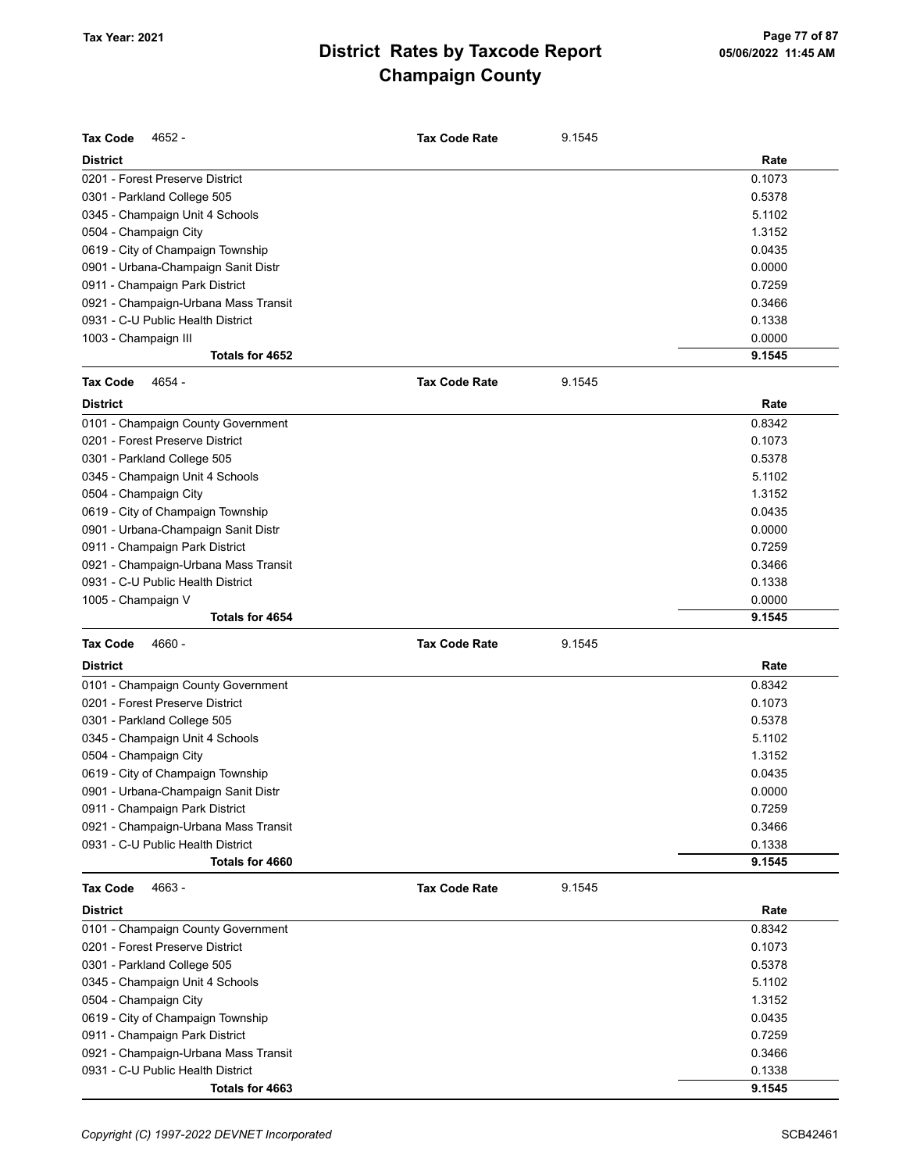| <b>Tax Code</b><br>4652 -            | <b>Tax Code Rate</b> | 9.1545 |        |
|--------------------------------------|----------------------|--------|--------|
| <b>District</b>                      |                      |        | Rate   |
| 0201 - Forest Preserve District      |                      |        | 0.1073 |
| 0301 - Parkland College 505          |                      |        | 0.5378 |
| 0345 - Champaign Unit 4 Schools      |                      |        | 5.1102 |
| 0504 - Champaign City                |                      |        | 1.3152 |
| 0619 - City of Champaign Township    |                      |        | 0.0435 |
| 0901 - Urbana-Champaign Sanit Distr  |                      |        | 0.0000 |
| 0911 - Champaign Park District       |                      |        | 0.7259 |
| 0921 - Champaign-Urbana Mass Transit |                      |        | 0.3466 |
| 0931 - C-U Public Health District    |                      |        | 0.1338 |
| 1003 - Champaign III                 |                      |        | 0.0000 |
| Totals for 4652                      |                      |        | 9.1545 |
| <b>Tax Code</b><br>4654 -            | <b>Tax Code Rate</b> | 9.1545 |        |
| <b>District</b>                      |                      |        | Rate   |
| 0101 - Champaign County Government   |                      |        | 0.8342 |
| 0201 - Forest Preserve District      |                      |        | 0.1073 |
| 0301 - Parkland College 505          |                      |        | 0.5378 |
| 0345 - Champaign Unit 4 Schools      |                      |        | 5.1102 |
| 0504 - Champaign City                |                      |        | 1.3152 |
| 0619 - City of Champaign Township    |                      |        | 0.0435 |
| 0901 - Urbana-Champaign Sanit Distr  |                      |        | 0.0000 |
| 0911 - Champaign Park District       |                      |        | 0.7259 |
| 0921 - Champaign-Urbana Mass Transit |                      |        | 0.3466 |
| 0931 - C-U Public Health District    |                      |        | 0.1338 |
| 1005 - Champaign V                   |                      |        | 0.0000 |
| Totals for 4654                      |                      |        | 9.1545 |
| <b>Tax Code</b><br>4660 -            | <b>Tax Code Rate</b> | 9.1545 |        |
| <b>District</b>                      |                      |        | Rate   |
| 0101 - Champaign County Government   |                      |        | 0.8342 |
| 0201 - Forest Preserve District      |                      |        | 0.1073 |
| 0301 - Parkland College 505          |                      |        | 0.5378 |
| 0345 - Champaign Unit 4 Schools      |                      |        | 5.1102 |
| 0504 - Champaign City                |                      |        | 1.3152 |
| 0619 - City of Champaign Township    |                      |        | 0.0435 |
| 0901 - Urbana-Champaign Sanit Distr  |                      |        | 0.0000 |
| 0911 - Champaign Park District       |                      |        | 0.7259 |
| 0921 - Champaign-Urbana Mass Transit |                      |        | 0.3466 |
| 0931 - C-U Public Health District    |                      |        | 0.1338 |
| Totals for 4660                      |                      |        | 9.1545 |
| <b>Tax Code</b><br>4663 -            | <b>Tax Code Rate</b> | 9.1545 |        |
| <b>District</b>                      |                      |        | Rate   |
| 0101 - Champaign County Government   |                      |        | 0.8342 |
| 0201 - Forest Preserve District      |                      |        | 0.1073 |
| 0301 - Parkland College 505          |                      |        | 0.5378 |
| 0345 - Champaign Unit 4 Schools      |                      |        | 5.1102 |
| 0504 - Champaign City                |                      |        | 1.3152 |
| 0619 - City of Champaign Township    |                      |        | 0.0435 |
| 0911 - Champaign Park District       |                      |        | 0.7259 |
| 0921 - Champaign-Urbana Mass Transit |                      |        | 0.3466 |
| 0931 - C-U Public Health District    |                      |        | 0.1338 |
| Totals for 4663                      |                      |        | 9.1545 |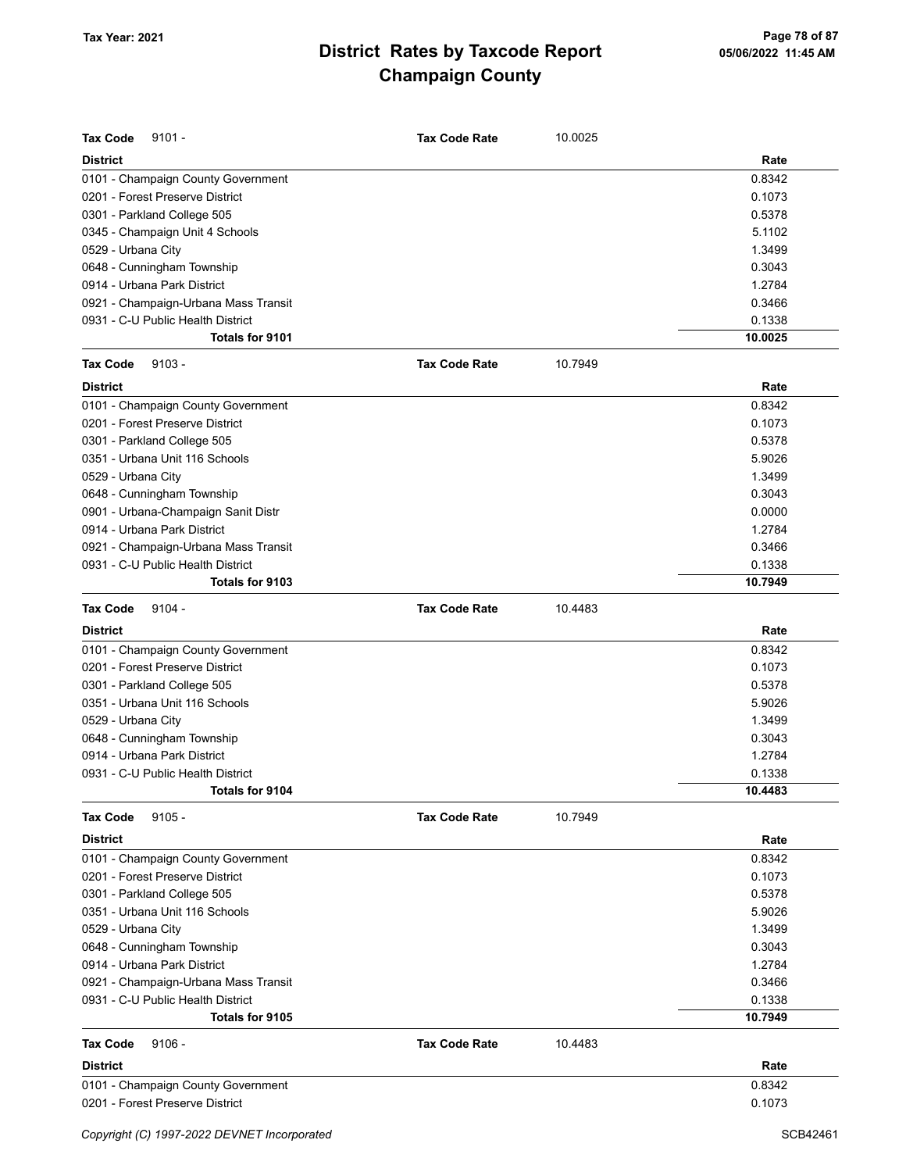| <b>Tax Code</b><br>$9101 -$          | <b>Tax Code Rate</b> | 10.0025 |         |
|--------------------------------------|----------------------|---------|---------|
| <b>District</b>                      |                      |         | Rate    |
| 0101 - Champaign County Government   |                      |         | 0.8342  |
| 0201 - Forest Preserve District      |                      |         | 0.1073  |
| 0301 - Parkland College 505          |                      |         | 0.5378  |
| 0345 - Champaign Unit 4 Schools      |                      |         | 5.1102  |
| 0529 - Urbana City                   |                      |         | 1.3499  |
| 0648 - Cunningham Township           |                      |         | 0.3043  |
| 0914 - Urbana Park District          |                      |         | 1.2784  |
| 0921 - Champaign-Urbana Mass Transit |                      |         | 0.3466  |
| 0931 - C-U Public Health District    |                      |         | 0.1338  |
| Totals for 9101                      |                      |         | 10.0025 |
| <b>Tax Code</b><br>$9103 -$          | <b>Tax Code Rate</b> | 10.7949 |         |
| <b>District</b>                      |                      |         | Rate    |
| 0101 - Champaign County Government   |                      |         | 0.8342  |
| 0201 - Forest Preserve District      |                      |         | 0.1073  |
| 0301 - Parkland College 505          |                      |         | 0.5378  |
| 0351 - Urbana Unit 116 Schools       |                      |         | 5.9026  |
| 0529 - Urbana City                   |                      |         | 1.3499  |
| 0648 - Cunningham Township           |                      |         | 0.3043  |
| 0901 - Urbana-Champaign Sanit Distr  |                      |         | 0.0000  |
| 0914 - Urbana Park District          |                      |         | 1.2784  |
| 0921 - Champaign-Urbana Mass Transit |                      |         | 0.3466  |
| 0931 - C-U Public Health District    |                      |         | 0.1338  |
| Totals for 9103                      |                      |         | 10.7949 |
| <b>Tax Code</b><br>$9104 -$          | <b>Tax Code Rate</b> | 10.4483 |         |
| <b>District</b>                      |                      |         | Rate    |
| 0101 - Champaign County Government   |                      |         | 0.8342  |
| 0201 - Forest Preserve District      |                      |         | 0.1073  |
| 0301 - Parkland College 505          |                      |         | 0.5378  |
| 0351 - Urbana Unit 116 Schools       |                      |         | 5.9026  |
| 0529 - Urbana City                   |                      |         | 1.3499  |
| 0648 - Cunningham Township           |                      |         | 0.3043  |
| 0914 - Urbana Park District          |                      |         | 1.2784  |
| 0931 - C-U Public Health District    |                      |         | 0.1338  |
| Totals for 9104                      |                      |         | 10.4483 |
| $9105 -$<br><b>Tax Code</b>          | <b>Tax Code Rate</b> | 10.7949 |         |
| <b>District</b>                      |                      |         | Rate    |
| 0101 - Champaign County Government   |                      |         | 0.8342  |
| 0201 - Forest Preserve District      |                      |         | 0.1073  |
| 0301 - Parkland College 505          |                      |         | 0.5378  |
| 0351 - Urbana Unit 116 Schools       |                      |         | 5.9026  |
| 0529 - Urbana City                   |                      |         | 1.3499  |
| 0648 - Cunningham Township           |                      |         | 0.3043  |
| 0914 - Urbana Park District          |                      |         | 1.2784  |
| 0921 - Champaign-Urbana Mass Transit |                      |         | 0.3466  |
| 0931 - C-U Public Health District    |                      |         | 0.1338  |
| Totals for 9105                      |                      |         | 10.7949 |
| <b>Tax Code</b><br>$9106 -$          | <b>Tax Code Rate</b> | 10.4483 |         |
| <b>District</b>                      |                      |         | Rate    |
| 0101 - Champaign County Government   |                      |         | 0.8342  |
| 0201 - Forest Preserve District      |                      |         | 0.1073  |
|                                      |                      |         |         |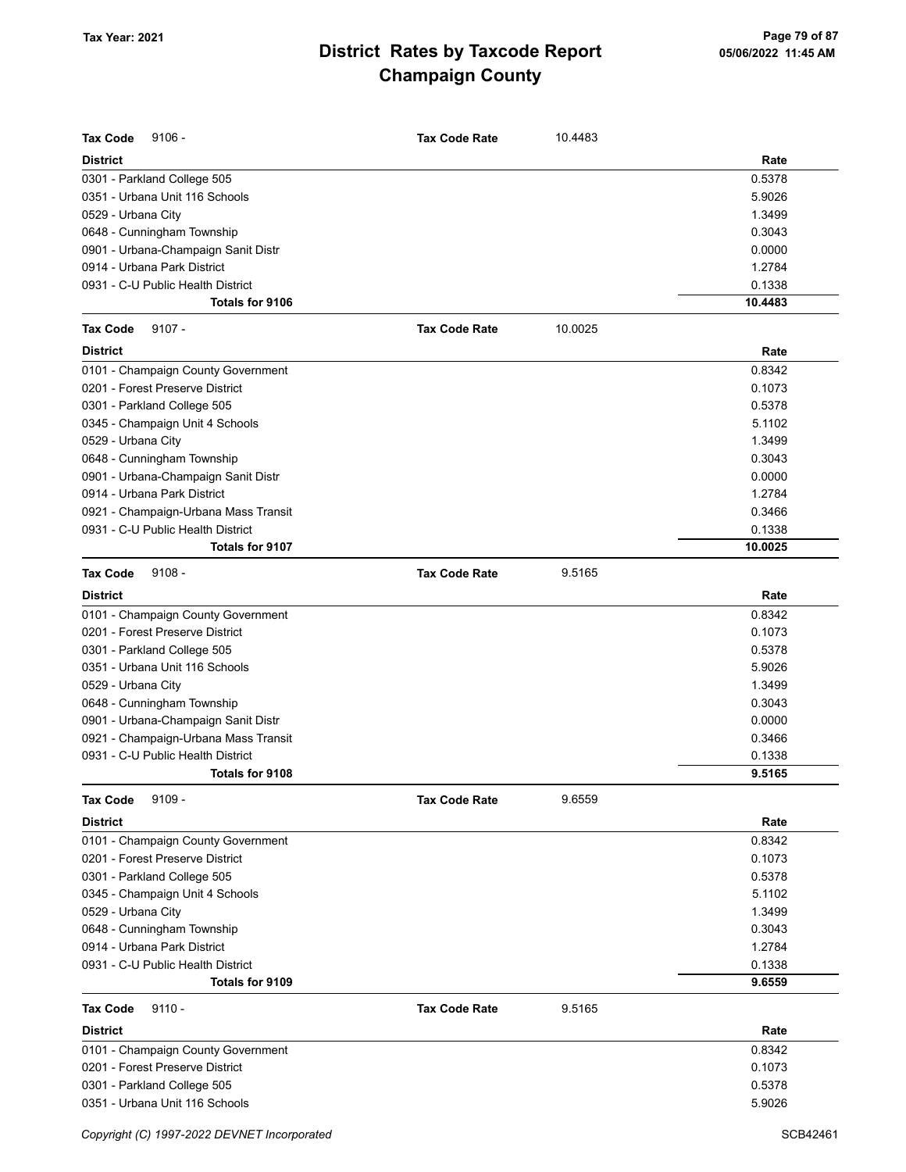| <b>Tax Code</b><br>$9106 -$          | <b>Tax Code Rate</b> | 10.4483 |         |
|--------------------------------------|----------------------|---------|---------|
| <b>District</b>                      |                      |         | Rate    |
| 0301 - Parkland College 505          |                      |         | 0.5378  |
| 0351 - Urbana Unit 116 Schools       |                      |         | 5.9026  |
| 0529 - Urbana City                   |                      |         | 1.3499  |
| 0648 - Cunningham Township           |                      |         | 0.3043  |
| 0901 - Urbana-Champaign Sanit Distr  |                      |         | 0.0000  |
| 0914 - Urbana Park District          |                      |         | 1.2784  |
| 0931 - C-U Public Health District    |                      |         | 0.1338  |
| <b>Totals for 9106</b>               |                      |         | 10.4483 |
| $9107 -$<br><b>Tax Code</b>          | <b>Tax Code Rate</b> | 10.0025 |         |
| <b>District</b>                      |                      |         | Rate    |
| 0101 - Champaign County Government   |                      |         | 0.8342  |
| 0201 - Forest Preserve District      |                      |         | 0.1073  |
| 0301 - Parkland College 505          |                      |         | 0.5378  |
| 0345 - Champaign Unit 4 Schools      |                      |         | 5.1102  |
| 0529 - Urbana City                   |                      |         | 1.3499  |
| 0648 - Cunningham Township           |                      |         | 0.3043  |
| 0901 - Urbana-Champaign Sanit Distr  |                      |         | 0.0000  |
| 0914 - Urbana Park District          |                      |         | 1.2784  |
| 0921 - Champaign-Urbana Mass Transit |                      |         | 0.3466  |
| 0931 - C-U Public Health District    |                      |         | 0.1338  |
| Totals for 9107                      |                      |         | 10.0025 |
| $9108 -$<br><b>Tax Code</b>          | <b>Tax Code Rate</b> | 9.5165  |         |
| <b>District</b>                      |                      |         | Rate    |
| 0101 - Champaign County Government   |                      |         | 0.8342  |
| 0201 - Forest Preserve District      |                      |         | 0.1073  |
| 0301 - Parkland College 505          |                      |         | 0.5378  |
| 0351 - Urbana Unit 116 Schools       |                      |         | 5.9026  |
| 0529 - Urbana City                   |                      |         | 1.3499  |
| 0648 - Cunningham Township           |                      |         | 0.3043  |
| 0901 - Urbana-Champaign Sanit Distr  |                      |         | 0.0000  |
| 0921 - Champaign-Urbana Mass Transit |                      |         | 0.3466  |
| 0931 - C-U Public Health District    |                      |         | 0.1338  |
| <b>Totals for 9108</b>               |                      |         | 9.5165  |
| Tax Code<br>$9109 -$                 | <b>Tax Code Rate</b> | 9.6559  |         |
| <b>District</b>                      |                      |         | Rate    |
| 0101 - Champaign County Government   |                      |         | 0.8342  |
| 0201 - Forest Preserve District      |                      |         | 0.1073  |
| 0301 - Parkland College 505          |                      |         | 0.5378  |
| 0345 - Champaign Unit 4 Schools      |                      |         | 5.1102  |
| 0529 - Urbana City                   |                      |         | 1.3499  |
| 0648 - Cunningham Township           |                      |         | 0.3043  |
| 0914 - Urbana Park District          |                      |         | 1.2784  |
| 0931 - C-U Public Health District    |                      |         | 0.1338  |
| Totals for 9109                      |                      |         | 9.6559  |
| <b>Tax Code</b><br>$9110 -$          | <b>Tax Code Rate</b> | 9.5165  |         |
| <b>District</b>                      |                      |         | Rate    |
| 0101 - Champaign County Government   |                      |         | 0.8342  |
| 0201 - Forest Preserve District      |                      |         | 0.1073  |
| 0301 - Parkland College 505          |                      |         | 0.5378  |
| 0351 - Urbana Unit 116 Schools       |                      |         | 5.9026  |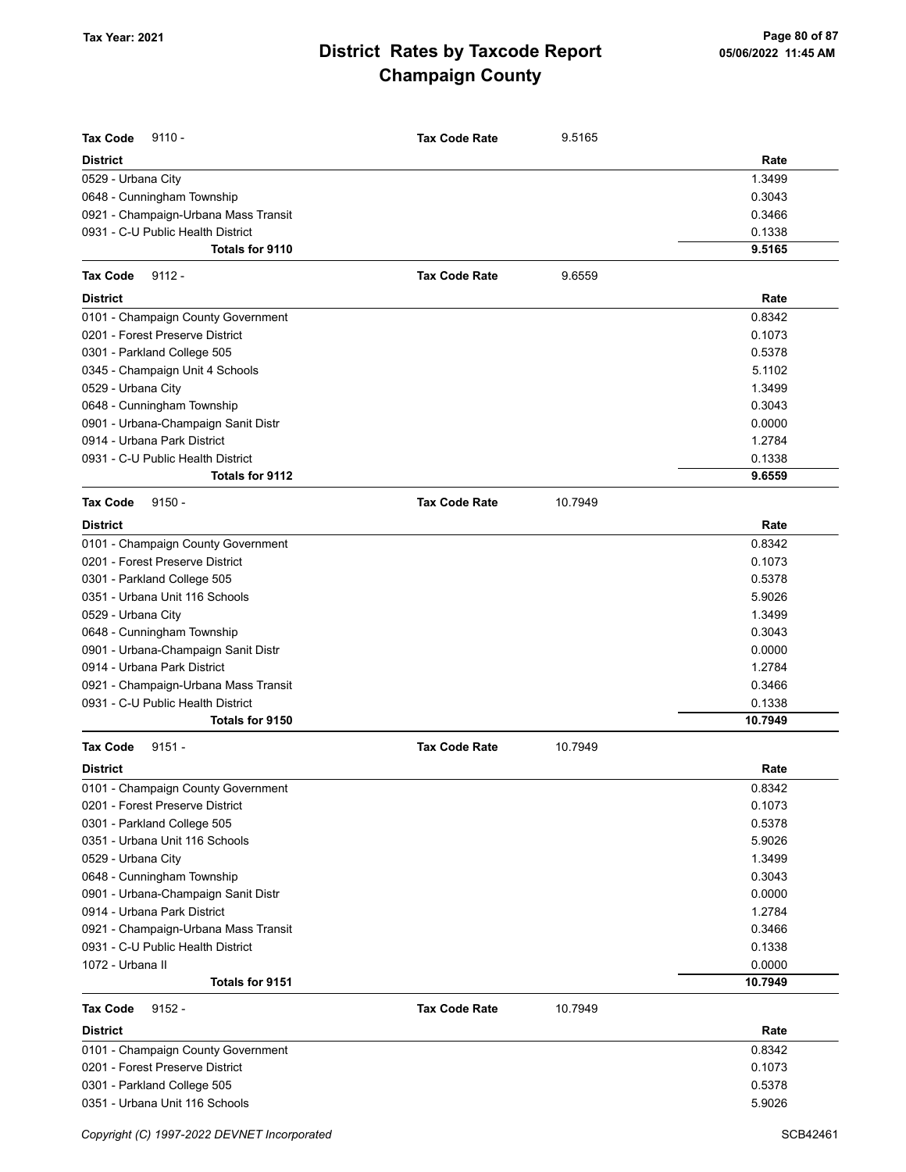| <b>Tax Code</b>                      |                      |         |                   |
|--------------------------------------|----------------------|---------|-------------------|
| $9110 -$<br><b>District</b>          | <b>Tax Code Rate</b> | 9.5165  | Rate              |
| 0529 - Urbana City                   |                      |         | 1.3499            |
| 0648 - Cunningham Township           |                      |         | 0.3043            |
| 0921 - Champaign-Urbana Mass Transit |                      |         | 0.3466            |
| 0931 - C-U Public Health District    |                      |         | 0.1338            |
| <b>Totals for 9110</b>               |                      |         | 9.5165            |
| Tax Code<br>$9112 -$                 | <b>Tax Code Rate</b> | 9.6559  |                   |
| <b>District</b>                      |                      |         | Rate              |
| 0101 - Champaign County Government   |                      |         | 0.8342            |
| 0201 - Forest Preserve District      |                      |         | 0.1073            |
| 0301 - Parkland College 505          |                      |         | 0.5378            |
| 0345 - Champaign Unit 4 Schools      |                      |         | 5.1102            |
| 0529 - Urbana City                   |                      |         | 1.3499            |
| 0648 - Cunningham Township           |                      |         | 0.3043            |
| 0901 - Urbana-Champaign Sanit Distr  |                      |         | 0.0000            |
| 0914 - Urbana Park District          |                      |         | 1.2784            |
| 0931 - C-U Public Health District    |                      |         | 0.1338            |
| <b>Totals for 9112</b>               |                      |         | 9.6559            |
| <b>Tax Code</b><br>$9150 -$          | <b>Tax Code Rate</b> | 10.7949 |                   |
| District                             |                      |         | Rate              |
| 0101 - Champaign County Government   |                      |         | 0.8342            |
| 0201 - Forest Preserve District      |                      |         | 0.1073            |
| 0301 - Parkland College 505          |                      |         | 0.5378            |
| 0351 - Urbana Unit 116 Schools       |                      |         | 5.9026            |
| 0529 - Urbana City                   |                      |         | 1.3499            |
| 0648 - Cunningham Township           |                      |         | 0.3043            |
| 0901 - Urbana-Champaign Sanit Distr  |                      |         | 0.0000            |
| 0914 - Urbana Park District          |                      |         | 1.2784            |
| 0921 - Champaign-Urbana Mass Transit |                      |         | 0.3466            |
| 0931 - C-U Public Health District    |                      |         | 0.1338            |
| Totals for 9150                      |                      |         | 10.7949           |
| <b>Tax Code</b><br>$9151 -$          | <b>Tax Code Rate</b> | 10.7949 |                   |
| District                             |                      |         | Rate              |
| 0101 - Champaign County Government   |                      |         | 0.8342            |
| 0201 - Forest Preserve District      |                      |         | 0.1073            |
| 0301 - Parkland College 505          |                      |         | 0.5378            |
| 0351 - Urbana Unit 116 Schools       |                      |         | 5.9026            |
| 0529 - Urbana City                   |                      |         | 1.3499            |
| 0648 - Cunningham Township           |                      |         | 0.3043            |
| 0901 - Urbana-Champaign Sanit Distr  |                      |         | 0.0000            |
| 0914 - Urbana Park District          |                      |         | 1.2784            |
| 0921 - Champaign-Urbana Mass Transit |                      |         | 0.3466            |
| 0931 - C-U Public Health District    |                      |         | 0.1338            |
| 1072 - Urbana II<br>Totals for 9151  |                      |         | 0.0000<br>10.7949 |
|                                      |                      |         |                   |
| <b>Tax Code</b><br>$9152 -$          | <b>Tax Code Rate</b> | 10.7949 |                   |
| District                             |                      |         | Rate              |
| 0101 - Champaign County Government   |                      |         | 0.8342            |
| 0201 - Forest Preserve District      |                      |         | 0.1073            |
| 0301 - Parkland College 505          |                      |         | 0.5378            |
| 0351 - Urbana Unit 116 Schools       |                      |         | 5.9026            |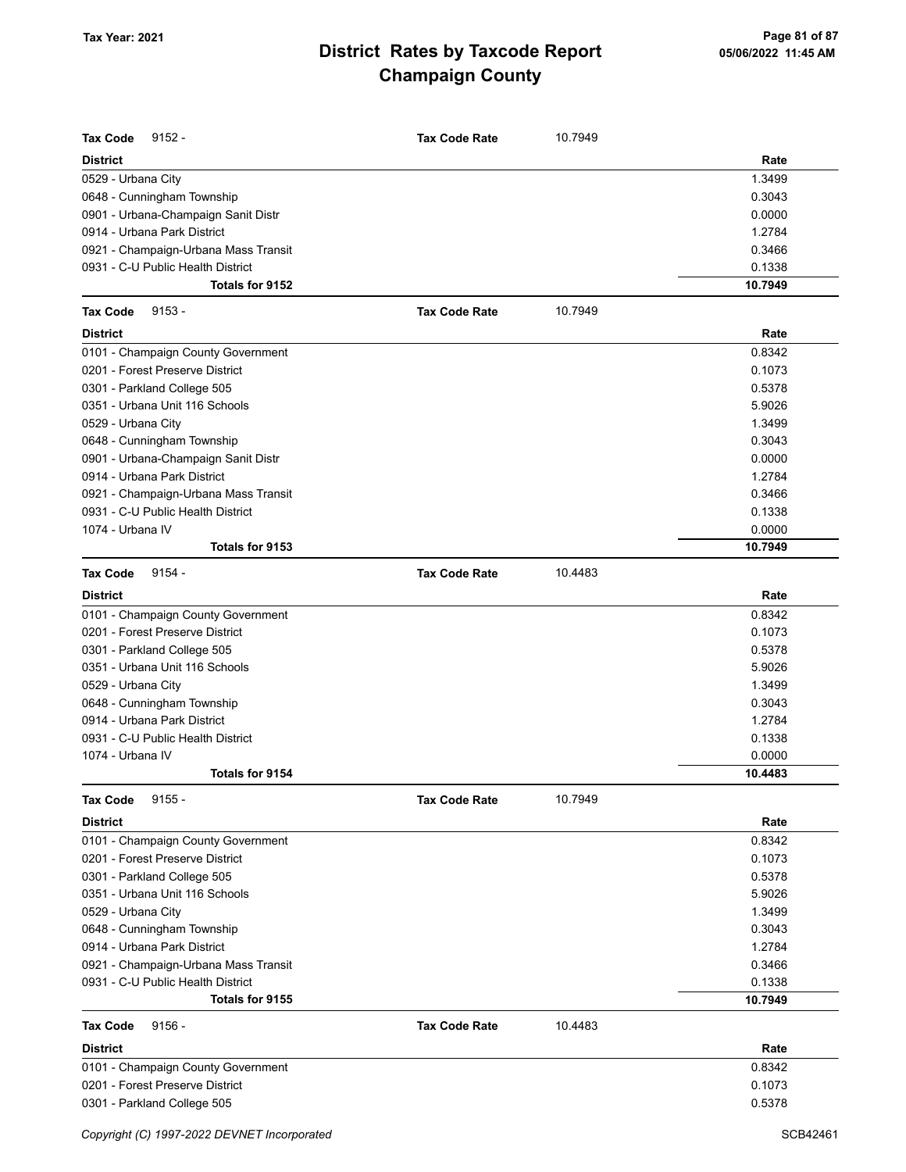| <b>Tax Code</b><br>$9152 -$          | <b>Tax Code Rate</b> | 10.7949 |         |
|--------------------------------------|----------------------|---------|---------|
| <b>District</b>                      |                      |         | Rate    |
| 0529 - Urbana City                   |                      |         | 1.3499  |
| 0648 - Cunningham Township           |                      |         | 0.3043  |
| 0901 - Urbana-Champaign Sanit Distr  |                      |         | 0.0000  |
| 0914 - Urbana Park District          |                      |         | 1.2784  |
| 0921 - Champaign-Urbana Mass Transit |                      |         | 0.3466  |
| 0931 - C-U Public Health District    |                      |         | 0.1338  |
| Totals for 9152                      |                      |         | 10.7949 |
| <b>Tax Code</b><br>$9153 -$          | <b>Tax Code Rate</b> | 10.7949 |         |
| <b>District</b>                      |                      |         | Rate    |
| 0101 - Champaign County Government   |                      |         | 0.8342  |
| 0201 - Forest Preserve District      |                      |         | 0.1073  |
| 0301 - Parkland College 505          |                      |         | 0.5378  |
| 0351 - Urbana Unit 116 Schools       |                      |         | 5.9026  |
| 0529 - Urbana City                   |                      |         | 1.3499  |
| 0648 - Cunningham Township           |                      |         | 0.3043  |
| 0901 - Urbana-Champaign Sanit Distr  |                      |         | 0.0000  |
| 0914 - Urbana Park District          |                      |         | 1.2784  |
| 0921 - Champaign-Urbana Mass Transit |                      |         | 0.3466  |
| 0931 - C-U Public Health District    |                      |         | 0.1338  |
| 1074 - Urbana IV                     |                      |         | 0.0000  |
| Totals for 9153                      |                      |         | 10.7949 |
| $9154 -$<br><b>Tax Code</b>          | <b>Tax Code Rate</b> | 10.4483 |         |
| <b>District</b>                      |                      |         | Rate    |
| 0101 - Champaign County Government   |                      |         | 0.8342  |
| 0201 - Forest Preserve District      |                      |         | 0.1073  |
| 0301 - Parkland College 505          |                      |         | 0.5378  |
| 0351 - Urbana Unit 116 Schools       |                      |         | 5.9026  |
| 0529 - Urbana City                   |                      |         | 1.3499  |
| 0648 - Cunningham Township           |                      |         | 0.3043  |
| 0914 - Urbana Park District          |                      |         | 1.2784  |
| 0931 - C-U Public Health District    |                      |         | 0.1338  |
| 1074 - Urbana IV                     |                      |         | 0.0000  |
| Totals for 9154                      |                      |         | 10.4483 |
| <b>Tax Code</b><br>$9155 -$          | <b>Tax Code Rate</b> | 10.7949 |         |
| <b>District</b>                      |                      |         | Rate    |
| 0101 - Champaign County Government   |                      |         | 0.8342  |
| 0201 - Forest Preserve District      |                      |         | 0.1073  |
| 0301 - Parkland College 505          |                      |         | 0.5378  |
| 0351 - Urbana Unit 116 Schools       |                      |         | 5.9026  |
| 0529 - Urbana City                   |                      |         | 1.3499  |
| 0648 - Cunningham Township           |                      |         | 0.3043  |
| 0914 - Urbana Park District          |                      |         | 1.2784  |
| 0921 - Champaign-Urbana Mass Transit |                      |         | 0.3466  |
| 0931 - C-U Public Health District    |                      |         | 0.1338  |
| Totals for 9155                      |                      |         | 10.7949 |
| <b>Tax Code</b><br>$9156 -$          | <b>Tax Code Rate</b> | 10.4483 |         |
| <b>District</b>                      |                      |         | Rate    |
| 0101 - Champaign County Government   |                      |         | 0.8342  |
| 0201 - Forest Preserve District      |                      |         | 0.1073  |
| 0301 - Parkland College 505          |                      |         | 0.5378  |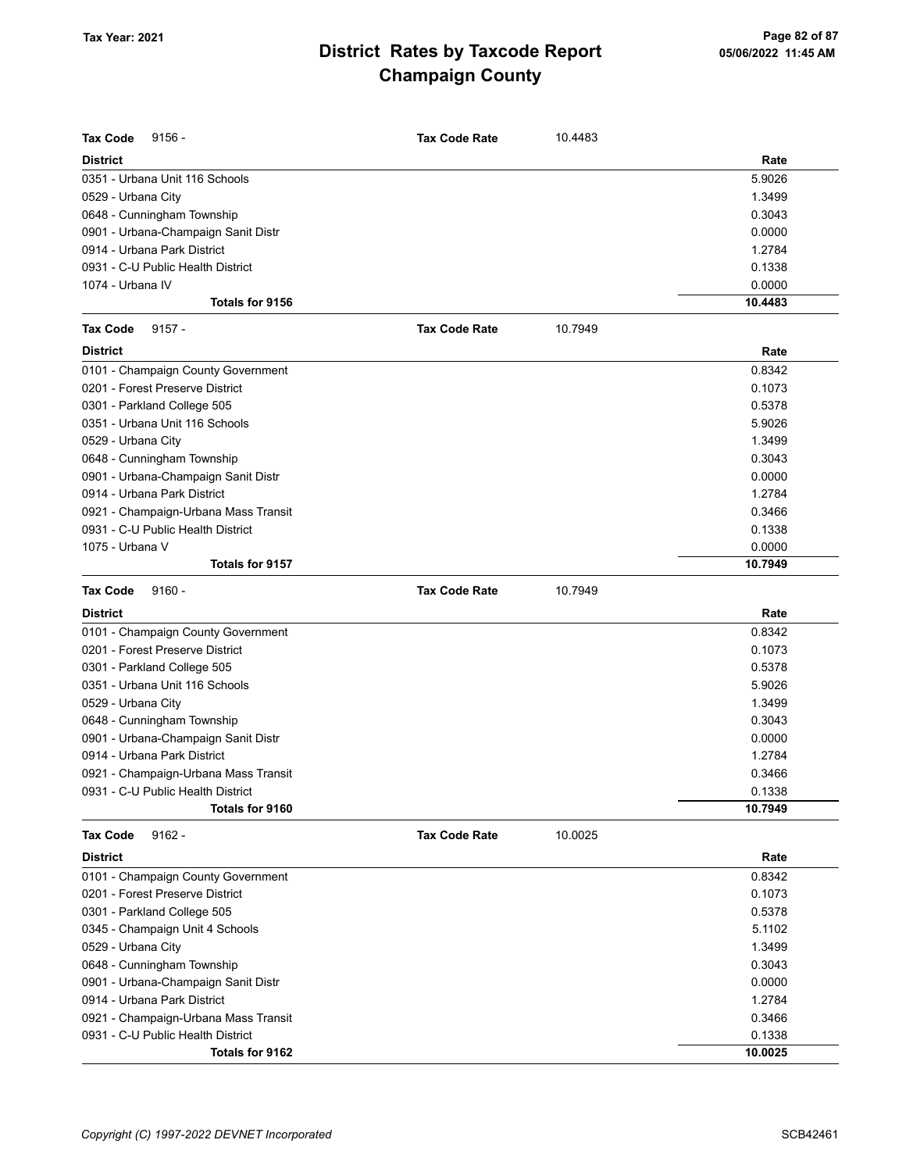| <b>Tax Code</b><br>$9156 -$          | <b>Tax Code Rate</b> | 10.4483 |         |
|--------------------------------------|----------------------|---------|---------|
| <b>District</b>                      |                      |         | Rate    |
| 0351 - Urbana Unit 116 Schools       |                      |         | 5.9026  |
| 0529 - Urbana City                   |                      |         | 1.3499  |
| 0648 - Cunningham Township           |                      |         | 0.3043  |
| 0901 - Urbana-Champaign Sanit Distr  |                      |         | 0.0000  |
| 0914 - Urbana Park District          |                      |         | 1.2784  |
| 0931 - C-U Public Health District    |                      |         | 0.1338  |
| 1074 - Urbana IV                     |                      |         | 0.0000  |
| Totals for 9156                      |                      |         | 10.4483 |
| $9157 -$<br><b>Tax Code</b>          | <b>Tax Code Rate</b> | 10.7949 |         |
| <b>District</b>                      |                      |         | Rate    |
| 0101 - Champaign County Government   |                      |         | 0.8342  |
| 0201 - Forest Preserve District      |                      |         | 0.1073  |
| 0301 - Parkland College 505          |                      |         | 0.5378  |
| 0351 - Urbana Unit 116 Schools       |                      |         | 5.9026  |
| 0529 - Urbana City                   |                      |         | 1.3499  |
| 0648 - Cunningham Township           |                      |         | 0.3043  |
| 0901 - Urbana-Champaign Sanit Distr  |                      |         | 0.0000  |
| 0914 - Urbana Park District          |                      |         | 1.2784  |
| 0921 - Champaign-Urbana Mass Transit |                      |         | 0.3466  |
| 0931 - C-U Public Health District    |                      |         | 0.1338  |
| 1075 - Urbana V                      |                      |         | 0.0000  |
| Totals for 9157                      |                      |         | 10.7949 |
| $9160 -$<br><b>Tax Code</b>          | <b>Tax Code Rate</b> | 10.7949 |         |
| <b>District</b>                      |                      |         | Rate    |
| 0101 - Champaign County Government   |                      |         | 0.8342  |
| 0201 - Forest Preserve District      |                      |         | 0.1073  |
| 0301 - Parkland College 505          |                      |         | 0.5378  |
| 0351 - Urbana Unit 116 Schools       |                      |         | 5.9026  |
| 0529 - Urbana City                   |                      |         | 1.3499  |
| 0648 - Cunningham Township           |                      |         | 0.3043  |
| 0901 - Urbana-Champaign Sanit Distr  |                      |         | 0.0000  |
| 0914 - Urbana Park District          |                      |         | 1.2784  |
| 0921 - Champaign-Urbana Mass Transit |                      |         | 0.3466  |
| 0931 - C-U Public Health District    |                      |         | 0.1338  |
| Totals for 9160                      |                      |         | 10.7949 |
| $9162 -$<br><b>Tax Code</b>          | <b>Tax Code Rate</b> | 10.0025 |         |
| <b>District</b>                      |                      |         | Rate    |
| 0101 - Champaign County Government   |                      |         | 0.8342  |
| 0201 - Forest Preserve District      |                      |         | 0.1073  |
| 0301 - Parkland College 505          |                      |         | 0.5378  |
| 0345 - Champaign Unit 4 Schools      |                      |         | 5.1102  |
| 0529 - Urbana City                   |                      |         | 1.3499  |
| 0648 - Cunningham Township           |                      |         | 0.3043  |
| 0901 - Urbana-Champaign Sanit Distr  |                      |         | 0.0000  |
| 0914 - Urbana Park District          |                      |         | 1.2784  |
| 0921 - Champaign-Urbana Mass Transit |                      |         | 0.3466  |
| 0931 - C-U Public Health District    |                      |         | 0.1338  |
| Totals for 9162                      |                      |         | 10.0025 |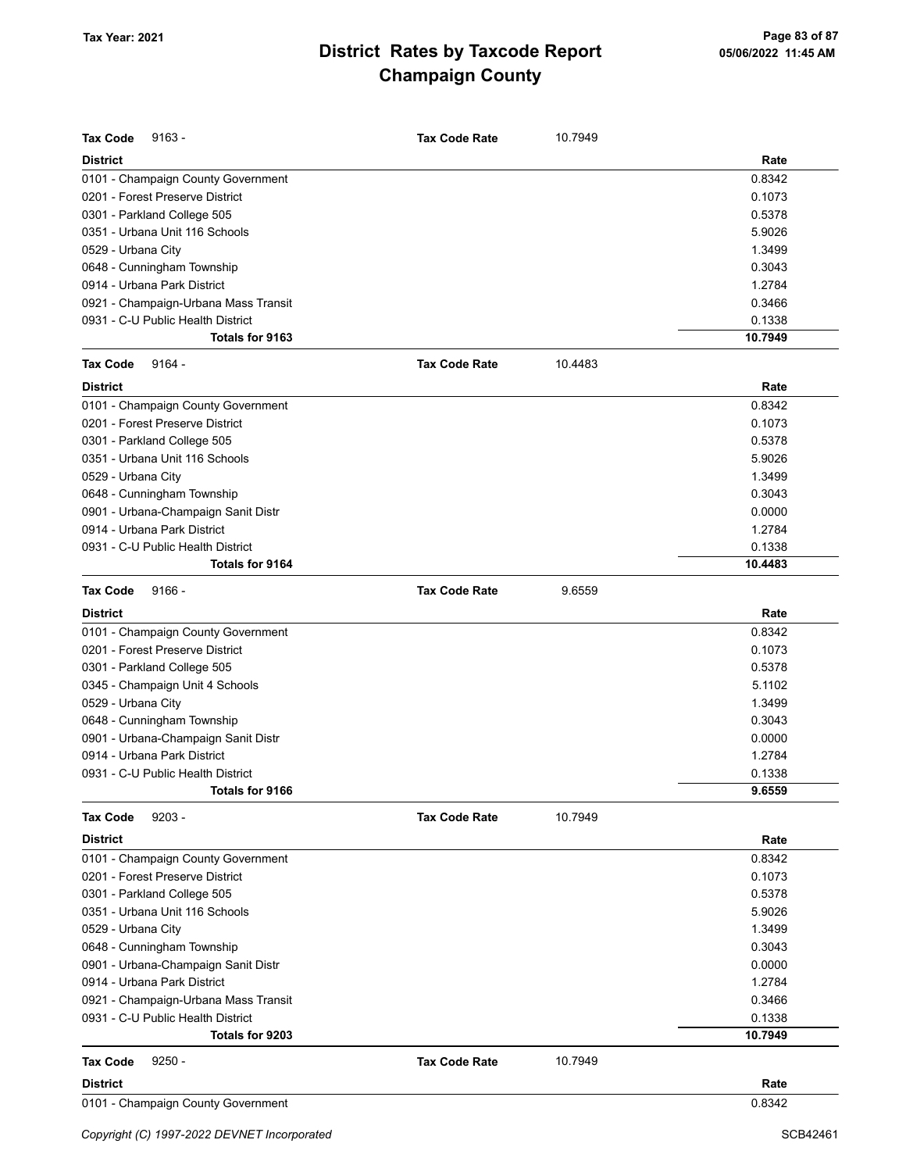| <b>Tax Code</b><br>$9163 -$          | <b>Tax Code Rate</b> | 10.7949 |         |
|--------------------------------------|----------------------|---------|---------|
| <b>District</b>                      |                      |         | Rate    |
| 0101 - Champaign County Government   |                      |         | 0.8342  |
| 0201 - Forest Preserve District      |                      |         | 0.1073  |
| 0301 - Parkland College 505          |                      |         | 0.5378  |
| 0351 - Urbana Unit 116 Schools       |                      |         | 5.9026  |
| 0529 - Urbana City                   |                      |         | 1.3499  |
| 0648 - Cunningham Township           |                      |         | 0.3043  |
| 0914 - Urbana Park District          |                      |         | 1.2784  |
| 0921 - Champaign-Urbana Mass Transit |                      |         | 0.3466  |
| 0931 - C-U Public Health District    |                      |         | 0.1338  |
| Totals for 9163                      |                      |         | 10.7949 |
| <b>Tax Code</b><br>$9164 -$          | <b>Tax Code Rate</b> | 10.4483 |         |
| <b>District</b>                      |                      |         | Rate    |
| 0101 - Champaign County Government   |                      |         | 0.8342  |
| 0201 - Forest Preserve District      |                      |         | 0.1073  |
| 0301 - Parkland College 505          |                      |         | 0.5378  |
| 0351 - Urbana Unit 116 Schools       |                      |         | 5.9026  |
| 0529 - Urbana City                   |                      |         | 1.3499  |
| 0648 - Cunningham Township           |                      |         | 0.3043  |
| 0901 - Urbana-Champaign Sanit Distr  |                      |         | 0.0000  |
| 0914 - Urbana Park District          |                      |         | 1.2784  |
| 0931 - C-U Public Health District    |                      |         | 0.1338  |
| <b>Totals for 9164</b>               |                      |         | 10.4483 |
| $9166 -$<br><b>Tax Code</b>          | <b>Tax Code Rate</b> | 9.6559  |         |
| <b>District</b>                      |                      |         | Rate    |
| 0101 - Champaign County Government   |                      |         | 0.8342  |
| 0201 - Forest Preserve District      |                      |         | 0.1073  |
| 0301 - Parkland College 505          |                      |         | 0.5378  |
| 0345 - Champaign Unit 4 Schools      |                      |         | 5.1102  |
| 0529 - Urbana City                   |                      |         | 1.3499  |
| 0648 - Cunningham Township           |                      |         | 0.3043  |
| 0901 - Urbana-Champaign Sanit Distr  |                      |         | 0.0000  |
| 0914 - Urbana Park District          |                      |         | 1.2784  |
| 0931 - C-U Public Health District    |                      |         | 0.1338  |
| Totals for 9166                      |                      |         | 9.6559  |
| $9203 -$<br><b>Tax Code</b>          | <b>Tax Code Rate</b> | 10.7949 |         |
| <b>District</b>                      |                      |         | Rate    |
| 0101 - Champaign County Government   |                      |         | 0.8342  |
| 0201 - Forest Preserve District      |                      |         | 0.1073  |
| 0301 - Parkland College 505          |                      |         | 0.5378  |
| 0351 - Urbana Unit 116 Schools       |                      |         | 5.9026  |
| 0529 - Urbana City                   |                      |         | 1.3499  |
| 0648 - Cunningham Township           |                      |         | 0.3043  |
| 0901 - Urbana-Champaign Sanit Distr  |                      |         | 0.0000  |
| 0914 - Urbana Park District          |                      |         | 1.2784  |
| 0921 - Champaign-Urbana Mass Transit |                      |         | 0.3466  |
| 0931 - C-U Public Health District    |                      |         | 0.1338  |
| Totals for 9203                      |                      |         | 10.7949 |
| $9250 -$<br><b>Tax Code</b>          | <b>Tax Code Rate</b> | 10.7949 |         |
| District                             |                      |         | Rate    |
| 0101 - Champaign County Government   |                      |         | 0.8342  |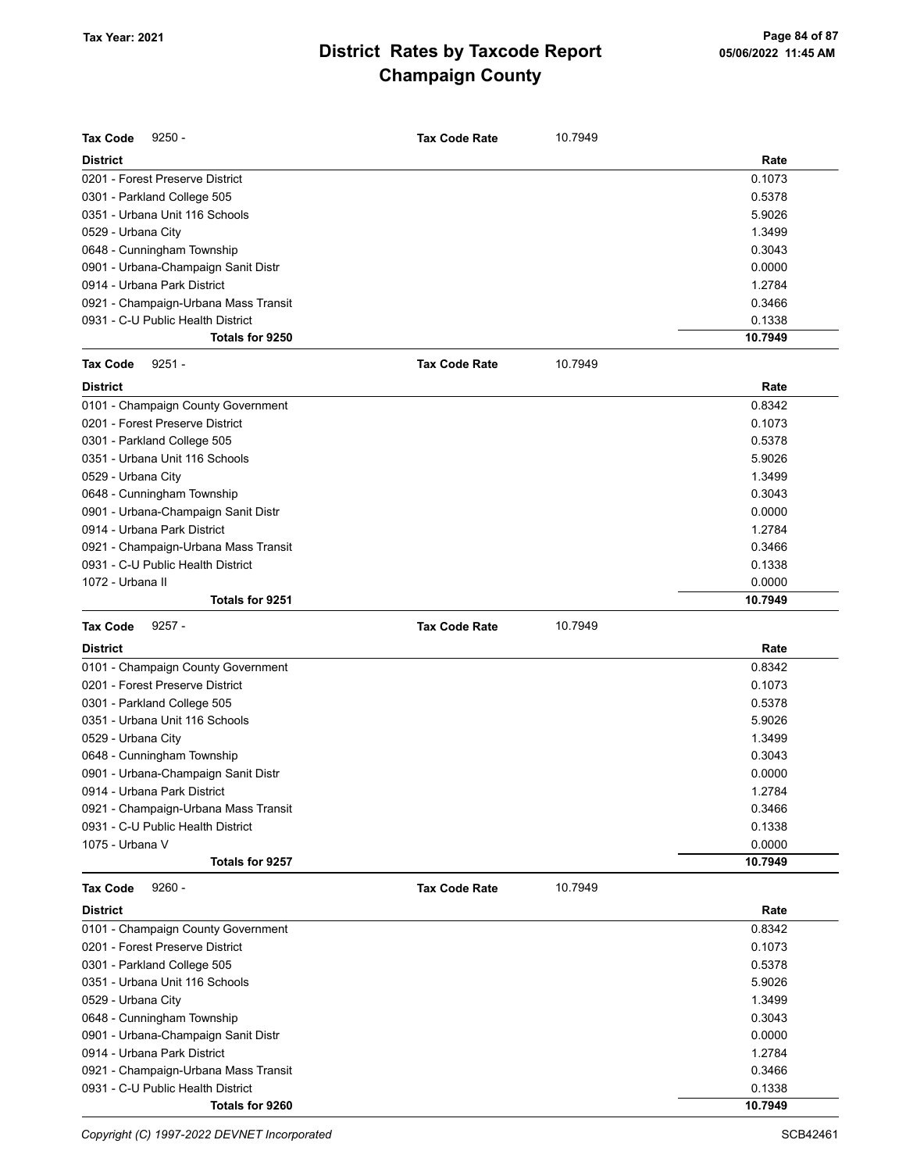| <b>Tax Code</b><br>$9250 -$                                               | <b>Tax Code Rate</b> | 10.7949 |                   |
|---------------------------------------------------------------------------|----------------------|---------|-------------------|
| <b>District</b>                                                           |                      |         | Rate              |
| 0201 - Forest Preserve District                                           |                      |         | 0.1073            |
| 0301 - Parkland College 505                                               |                      |         | 0.5378            |
| 0351 - Urbana Unit 116 Schools                                            |                      |         | 5.9026            |
| 0529 - Urbana City                                                        |                      |         | 1.3499            |
| 0648 - Cunningham Township                                                |                      |         | 0.3043            |
| 0901 - Urbana-Champaign Sanit Distr                                       |                      |         | 0.0000            |
| 0914 - Urbana Park District                                               |                      |         | 1.2784            |
| 0921 - Champaign-Urbana Mass Transit                                      |                      |         | 0.3466            |
| 0931 - C-U Public Health District                                         |                      |         | 0.1338            |
| Totals for 9250                                                           |                      |         | 10.7949           |
| <b>Tax Code</b><br>$9251 -$                                               | <b>Tax Code Rate</b> | 10.7949 |                   |
| <b>District</b>                                                           |                      |         | Rate              |
| 0101 - Champaign County Government                                        |                      |         | 0.8342            |
| 0201 - Forest Preserve District                                           |                      |         | 0.1073            |
| 0301 - Parkland College 505                                               |                      |         | 0.5378            |
| 0351 - Urbana Unit 116 Schools                                            |                      |         | 5.9026            |
| 0529 - Urbana City                                                        |                      |         | 1.3499            |
| 0648 - Cunningham Township                                                |                      |         | 0.3043            |
| 0901 - Urbana-Champaign Sanit Distr                                       |                      |         | 0.0000            |
| 0914 - Urbana Park District                                               |                      |         | 1.2784            |
| 0921 - Champaign-Urbana Mass Transit                                      |                      |         | 0.3466            |
| 0931 - C-U Public Health District                                         |                      |         | 0.1338            |
| 1072 - Urbana II                                                          |                      |         | 0.0000            |
| Totals for 9251                                                           |                      |         | 10.7949           |
| <b>Tax Code</b><br>$9257 -$                                               | <b>Tax Code Rate</b> | 10.7949 |                   |
| <b>District</b>                                                           |                      |         | Rate              |
| 0101 - Champaign County Government                                        |                      |         | 0.8342            |
| 0201 - Forest Preserve District                                           |                      |         | 0.1073            |
| 0301 - Parkland College 505                                               |                      |         | 0.5378            |
|                                                                           |                      |         | 5.9026            |
| 0351 - Urbana Unit 116 Schools                                            |                      |         |                   |
|                                                                           |                      |         |                   |
| 0529 - Urbana City                                                        |                      |         | 1.3499            |
| 0648 - Cunningham Township                                                |                      |         | 0.3043            |
| 0901 - Urbana-Champaign Sanit Distr                                       |                      |         | 0.0000            |
| 0914 - Urbana Park District                                               |                      |         | 1.2784            |
| 0921 - Champaign-Urbana Mass Transit<br>0931 - C-U Public Health District |                      |         | 0.3466            |
| 1075 - Urbana V                                                           |                      |         | 0.1338            |
| Totals for 9257                                                           |                      |         | 0.0000<br>10.7949 |
| <b>Tax Code</b><br>$9260 -$                                               | <b>Tax Code Rate</b> | 10.7949 |                   |
| <b>District</b>                                                           |                      |         | Rate              |
|                                                                           |                      |         |                   |
| 0101 - Champaign County Government<br>0201 - Forest Preserve District     |                      |         | 0.8342            |
| 0301 - Parkland College 505                                               |                      |         | 0.1073<br>0.5378  |
|                                                                           |                      |         |                   |
| 0351 - Urbana Unit 116 Schools                                            |                      |         | 5.9026<br>1.3499  |
| 0529 - Urbana City                                                        |                      |         | 0.3043            |
| 0648 - Cunningham Township                                                |                      |         |                   |
| 0901 - Urbana-Champaign Sanit Distr<br>0914 - Urbana Park District        |                      |         | 0.0000            |
|                                                                           |                      |         | 1.2784            |
| 0921 - Champaign-Urbana Mass Transit<br>0931 - C-U Public Health District |                      |         | 0.3466<br>0.1338  |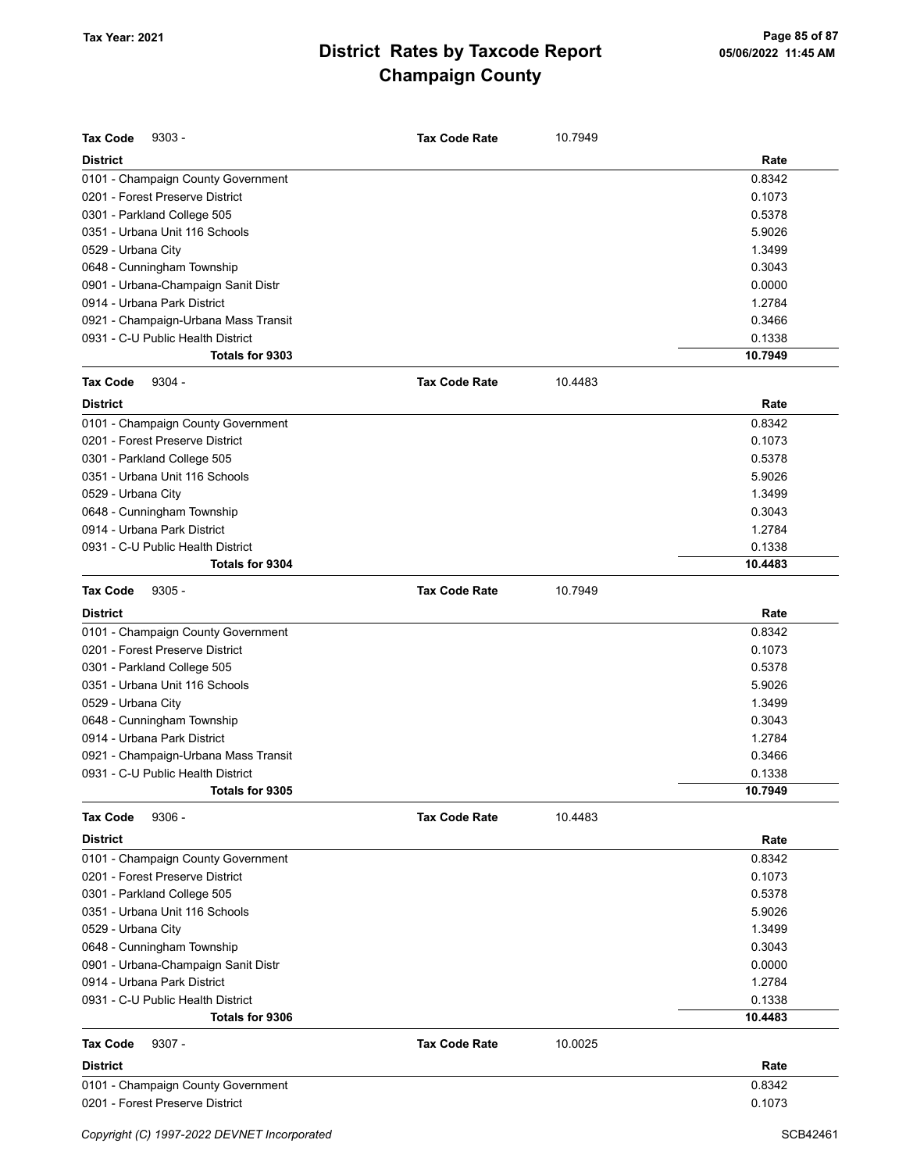| <b>Tax Code</b><br>$9303 -$          | <b>Tax Code Rate</b> | 10.7949 |         |
|--------------------------------------|----------------------|---------|---------|
| <b>District</b>                      |                      |         | Rate    |
| 0101 - Champaign County Government   |                      |         | 0.8342  |
| 0201 - Forest Preserve District      |                      |         | 0.1073  |
| 0301 - Parkland College 505          |                      |         | 0.5378  |
| 0351 - Urbana Unit 116 Schools       |                      |         | 5.9026  |
| 0529 - Urbana City                   |                      |         | 1.3499  |
| 0648 - Cunningham Township           |                      |         | 0.3043  |
| 0901 - Urbana-Champaign Sanit Distr  |                      |         | 0.0000  |
| 0914 - Urbana Park District          |                      |         | 1.2784  |
| 0921 - Champaign-Urbana Mass Transit |                      |         | 0.3466  |
| 0931 - C-U Public Health District    |                      |         | 0.1338  |
| Totals for 9303                      |                      |         | 10.7949 |
| <b>Tax Code</b><br>$9304 -$          | <b>Tax Code Rate</b> | 10.4483 |         |
| <b>District</b>                      |                      |         | Rate    |
| 0101 - Champaign County Government   |                      |         | 0.8342  |
| 0201 - Forest Preserve District      |                      |         | 0.1073  |
| 0301 - Parkland College 505          |                      |         | 0.5378  |
| 0351 - Urbana Unit 116 Schools       |                      |         | 5.9026  |
| 0529 - Urbana City                   |                      |         | 1.3499  |
| 0648 - Cunningham Township           |                      |         | 0.3043  |
| 0914 - Urbana Park District          |                      |         | 1.2784  |
| 0931 - C-U Public Health District    |                      |         | 0.1338  |
| Totals for 9304                      |                      |         | 10.4483 |
| <b>Tax Code</b><br>$9305 -$          | <b>Tax Code Rate</b> | 10.7949 |         |
| <b>District</b>                      |                      |         | Rate    |
| 0101 - Champaign County Government   |                      |         | 0.8342  |
| 0201 - Forest Preserve District      |                      |         | 0.1073  |
| 0301 - Parkland College 505          |                      |         | 0.5378  |
| 0351 - Urbana Unit 116 Schools       |                      |         | 5.9026  |
| 0529 - Urbana City                   |                      |         | 1.3499  |
| 0648 - Cunningham Township           |                      |         | 0.3043  |
| 0914 - Urbana Park District          |                      |         | 1.2784  |
| 0921 - Champaign-Urbana Mass Transit |                      |         | 0.3466  |
| 0931 - C-U Public Health District    |                      |         | 0.1338  |
| <b>Totals for 9305</b>               |                      |         | 10.7949 |
| $9306 -$<br><b>Tax Code</b>          | <b>Tax Code Rate</b> | 10.4483 |         |
| <b>District</b>                      |                      |         | Rate    |
| 0101 - Champaign County Government   |                      |         | 0.8342  |
| 0201 - Forest Preserve District      |                      |         | 0.1073  |
| 0301 - Parkland College 505          |                      |         | 0.5378  |
| 0351 - Urbana Unit 116 Schools       |                      |         | 5.9026  |
| 0529 - Urbana City                   |                      |         | 1.3499  |
| 0648 - Cunningham Township           |                      |         | 0.3043  |
| 0901 - Urbana-Champaign Sanit Distr  |                      |         | 0.0000  |
| 0914 - Urbana Park District          |                      |         | 1.2784  |
| 0931 - C-U Public Health District    |                      |         | 0.1338  |
| Totals for 9306                      |                      |         | 10.4483 |
| <b>Tax Code</b><br>$9307 -$          | <b>Tax Code Rate</b> | 10.0025 |         |
| <b>District</b>                      |                      |         | Rate    |
| 0101 - Champaign County Government   |                      |         | 0.8342  |
| 0201 - Forest Preserve District      |                      |         | 0.1073  |
|                                      |                      |         |         |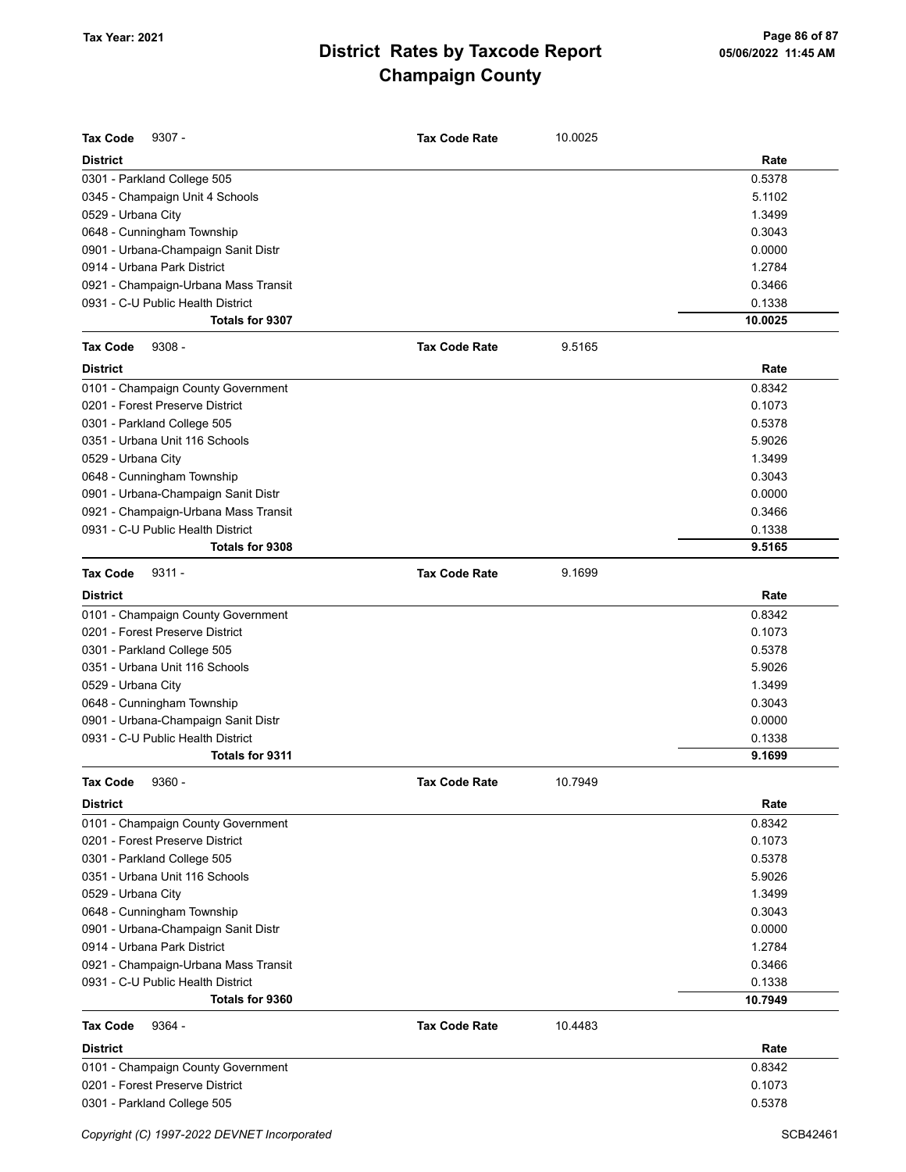| <b>Tax Code</b><br>$9307 -$          | <b>Tax Code Rate</b> | 10.0025 |         |
|--------------------------------------|----------------------|---------|---------|
| <b>District</b>                      |                      |         | Rate    |
| 0301 - Parkland College 505          |                      |         | 0.5378  |
| 0345 - Champaign Unit 4 Schools      |                      |         | 5.1102  |
| 0529 - Urbana City                   |                      |         | 1.3499  |
| 0648 - Cunningham Township           |                      |         | 0.3043  |
| 0901 - Urbana-Champaign Sanit Distr  |                      |         | 0.0000  |
| 0914 - Urbana Park District          |                      |         | 1.2784  |
| 0921 - Champaign-Urbana Mass Transit |                      |         | 0.3466  |
| 0931 - C-U Public Health District    |                      |         | 0.1338  |
| Totals for 9307                      |                      |         | 10.0025 |
| $9308 -$<br><b>Tax Code</b>          | <b>Tax Code Rate</b> | 9.5165  |         |
| <b>District</b>                      |                      |         | Rate    |
| 0101 - Champaign County Government   |                      |         | 0.8342  |
| 0201 - Forest Preserve District      |                      |         | 0.1073  |
| 0301 - Parkland College 505          |                      |         | 0.5378  |
| 0351 - Urbana Unit 116 Schools       |                      |         | 5.9026  |
| 0529 - Urbana City                   |                      |         | 1.3499  |
| 0648 - Cunningham Township           |                      |         | 0.3043  |
| 0901 - Urbana-Champaign Sanit Distr  |                      |         | 0.0000  |
| 0921 - Champaign-Urbana Mass Transit |                      |         | 0.3466  |
| 0931 - C-U Public Health District    |                      |         | 0.1338  |
| Totals for 9308                      |                      |         | 9.5165  |
| $9311 -$<br><b>Tax Code</b>          | <b>Tax Code Rate</b> | 9.1699  |         |
| <b>District</b>                      |                      |         | Rate    |
| 0101 - Champaign County Government   |                      |         | 0.8342  |
| 0201 - Forest Preserve District      |                      |         | 0.1073  |
| 0301 - Parkland College 505          |                      |         | 0.5378  |
| 0351 - Urbana Unit 116 Schools       |                      |         | 5.9026  |
| 0529 - Urbana City                   |                      |         | 1.3499  |
| 0648 - Cunningham Township           |                      |         | 0.3043  |
| 0901 - Urbana-Champaign Sanit Distr  |                      |         | 0.0000  |
| 0931 - C-U Public Health District    |                      |         | 0.1338  |
| Totals for 9311                      |                      |         | 9.1699  |
| $9360 -$<br>Tax Code                 | <b>Tax Code Rate</b> | 10.7949 |         |
| District                             |                      |         | Rate    |
| 0101 - Champaign County Government   |                      |         | 0.8342  |
| 0201 - Forest Preserve District      |                      |         | 0.1073  |
| 0301 - Parkland College 505          |                      |         | 0.5378  |
| 0351 - Urbana Unit 116 Schools       |                      |         | 5.9026  |
| 0529 - Urbana City                   |                      |         | 1.3499  |
| 0648 - Cunningham Township           |                      |         | 0.3043  |
| 0901 - Urbana-Champaign Sanit Distr  |                      |         | 0.0000  |
| 0914 - Urbana Park District          |                      |         | 1.2784  |
| 0921 - Champaign-Urbana Mass Transit |                      |         | 0.3466  |
| 0931 - C-U Public Health District    |                      |         | 0.1338  |
| Totals for 9360                      |                      |         | 10.7949 |
| <b>Tax Code</b><br>9364 -            | <b>Tax Code Rate</b> | 10.4483 |         |
| <b>District</b>                      |                      |         | Rate    |
| 0101 - Champaign County Government   |                      |         | 0.8342  |
| 0201 - Forest Preserve District      |                      |         | 0.1073  |
| 0301 - Parkland College 505          |                      |         | 0.5378  |